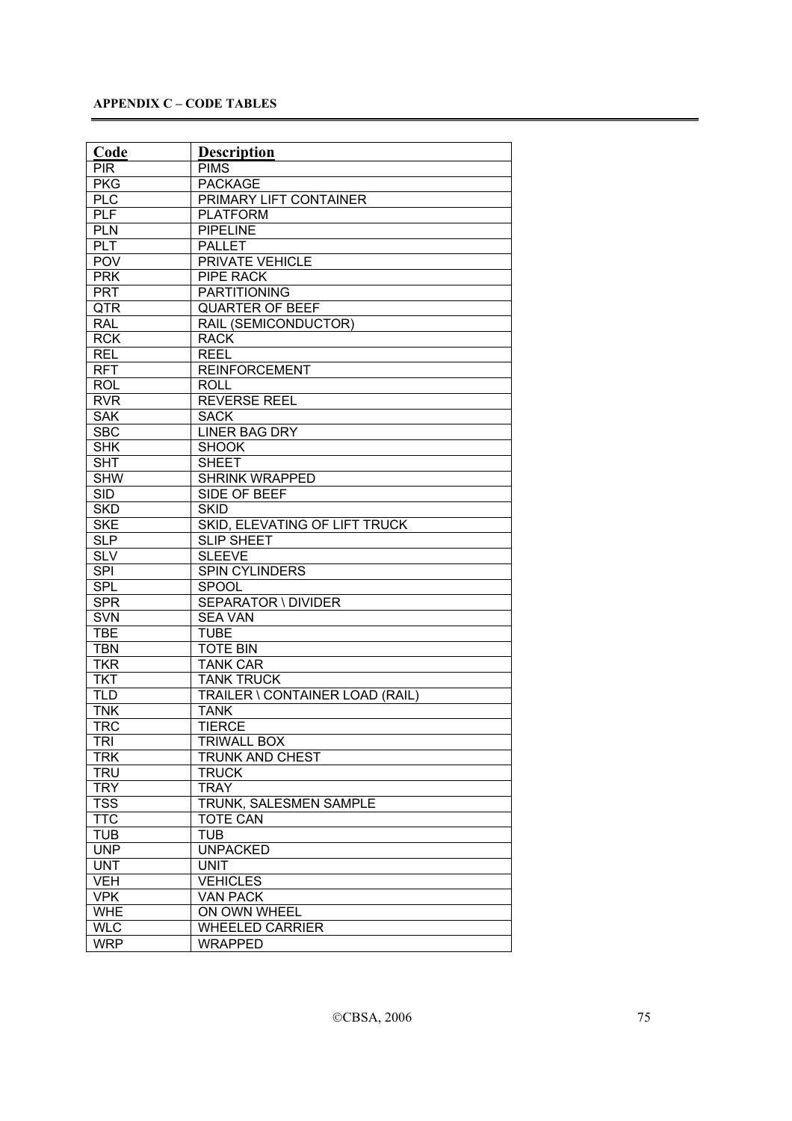| Code       | <b>Description</b>              |
|------------|---------------------------------|
| <b>PIR</b> | <b>PIMS</b>                     |
| <b>PKG</b> | <b>PACKAGE</b>                  |
| <b>PLC</b> | PRIMARY LIFT CONTAINER          |
| <b>PLF</b> | <b>PLATFORM</b>                 |
| <b>PLN</b> | <b>PIPELINE</b>                 |
| PLT        | <b>PALLET</b>                   |
| <b>POV</b> | <b>PRIVATE VEHICLE</b>          |
| <b>PRK</b> | <b>PIPE RACK</b>                |
| <b>PRT</b> | <b>PARTITIONING</b>             |
| QTR        | <b>QUARTER OF BEEF</b>          |
| <b>RAL</b> | RAIL (SEMICONDUCTOR)            |
| <b>RCK</b> | <b>RACK</b>                     |
| <b>REL</b> | <b>REEL</b>                     |
| <b>RFT</b> | <b>REINFORCEMENT</b>            |
| <b>ROL</b> | ROLL                            |
| <b>RVR</b> | <b>REVERSE REEL</b>             |
| <b>SAK</b> | <b>SACK</b>                     |
| <b>SBC</b> | <b>LINER BAG DRY</b>            |
| <b>SHK</b> | <b>SHOOK</b>                    |
| <b>SHT</b> | <b>SHEET</b>                    |
| <b>SHW</b> | <b>SHRINK WRAPPED</b>           |
| <b>SID</b> | SIDE OF BEEF                    |
| <b>SKD</b> | <b>SKID</b>                     |
| <b>SKE</b> | SKID, ELEVATING OF LIFT TRUCK   |
| <b>SLP</b> | <b>SLIP SHEET</b>               |
| <b>SLV</b> | <b>SLEEVE</b>                   |
| <b>SPI</b> | SPIN CYLINDERS                  |
| SPL        | <b>SPOOL</b>                    |
| <b>SPR</b> | <b>SEPARATOR \ DIVIDER</b>      |
| <b>SVN</b> | <b>SEA VAN</b>                  |
| <b>TBE</b> | <b>TUBE</b>                     |
| <b>TBN</b> | <b>TOTE BIN</b>                 |
| <b>TKR</b> | <b>TANK CAR</b>                 |
| <b>TKT</b> | <b>TANK TRUCK</b>               |
| <b>TLD</b> | TRAILER \ CONTAINER LOAD (RAIL) |
| <b>TNK</b> | <b>TANK</b>                     |
| <b>TRC</b> | <b>TIERCE</b>                   |
| TRI        | <b>TRIWALL BOX</b>              |
| <b>TRK</b> | TRUNK AND CHEST                 |
| <b>TRU</b> | <b>TRUCK</b>                    |
| <b>TRY</b> | <b>TRAY</b>                     |
| <b>TSS</b> | TRUNK, SALESMEN SAMPLE          |
| <b>TTC</b> | <b>TOTE CAN</b>                 |
| <b>TUB</b> | <b>TUB</b>                      |
| <b>UNP</b> | <b>UNPACKED</b>                 |
| <b>UNT</b> | <b>UNIT</b>                     |
| <b>VEH</b> | <b>VEHICLES</b>                 |
| <b>VPK</b> | <b>VAN PACK</b>                 |
| <b>WHE</b> | ON OWN WHEEL                    |
| <b>WLC</b> | <b>WHEELED CARRIER</b>          |
| <b>WRP</b> | <b>WRAPPED</b>                  |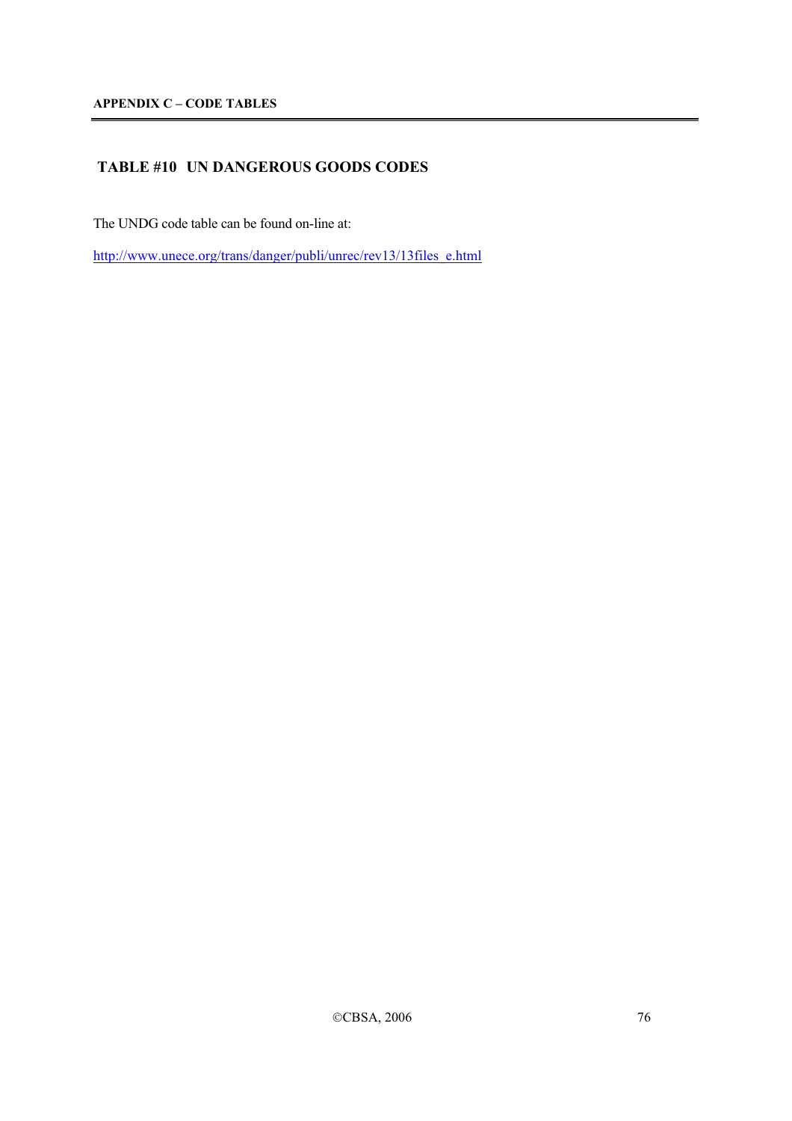# **TABLE #10 UN DANGEROUS GOODS CODES**

The UNDG code table can be found on-line at:

http://www.unece.org/trans/danger/publi/unrec/rev13/13files\_e.html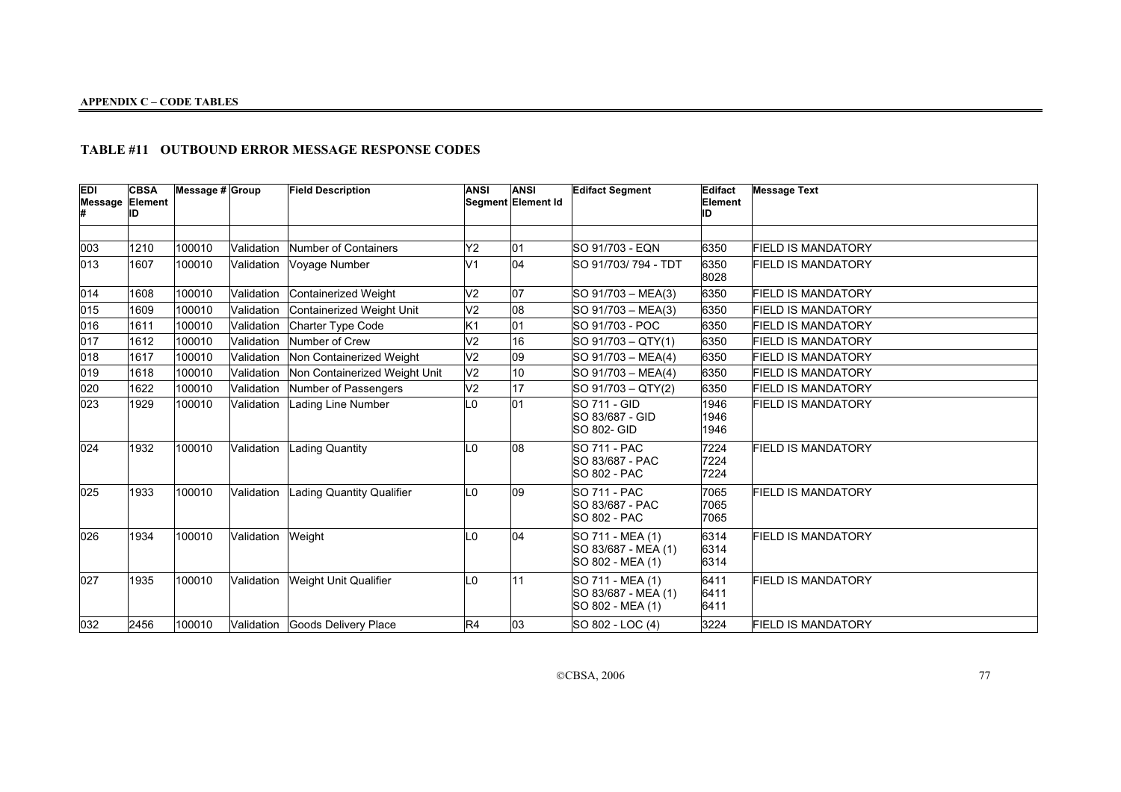## **TABLE #11 OUTBOUND ERROR MESSAGE RESPONSE CODES**

| EDI<br><b>Message Element</b> | <b>CBSA</b><br>ID | Message # Group |            | <b>Field Description</b>        | <b>ANSI</b>     | <b>ANSI</b><br>Segment Element Id | <b>Edifact Segment</b>                                               | Edifact<br>Element<br>םו | <b>Message Text</b>       |
|-------------------------------|-------------------|-----------------|------------|---------------------------------|-----------------|-----------------------------------|----------------------------------------------------------------------|--------------------------|---------------------------|
|                               |                   |                 |            |                                 |                 |                                   |                                                                      |                          |                           |
| 003                           | 1210              | 100010          | Validation | Number of Containers            | Y <sub>2</sub>  | 01                                | <b>SO 91/703 - EQN</b>                                               | 6350                     | <b>FIELD IS MANDATORY</b> |
| 013                           | 1607              | 100010          | Validation | Voyage Number                   | V <sub>1</sub>  | 04                                | SO 91/703/794 - TDT                                                  | 6350<br>8028             | <b>FIELD IS MANDATORY</b> |
| 014                           | 1608              | 100010          | Validation | Containerized Weight            | V <sub>2</sub>  | 07                                | $SO 91/703 - MEA(3)$                                                 | 6350                     | <b>FIELD IS MANDATORY</b> |
| 015                           | 1609              | 100010          | Validation | Containerized Weight Unit       | V <sub>2</sub>  | 08                                | SO 91/703 - MEA(3)                                                   | 6350                     | <b>FIELD IS MANDATORY</b> |
| 016                           | 1611              | 100010          | Validation | Charter Type Code               | K <sub>1</sub>  | 01                                | SO 91/703 - POC                                                      | 6350                     | <b>FIELD IS MANDATORY</b> |
| 017                           | 1612              | 100010          | Validation | Number of Crew                  | V <sub>2</sub>  | 16                                | SO 91/703 - QTY(1)                                                   | 6350                     | <b>FIELD IS MANDATORY</b> |
| 018                           | 1617              | 100010          | Validation | Non Containerized Weight        | $\overline{V2}$ | $\overline{09}$                   | $SO 91/703 - MEA(4)$                                                 | 6350                     | <b>FIELD IS MANDATORY</b> |
| 019                           | 1618              | 100010          | Validation | Non Containerized Weight Unit   | V <sub>2</sub>  | 10                                | SO 91/703 - MEA(4)                                                   | 6350                     | <b>FIELD IS MANDATORY</b> |
| 020                           | 1622              | 100010          | Validation | Number of Passengers            | V <sub>2</sub>  | $\overline{17}$                   | SO 91/703 - QTY(2)                                                   | 6350                     | <b>FIELD IS MANDATORY</b> |
| 023                           | 1929              | 100010          | Validation | Lading Line Number              | L0              | 01                                | <b>SO 711 - GID</b><br>SO 83/687 - GID<br><b>SO 802- GID</b>         | 1946<br>1946<br>1946     | <b>FIELD IS MANDATORY</b> |
| $ 024\rangle$                 | 1932              | 100010          | Validation | Lading Quantity                 | $\Omega$        | 08                                | <b>SO 711 - PAC</b><br>SO 83/687 - PAC<br><b>SO 802 - PAC</b>        | 7224<br>7224<br>7224     | <b>FIELD IS MANDATORY</b> |
| 025                           | 1933              | 100010          | Validation | Lading Quantity Qualifier       | L0              | $ 09\rangle$                      | <b>SO 711 - PAC</b><br><b>SO 83/687 - PAC</b><br><b>SO 802 - PAC</b> | 7065<br>7065<br>7065     | <b>FIELD IS MANDATORY</b> |
| 026                           | 1934              | 100010          | Validation | Weight                          | $\overline{0}$  | 04                                | SO 711 - MEA (1)<br>SO 83/687 - MEA (1)<br>SO 802 - MEA (1)          | 6314<br>6314<br>6314     | <b>FIELD IS MANDATORY</b> |
| 027                           | 1935              | 100010          | Validation | Weight Unit Qualifier           | L0              | 11                                | SO 711 - MEA (1)<br>SO 83/687 - MEA (1)<br>SO 802 - MEA (1)          | 6411<br>6411<br>6411     | <b>FIELD IS MANDATORY</b> |
| 032                           | 2456              | 100010          |            | Validation Goods Delivery Place | R4              | 03                                | SO 802 - LOC (4)                                                     | 3224                     | <b>FIELD IS MANDATORY</b> |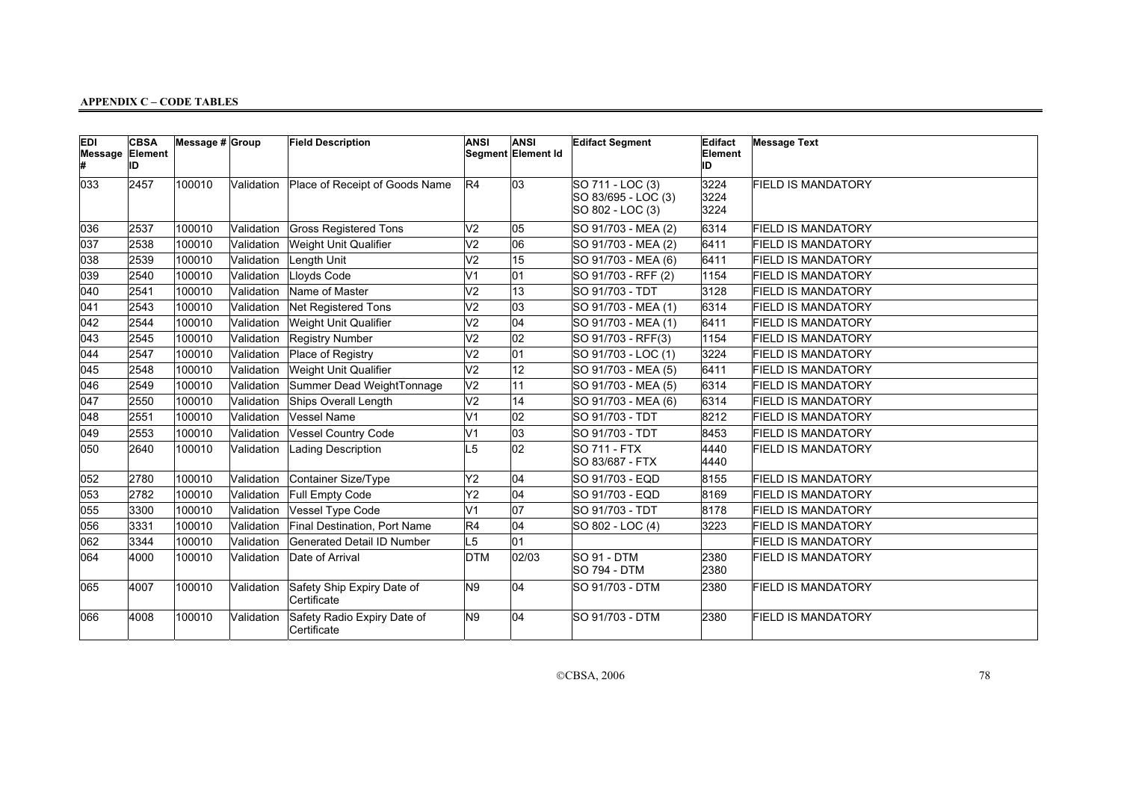| <b>EDI</b><br>Message Element | <b>CBSA</b><br>ID | Message $# $ Group |            | <b>Field Description</b>                   | <b>ANSI</b>     | <b>ANSI</b><br>Segment Element Id | <b>Edifact Segment</b>                                      | Edifact<br>Element<br>ID | <b>Message Text</b>       |
|-------------------------------|-------------------|--------------------|------------|--------------------------------------------|-----------------|-----------------------------------|-------------------------------------------------------------|--------------------------|---------------------------|
| 033                           | 2457              | 100010             | Validation | Place of Receipt of Goods Name             | R4              | $ 03\rangle$                      | SO 711 - LOC (3)<br>SO 83/695 - LOC (3)<br>SO 802 - LOC (3) | 3224<br>3224<br>3224     | <b>FIELD IS MANDATORY</b> |
| 036                           | 2537              | 100010             | Validation | <b>Gross Registered Tons</b>               | V <sub>2</sub>  | 05                                | SO 91/703 - MEA (2)                                         | 6314                     | <b>FIELD IS MANDATORY</b> |
| 037                           | 2538              | 100010             | Validation | Weight Unit Qualifier                      | V <sub>2</sub>  | 06                                | SO 91/703 - MEA (2)                                         | 6411                     | <b>FIELD IS MANDATORY</b> |
| 038                           | 2539              | 100010             | Validation | Length Unit                                | $\overline{V}$  | 15                                | SO 91/703 - MEA (6)                                         | 6411                     | <b>FIELD IS MANDATORY</b> |
| 039                           | 2540              | 100010             | Validation | Lloyds Code                                | V <sub>1</sub>  | 01                                | SO 91/703 - RFF (2)                                         | 1154                     | <b>FIELD IS MANDATORY</b> |
| 040                           | 2541              | 100010             | Validation | Name of Master                             | V <sub>2</sub>  | 13                                | SO 91/703 - TDT                                             | 3128                     | <b>FIELD IS MANDATORY</b> |
| 041                           | 2543              | 100010             | Validation | Net Registered Tons                        | V <sub>2</sub>  | 03                                | SO 91/703 - MEA (1)                                         | 6314                     | <b>FIELD IS MANDATORY</b> |
| 042                           | 2544              | 100010             | Validation | Weight Unit Qualifier                      | V <sub>2</sub>  | 04                                | SO 91/703 - MEA (1)                                         | 6411                     | <b>FIELD IS MANDATORY</b> |
| 043                           | 2545              | 100010             | Validation | Registry Number                            | V <sub>2</sub>  | 02                                | SO 91/703 - RFF(3)                                          | 1154                     | <b>FIELD IS MANDATORY</b> |
| 044                           | 2547              | 100010             | Validation | Place of Registry                          | V <sub>2</sub>  | 01                                | SO 91/703 - LOC (1)                                         | 3224                     | <b>FIELD IS MANDATORY</b> |
| 045                           | 2548              | 100010             | Validation | Weight Unit Qualifier                      | V <sub>2</sub>  | 12                                | SO 91/703 - MEA (5)                                         | 6411                     | <b>FIELD IS MANDATORY</b> |
| 046                           | 2549              | 100010             | Validation | Summer Dead WeightTonnage                  | V <sub>2</sub>  | 11                                | SO 91/703 - MEA (5)                                         | 6314                     | <b>FIELD IS MANDATORY</b> |
| 047                           | 2550              | 100010             | Validation | Ships Overall Length                       | V <sub>2</sub>  | 14                                | SO 91/703 - MEA (6)                                         | 6314                     | <b>FIELD IS MANDATORY</b> |
| 048                           | 2551              | 100010             | Validation | Vessel Name                                | V <sub>1</sub>  | 02                                | SO 91/703 - TDT                                             | 8212                     | <b>FIELD IS MANDATORY</b> |
| 049                           | 2553              | 100010             | Validation | <b>Vessel Country Code</b>                 | V <sub>1</sub>  | $ 03\rangle$                      | SO 91/703 - TDT                                             | 8453                     | <b>FIELD IS MANDATORY</b> |
| 050                           | 2640              | 100010             | Validation | Lading Description                         | L5              | 02                                | <b>SO 711 - FTX</b><br>SO 83/687 - FTX                      | 4440<br>4440             | <b>FIELD IS MANDATORY</b> |
| 052                           | 2780              | 100010             | Validation | Container Size/Type                        | Y <sub>2</sub>  | 04                                | SO 91/703 - EQD                                             | 8155                     | <b>FIELD IS MANDATORY</b> |
| 053                           | 2782              | 100010             | Validation | Full Empty Code                            | $\overline{Y2}$ | 04                                | SO 91/703 - EQD                                             | 8169                     | <b>FIELD IS MANDATORY</b> |
| 055                           | 3300              | 100010             | Validation | Vessel Type Code                           | V <sub>1</sub>  | 07                                | SO 91/703 - TDT                                             | 8178                     | <b>FIELD IS MANDATORY</b> |
| 056                           | 3331              | 100010             | Validation | Final Destination, Port Name               | R4              | 04                                | SO 802 - LOC (4)                                            | 3223                     | <b>FIELD IS MANDATORY</b> |
| 062                           | 3344              | 100010             | Validation | Generated Detail ID Number                 | $\overline{L5}$ | 01                                |                                                             |                          | <b>FIELD IS MANDATORY</b> |
| 064                           | 4000              | 100010             | Validation | Date of Arrival                            | <b>DTM</b>      | 02/03                             | SO 91 - DTM<br><b>SO 794 - DTM</b>                          | 2380<br>2380             | <b>FIELD IS MANDATORY</b> |
| 065                           | 4007              | 100010             | Validation | Safety Ship Expiry Date of<br>Certificate  | N <sub>9</sub>  | 04                                | ISO 91/703 - DTM                                            | 2380                     | <b>FIELD IS MANDATORY</b> |
| 066                           | 4008              | 100010             | Validation | Safety Radio Expiry Date of<br>Certificate | N <sub>9</sub>  | 04                                | SO 91/703 - DTM                                             | 2380                     | <b>FIELD IS MANDATORY</b> |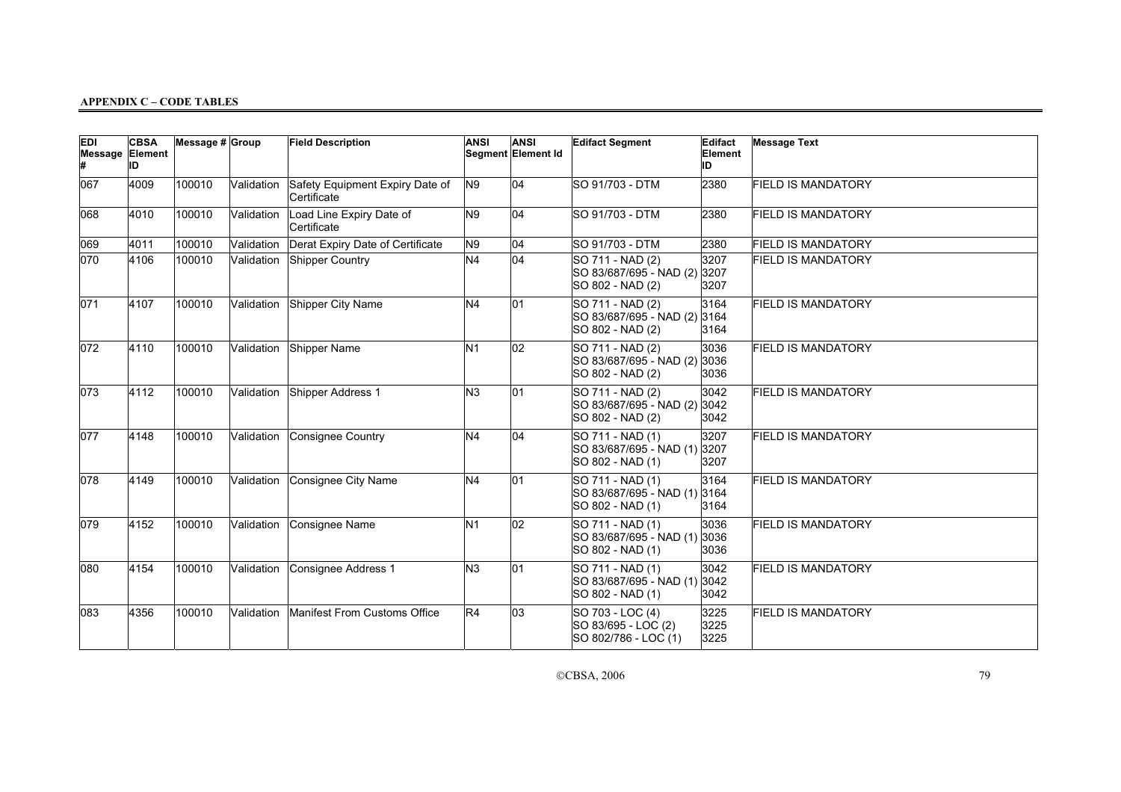| <b>EDI</b><br><b>Message Element</b><br>Ł | <b>CBSA</b><br>ID | Message $# $ Group |            | <b>Field Description</b>                       | <b>ANSI</b>    | <b>ANSI</b><br>Segment Element Id | <b>Edifact Segment</b>                                               | Edifact<br>Element<br>ID | <b>Message Text</b>       |
|-------------------------------------------|-------------------|--------------------|------------|------------------------------------------------|----------------|-----------------------------------|----------------------------------------------------------------------|--------------------------|---------------------------|
| 067                                       | 4009              | 100010             | Validation | Safety Equipment Expiry Date of<br>Certificate | N <sub>9</sub> | 04                                | SO 91/703 - DTM                                                      | 2380                     | <b>FIELD IS MANDATORY</b> |
| 068                                       | 4010              | 100010             | Validation | Load Line Expiry Date of<br>Certificate        | N <sub>9</sub> | 04                                | SO 91/703 - DTM                                                      | 2380                     | <b>FIELD IS MANDATORY</b> |
| 069                                       | 4011              | 100010             | Validation | Derat Expiry Date of Certificate               | N <sub>9</sub> | 04                                | SO 91/703 - DTM                                                      | 2380                     | <b>FIELD IS MANDATORY</b> |
| 070                                       | 4106              | 100010             | Validation | Shipper Country                                | N <sub>4</sub> | 04                                | SO 711 - NAD (2)<br>SO 83/687/695 - NAD (2)<br>SO 802 - NAD (2)      | 3207<br>3207<br>3207     | <b>FIELD IS MANDATORY</b> |
| 071                                       | 4107              | 100010             | Validation | Shipper City Name                              | N <sub>4</sub> | 01                                | SO 711 - NAD (2)<br>SO 83/687/695 - NAD (2) 3164<br>SO 802 - NAD (2) | 3164<br>3164             | <b>FIELD IS MANDATORY</b> |
| 072                                       | 4110              | 100010             | Validation | Shipper Name                                   | N <sub>1</sub> | $ 02\rangle$                      | SO 711 - NAD (2)<br>SO 83/687/695 - NAD (2)<br>SO 802 - NAD (2)      | 3036<br>3036<br>3036     | <b>FIELD IS MANDATORY</b> |
| 073                                       | 4112              | 100010             | Validation | Shipper Address 1                              | N <sub>3</sub> | 01                                | SO 711 - NAD (2)<br>SO 83/687/695 - NAD (2)<br>SO 802 - NAD (2)      | 3042<br>3042<br>3042     | <b>FIELD IS MANDATORY</b> |
| 077                                       | 4148              | 100010             | Validation | Consignee Country                              | N <sub>4</sub> | 04                                | SO 711 - NAD (1)<br>SO 83/687/695 - NAD (1) 3207<br>SO 802 - NAD (1) | 3207<br>3207             | <b>FIELD IS MANDATORY</b> |
| 078                                       | 4149              | 100010             | Validation | Consignee City Name                            | N <sub>4</sub> | 01                                | SO 711 - NAD (1)<br>SO 83/687/695 - NAD (1) 3164<br>SO 802 - NAD (1) | 3164<br>3164             | <b>FIELD IS MANDATORY</b> |
| $ 079\rangle$                             | 4152              | 100010             | Validation | Consignee Name                                 | N <sub>1</sub> | 02                                | SO 711 - NAD (1)<br>SO 83/687/695 - NAD (1)<br>SO 802 - NAD (1)      | 3036<br>3036<br>3036     | <b>FIELD IS MANDATORY</b> |
| 080                                       | 4154              | 100010             | Validation | Consignee Address 1                            | N <sub>3</sub> | 01                                | SO 711 - NAD (1)<br>SO 83/687/695 - NAD (1)<br>SO 802 - NAD (1)      | 3042<br>3042<br>3042     | <b>FIELD IS MANDATORY</b> |
| 083                                       | 4356              | 100010             | Validation | Manifest From Customs Office                   | R4             | 03                                | SO 703 - LOC (4)<br>SO 83/695 - LOC (2)<br>SO 802/786 - LOC (1)      | 3225<br>3225<br>3225     | <b>FIELD IS MANDATORY</b> |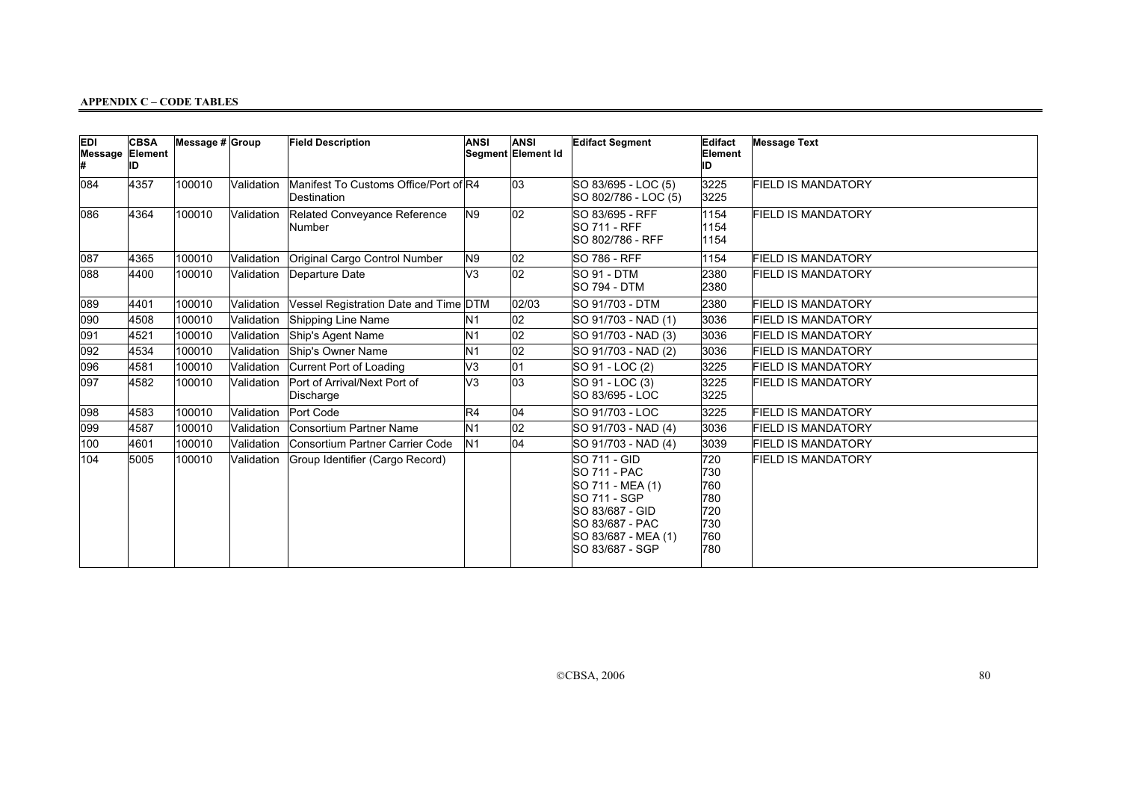| <b>EDI</b><br><b>Message Element</b> | <b>CBSA</b><br>ID | Message # Group |            | <b>Field Description</b>                             | <b>ANSI</b>    | <b>ANSI</b><br>Segment Element Id | <b>Edifact Segment</b>                                                                                                                                                 | Edifact<br>Element<br>ID                             | <b>Message Text</b>       |
|--------------------------------------|-------------------|-----------------|------------|------------------------------------------------------|----------------|-----------------------------------|------------------------------------------------------------------------------------------------------------------------------------------------------------------------|------------------------------------------------------|---------------------------|
| 084                                  | 4357              | 100010          | Validation | Manifest To Customs Office/Port of R4<br>Destination |                | 03                                | SO 83/695 - LOC (5)<br>SO 802/786 - LOC (5)                                                                                                                            | 3225<br>3225                                         | <b>FIELD IS MANDATORY</b> |
| 086                                  | 4364              | 100010          | Validation | Related Conveyance Reference<br>Number               | N9             | $ 02\rangle$                      | SO 83/695 - RFF<br><b>SO 711 - RFF</b><br>SO 802/786 - RFF                                                                                                             | 1154<br>1154<br>1154                                 | <b>FIELD IS MANDATORY</b> |
| 087                                  | 4365              | 100010          | Validation | Original Cargo Control Number                        | N9             | 02                                | <b>SO 786 - RFF</b>                                                                                                                                                    | 1154                                                 | <b>FIELD IS MANDATORY</b> |
| 088                                  | 4400              | 100010          | Validation | Departure Date                                       | lv3            | 02                                | <b>SO 91 - DTM</b><br><b>SO 794 - DTM</b>                                                                                                                              | 2380<br>2380                                         | <b>FIELD IS MANDATORY</b> |
| 089                                  | 4401              | 100010          | Validation | Vessel Registration Date and Time DTM                |                | 02/03                             | SO 91/703 - DTM                                                                                                                                                        | 2380                                                 | <b>FIELD IS MANDATORY</b> |
| 090                                  | 4508              | 100010          | Validation | Shipping Line Name                                   | N1             | 02                                | SO 91/703 - NAD (1)                                                                                                                                                    | 3036                                                 | <b>FIELD IS MANDATORY</b> |
| 091                                  | 4521              | 100010          | Validation | Ship's Agent Name                                    | N <sub>1</sub> | 02                                | SO 91/703 - NAD (3)                                                                                                                                                    | 3036                                                 | FIELD IS MANDATORY        |
| 092                                  | 4534              | 100010          | Validation | Ship's Owner Name                                    | N <sub>1</sub> | $ 02\rangle$                      | SO 91/703 - NAD (2)                                                                                                                                                    | 3036                                                 | <b>FIELD IS MANDATORY</b> |
| 096                                  | 4581              | 100010          | Validation | Current Port of Loading                              | V3             | $\overline{01}$                   | SO 91 - LOC (2)                                                                                                                                                        | 3225                                                 | <b>FIELD IS MANDATORY</b> |
| 097                                  | 4582              | 100010          | Validation | Port of Arrival/Next Port of<br>Discharge            | V3             | $\overline{03}$                   | SO 91 - LOC (3)<br>SO 83/695 - LOC                                                                                                                                     | 3225<br>3225                                         | <b>FIELD IS MANDATORY</b> |
| 098                                  | 4583              | 100010          | Validation | Port Code                                            | R4             | 04                                | SO 91/703 - LOC                                                                                                                                                        | 3225                                                 | <b>FIELD IS MANDATORY</b> |
| 099                                  | 4587              | 100010          | Validation | Consortium Partner Name                              | N <sub>1</sub> | 02                                | SO 91/703 - NAD (4)                                                                                                                                                    | 3036                                                 | <b>FIELD IS MANDATORY</b> |
| 100                                  | 4601              | 100010          | Validation | Consortium Partner Carrier Code                      | N <sub>1</sub> | 04                                | SO 91/703 - NAD (4)                                                                                                                                                    | 3039                                                 | <b>FIELD IS MANDATORY</b> |
| 104                                  | 5005              | 100010          | Validation | Group Identifier (Cargo Record)                      |                |                                   | <b>SO 711 - GID</b><br><b>SO 711 - PAC</b><br>SO 711 - MEA (1)<br>SO 711 - SGP<br>SO 83/687 - GID<br><b>SO 83/687 - PAC</b><br>SO 83/687 - MEA (1)<br>ISO 83/687 - SGP | 720<br>730<br>760<br>780<br>720<br>730<br>760<br>780 | <b>FIELD IS MANDATORY</b> |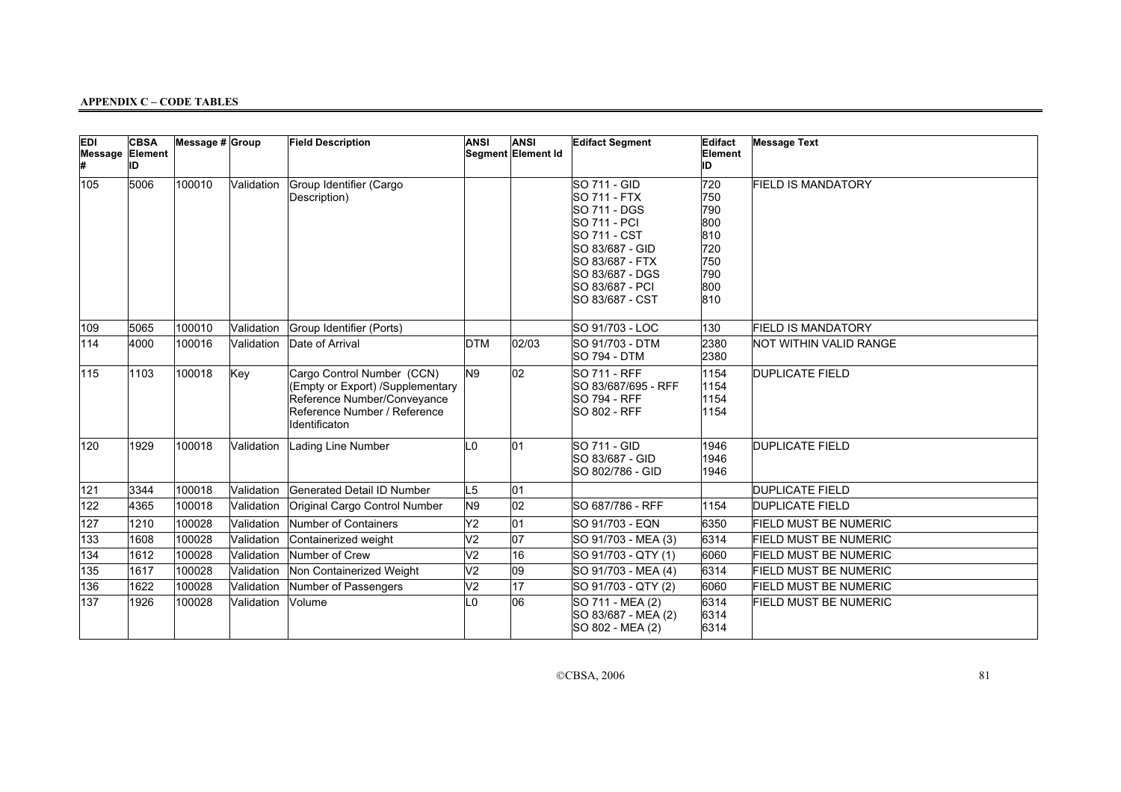| <b>EDI</b><br>Message Element | <b>CBSA</b><br>ID | Message $# $ Group |            | <b>Field Description</b>                                                                                                                       | <b>ANSI</b>     | <b>ANSI</b><br>Segment Element Id | <b>Edifact Segment</b>                                                                                                                                                                    | Edifact<br>Element<br>ID                                           | <b>Message Text</b>          |
|-------------------------------|-------------------|--------------------|------------|------------------------------------------------------------------------------------------------------------------------------------------------|-----------------|-----------------------------------|-------------------------------------------------------------------------------------------------------------------------------------------------------------------------------------------|--------------------------------------------------------------------|------------------------------|
| 105                           | 5006              | 100010             | Validation | Group Identifier (Cargo<br>Description)                                                                                                        |                 |                                   | SO 711 - GID<br><b>SO 711 - FTX</b><br><b>SO 711 - DGS</b><br>SO 711 - PCI<br>SO 711 - CST<br>SO 83/687 - GID<br>SO 83/687 - FTX<br>SO 83/687 - DGS<br>SO 83/687 - PCI<br>SO 83/687 - CST | 720<br>750<br>790<br>800<br>810<br>720<br>750<br>790<br>800<br>810 | <b>FIELD IS MANDATORY</b>    |
| 109                           | 5065              | 100010             | Validation | Group Identifier (Ports)                                                                                                                       |                 |                                   | SO 91/703 - LOC                                                                                                                                                                           | 130                                                                | <b>FIELD IS MANDATORY</b>    |
| 114                           | 4000              | 100016             | Validation | Date of Arrival                                                                                                                                | <b>DTM</b>      | 02/03                             | SO 91/703 - DTM<br><b>SO 794 - DTM</b>                                                                                                                                                    | 2380<br>2380                                                       | NOT WITHIN VALID RANGE       |
| 115                           | 1103              | 100018             | Key        | Cargo Control Number (CCN)<br>(Empty or Export) /Supplementary<br>Reference Number/Conveyance<br>Reference Number / Reference<br>Identificaton | N9              | 02                                | <b>SO 711 - RFF</b><br>SO 83/687/695 - RFF<br><b>SO 794 - RFF</b><br><b>SO 802 - RFF</b>                                                                                                  | 1154<br>1154<br>1154<br>1154                                       | <b>DUPLICATE FIELD</b>       |
| 120                           | 1929              | 100018             | Validation | Lading Line Number                                                                                                                             | L <sub>0</sub>  | 01                                | <b>SO 711 - GID</b><br>SO 83/687 - GID<br>ISO 802/786 - GID                                                                                                                               | 1946<br>1946<br>1946                                               | <b>DUPLICATE FIELD</b>       |
| 121                           | 3344              | 100018             | Validation | Generated Detail ID Number                                                                                                                     | L <sub>5</sub>  | 01                                |                                                                                                                                                                                           |                                                                    | DUPLICATE FIELD              |
| 122                           | 4365              | 100018             | Validation | Original Cargo Control Number                                                                                                                  | N9              | 02                                | ISO 687/786 - RFF                                                                                                                                                                         | 1154                                                               | <b>DUPLICATE FIELD</b>       |
| 127                           | 1210              | 100028             | Validation | Number of Containers                                                                                                                           | Y2              | 01                                | SO 91/703 - EQN                                                                                                                                                                           | 6350                                                               | <b>FIELD MUST BE NUMERIC</b> |
| 133                           | 1608              | 100028             | Validation | Containerized weight                                                                                                                           | V <sub>2</sub>  | $\overline{07}$                   | SO 91/703 - MEA (3)                                                                                                                                                                       | 6314                                                               | <b>FIELD MUST BE NUMERIC</b> |
| 134                           | 1612              | 100028             | Validation | Number of Crew                                                                                                                                 | V <sub>2</sub>  | 16                                | SO 91/703 - QTY (1)                                                                                                                                                                       | 6060                                                               | <b>FIELD MUST BE NUMERIC</b> |
| 135                           | 1617              | 100028             | Validation | Non Containerized Weight                                                                                                                       | $\overline{V2}$ | 09                                | SO 91/703 - MEA (4)                                                                                                                                                                       | 6314                                                               | <b>FIELD MUST BE NUMERIC</b> |
| 136                           | 1622              | 100028             | Validation | Number of Passengers                                                                                                                           | V <sub>2</sub>  | $\overline{17}$                   | SO 91/703 - QTY (2)                                                                                                                                                                       | 6060                                                               | <b>FIELD MUST BE NUMERIC</b> |
| 137                           | 1926              | 100028             | Validation | Volume                                                                                                                                         | L <sub>0</sub>  | 06                                | SO 711 - MEA (2)<br>SO 83/687 - MEA (2)<br>SO 802 - MEA (2)                                                                                                                               | 6314<br>6314<br>6314                                               | <b>FIELD MUST BE NUMERIC</b> |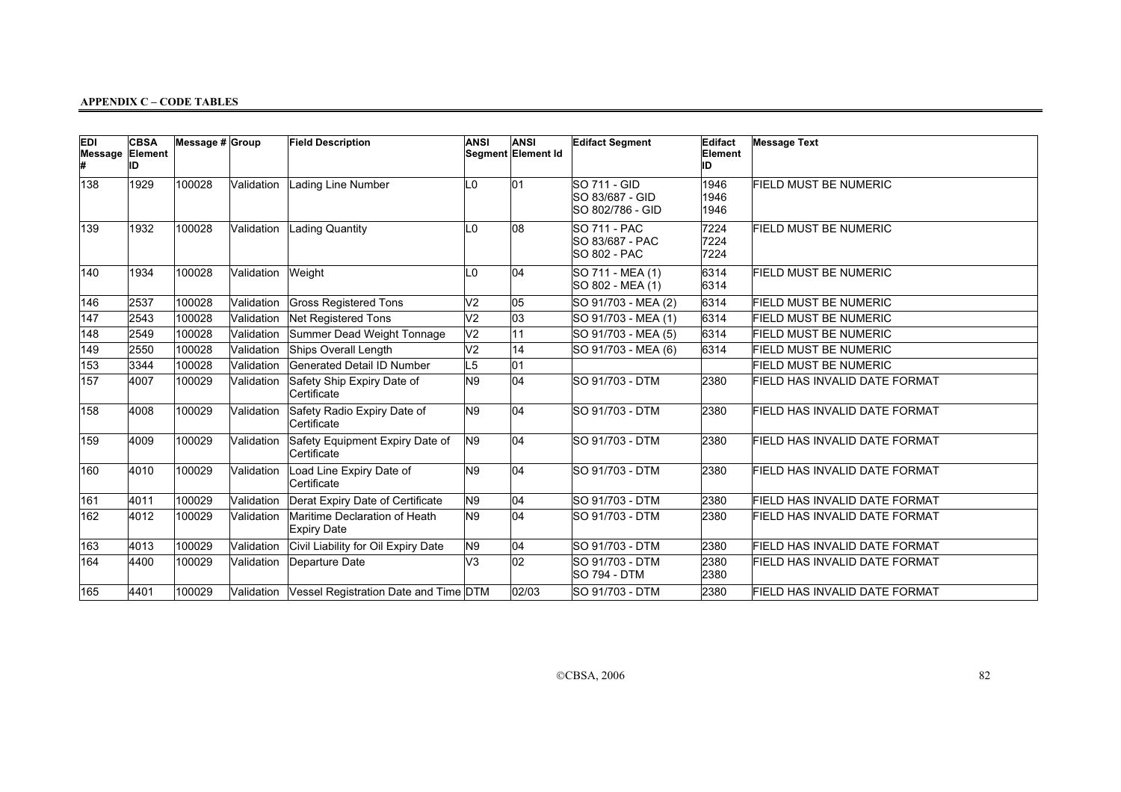| <b>EDI</b><br><b>Message Element</b> | <b>CBSA</b><br>ID | Message $# $ Group |            | <b>Field Description</b>                            | <b>ANSI</b>    | <b>ANSI</b><br>Segment Element Id | <b>Edifact Segment</b>                                        | Edifact<br>Element<br>ID | <b>Message Text</b>                  |
|--------------------------------------|-------------------|--------------------|------------|-----------------------------------------------------|----------------|-----------------------------------|---------------------------------------------------------------|--------------------------|--------------------------------------|
| 138                                  | 1929              | 100028             | Validation | Lading Line Number                                  | L <sub>0</sub> | 01                                | SO 711 - GID<br>SO 83/687 - GID<br>SO 802/786 - GID           | 1946<br>1946<br>1946     | <b>FIELD MUST BE NUMERIC</b>         |
| 139                                  | 1932              | 100028             |            | Validation Lading Quantity                          | L <sub>0</sub> | 08                                | <b>SO 711 - PAC</b><br>SO 83/687 - PAC<br><b>SO 802 - PAC</b> | 7224<br>7224<br>7224     | <b>FIELD MUST BE NUMERIC</b>         |
| 140                                  | 1934              | 100028             | Validation | Weight                                              | L0             | 04                                | SO 711 - MEA (1)<br>SO 802 - MEA (1)                          | 6314<br>6314             | <b>FIELD MUST BE NUMERIC</b>         |
| 146                                  | 2537              | 100028             | Validation | <b>Gross Registered Tons</b>                        | V <sub>2</sub> | 05                                | SO 91/703 - MEA (2)                                           | 6314                     | <b>FIELD MUST BE NUMERIC</b>         |
| 147                                  | 2543              | 100028             | Validation | Net Registered Tons                                 | V <sub>2</sub> | 03                                | SO 91/703 - MEA (1)                                           | 6314                     | <b>FIELD MUST BE NUMERIC</b>         |
| 148                                  | 2549              | 100028             | Validation | Summer Dead Weight Tonnage                          | V <sub>2</sub> | 11                                | SO 91/703 - MEA (5)                                           | 6314                     | <b>FIELD MUST BE NUMERIC</b>         |
| 149                                  | 2550              | 100028             | Validation | Ships Overall Length                                | V <sub>2</sub> | 14                                | SO 91/703 - MEA (6)                                           | 6314                     | <b>FIELD MUST BE NUMERIC</b>         |
| 153                                  | 3344              | 100028             | Validation | Generated Detail ID Number                          | L <sub>5</sub> | 01                                |                                                               |                          | <b>FIELD MUST BE NUMERIC</b>         |
| 157                                  | 4007              | 100029             | Validation | Safety Ship Expiry Date of<br>Certificate           | N <sub>9</sub> | 04                                | SO 91/703 - DTM                                               | 2380                     | FIELD HAS INVALID DATE FORMAT        |
| 158                                  | 4008              | 100029             | Validation | Safety Radio Expiry Date of<br>Certificate          | N9             | 04                                | <b>SO 91/703 - DTM</b>                                        | 2380                     | FIELD HAS INVALID DATE FORMAT        |
| 159                                  | 4009              | 100029             | Validation | Safety Equipment Expiry Date of<br>Certificate      | N9             | 04                                | <b>SO 91/703 - DTM</b>                                        | 2380                     | FIELD HAS INVALID DATE FORMAT        |
| 160                                  | 4010              | 100029             | Validation | Load Line Expiry Date of<br>Certificate             | N <sub>9</sub> | 04                                | <b>SO 91/703 - DTM</b>                                        | 2380                     | FIELD HAS INVALID DATE FORMAT        |
| 161                                  | 4011              | 100029             | Validation | Derat Expiry Date of Certificate                    | N9             | 04                                | SO 91/703 - DTM                                               | 2380                     | FIELD HAS INVALID DATE FORMAT        |
| 162                                  | 4012              | 100029             | Validation | Maritime Declaration of Heath<br><b>Expiry Date</b> | N9             | 04                                | <b>SO 91/703 - DTM</b>                                        | 2380                     | FIELD HAS INVALID DATE FORMAT        |
| 163                                  | 4013              | 100029             | Validation | Civil Liability for Oil Expiry Date                 | N9             | 04                                | <b>SO 91/703 - DTM</b>                                        | 2380                     | FIELD HAS INVALID DATE FORMAT        |
| 164                                  | 4400              | 100029             | Validation | Departure Date                                      | lV3            | 02                                | SO 91/703 - DTM<br><b>SO 794 - DTM</b>                        | 2380<br>2380             | FIELD HAS INVALID DATE FORMAT        |
| 165                                  | 4401              | 100029             | Validation | Vessel Registration Date and Time DTM               |                | 02/03                             | SO 91/703 - DTM                                               | 2380                     | <b>FIELD HAS INVALID DATE FORMAT</b> |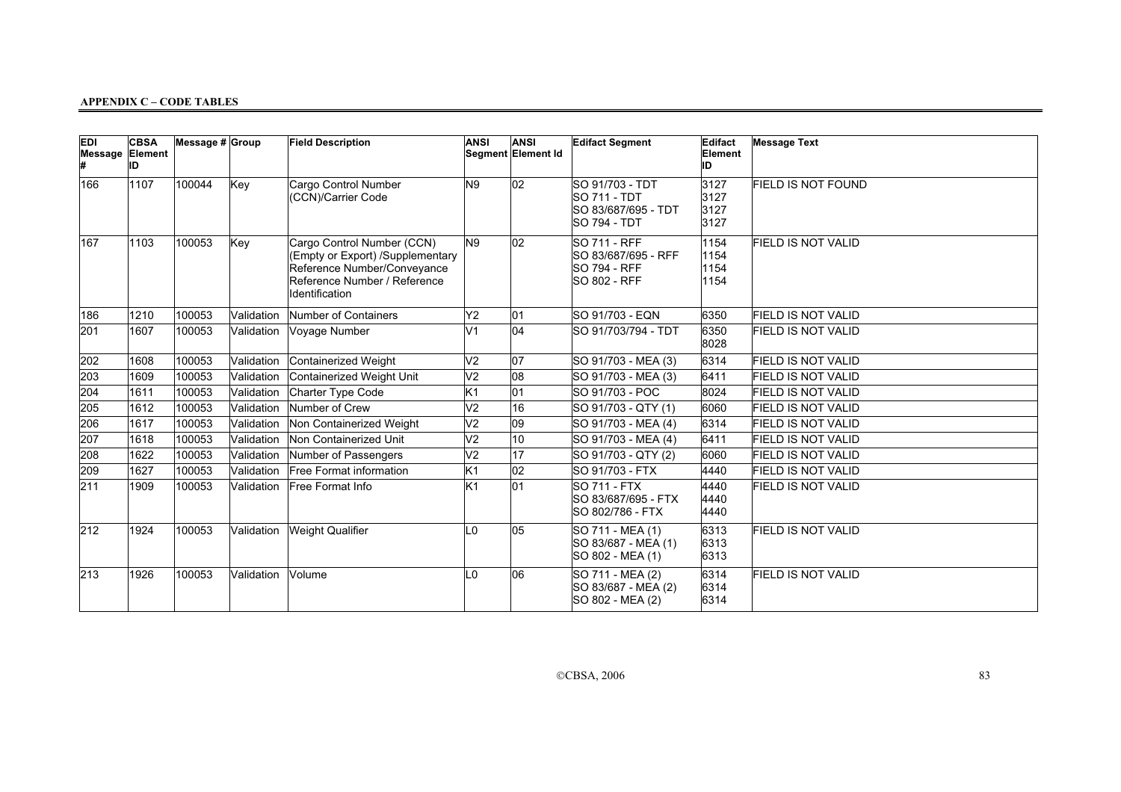| <b>EDI</b><br><b>Message Element</b> | <b>CBSA</b><br>ID | Message $# Group$ |            | <b>Field Description</b>                                                                                                                        | <b>ANSI</b>    | <b>ANSI</b><br>Segment Element Id | <b>Edifact Segment</b>                                                               | Edifact<br>Element<br>ID     | <b>Message Text</b>       |
|--------------------------------------|-------------------|-------------------|------------|-------------------------------------------------------------------------------------------------------------------------------------------------|----------------|-----------------------------------|--------------------------------------------------------------------------------------|------------------------------|---------------------------|
| 166                                  | 1107              | 100044            | Key        | Cargo Control Number<br>(CCN)/Carrier Code                                                                                                      | N <sub>9</sub> | 02                                | SO 91/703 - TDT<br><b>SO 711 - TDT</b><br>SO 83/687/695 - TDT<br><b>SO 794 - TDT</b> | 3127<br>3127<br>3127<br>3127 | <b>FIELD IS NOT FOUND</b> |
| 167                                  | 1103              | 100053            | Key        | Cargo Control Number (CCN)<br>(Empty or Export) /Supplementary<br>Reference Number/Conveyance<br>Reference Number / Reference<br>Identification | N9             | 02                                | <b>SO 711 - RFF</b><br>SO 83/687/695 - RFF<br><b>SO 794 - RFF</b><br>SO 802 - RFF    | 1154<br>1154<br>1154<br>1154 | <b>FIELD IS NOT VALID</b> |
| 186                                  | 1210              | 100053            | Validation | Number of Containers                                                                                                                            | Y2             | 01                                | SO 91/703 - EQN                                                                      | 6350                         | <b>FIELD IS NOT VALID</b> |
| 201                                  | 1607              | 100053            | Validation | Voyage Number                                                                                                                                   | V <sub>1</sub> | 04                                | SO 91/703/794 - TDT                                                                  | 6350<br>8028                 | <b>FIELD IS NOT VALID</b> |
| 202                                  | 1608              | 100053            | Validation | Containerized Weight                                                                                                                            | V2             | 07                                | SO 91/703 - MEA (3)                                                                  | 6314                         | <b>FIELD IS NOT VALID</b> |
| 203                                  | 1609              | 100053            | Validation | Containerized Weight Unit                                                                                                                       | V <sub>2</sub> | 08                                | SO 91/703 - MEA (3)                                                                  | 6411                         | FIELD IS NOT VALID        |
| 204                                  | 1611              | 100053            | Validation | Charter Type Code                                                                                                                               | K <sub>1</sub> | 01                                | ISO 91/703 - POC                                                                     | 8024                         | <b>FIELD IS NOT VALID</b> |
| 205                                  | 1612              | 100053            | Validation | Number of Crew                                                                                                                                  | V <sub>2</sub> | 16                                | SO 91/703 - QTY (1)                                                                  | 6060                         | FIELD IS NOT VALID        |
| 206                                  | 1617              | 100053            | Validation | Non Containerized Weight                                                                                                                        | V <sub>2</sub> | 09                                | SO 91/703 - MEA (4)                                                                  | 6314                         | <b>FIELD IS NOT VALID</b> |
| 207                                  | 1618              | 100053            | Validation | Non Containerized Unit                                                                                                                          | V <sub>2</sub> | 10                                | SO 91/703 - MEA (4)                                                                  | 6411                         | FIELD IS NOT VALID        |
| 208                                  | 1622              | 100053            | Validation | Number of Passengers                                                                                                                            | V <sub>2</sub> | 17                                | SO 91/703 - QTY (2)                                                                  | 6060                         | <b>FIELD IS NOT VALID</b> |
| 209                                  | 1627              | 100053            | Validation | <b>Free Format information</b>                                                                                                                  | Κ1             | 02                                | ISO 91/703 - FTX                                                                     | 4440                         | FIELD IS NOT VALID        |
| 211                                  | 1909              | 100053            | Validation | Free Format Info                                                                                                                                | K <sub>1</sub> | 01                                | <b>SO 711 - FTX</b><br>SO 83/687/695 - FTX<br>SO 802/786 - FTX                       | 4440<br>4440<br>4440         | FIELD IS NOT VALID        |
| $ 212\rangle$                        | 1924              | 100053            | Validation | <b>Weight Qualifier</b>                                                                                                                         | L <sub>0</sub> | 05                                | SO 711 - MEA (1)<br>SO 83/687 - MEA (1)<br>SO 802 - MEA (1)                          | 6313<br>6313<br>6313         | <b>FIELD IS NOT VALID</b> |
| $ 213\rangle$                        | 1926              | 100053            | Validation | Volume                                                                                                                                          | L <sub>0</sub> | 06                                | SO 711 - MEA (2)<br>SO 83/687 - MEA (2)<br>SO 802 - MEA (2)                          | 6314<br>6314<br>6314         | <b>FIELD IS NOT VALID</b> |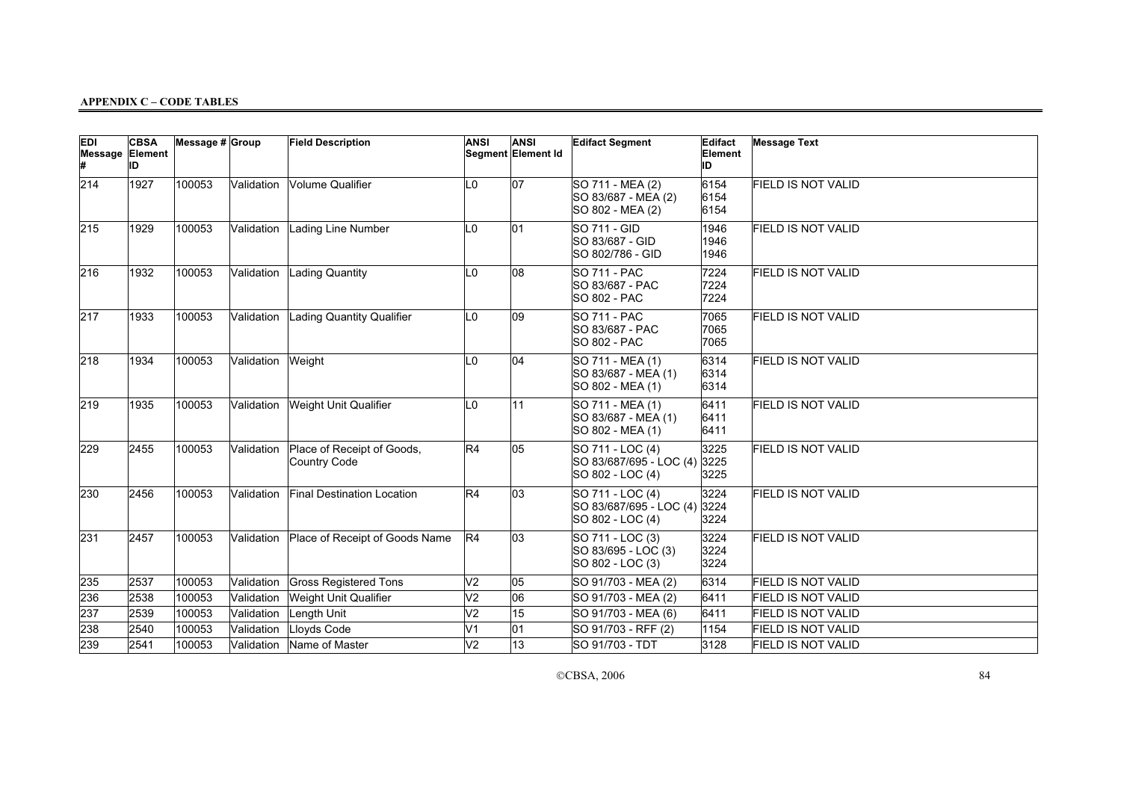| <b>EDI</b><br>Message Element | <b>CBSA</b><br>ID | Message # Group |            | <b>Field Description</b>                   | <b>ANSI</b>     | ANSI<br>Segment Element Id | <b>Edifact Segment</b>                                          | Edifact<br>Element<br>ID | <b>Message Text</b>       |
|-------------------------------|-------------------|-----------------|------------|--------------------------------------------|-----------------|----------------------------|-----------------------------------------------------------------|--------------------------|---------------------------|
| 214                           | 1927              | 100053          | Validation | Volume Qualifier                           | L0              | 07                         | SO 711 - MEA (2)<br>SO 83/687 - MEA (2)<br>SO 802 - MEA (2)     | 6154<br>6154<br>6154     | <b>FIELD IS NOT VALID</b> |
| 215                           | 1929              | 100053          | Validation | Lading Line Number                         | L0              | 01                         | SO 711 - GID<br>SO 83/687 - GID<br>SO 802/786 - GID             | 1946<br>1946<br>1946     | <b>FIELD IS NOT VALID</b> |
| 216                           | 1932              | 100053          | Validation | Lading Quantity                            | LO.             | 08                         | <b>SO 711 - PAC</b><br>SO 83/687 - PAC<br><b>SO 802 - PAC</b>   | 7224<br>7224<br>7224     | FIELD IS NOT VALID        |
| 217                           | 1933              | 100053          | Validation | Lading Quantity Qualifier                  | L0              | $ 09\rangle$               | SO 711 - PAC<br><b>SO 83/687 - PAC</b><br><b>SO 802 - PAC</b>   | 7065<br>7065<br>7065     | <b>FIELD IS NOT VALID</b> |
| 218                           | 1934              | 100053          | Validation | Weight                                     | L0              | 04                         | SO 711 - MEA (1)<br>SO 83/687 - MEA (1)<br>SO 802 - MEA (1)     | 6314<br>6314<br>6314     | <b>FIELD IS NOT VALID</b> |
| 219                           | 1935              | 100053          | Validation | Weight Unit Qualifier                      | L0              | 11                         | SO 711 - MEA (1)<br>SO 83/687 - MEA (1)<br>SO 802 - MEA (1)     | 6411<br>6411<br>6411     | <b>FIELD IS NOT VALID</b> |
| 229                           | 2455              | 100053          | Validation | Place of Receipt of Goods,<br>Country Code | R4              | 05                         | SO 711 - LOC (4)<br>SO 83/687/695 - LOC (4)<br>SO 802 - LOC (4) | 3225<br>3225<br>3225     | <b>FIELD IS NOT VALID</b> |
| 230                           | 2456              | 100053          | Validation | Final Destination Location                 | R4              | 03                         | SO 711 - LOC (4)<br>SO 83/687/695 - LOC (4)<br>SO 802 - LOC (4) | 3224<br>3224<br>3224     | <b>FIELD IS NOT VALID</b> |
| 231                           | 2457              | 100053          | Validation | Place of Receipt of Goods Name             | R4              | 03                         | SO 711 - LOC (3)<br>SO 83/695 - LOC (3)<br>SO 802 - LOC (3)     | 3224<br>3224<br>3224     | FIELD IS NOT VALID        |
| 235                           | 2537              | 100053          | Validation | <b>Gross Registered Tons</b>               | V <sub>2</sub>  | 05                         | SO 91/703 - MEA (2)                                             | 6314                     | <b>FIELD IS NOT VALID</b> |
| 236                           | 2538              | 100053          | Validation | Weight Unit Qualifier                      | V <sub>2</sub>  | 06                         | SO 91/703 - MEA (2)                                             | 6411                     | <b>FIELD IS NOT VALID</b> |
| 237                           | 2539              | 100053          | Validation | Length Unit                                | $\overline{V2}$ | $\overline{15}$            | SO 91/703 - MEA (6)                                             | 6411                     | <b>FIELD IS NOT VALID</b> |
| 238                           | 2540              | 100053          | Validation | Lloyds Code                                | V1              | 01                         | SO 91/703 - RFF (2)                                             | 1154                     | <b>FIELD IS NOT VALID</b> |
| 239                           | 2541              | 100053          | Validation | Name of Master                             | V <sub>2</sub>  | 13                         | <b>SO 91/703 - TDT</b>                                          | 3128                     | FIELD IS NOT VALID        |

CCBSA, 2006 84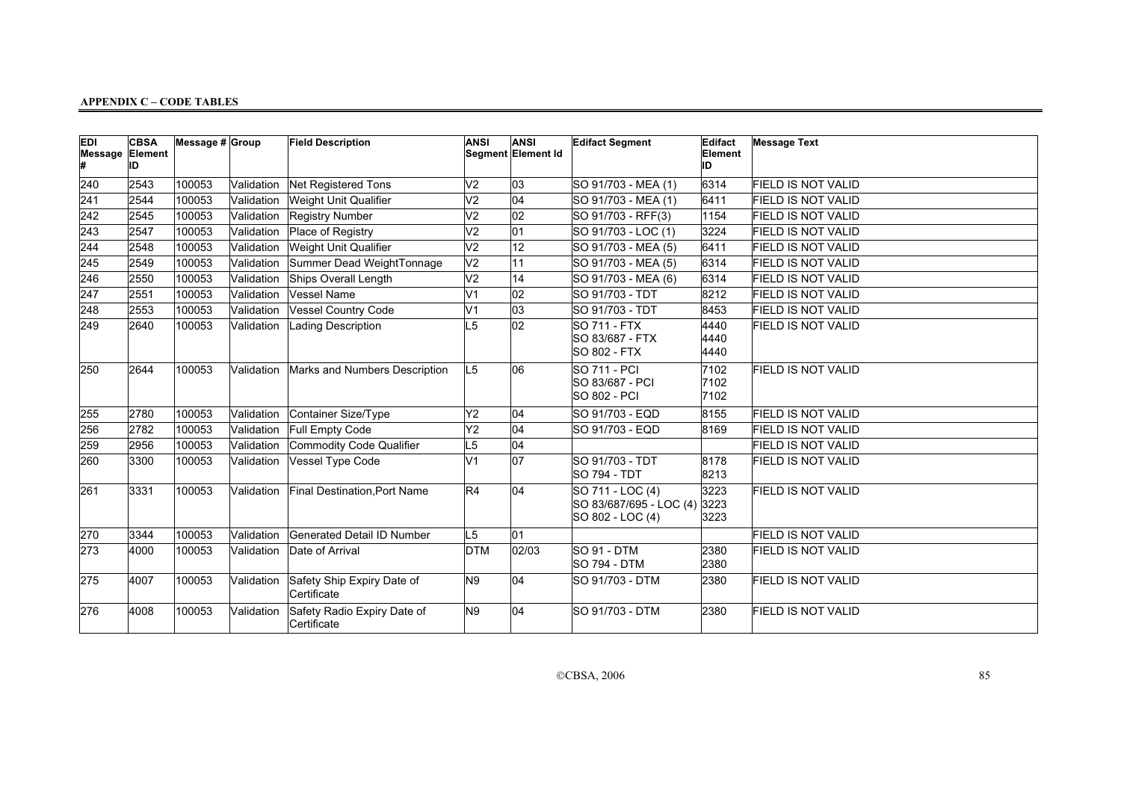| <b>EDI</b><br>Message Element | <b>CBSA</b><br>IID | Message # Group |            | <b>Field Description</b>                   | <b>ANSI</b>     | ANSI<br>Segment Element Id | <b>Edifact Segment</b>                                          | Edifact<br>Element<br>ID | <b>Message Text</b>       |
|-------------------------------|--------------------|-----------------|------------|--------------------------------------------|-----------------|----------------------------|-----------------------------------------------------------------|--------------------------|---------------------------|
| 240                           | 2543               | 100053          | Validation | Net Registered Tons                        | V <sub>2</sub>  | 03                         | SO 91/703 - MEA (1)                                             | 6314                     | <b>FIELD IS NOT VALID</b> |
| 241                           | 2544               | 100053          | Validation | Weight Unit Qualifier                      | V <sub>2</sub>  | $\overline{04}$            | SO 91/703 - MEA (1)                                             | 6411                     | <b>FIELD IS NOT VALID</b> |
| 242                           | 2545               | 100053          | Validation | <b>Registry Number</b>                     | V <sub>2</sub>  | 02                         | SO 91/703 - RFF(3)                                              | 1154                     | <b>FIELD IS NOT VALID</b> |
| 243                           | 2547               | 100053          | Validation | Place of Registry                          | V <sub>2</sub>  | 01                         | SO 91/703 - LOC (1)                                             | 3224                     | <b>FIELD IS NOT VALID</b> |
| 244                           | 2548               | 100053          | Validation | Weight Unit Qualifier                      | $\overline{V2}$ | $ 12\rangle$               | SO 91/703 - MEA (5)                                             | 6411                     | <b>FIELD IS NOT VALID</b> |
| 245                           | 2549               | 100053          | Validation | Summer Dead WeightTonnage                  | V <sub>2</sub>  | 11                         | SO 91/703 - MEA (5)                                             | 6314                     | <b>FIELD IS NOT VALID</b> |
| 246                           | 2550               | 100053          | Validation | Ships Overall Length                       | $\overline{V2}$ | 14                         | SO 91/703 - MEA (6)                                             | 6314                     | <b>FIELD IS NOT VALID</b> |
| 247                           | 2551               | 100053          | Validation | Vessel Name                                | V <sub>1</sub>  | 02                         | SO 91/703 - TDT                                                 | 8212                     | <b>FIELD IS NOT VALID</b> |
| 248                           | 2553               | 100053          | Validation | Vessel Country Code                        | V1              | 03                         | SO 91/703 - TDT                                                 | 8453                     | <b>FIELD IS NOT VALID</b> |
| 249                           | 2640               | 100053          | Validation | <b>Lading Description</b>                  | L5              | 02                         | SO 711 - FTX<br>SO 83/687 - FTX<br><b>SO 802 - FTX</b>          | 4440<br>4440<br>4440     | <b>FIELD IS NOT VALID</b> |
| 250                           | 2644               | 100053          | Validation | Marks and Numbers Description              | L <sub>5</sub>  | 06                         | <b>SO 711 - PCI</b><br>SO 83/687 - PCI<br><b>SO 802 - PCI</b>   | 7102<br>7102<br>7102     | <b>FIELD IS NOT VALID</b> |
| 255                           | 2780               | 100053          | Validation | Container Size/Type                        | Y2              | 04                         | SO 91/703 - EQD                                                 | 8155                     | <b>FIELD IS NOT VALID</b> |
| 256                           | 2782               | 100053          | Validation | Full Empty Code                            | Y2              | 04                         | <b>SO 91/703 - EQD</b>                                          | 8169                     | FIELD IS NOT VALID        |
| 259                           | 2956               | 100053          | Validation | Commodity Code Qualifier                   | L5              | 04                         |                                                                 |                          | <b>FIELD IS NOT VALID</b> |
| 260                           | 3300               | 100053          | Validation | Vessel Type Code                           | V <sub>1</sub>  | 07                         | SO 91/703 - TDT<br><b>SO 794 - TDT</b>                          | 8178<br>8213             | <b>FIELD IS NOT VALID</b> |
| 261                           | 3331               | 100053          | Validation | Final Destination, Port Name               | R4              | 04                         | SO 711 - LOC (4)<br>SO 83/687/695 - LOC (4)<br>SO 802 - LOC (4) | 3223<br>3223<br>3223     | <b>FIELD IS NOT VALID</b> |
| 270                           | 3344               | 100053          | Validation | Generated Detail ID Number                 | L <sub>5</sub>  | 01                         |                                                                 |                          | <b>FIELD IS NOT VALID</b> |
| 273                           | 4000               | 100053          | Validation | Date of Arrival                            | <b>DTM</b>      | 02/03                      | SO 91 - DTM<br><b>SO 794 - DTM</b>                              | 2380<br>2380             | FIELD IS NOT VALID        |
| 275                           | 4007               | 100053          | Validation | Safety Ship Expiry Date of<br>Certificate  | N9              | 04                         | <b>SO 91/703 - DTM</b>                                          | 2380                     | FIELD IS NOT VALID        |
| 276                           | 4008               | 100053          | Validation | Safety Radio Expiry Date of<br>Certificate | N9              | 04                         | <b>SO 91/703 - DTM</b>                                          | 2380                     | FIELD IS NOT VALID        |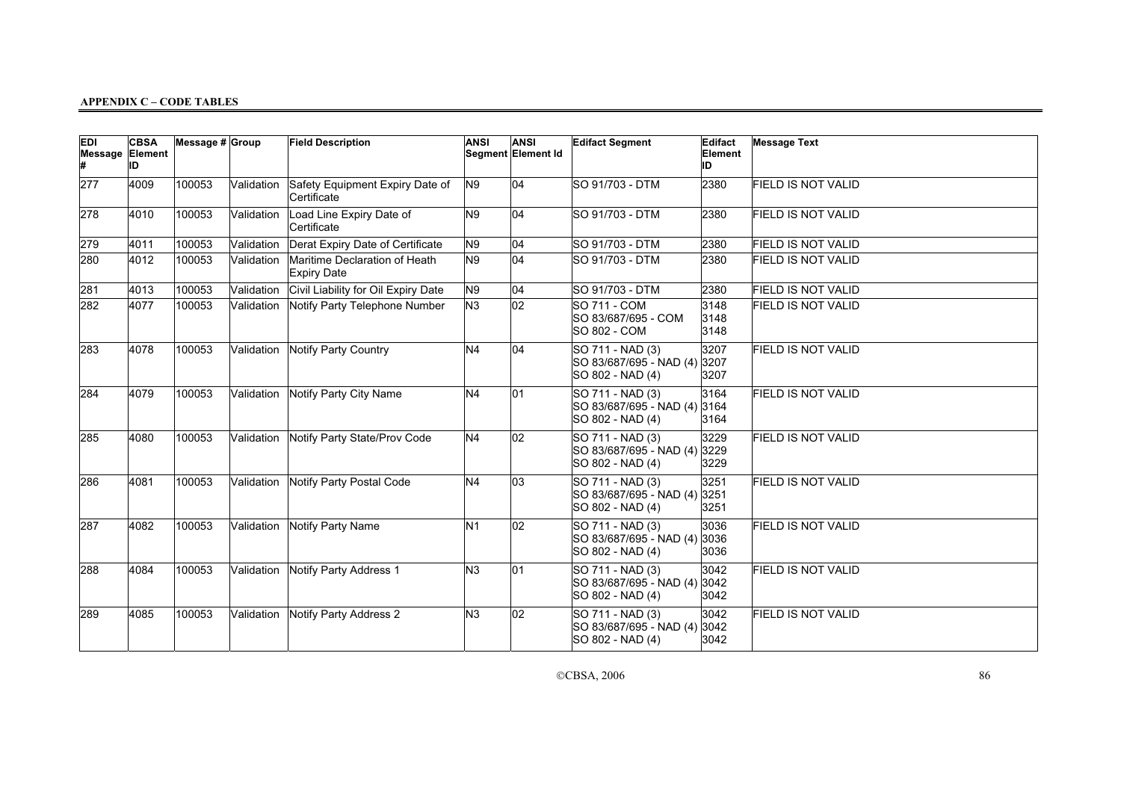| EDI<br>Message Element | <b>CBSA</b><br>IID | Message $# $ Group |            | <b>Field Description</b>                            | <b>ANSI</b>    | <b>ANSI</b><br>Segment Element Id | <b>Edifact Segment</b>                                               | Edifact<br>Element<br>ID | <b>Message Text</b>       |
|------------------------|--------------------|--------------------|------------|-----------------------------------------------------|----------------|-----------------------------------|----------------------------------------------------------------------|--------------------------|---------------------------|
| 277                    | 4009               | 100053             | Validation | Safety Equipment Expiry Date of<br>Certificate      | N9             | 04                                | <b>SO 91/703 - DTM</b>                                               | 2380                     | <b>FIELD IS NOT VALID</b> |
| 278                    | 4010               | 100053             | Validation | Load Line Expiry Date of<br>Certificate             | N9             | 04                                | SO 91/703 - DTM                                                      | 2380                     | <b>FIELD IS NOT VALID</b> |
| 279                    | 4011               | 100053             | Validation | Derat Expiry Date of Certificate                    | N9             | 04                                | <b>SO 91/703 - DTM</b>                                               | 2380                     | <b>FIELD IS NOT VALID</b> |
| 280                    | 4012               | 100053             | Validation | Maritime Declaration of Heath<br><b>Expiry Date</b> | N9             | 04                                | <b>SO 91/703 - DTM</b>                                               | 2380                     | <b>FIELD IS NOT VALID</b> |
| 281                    | 4013               | 100053             | Validation | Civil Liability for Oil Expiry Date                 | N9             | 04                                | SO 91/703 - DTM                                                      | 2380                     | <b>FIELD IS NOT VALID</b> |
| 282                    | 4077               | 100053             | Validation | Notify Party Telephone Number                       | N3             | $ _{02}$                          | <b>SO 711 - COM</b><br>SO 83/687/695 - COM<br><b>SO 802 - COM</b>    | 3148<br>3148<br>3148     | <b>FIELD IS NOT VALID</b> |
| 283                    | 4078               | 100053             | Validation | Notify Party Country                                | N <sub>4</sub> | 04                                | SO 711 - NAD (3)<br>SO 83/687/695 - NAD (4)<br>SO 802 - NAD (4)      | 3207<br>3207<br>3207     | <b>FIELD IS NOT VALID</b> |
| 284                    | 4079               | 100053             | Validation | Notify Party City Name                              | N <sub>4</sub> | 01                                | SO 711 - NAD (3)<br>SO 83/687/695 - NAD (4) 3164<br>SO 802 - NAD (4) | 3164<br>3164             | <b>FIELD IS NOT VALID</b> |
| 285                    | 4080               | 100053             | Validation | Notify Party State/Prov Code                        | N <sub>4</sub> | 02                                | SO 711 - NAD (3)<br>SO 83/687/695 - NAD (4)<br>SO 802 - NAD (4)      | 3229<br>3229<br>3229     | <b>FIELD IS NOT VALID</b> |
| 286                    | 4081               | 100053             | Validation | Notify Party Postal Code                            | N <sub>4</sub> | 03                                | SO 711 - NAD (3)<br>SO 83/687/695 - NAD (4)<br>SO 802 - NAD (4)      | 3251<br>3251<br>3251     | <b>FIELD IS NOT VALID</b> |
| 287                    | 4082               | 100053             | Validation | Notify Party Name                                   | N <sub>1</sub> | 02                                | SO 711 - NAD (3)<br>SO 83/687/695 - NAD (4)<br>SO 802 - NAD (4)      | 3036<br>3036<br>3036     | <b>FIELD IS NOT VALID</b> |
| 288                    | 4084               | 100053             | Validation | Notify Party Address 1                              | N3             | 01                                | SO 711 - NAD (3)<br>SO 83/687/695 - NAD (4)<br>SO 802 - NAD (4)      | 3042<br>3042<br>3042     | <b>FIELD IS NOT VALID</b> |
| 289                    | 4085               | 100053             | Validation | Notify Party Address 2                              | N <sub>3</sub> | $ 02\rangle$                      | SO 711 - NAD (3)<br>SO 83/687/695 - NAD (4)<br>SO 802 - NAD (4)      | 3042<br>3042<br>3042     | <b>FIELD IS NOT VALID</b> |

CCBSA, 2006 86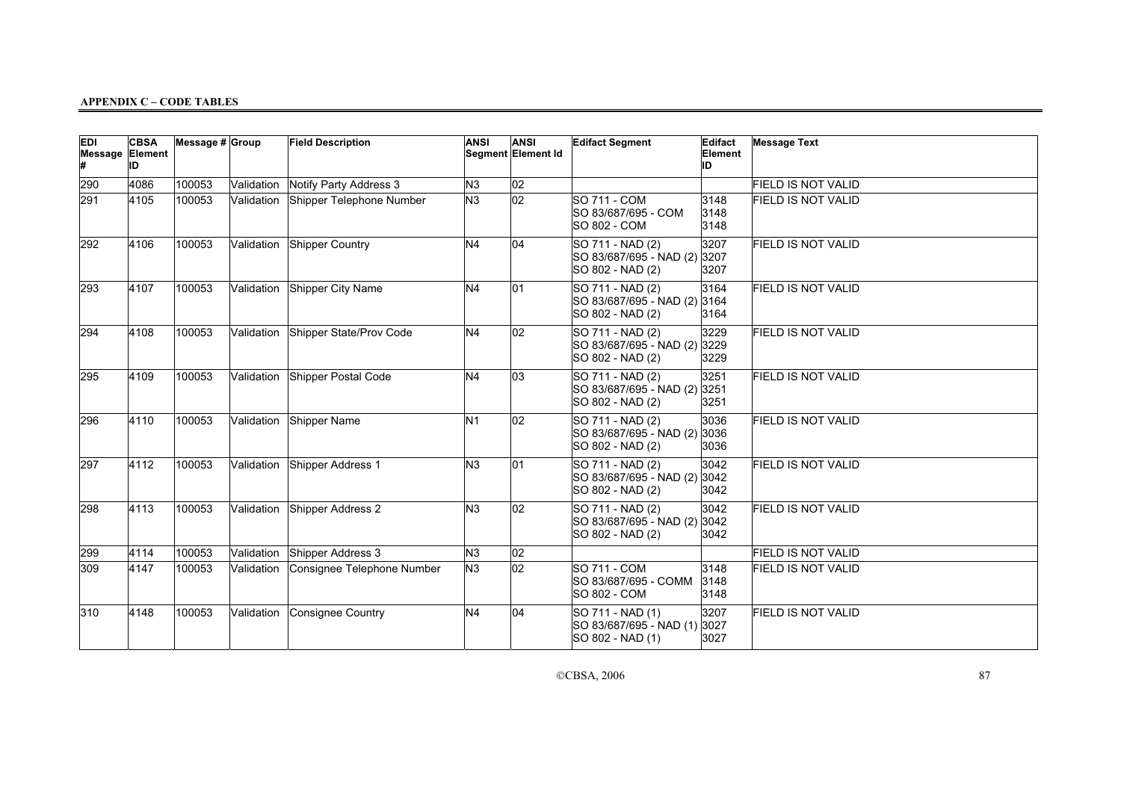| <b>EDI</b><br>Message Element | <b>CBSA</b><br>ID | Message $# $ Group |            | <b>Field Description</b>           | <b>ANSI</b>    | <b>ANSI</b><br>Segment Element Id | <b>Edifact Segment</b>                                               | Edifact<br>Element<br>ID | <b>Message Text</b>       |
|-------------------------------|-------------------|--------------------|------------|------------------------------------|----------------|-----------------------------------|----------------------------------------------------------------------|--------------------------|---------------------------|
| 290                           | 4086              | 100053             | Validation | Notify Party Address 3             | N3             | 02                                |                                                                      |                          | <b>FIELD IS NOT VALID</b> |
| 291                           | 4105              | 100053             | Validation | Shipper Telephone Number           | N <sub>3</sub> | 02                                | <b>SO 711 - COM</b><br>SO 83/687/695 - COM<br>SO 802 - COM           | 3148<br>3148<br>3148     | <b>FIELD IS NOT VALID</b> |
| 292                           | 4106              | 100053             | Validation | Shipper Country                    | N <sub>4</sub> | 04                                | SO 711 - NAD (2)<br>SO 83/687/695 - NAD (2)<br>SO 802 - NAD (2)      | 3207<br>3207<br>3207     | <b>FIELD IS NOT VALID</b> |
| 293                           | 4107              | 100053             | Validation | Shipper City Name                  | N <sub>4</sub> | 01                                | SO 711 - NAD (2)<br>SO 83/687/695 - NAD (2) 3164<br>SO 802 - NAD (2) | 3164<br>3164             | <b>FIELD IS NOT VALID</b> |
| 294                           | 4108              | 100053             |            | Validation Shipper State/Prov Code | N <sub>4</sub> | 02                                | SO 711 - NAD (2)<br>SO 83/687/695 - NAD (2)<br>SO 802 - NAD (2)      | 3229<br>3229<br>3229     | <b>FIELD IS NOT VALID</b> |
| 295                           | 4109              | 100053             |            | Validation Shipper Postal Code     | N <sub>4</sub> | 03                                | SO 711 - NAD (2)<br>SO 83/687/695 - NAD (2)<br>SO 802 - NAD (2)      | 3251<br>3251<br>3251     | <b>FIELD IS NOT VALID</b> |
| 296                           | 4110              | 100053             | Validation | Shipper Name                       | N <sub>1</sub> | 02                                | SO 711 - NAD (2)<br>SO 83/687/695 - NAD (2)<br>SO 802 - NAD (2)      | 3036<br>3036<br>3036     | <b>FIELD IS NOT VALID</b> |
| 297                           | 4112              | 100053             | Validation | Shipper Address 1                  | N <sub>3</sub> | 01                                | SO 711 - NAD (2)<br>SO 83/687/695 - NAD (2)<br>SO 802 - NAD (2)      | 3042<br>3042<br>3042     | FIELD IS NOT VALID        |
| 298                           | 4113              | 100053             | Validation | Shipper Address 2                  | N <sub>3</sub> | $ 02\rangle$                      | SO 711 - NAD (2)<br>SO 83/687/695 - NAD (2)<br>SO 802 - NAD (2)      | 3042<br>3042<br>3042     | <b>FIELD IS NOT VALID</b> |
| 299                           | 4114              | 100053             | Validation | Shipper Address 3                  | lм3            | 02                                |                                                                      |                          | <b>FIELD IS NOT VALID</b> |
| 309                           | 4147              | 100053             | Validation | Consignee Telephone Number         | N <sub>3</sub> | 02                                | <b>SO 711 - COM</b><br>SO 83/687/695 - COMM<br>SO 802 - COM          | 3148<br>3148<br>3148     | <b>FIELD IS NOT VALID</b> |
| 310                           | 4148              | 100053             | Validation | Consignee Country                  | N <sub>4</sub> | 04                                | SO 711 - NAD (1)<br>SO 83/687/695 - NAD (1)<br>SO 802 - NAD (1)      | 3207<br>3027<br>3027     | <b>FIELD IS NOT VALID</b> |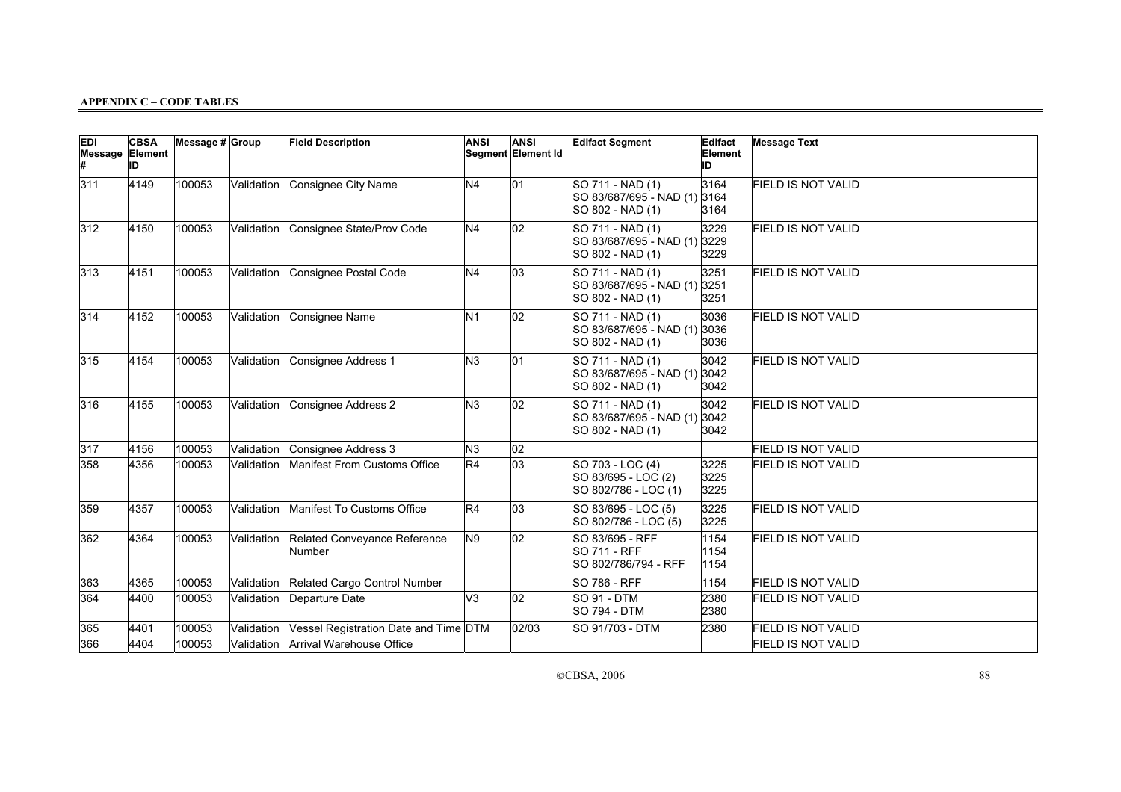| <b>EDI</b><br>Message Element | <b>CBSA</b><br>ID | Message $# $ Group |            | <b>Field Description</b>               | <b>ANSI</b>    | <b>ANSI</b><br>Segment Element Id | <b>Edifact Segment</b>                                               | Edifact<br>Element<br>ID | <b>Message Text</b>       |
|-------------------------------|-------------------|--------------------|------------|----------------------------------------|----------------|-----------------------------------|----------------------------------------------------------------------|--------------------------|---------------------------|
| 311                           | 4149              | 100053             | Validation | Consignee City Name                    | N <sub>4</sub> | 01                                | SO 711 - NAD (1)<br>SO 83/687/695 - NAD (1)<br>SO 802 - NAD (1)      | 3164<br>3164<br>3164     | <b>FIELD IS NOT VALID</b> |
| 312                           | 4150              | 100053             | Validation | Consignee State/Prov Code              | N <sub>4</sub> | 02                                | SO 711 - NAD (1)<br>SO 83/687/695 - NAD (1)<br>SO 802 - NAD (1)      | 3229<br>3229<br>3229     | <b>FIELD IS NOT VALID</b> |
| 313                           | 4151              | 100053             | Validation | Consignee Postal Code                  | N <sub>4</sub> | 03                                | SO 711 - NAD (1)<br>SO 83/687/695 - NAD (1)<br>SO 802 - NAD (1)      | 3251<br>3251<br>3251     | FIELD IS NOT VALID        |
| 314                           | 4152              | 100053             | Validation | Consignee Name                         | N <sub>1</sub> | 02                                | SO 711 - NAD (1)<br>SO 83/687/695 - NAD (1) 3036<br>SO 802 - NAD (1) | 3036<br>3036             | <b>FIELD IS NOT VALID</b> |
| 315                           | 4154              | 100053             | Validation | Consignee Address 1                    | N <sub>3</sub> | 01                                | SO 711 - NAD (1)<br>SO 83/687/695 - NAD (1) 3042<br>SO 802 - NAD (1) | 3042<br>3042             | FIELD IS NOT VALID        |
| 316                           | 4155              | 100053             | Validation | Consignee Address 2                    | N <sub>3</sub> | 02                                | SO 711 - NAD (1)<br>SO 83/687/695 - NAD (1) 3042<br>SO 802 - NAD (1) | 3042<br>3042             | <b>FIELD IS NOT VALID</b> |
| 317                           | 4156              | 100053             | Validation | Consignee Address 3                    | N3             | $ 02\rangle$                      |                                                                      |                          | FIELD IS NOT VALID        |
| 358                           | 4356              | 100053             | Validation | Manifest From Customs Office           | R4             | 03                                | SO 703 - LOC (4)<br>SO 83/695 - LOC (2)<br>SO 802/786 - LOC (1)      | 3225<br>3225<br>3225     | FIELD IS NOT VALID        |
| 359                           | 4357              | 100053             | Validation | Manifest To Customs Office             | R4             | 03                                | SO 83/695 - LOC (5)<br>SO 802/786 - LOC (5)                          | 3225<br>3225             | <b>FIELD IS NOT VALID</b> |
| 362                           | 4364              | 100053             | Validation | Related Conveyance Reference<br>Number | N9             | 02                                | SO 83/695 - RFF<br><b>SO 711 - RFF</b><br>SO 802/786/794 - RFF       | 1154<br>1154<br>1154     | <b>FIELD IS NOT VALID</b> |
| 363                           | 4365              | 100053             | Validation | Related Cargo Control Number           |                |                                   | <b>SO 786 - RFF</b>                                                  | 1154                     | <b>FIELD IS NOT VALID</b> |
| 364                           | 4400              | 100053             | Validation | Departure Date                         | V3             | 02                                | SO 91 - DTM<br><b>SO 794 - DTM</b>                                   | 2380<br>2380             | <b>FIELD IS NOT VALID</b> |
| 365                           | 4401              | 100053             | Validation | Vessel Registration Date and Time DTM  |                | 02/03                             | SO 91/703 - DTM                                                      | 2380                     | <b>FIELD IS NOT VALID</b> |
| 366                           | 4404              | 100053             |            | Validation Arrival Warehouse Office    |                |                                   |                                                                      |                          | FIELD IS NOT VALID        |

CCBSA, 2006 88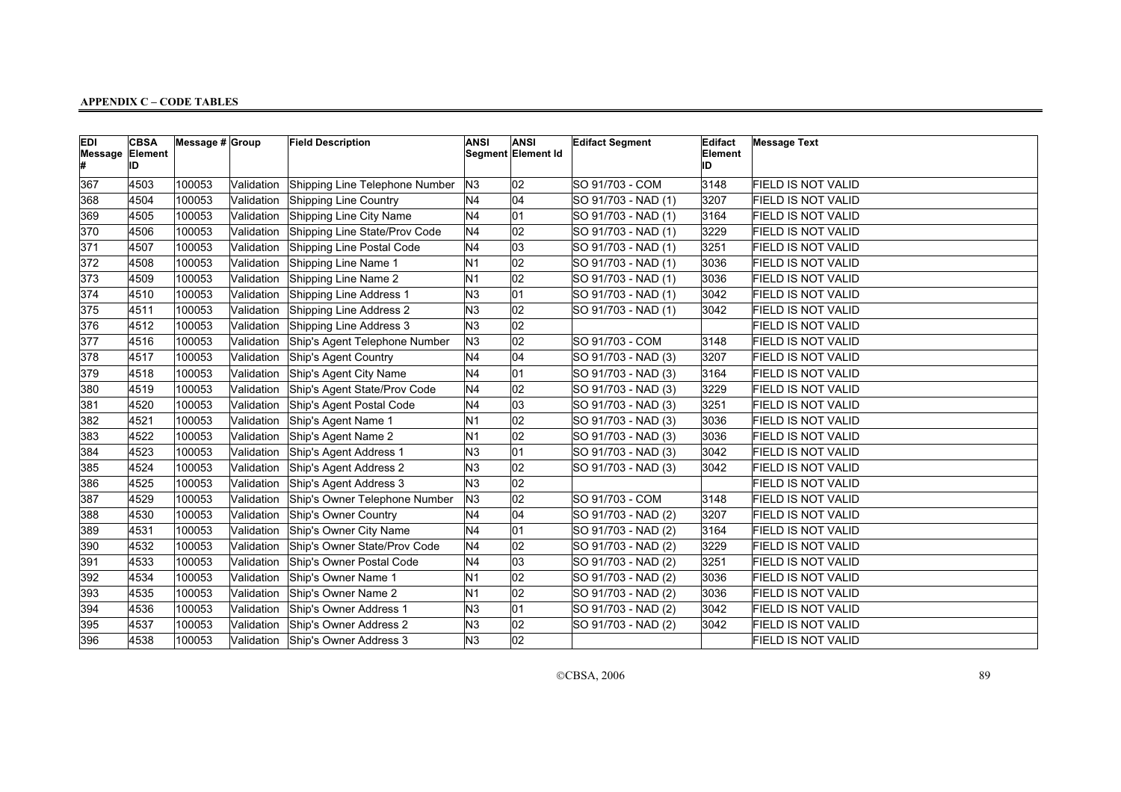| <b>EDI</b><br><b>Message Element</b> | <b>CBSA</b><br>IID | Message $# Group$ |            | <b>Field Description</b>       | <b>ANSI</b>    | <b>ANSI</b><br>Segment Element Id | <b>Edifact Segment</b> | Edifact<br>Element<br>ID | <b>Message Text</b>       |
|--------------------------------------|--------------------|-------------------|------------|--------------------------------|----------------|-----------------------------------|------------------------|--------------------------|---------------------------|
| 367                                  | 4503               | 100053            | Validation | Shipping Line Telephone Number | N <sub>3</sub> | $ 02\rangle$                      | SO 91/703 - COM        | 3148                     | <b>FIELD IS NOT VALID</b> |
| 368                                  | 4504               | 100053            | Validation | Shipping Line Country          | N4             | 04                                | SO 91/703 - NAD (1)    | 3207                     | <b>FIELD IS NOT VALID</b> |
| 369                                  | 4505               | 100053            | Validation | Shipping Line City Name        | N <sub>4</sub> | 01                                | SO 91/703 - NAD (1)    | 3164                     | <b>FIELD IS NOT VALID</b> |
| 370                                  | 4506               | 100053            | Validation | Shipping Line State/Prov Code  | N <sub>4</sub> | 02                                | SO 91/703 - NAD (1)    | 3229                     | <b>FIELD IS NOT VALID</b> |
| 371                                  | 4507               | 100053            | Validation | Shipping Line Postal Code      | N <sub>4</sub> | 03                                | SO 91/703 - NAD (1)    | 3251                     | <b>FIELD IS NOT VALID</b> |
| 372                                  | 4508               | 100053            | Validation | Shipping Line Name 1           | N <sub>1</sub> | 02                                | SO 91/703 - NAD (1)    | 3036                     | FIELD IS NOT VALID        |
| 373                                  | 4509               | 100053            | Validation | Shipping Line Name 2           | N <sub>1</sub> | $ 02\rangle$                      | SO 91/703 - NAD (1)    | 3036                     | FIELD IS NOT VALID        |
| 374                                  | 4510               | 100053            | Validation | Shipping Line Address 1        | N <sub>3</sub> | 01                                | SO 91/703 - NAD (1)    | 3042                     | FIELD IS NOT VALID        |
| 375                                  | 4511               | 100053            | Validation | Shipping Line Address 2        | N3             | 02                                | SO 91/703 - NAD (1)    | 3042                     | FIELD IS NOT VALID        |
| 376                                  | 4512               | 100053            | Validation | Shipping Line Address 3        | N <sub>3</sub> | 02                                |                        |                          | <b>FIELD IS NOT VALID</b> |
| 377                                  | 4516               | 100053            | Validation | Ship's Agent Telephone Number  | N3             | 02                                | SO 91/703 - COM        | 3148                     | FIELD IS NOT VALID        |
| 378                                  | 4517               | 100053            | Validation | Ship's Agent Country           | N <sub>4</sub> | 04                                | SO 91/703 - NAD (3)    | 3207                     | <b>FIELD IS NOT VALID</b> |
| 379                                  | 4518               | 100053            | Validation | Ship's Agent City Name         | N <sub>4</sub> | 01                                | SO 91/703 - NAD (3)    | 3164                     | <b>FIELD IS NOT VALID</b> |
| 380                                  | 4519               | 100053            | Validation | Ship's Agent State/Prov Code   | N <sub>4</sub> | 02                                | SO 91/703 - NAD (3)    | 3229                     | FIELD IS NOT VALID        |
| 381                                  | 4520               | 100053            | Validation | Ship's Agent Postal Code       | N <sub>4</sub> | 03                                | SO 91/703 - NAD (3)    | 3251                     | <b>FIELD IS NOT VALID</b> |
| 382                                  | 4521               | 100053            | Validation | Ship's Agent Name 1            | N1             | 02                                | SO 91/703 - NAD (3)    | 3036                     | <b>FIELD IS NOT VALID</b> |
| 383                                  | 4522               | 100053            | Validation | Ship's Agent Name 2            | N <sub>1</sub> | $ 02\rangle$                      | SO 91/703 - NAD (3)    | 3036                     | <b>FIELD IS NOT VALID</b> |
| 384                                  | 4523               | 100053            | Validation | Ship's Agent Address 1         | N <sub>3</sub> | 01                                | SO 91/703 - NAD (3)    | 3042                     | FIELD IS NOT VALID        |
| 385                                  | 4524               | 100053            | Validation | Ship's Agent Address 2         | N3             | 02                                | SO 91/703 - NAD (3)    | 3042                     | <b>FIELD IS NOT VALID</b> |
| 386                                  | 4525               | 100053            | Validation | Ship's Agent Address 3         | N <sub>3</sub> | 02                                |                        |                          | FIELD IS NOT VALID        |
| 387                                  | 4529               | 100053            | Validation | Ship's Owner Telephone Number  | N <sub>3</sub> | 02                                | SO 91/703 - COM        | 3148                     | <b>FIELD IS NOT VALID</b> |
| 388                                  | 4530               | 100053            | Validation | Ship's Owner Country           | N <sub>4</sub> | 04                                | SO 91/703 - NAD (2)    | 3207                     | FIELD IS NOT VALID        |
| 389                                  | 4531               | 100053            | Validation | Ship's Owner City Name         | N <sub>4</sub> | 01                                | SO 91/703 - NAD (2)    | 3164                     | <b>FIELD IS NOT VALID</b> |
| 390                                  | 4532               | 100053            | Validation | Ship's Owner State/Prov Code   | N <sub>4</sub> | 02                                | SO 91/703 - NAD (2)    | 3229                     | <b>FIELD IS NOT VALID</b> |
| 391                                  | 4533               | 100053            | Validation | Ship's Owner Postal Code       | N <sub>4</sub> | 03                                | SO 91/703 - NAD (2)    | 3251                     | <b>FIELD IS NOT VALID</b> |
| 392                                  | 4534               | 100053            | Validation | Ship's Owner Name 1            | N <sub>1</sub> | 02                                | SO 91/703 - NAD (2)    | 3036                     | <b>FIELD IS NOT VALID</b> |
| 393                                  | 4535               | 100053            | Validation | Ship's Owner Name 2            | N <sub>1</sub> | $ 02\rangle$                      | SO 91/703 - NAD (2)    | 3036                     | <b>FIELD IS NOT VALID</b> |
| 394                                  | 4536               | 100053            | Validation | Ship's Owner Address 1         | N <sub>3</sub> | 01                                | SO 91/703 - NAD (2)    | 3042                     | <b>FIELD IS NOT VALID</b> |
| 395                                  | 4537               | 100053            | Validation | Ship's Owner Address 2         | N <sub>3</sub> | 02                                | SO 91/703 - NAD (2)    | 3042                     | <b>FIELD IS NOT VALID</b> |
| 396                                  | 4538               | 100053            | Validation | Ship's Owner Address 3         | N3             | 02                                |                        |                          | FIELD IS NOT VALID        |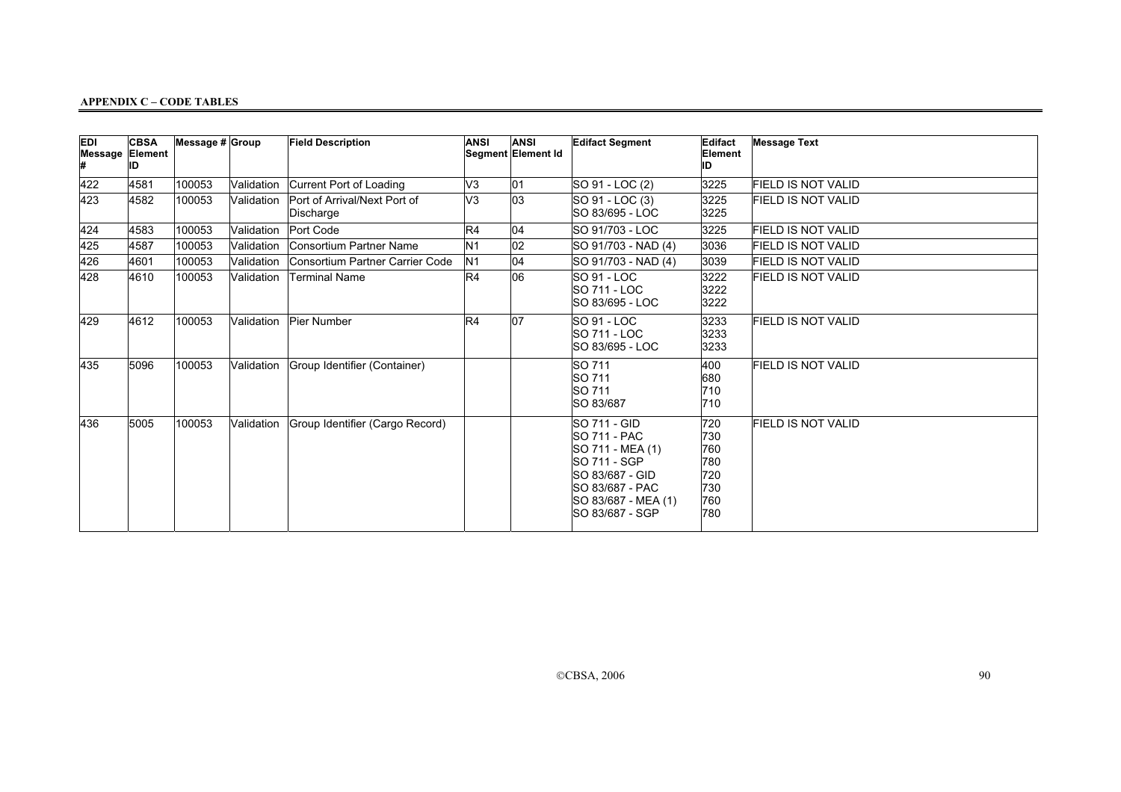| <b>EDI</b> | <b>CBSA</b><br>Message Element<br>ID | Message $# $ Group |            | <b>Field Description</b>                  | <b>ANSI</b>    | <b>ANSI</b><br>Segment Element Id | <b>Edifact Segment</b>                                                                                                                                                 | Edifact<br>Element<br>ID                             | <b>Message Text</b>       |
|------------|--------------------------------------|--------------------|------------|-------------------------------------------|----------------|-----------------------------------|------------------------------------------------------------------------------------------------------------------------------------------------------------------------|------------------------------------------------------|---------------------------|
| 422        | 4581                                 | 100053             | Validation | Current Port of Loading                   | V3             | 01                                | SO 91 - LOC (2)                                                                                                                                                        | 3225                                                 | FIELD IS NOT VALID        |
| 423        | 4582                                 | 100053             | Validation | Port of Arrival/Next Port of<br>Discharge | V3             | $\overline{03}$                   | SO 91 - LOC (3)<br>ISO 83/695 - LOC                                                                                                                                    | 3225<br>3225                                         | <b>FIELD IS NOT VALID</b> |
| 424        | 4583                                 | 100053             | Validation | Port Code                                 | R4             | 04                                | SO 91/703 - LOC                                                                                                                                                        | 3225                                                 | <b>FIELD IS NOT VALID</b> |
| 425        | 4587                                 | 100053             | Validation | Consortium Partner Name                   | N <sub>1</sub> | 02                                | SO 91/703 - NAD (4)                                                                                                                                                    | 3036                                                 | <b>FIELD IS NOT VALID</b> |
| 426        | 4601                                 | 100053             | Validation | Consortium Partner Carrier Code           | N <sub>1</sub> | 04                                | SO 91/703 - NAD (4)                                                                                                                                                    | 3039                                                 | <b>FIELD IS NOT VALID</b> |
| 428        | 4610                                 | 100053             | Validation | <b>Terminal Name</b>                      | R4             | 06                                | <b>SO 91 - LOC</b><br><b>SO 711 - LOC</b><br>ISO 83/695 - LOC                                                                                                          | 3222<br>3222<br>3222                                 | <b>FIELD IS NOT VALID</b> |
| 429        | 4612                                 | 100053             | Validation | Pier Number                               | R4             | 07                                | SO 91 - LOC<br><b>SO 711 - LOC</b><br>SO 83/695 - LOC                                                                                                                  | 3233<br>3233<br>3233                                 | FIELD IS NOT VALID        |
| 435        | 5096                                 | 100053             | Validation | Group Identifier (Container)              |                |                                   | SO 711<br>SO 711<br>SO 711<br>SO 83/687                                                                                                                                | 400<br>680<br>710<br>710                             | <b>FIELD IS NOT VALID</b> |
| 436        | 5005                                 | 100053             | Validation | Group Identifier (Cargo Record)           |                |                                   | <b>SO 711 - GID</b><br><b>SO 711 - PAC</b><br>SO 711 - MEA (1)<br><b>SO 711 - SGP</b><br>SO 83/687 - GID<br>SO 83/687 - PAC<br>SO 83/687 - MEA (1)<br>ISO 83/687 - SGP | 720<br>730<br>760<br>780<br>720<br>730<br>760<br>780 | <b>FIELD IS NOT VALID</b> |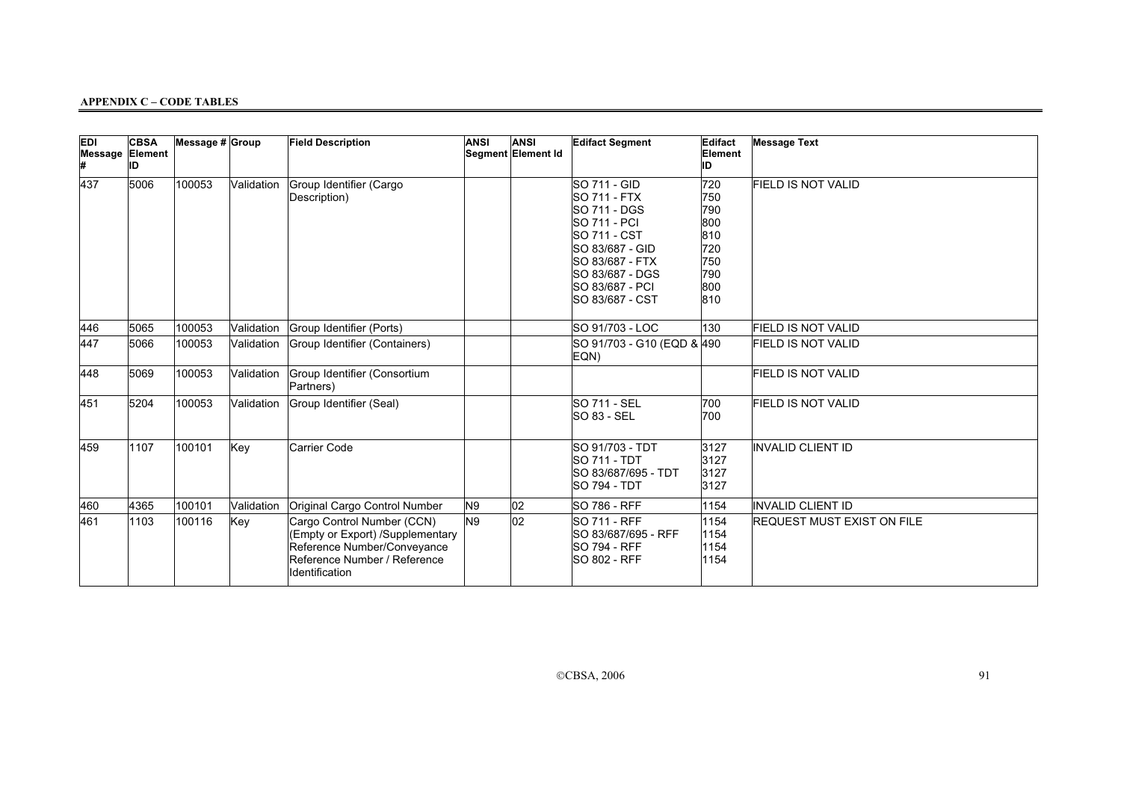| <b>EDI</b><br>Message Element | <b>CBSA</b><br>ID | Message $# $ Group |            | <b>Field Description</b>                                                                                                                        | <b>ANSI</b> | <b>ANSI</b><br>Segment Element Id | <b>Edifact Segment</b>                                                                                                                                                                                   | Edifact<br>Element<br>ID                                           | <b>Message Text</b>               |
|-------------------------------|-------------------|--------------------|------------|-------------------------------------------------------------------------------------------------------------------------------------------------|-------------|-----------------------------------|----------------------------------------------------------------------------------------------------------------------------------------------------------------------------------------------------------|--------------------------------------------------------------------|-----------------------------------|
| 437                           | 5006              | 100053             | Validation | Group Identifier (Cargo<br>Description)                                                                                                         |             |                                   | SO 711 - GID<br><b>SO 711 - FTX</b><br><b>SO 711 - DGS</b><br><b>SO 711 - PCI</b><br><b>SO 711 - CST</b><br>SO 83/687 - GID<br>SO 83/687 - FTX<br>SO 83/687 - DGS<br>SO 83/687 - PCI<br>ISO 83/687 - CST | 720<br>750<br>790<br>800<br>810<br>720<br>750<br>790<br>800<br>810 | <b>FIELD IS NOT VALID</b>         |
| 446                           | 5065              | 100053             | Validation | Group Identifier (Ports)                                                                                                                        |             |                                   | SO 91/703 - LOC                                                                                                                                                                                          | 130                                                                | <b>FIELD IS NOT VALID</b>         |
| 447                           | 5066              | 100053             | Validation | Group Identifier (Containers)                                                                                                                   |             |                                   | SO 91/703 - G10 (EQD & 490<br>EQN)                                                                                                                                                                       |                                                                    | <b>FIELD IS NOT VALID</b>         |
| 448                           | 5069              | 100053             | Validation | Group Identifier (Consortium<br>Partners)                                                                                                       |             |                                   |                                                                                                                                                                                                          |                                                                    | <b>FIELD IS NOT VALID</b>         |
| 451                           | 5204              | 100053             | Validation | Group Identifier (Seal)                                                                                                                         |             |                                   | <b>SO 711 - SEL</b><br>SO 83 - SEL                                                                                                                                                                       | 700<br>700                                                         | <b>FIELD IS NOT VALID</b>         |
| 459                           | 1107              | 100101             | Key        | Carrier Code                                                                                                                                    |             |                                   | SO 91/703 - TDT<br><b>SO 711 - TDT</b><br>SO 83/687/695 - TDT<br><b>SO 794 - TDT</b>                                                                                                                     | 3127<br>3127<br>3127<br>3127                                       | <b>INVALID CLIENT ID</b>          |
| 460                           | 4365              | 100101             | Validation | Original Cargo Control Number                                                                                                                   | N9          | $ 02\rangle$                      | <b>SO 786 - RFF</b>                                                                                                                                                                                      | 1154                                                               | <b>INVALID CLIENT ID</b>          |
| 461                           | 1103              | 100116             | Key        | Cargo Control Number (CCN)<br>(Empty or Export) /Supplementary<br>Reference Number/Conveyance<br>Reference Number / Reference<br>Identification | N9          | 02                                | <b>SO 711 - RFF</b><br>SO 83/687/695 - RFF<br><b>SO 794 - RFF</b><br><b>SO 802 - RFF</b>                                                                                                                 | 1154<br>1154<br>1154<br>1154                                       | <b>REQUEST MUST EXIST ON FILE</b> |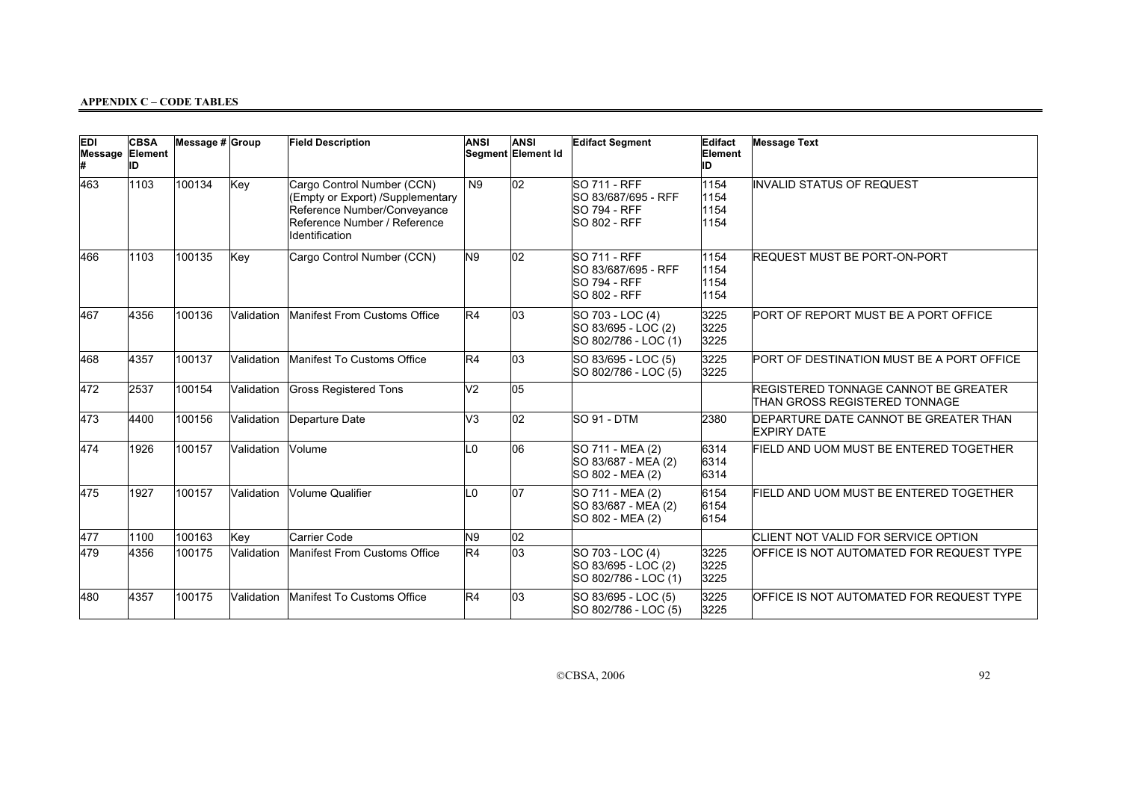| EDI<br>Message Element | <b>CBSA</b><br>ID | Message # Group |            | <b>Field Description</b>                                                                                                                        | <b>ANSI</b>    | <b>ANSI</b><br>Segment Element Id | <b>Edifact Segment</b>                                                                   | Edifact<br>Element<br>ID     | <b>Message Text</b>                                                   |
|------------------------|-------------------|-----------------|------------|-------------------------------------------------------------------------------------------------------------------------------------------------|----------------|-----------------------------------|------------------------------------------------------------------------------------------|------------------------------|-----------------------------------------------------------------------|
| 463                    | 1103              | 100134          | Key        | Cargo Control Number (CCN)<br>(Empty or Export) /Supplementary<br>Reference Number/Conveyance<br>Reference Number / Reference<br>Identification | <b>N9</b>      | 02                                | <b>SO 711 - RFF</b><br>SO 83/687/695 - RFF<br><b>SO 794 - RFF</b><br><b>SO 802 - RFF</b> | 1154<br>1154<br>1154<br>1154 | INVALID STATUS OF REQUEST                                             |
| 466                    | 1103              | 100135          | Key        | Cargo Control Number (CCN)                                                                                                                      | N <sub>9</sub> | 02                                | <b>SO 711 - RFF</b><br>SO 83/687/695 - RFF<br><b>SO 794 - RFF</b><br><b>SO 802 - RFF</b> | 1154<br>1154<br>1154<br>1154 | <b>REQUEST MUST BE PORT-ON-PORT</b>                                   |
| 467                    | 4356              | 100136          | Validation | Manifest From Customs Office                                                                                                                    | R4             | 03                                | SO 703 - LOC (4)<br>SO 83/695 - LOC (2)<br>SO 802/786 - LOC (1)                          | 3225<br>3225<br>3225         | PORT OF REPORT MUST BE A PORT OFFICE                                  |
| 468                    | 4357              | 100137          | Validation | Manifest To Customs Office                                                                                                                      | R4             | 03                                | SO 83/695 - LOC (5)<br>SO 802/786 - LOC (5)                                              | 3225<br>3225                 | PORT OF DESTINATION MUST BE A PORT OFFICE                             |
| 472                    | 2537              | 100154          | Validation | <b>Gross Registered Tons</b>                                                                                                                    | V <sub>2</sub> | 05                                |                                                                                          |                              | REGISTERED TONNAGE CANNOT BE GREATER<br>THAN GROSS REGISTERED TONNAGE |
| 473                    | 4400              | 100156          |            | Validation Departure Date                                                                                                                       | V <sub>3</sub> | 02                                | SO 91 - DTM                                                                              | 2380                         | DEPARTURE DATE CANNOT BE GREATER THAN<br><b>EXPIRY DATE</b>           |
| 474                    | 1926              | 100157          | Validation | Volume                                                                                                                                          | L <sub>0</sub> | 06                                | SO 711 - MEA (2)<br>SO 83/687 - MEA (2)<br>SO 802 - MEA (2)                              | 6314<br>6314<br>6314         | FIELD AND UOM MUST BE ENTERED TOGETHER                                |
| 475                    | 1927              | 100157          | Validation | Volume Qualifier                                                                                                                                | L <sub>0</sub> | 107                               | SO 711 - MEA (2)<br>SO 83/687 - MEA (2)<br>SO 802 - MEA (2)                              | 6154<br>6154<br>6154         | FIELD AND UOM MUST BE ENTERED TOGETHER                                |
| 477                    | 1100              | 100163          | Key        | <b>Carrier Code</b>                                                                                                                             | N <sub>9</sub> | 02                                |                                                                                          |                              | CLIENT NOT VALID FOR SERVICE OPTION                                   |
| 479                    | 4356              | 100175          | Validation | Manifest From Customs Office                                                                                                                    | R4             | 03                                | SO 703 - LOC (4)<br>SO 83/695 - LOC (2)<br>SO 802/786 - LOC (1)                          | 3225<br>3225<br>3225         | OFFICE IS NOT AUTOMATED FOR REQUEST TYPE                              |
| 480                    | 4357              | 100175          | Validation | Manifest To Customs Office                                                                                                                      | R4             | 03                                | SO 83/695 - LOC (5)<br>SO 802/786 - LOC (5)                                              | 3225<br>3225                 | OFFICE IS NOT AUTOMATED FOR REQUEST TYPE                              |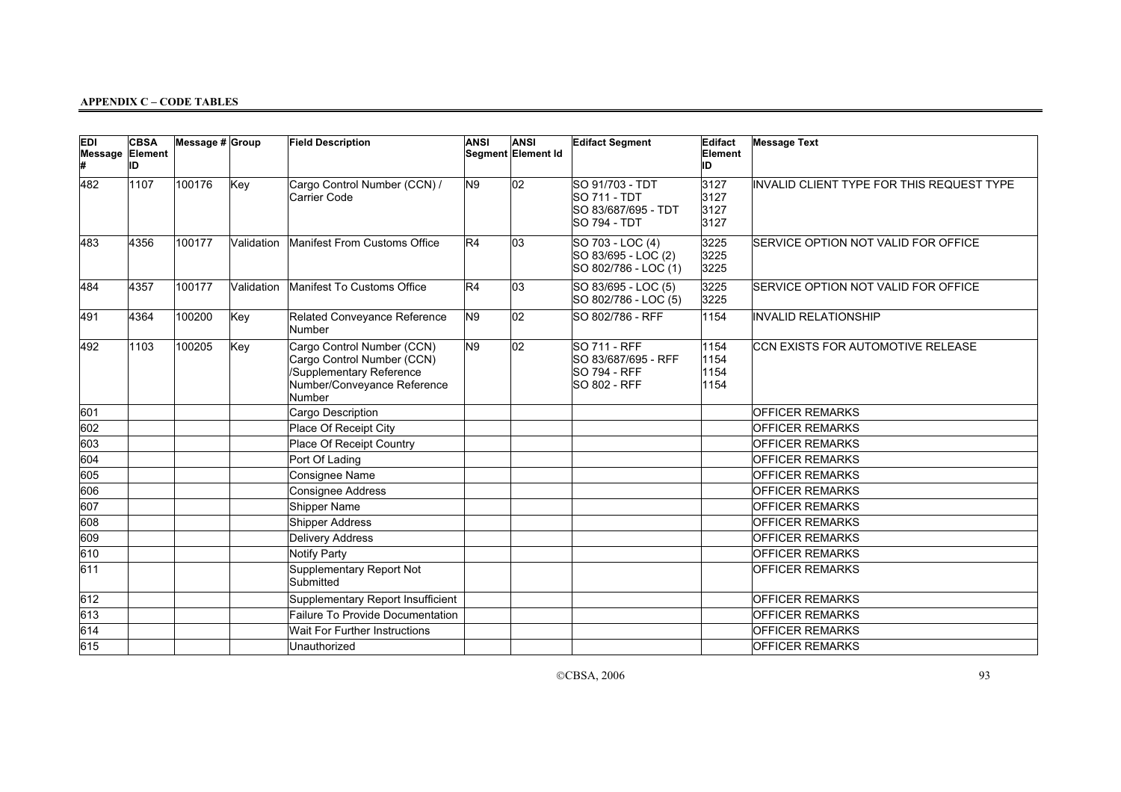| <b>EDI</b><br>Message Element | <b>CBSA</b><br>ID | Message $# $ Group |            | <b>Field Description</b>                                                                                                      | <b>ANSI</b>    | <b>ANSI</b><br>Segment Element Id | <b>Edifact Segment</b>                                                        | Edifact<br>Element<br>ID     | <b>Message Text</b>                       |
|-------------------------------|-------------------|--------------------|------------|-------------------------------------------------------------------------------------------------------------------------------|----------------|-----------------------------------|-------------------------------------------------------------------------------|------------------------------|-------------------------------------------|
| 482                           | 1107              | 100176             | Key        | Cargo Control Number (CCN) /<br>Carrier Code                                                                                  | N9             | 02                                | SO 91/703 - TDT<br>SO 711 - TDT<br>SO 83/687/695 - TDT<br><b>SO 794 - TDT</b> | 3127<br>3127<br>3127<br>3127 | INVALID CLIENT TYPE FOR THIS REQUEST TYPE |
| 483                           | 4356              | 100177             | Validation | Manifest From Customs Office                                                                                                  | R4             | 03                                | SO 703 - LOC (4)<br>SO 83/695 - LOC (2)<br>SO 802/786 - LOC (1)               | 3225<br>3225<br>3225         | SERVICE OPTION NOT VALID FOR OFFICE       |
| 484                           | 4357              | 100177             | Validation | Manifest To Customs Office                                                                                                    | R4             | 03                                | SO 83/695 - LOC (5)<br>SO 802/786 - LOC (5)                                   | 3225<br>3225                 | SERVICE OPTION NOT VALID FOR OFFICE       |
| 491                           | 4364              | 100200             | Key        | Related Conveyance Reference<br>Number                                                                                        | N9             | 02                                | SO 802/786 - RFF                                                              | 1154                         | <b>INVALID RELATIONSHIP</b>               |
| 492                           | 1103              | 100205             | Key        | Cargo Control Number (CCN)<br>Cargo Control Number (CCN)<br>/Supplementary Reference<br>Number/Conveyance Reference<br>Number | N <sub>9</sub> | $ 02\rangle$                      | SO 711 - RFF<br>SO 83/687/695 - RFF<br><b>SO 794 - RFF</b><br>SO 802 - RFF    | 1154<br>1154<br>1154<br>1154 | CCN EXISTS FOR AUTOMOTIVE RELEASE         |
| 601                           |                   |                    |            | Cargo Description                                                                                                             |                |                                   |                                                                               |                              | <b>OFFICER REMARKS</b>                    |
| 602                           |                   |                    |            | Place Of Receipt City                                                                                                         |                |                                   |                                                                               |                              | <b>OFFICER REMARKS</b>                    |
| 603                           |                   |                    |            | Place Of Receipt Country                                                                                                      |                |                                   |                                                                               |                              | <b>OFFICER REMARKS</b>                    |
| 604                           |                   |                    |            | Port Of Lading                                                                                                                |                |                                   |                                                                               |                              | <b>OFFICER REMARKS</b>                    |
| 605                           |                   |                    |            | <b>Consignee Name</b>                                                                                                         |                |                                   |                                                                               |                              | <b>OFFICER REMARKS</b>                    |
| 606                           |                   |                    |            | Consignee Address                                                                                                             |                |                                   |                                                                               |                              | <b>OFFICER REMARKS</b>                    |
| 607                           |                   |                    |            | Shipper Name                                                                                                                  |                |                                   |                                                                               |                              | <b>OFFICER REMARKS</b>                    |
| 608                           |                   |                    |            | Shipper Address                                                                                                               |                |                                   |                                                                               |                              | <b>OFFICER REMARKS</b>                    |
| 609                           |                   |                    |            | <b>Delivery Address</b>                                                                                                       |                |                                   |                                                                               |                              | <b>OFFICER REMARKS</b>                    |
| 610                           |                   |                    |            | Notify Party                                                                                                                  |                |                                   |                                                                               |                              | <b>OFFICER REMARKS</b>                    |
| 611                           |                   |                    |            | Supplementary Report Not<br>Submitted                                                                                         |                |                                   |                                                                               |                              | <b>OFFICER REMARKS</b>                    |
| 612                           |                   |                    |            | Supplementary Report Insufficient                                                                                             |                |                                   |                                                                               |                              | <b>OFFICER REMARKS</b>                    |
| 613                           |                   |                    |            | Failure To Provide Documentation                                                                                              |                |                                   |                                                                               |                              | <b>OFFICER REMARKS</b>                    |
| 614                           |                   |                    |            | Wait For Further Instructions                                                                                                 |                |                                   |                                                                               |                              | <b>OFFICER REMARKS</b>                    |
| 615                           |                   |                    |            | Unauthorized                                                                                                                  |                |                                   |                                                                               |                              | <b>OFFICER REMARKS</b>                    |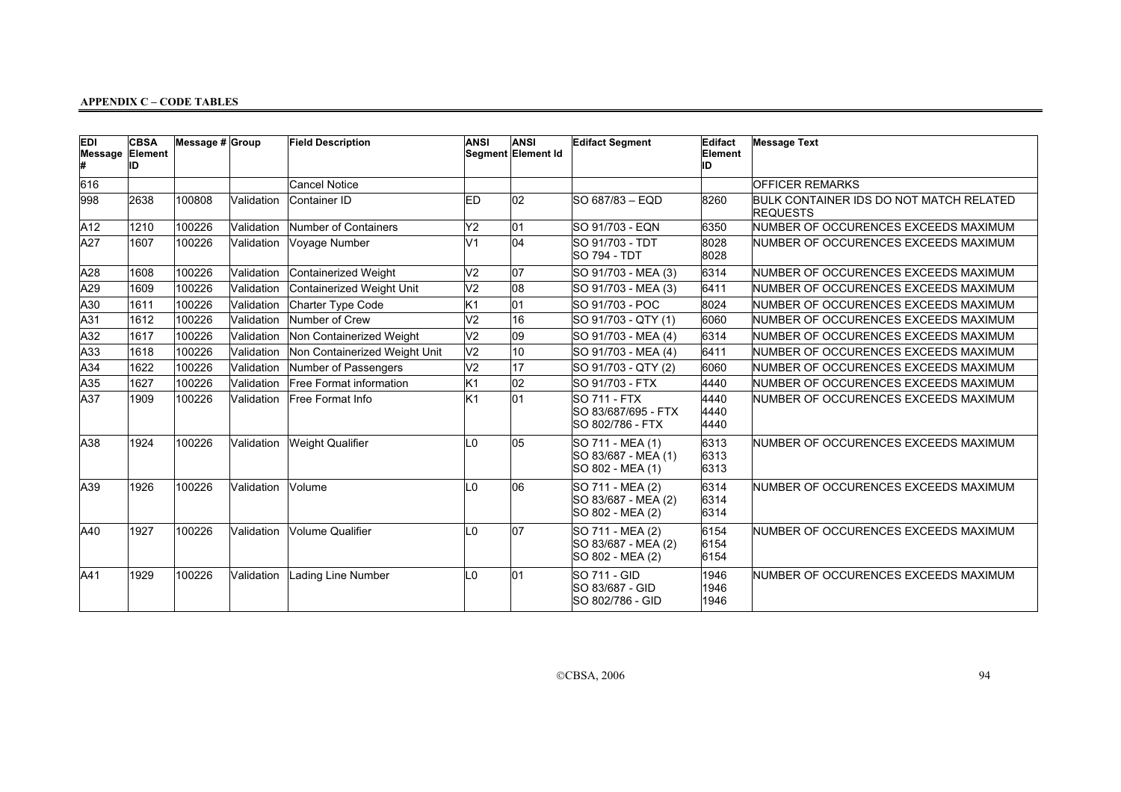| <b>EDI</b><br>Message Element | <b>CBSA</b><br>ID | Message $\#$ Group |            | <b>Field Description</b>      | <b>ANSI</b>    | <b>ANSI</b><br>Segment Element Id | <b>Edifact Segment</b>                                          | Edifact<br>Element<br>ID | <b>Message Text</b>                                        |
|-------------------------------|-------------------|--------------------|------------|-------------------------------|----------------|-----------------------------------|-----------------------------------------------------------------|--------------------------|------------------------------------------------------------|
| 616                           |                   |                    |            | <b>Cancel Notice</b>          |                |                                   |                                                                 |                          | <b>OFFICER REMARKS</b>                                     |
| 998                           | 2638              | 100808             | Validation | Container ID                  | ED             | 02                                | SO 687/83 - EQD                                                 | 8260                     | BULK CONTAINER IDS DO NOT MATCH RELATED<br><b>REQUESTS</b> |
| A12                           | 1210              | 100226             | Validation | Number of Containers          | Y2             | 01                                | SO 91/703 - EQN                                                 | 6350                     | NUMBER OF OCCURENCES EXCEEDS MAXIMUM                       |
| A27                           | 1607              | 100226             | Validation | Voyage Number                 | V <sub>1</sub> | $\overline{04}$                   | SO 91/703 - TDT<br><b>SO 794 - TDT</b>                          | 8028<br>8028             | NUMBER OF OCCURENCES EXCEEDS MAXIMUM                       |
| A28                           | 1608              | 100226             | Validation | Containerized Weight          | V <sub>2</sub> | 07                                | SO 91/703 - MEA (3)                                             | 6314                     | NUMBER OF OCCURENCES EXCEEDS MAXIMUM                       |
| A29                           | 1609              | 100226             | Validation | Containerized Weight Unit     | V <sub>2</sub> | 08                                | SO 91/703 - MEA (3)                                             | 6411                     | NUMBER OF OCCURENCES EXCEEDS MAXIMUM                       |
| A30                           | 1611              | 100226             | Validation | Charter Type Code             | Κ1             | 01                                | SO 91/703 - POC                                                 | 8024                     | NUMBER OF OCCURENCES EXCEEDS MAXIMUM                       |
| A31                           | 1612              | 100226             | Validation | Number of Crew                | V <sub>2</sub> | 16                                | SO 91/703 - QTY (1)                                             | 6060                     | NUMBER OF OCCURENCES EXCEEDS MAXIMUM                       |
| A32                           | 1617              | 100226             | Validation | Non Containerized Weight      | V <sub>2</sub> | 09                                | SO 91/703 - MEA (4)                                             | 6314                     | NUMBER OF OCCURENCES EXCEEDS MAXIMUM                       |
| A33                           | 1618              | 100226             | Validation | Non Containerized Weight Unit | V <sub>2</sub> | 10                                | SO 91/703 - MEA (4)                                             | 6411                     | NUMBER OF OCCURENCES EXCEEDS MAXIMUM                       |
| A34                           | 1622              | 100226             | Validation | Number of Passengers          | V <sub>2</sub> | 17                                | SO 91/703 - QTY (2)                                             | 6060                     | NUMBER OF OCCURENCES EXCEEDS MAXIMUM                       |
| A35                           | 1627              | 100226             | Validation | Free Format information       | Κ1             | 02                                | ISO 91/703 - FTX                                                | 4440                     | NUMBER OF OCCURENCES EXCEEDS MAXIMUM                       |
| A37                           | 1909              | 100226             | Validation | Free Format Info              | K <sub>1</sub> | 01                                | <b>SO 711 - FTX</b><br>SO 83/687/695 - FTX<br>ISO 802/786 - FTX | 4440<br>4440<br>4440     | NUMBER OF OCCURENCES EXCEEDS MAXIMUM                       |
| A38                           | 1924              | 100226             | Validation | Weight Qualifier              | L0             | 05                                | SO 711 - MEA (1)<br>SO 83/687 - MEA (1)<br>SO 802 - MEA (1)     | 6313<br>6313<br>6313     | NUMBER OF OCCURENCES EXCEEDS MAXIMUM                       |
| A39                           | 1926              | 100226             | Validation | Volume                        | L0             | 06                                | SO 711 - MEA (2)<br>SO 83/687 - MEA (2)<br>SO 802 - MEA (2)     | 6314<br>6314<br>6314     | NUMBER OF OCCURENCES EXCEEDS MAXIMUM                       |
| A40                           | 1927              | 100226             | Validation | Volume Qualifier              | L <sub>0</sub> | 07                                | SO 711 - MEA (2)<br>SO 83/687 - MEA (2)<br>SO 802 - MEA (2)     | 6154<br>6154<br>6154     | NUMBER OF OCCURENCES EXCEEDS MAXIMUM                       |
| A41                           | 1929              | 100226             | Validation | Lading Line Number            | L0             | 01                                | <b>SO 711 - GID</b><br>SO 83/687 - GID<br>SO 802/786 - GID      | 1946<br>1946<br>1946     | NUMBER OF OCCURENCES EXCEEDS MAXIMUM                       |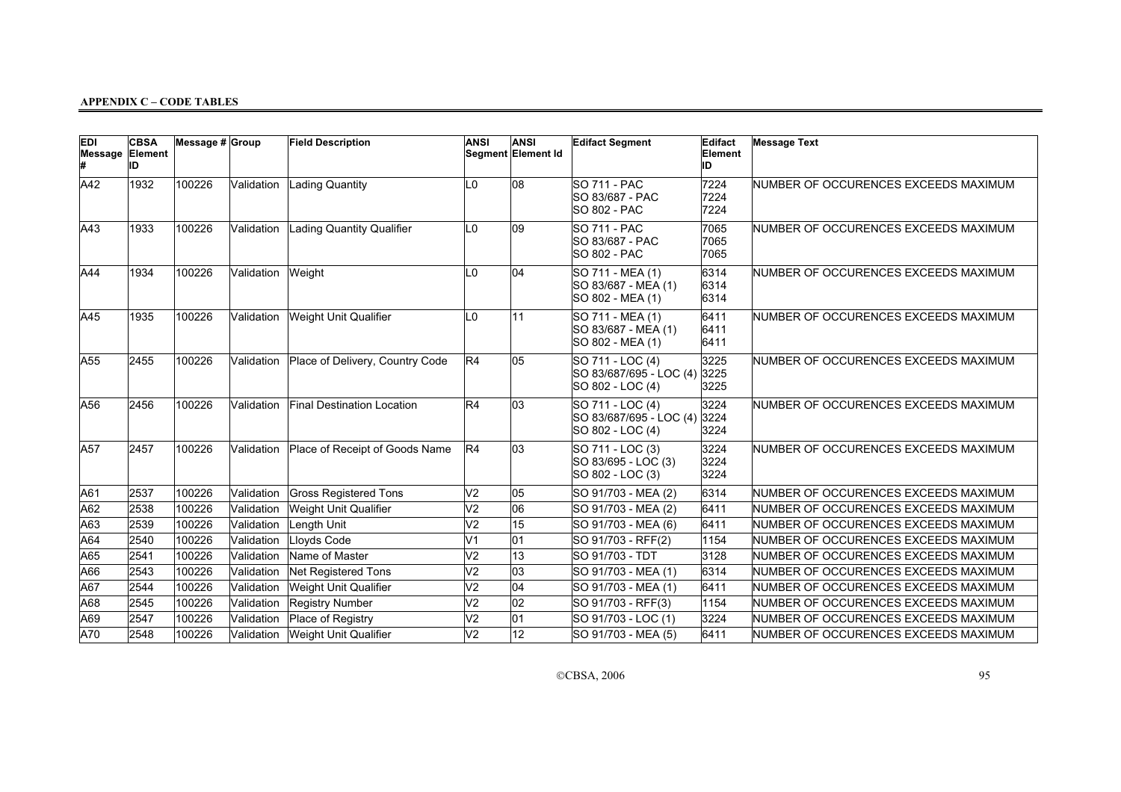| <b>EDI</b><br>Message Element | <b>CBSA</b><br>ID | Message $# $ Group |            | <b>Field Description</b>          | <b>ANSI</b>    | <b>ANSI</b><br>Segment Element Id | <b>Edifact Segment</b>                                          | Edifact<br>Element<br>ID | <b>Message Text</b>                  |
|-------------------------------|-------------------|--------------------|------------|-----------------------------------|----------------|-----------------------------------|-----------------------------------------------------------------|--------------------------|--------------------------------------|
| A42                           | 1932              | 100226             | Validation | <b>Lading Quantity</b>            | L0             | 08                                | <b>SO 711 - PAC</b><br>SO 83/687 - PAC<br><b>SO 802 - PAC</b>   | 7224<br>7224<br>7224     | NUMBER OF OCCURENCES EXCEEDS MAXIMUM |
| AA3                           | 1933              | 100226             | Validation | <b>Lading Quantity Qualifier</b>  | L0             | $ 09\rangle$                      | <b>SO 711 - PAC</b><br>SO 83/687 - PAC<br><b>SO 802 - PAC</b>   | 7065<br>7065<br>7065     | NUMBER OF OCCURENCES EXCEEDS MAXIMUM |
| AA4                           | 1934              | 100226             | Validation | Weight                            | L <sub>0</sub> | 04                                | SO 711 - MEA (1)<br>SO 83/687 - MEA (1)<br>SO 802 - MEA (1)     | 6314<br>6314<br>6314     | NUMBER OF OCCURENCES EXCEEDS MAXIMUM |
| A45                           | 1935              | 100226             | Validation | <b>Weight Unit Qualifier</b>      | L <sub>0</sub> | 11                                | SO 711 - MEA (1)<br>SO 83/687 - MEA (1)<br>SO 802 - MEA (1)     | 6411<br>6411<br>6411     | NUMBER OF OCCURENCES EXCEEDS MAXIMUM |
| A55                           | 2455              | 100226             | Validation | Place of Delivery, Country Code   | R4             | 05                                | SO 711 - LOC (4)<br>SO 83/687/695 - LOC (4)<br>SO 802 - LOC (4) | 3225<br>3225<br>3225     | NUMBER OF OCCURENCES EXCEEDS MAXIMUM |
| A56                           | 2456              | 100226             | Validation | <b>Final Destination Location</b> | R4             | 03                                | SO 711 - LOC (4)<br>SO 83/687/695 - LOC (4)<br>SO 802 - LOC (4) | 3224<br>3224<br>3224     | NUMBER OF OCCURENCES EXCEEDS MAXIMUM |
| A57                           | 2457              | 100226             | Validation | Place of Receipt of Goods Name    | R4             | 03                                | SO 711 - LOC (3)<br>SO 83/695 - LOC (3)<br>SO 802 - LOC (3)     | 3224<br>3224<br>3224     | NUMBER OF OCCURENCES EXCEEDS MAXIMUM |
| A61                           | 2537              | 100226             | Validation | <b>Gross Registered Tons</b>      | V <sub>2</sub> | 05                                | SO 91/703 - MEA (2)                                             | 6314                     | NUMBER OF OCCURENCES EXCEEDS MAXIMUM |
| A62                           | 2538              | 100226             | Validation | Weight Unit Qualifier             | V <sub>2</sub> | 06                                | SO 91/703 - MEA (2)                                             | 6411                     | NUMBER OF OCCURENCES EXCEEDS MAXIMUM |
| A63                           | 2539              | 100226             | Validation | Length Unit                       | V <sub>2</sub> | $\overline{15}$                   | SO 91/703 - MEA (6)                                             | 6411                     | NUMBER OF OCCURENCES EXCEEDS MAXIMUM |
| A64                           | 2540              | 100226             | Validation | Lloyds Code                       | V <sub>1</sub> | 01                                | SO 91/703 - RFF(2)                                              | 1154                     | NUMBER OF OCCURENCES EXCEEDS MAXIMUM |
| A65                           | 2541              | 100226             | Validation | Name of Master                    | V <sub>2</sub> | 13                                | SO 91/703 - TDT                                                 | 3128                     | NUMBER OF OCCURENCES EXCEEDS MAXIMUM |
| A66                           | 2543              | 100226             | Validation | <b>Net Registered Tons</b>        | V <sub>2</sub> | $\overline{03}$                   | SO 91/703 - MEA (1)                                             | 6314                     | NUMBER OF OCCURENCES EXCEEDS MAXIMUM |
| A67                           | 2544              | 100226             | Validation | Weight Unit Qualifier             | V <sub>2</sub> | 04                                | SO 91/703 - MEA (1)                                             | 6411                     | NUMBER OF OCCURENCES EXCEEDS MAXIMUM |
| A68                           | 2545              | 100226             | Validation | <b>Registry Number</b>            | V <sub>2</sub> | 02                                | SO 91/703 - RFF(3)                                              | 1154                     | NUMBER OF OCCURENCES EXCEEDS MAXIMUM |
| A69                           | 2547              | 100226             | Validation | Place of Registry                 | V <sub>2</sub> | 01                                | SO 91/703 - LOC (1)                                             | 3224                     | NUMBER OF OCCURENCES EXCEEDS MAXIMUM |
| A70                           | 2548              | 100226             | Validation | <b>Weight Unit Qualifier</b>      | V <sub>2</sub> | 12                                | SO 91/703 - MEA (5)                                             | 6411                     | NUMBER OF OCCURENCES EXCEEDS MAXIMUM |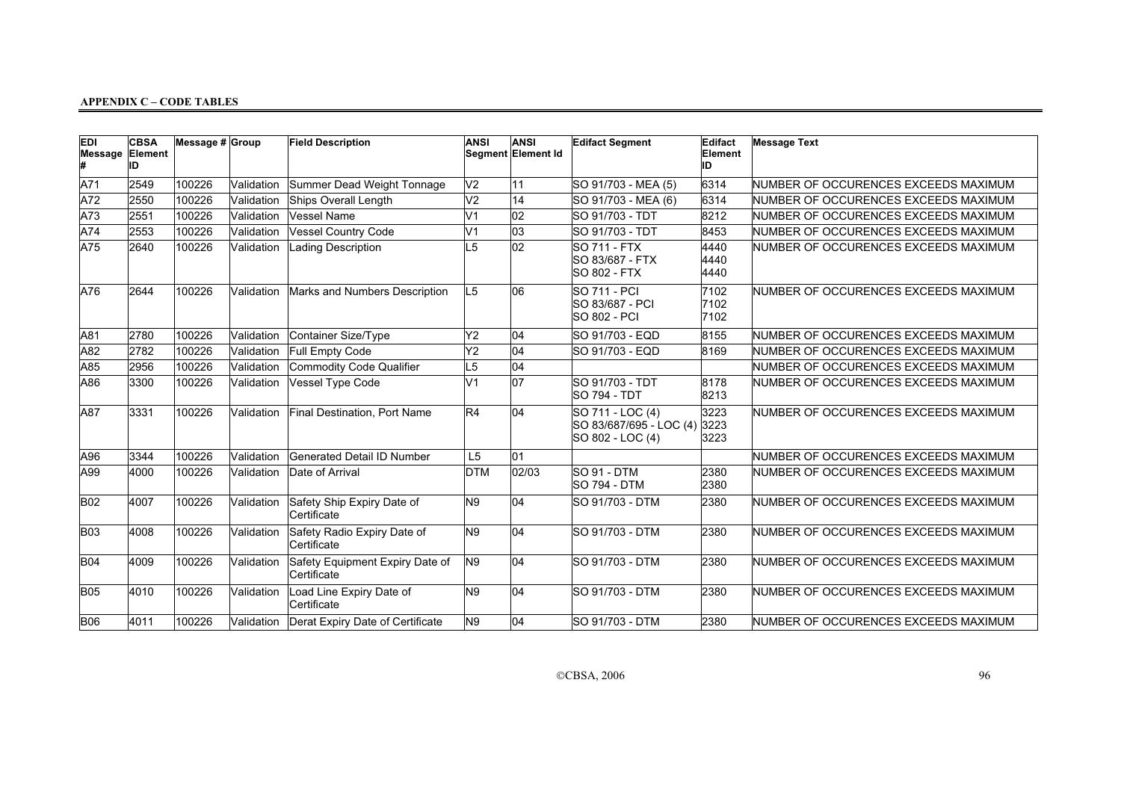| EDI<br>Message Element | <b>CBSA</b><br>ID | Message # Group |            | <b>Field Description</b>                       | <b>ANSI</b>     | ANSI<br>Segment Element Id | <b>Edifact Segment</b>                                          | Edifact<br>Element<br>ID | <b>Message Text</b>                  |
|------------------------|-------------------|-----------------|------------|------------------------------------------------|-----------------|----------------------------|-----------------------------------------------------------------|--------------------------|--------------------------------------|
| A71                    | 2549              | 100226          | Validation | Summer Dead Weight Tonnage                     | V <sub>2</sub>  | 11                         | SO 91/703 - MEA (5)                                             | 6314                     | NUMBER OF OCCURENCES EXCEEDS MAXIMUM |
| A72                    | 2550              | 100226          | Validation | Ships Overall Length                           | V <sub>2</sub>  | 14                         | SO 91/703 - MEA (6)                                             | 6314                     | NUMBER OF OCCURENCES EXCEEDS MAXIMUM |
| A73                    | 2551              | 100226          | Validation | Vessel Name                                    | $\overline{V1}$ | $ _{02}$                   | SO 91/703 - TDT                                                 | 8212                     | NUMBER OF OCCURENCES EXCEEDS MAXIMUM |
| A74                    | 2553              | 100226          | Validation | <b>Vessel Country Code</b>                     | V1              | 03                         | ISO 91/703 - TDT                                                | 8453                     | NUMBER OF OCCURENCES EXCEEDS MAXIMUM |
| A75                    | 2640              | 100226          | Validation | Lading Description                             | L5              | $\overline{02}$            | SO 711 - FTX<br>ISO 83/687 - FTX<br><b>SO 802 - FTX</b>         | 4440<br>4440<br>4440     | NUMBER OF OCCURENCES EXCEEDS MAXIMUM |
| A76                    | 2644              | 100226          | Validation | Marks and Numbers Description                  | L <sub>5</sub>  | 06                         | <b>SO 711 - PCI</b><br>SO 83/687 - PCI<br><b>SO 802 - PCI</b>   | 7102<br>7102<br>7102     | NUMBER OF OCCURENCES EXCEEDS MAXIMUM |
| A81                    | 2780              | 100226          | Validation | Container Size/Type                            | Y2              | 04                         | ISO 91/703 - EQD                                                | 8155                     | NUMBER OF OCCURENCES EXCEEDS MAXIMUM |
| A82                    | 2782              | 100226          | Validation | Full Empty Code                                | Y2              | 04                         | SO 91/703 - EQD                                                 | 8169                     | NUMBER OF OCCURENCES EXCEEDS MAXIMUM |
| A85                    | 2956              | 100226          | Validation | Commodity Code Qualifier                       | L5              | 04                         |                                                                 |                          | NUMBER OF OCCURENCES EXCEEDS MAXIMUM |
| A86                    | 3300              | 100226          | Validation | Vessel Type Code                               | lV1             | 07                         | SO 91/703 - TDT<br><b>SO 794 - TDT</b>                          | 8178<br>8213             | NUMBER OF OCCURENCES EXCEEDS MAXIMUM |
| A87                    | 3331              | 100226          | Validation | <b>Final Destination, Port Name</b>            | R <sub>4</sub>  | 04                         | SO 711 - LOC (4)<br>SO 83/687/695 - LOC (4)<br>SO 802 - LOC (4) | 3223<br>3223<br>3223     | NUMBER OF OCCURENCES EXCEEDS MAXIMUM |
| A96                    | 3344              | 100226          | Validation | Generated Detail ID Number                     | L <sub>5</sub>  | 01                         |                                                                 |                          | NUMBER OF OCCURENCES EXCEEDS MAXIMUM |
| A99                    | 4000              | 100226          | Validation | Date of Arrival                                | <b>DTM</b>      | 02/03                      | SO 91 - DTM<br><b>SO 794 - DTM</b>                              | 2380<br>2380             | NUMBER OF OCCURENCES EXCEEDS MAXIMUM |
| <b>B02</b>             | 4007              | 100226          | Validation | Safety Ship Expiry Date of<br>Certificate      | N9              | 04                         | ISO 91/703 - DTM                                                | 2380                     | NUMBER OF OCCURENCES EXCEEDS MAXIMUM |
| B <sub>03</sub>        | 4008              | 100226          | Validation | Safety Radio Expiry Date of<br>Certificate     | N <sub>9</sub>  | 04                         | SO 91/703 - DTM                                                 | 2380                     | NUMBER OF OCCURENCES EXCEEDS MAXIMUM |
| <b>B04</b>             | 4009              | 100226          | Validation | Safety Equipment Expiry Date of<br>Certificate | N9              | 04                         | SO 91/703 - DTM                                                 | 2380                     | NUMBER OF OCCURENCES EXCEEDS MAXIMUM |
| <b>B05</b>             | 4010              | 100226          | Validation | Load Line Expiry Date of<br>Certificate        | N9              | 04                         | ISO 91/703 - DTM                                                | 2380                     | NUMBER OF OCCURENCES EXCEEDS MAXIMUM |
| <b>B06</b>             | 4011              | 100226          | Validation | Derat Expiry Date of Certificate               | N9              | 04                         | ISO 91/703 - DTM                                                | 2380                     | NUMBER OF OCCURENCES EXCEEDS MAXIMUM |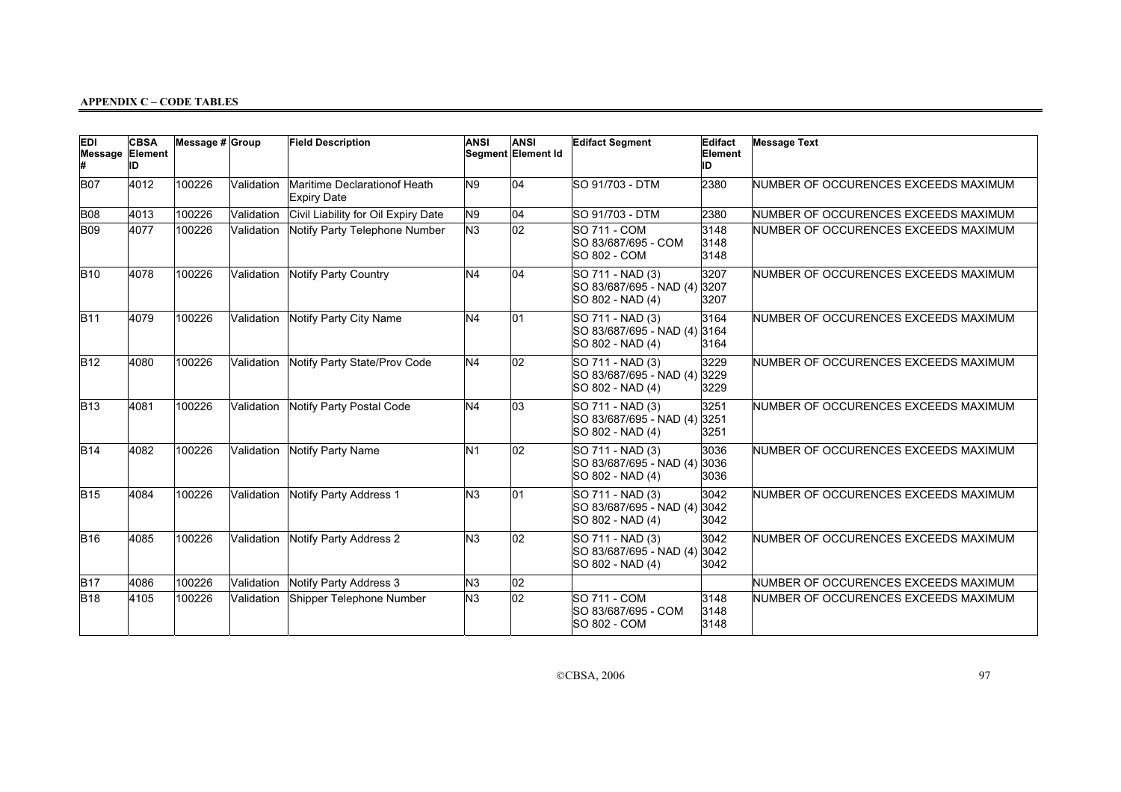| <b>EDI</b>      | <b>CBSA</b><br>Message Element<br>ID | Message # Group |            | <b>Field Description</b>                           | <b>ANSI</b>    | <b>ANSI</b><br>Segment Element Id | <b>Edifact Segment</b>                                               | Edifact<br>Element<br>ID | <b>Message Text</b>                  |
|-----------------|--------------------------------------|-----------------|------------|----------------------------------------------------|----------------|-----------------------------------|----------------------------------------------------------------------|--------------------------|--------------------------------------|
| <b>B07</b>      | 4012                                 | 100226          | Validation | Maritime Declarationof Heath<br><b>Expiry Date</b> | N <sub>9</sub> | 04                                | SO 91/703 - DTM                                                      | 2380                     | NUMBER OF OCCURENCES EXCEEDS MAXIMUM |
| B <sub>08</sub> | 4013                                 | 100226          | Validation | Civil Liability for Oil Expiry Date                | N <sub>9</sub> | 04                                | <b>SO 91/703 - DTM</b>                                               | 2380                     | NUMBER OF OCCURENCES EXCEEDS MAXIMUM |
| B <sub>09</sub> | 4077                                 | 100226          | Validation | Notify Party Telephone Number                      | N <sub>3</sub> | $ 02\rangle$                      | <b>SO 711 - COM</b><br>SO 83/687/695 - COM<br><b>SO 802 - COM</b>    | 3148<br>3148<br>3148     | NUMBER OF OCCURENCES EXCEEDS MAXIMUM |
| <b>B10</b>      | 4078                                 | 100226          | Validation | Notify Party Country                               | N <sub>4</sub> | 04                                | SO 711 - NAD (3)<br>SO 83/687/695 - NAD (4)<br>SO 802 - NAD (4)      | 3207<br>3207<br>3207     | NUMBER OF OCCURENCES EXCEEDS MAXIMUM |
| <b>B11</b>      | 4079                                 | 100226          | Validation | Notify Party City Name                             | N <sub>4</sub> | 01                                | SO 711 - NAD (3)<br>SO 83/687/695 - NAD (4) 3164<br>SO 802 - NAD (4) | 3164<br>3164             | NUMBER OF OCCURENCES EXCEEDS MAXIMUM |
| <b>B12</b>      | 4080                                 | 100226          | Validation | Notify Party State/Prov Code                       | N <sub>4</sub> | $ 02\rangle$                      | SO 711 - NAD (3)<br>SO 83/687/695 - NAD (4) 3229<br>SO 802 - NAD (4) | 3229<br>3229             | NUMBER OF OCCURENCES EXCEEDS MAXIMUM |
| <b>B</b> 13     | 4081                                 | 100226          | Validation | Notify Party Postal Code                           | N <sub>4</sub> | 03                                | SO 711 - NAD (3)<br>SO 83/687/695 - NAD (4)<br>SO 802 - NAD (4)      | 3251<br>3251<br>3251     | NUMBER OF OCCURENCES EXCEEDS MAXIMUM |
| B14             | 4082                                 | 100226          | Validation | Notify Party Name                                  | N <sub>1</sub> | $ 02\rangle$                      | SO 711 - NAD (3)<br>SO 83/687/695 - NAD (4)<br>SO 802 - NAD (4)      | 3036<br>3036<br>3036     | NUMBER OF OCCURENCES EXCEEDS MAXIMUM |
| <b>B15</b>      | 4084                                 | 100226          | Validation | Notify Party Address 1                             | N <sub>3</sub> | 01                                | SO 711 - NAD (3)<br>SO 83/687/695 - NAD (4) 3042<br>SO 802 - NAD (4) | 3042<br>3042             | NUMBER OF OCCURENCES EXCEEDS MAXIMUM |
| <b>B16</b>      | 4085                                 | 100226          | Validation | Notify Party Address 2                             | N <sub>3</sub> | $ 02\rangle$                      | SO 711 - NAD (3)<br>SO 83/687/695 - NAD (4) 3042<br>SO 802 - NAD (4) | 3042<br>3042             | NUMBER OF OCCURENCES EXCEEDS MAXIMUM |
| <b>B17</b>      | 4086                                 | 100226          | Validation | Notify Party Address 3                             | N <sub>3</sub> | 02                                |                                                                      |                          | NUMBER OF OCCURENCES EXCEEDS MAXIMUM |
| <b>B</b> 18     | 4105                                 | 100226          | Validation | Shipper Telephone Number                           | N <sub>3</sub> | $ _{02}$                          | <b>SO 711 - COM</b><br>SO 83/687/695 - COM<br><b>SO 802 - COM</b>    | 3148<br>3148<br>3148     | NUMBER OF OCCURENCES EXCEEDS MAXIMUM |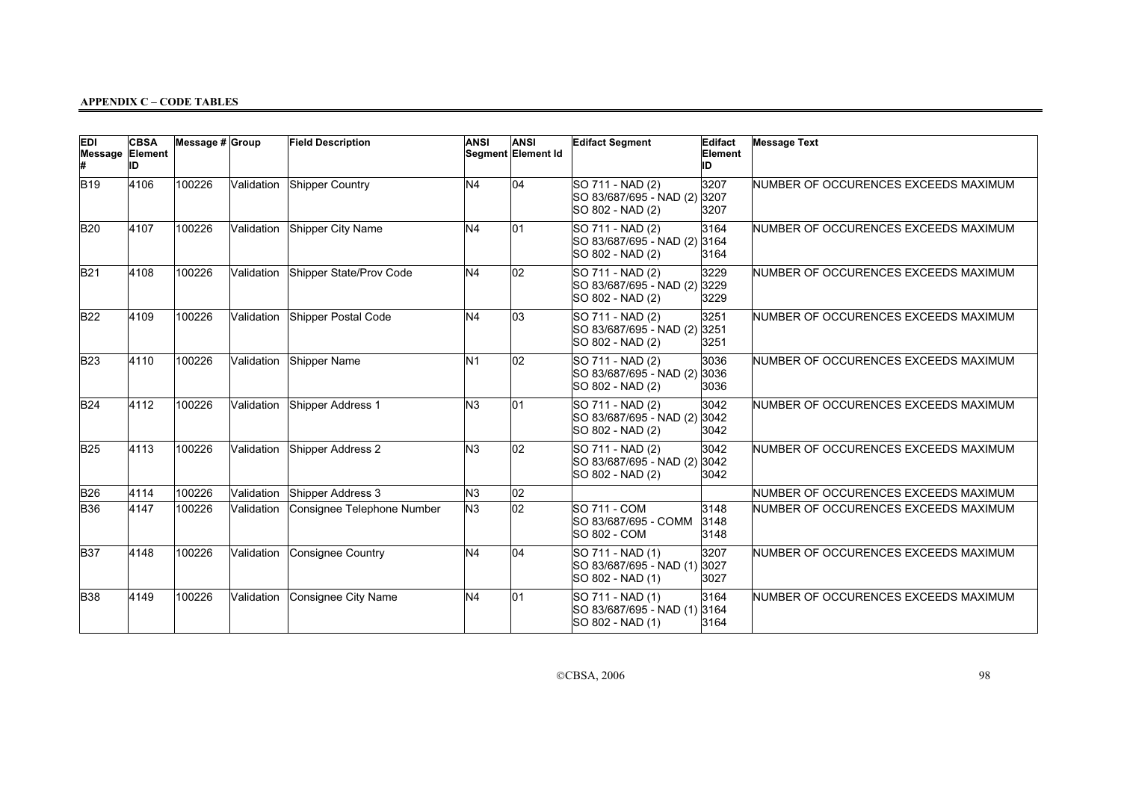| <b>EDI</b><br>Message Element | <b>CBSA</b><br>ID | Message $# $ Group |            | <b>Field Description</b>   | <b>ANSI</b>    | <b>ANSI</b><br>Segment Element Id | <b>Edifact Segment</b>                                               | Edifact<br>Element<br>ID | <b>Message Text</b>                  |
|-------------------------------|-------------------|--------------------|------------|----------------------------|----------------|-----------------------------------|----------------------------------------------------------------------|--------------------------|--------------------------------------|
| <b>B19</b>                    | 4106              | 100226             | Validation | Shipper Country            | N <sub>4</sub> | 04                                | SO 711 - NAD (2)<br>SO 83/687/695 - NAD (2)<br>SO 802 - NAD (2)      | 3207<br>3207<br>3207     | NUMBER OF OCCURENCES EXCEEDS MAXIMUM |
| <b>B20</b>                    | 4107              | 100226             | Validation | Shipper City Name          | N <sub>4</sub> | 01                                | SO 711 - NAD (2)<br>SO 83/687/695 - NAD (2) 3164<br>SO 802 - NAD (2) | 3164<br>3164             | NUMBER OF OCCURENCES EXCEEDS MAXIMUM |
| <b>B21</b>                    | 4108              | 100226             | Validation | Shipper State/Prov Code    | N <sub>4</sub> | 02                                | SO 711 - NAD (2)<br>SO 83/687/695 - NAD (2)<br>SO 802 - NAD (2)      | 3229<br>3229<br>3229     | NUMBER OF OCCURENCES EXCEEDS MAXIMUM |
| <b>B22</b>                    | 4109              | 100226             | Validation | Shipper Postal Code        | N <sub>4</sub> | 03                                | SO 711 - NAD (2)<br>SO 83/687/695 - NAD (2)<br>SO 802 - NAD (2)      | 3251<br>3251<br>3251     | NUMBER OF OCCURENCES EXCEEDS MAXIMUM |
| <b>B23</b>                    | 4110              | 100226             | Validation | Shipper Name               | N <sub>1</sub> | $ 02\rangle$                      | SO 711 - NAD (2)<br>SO 83/687/695 - NAD (2)<br>SO 802 - NAD (2)      | 3036<br>3036<br>3036     | NUMBER OF OCCURENCES EXCEEDS MAXIMUM |
| <b>B24</b>                    | 4112              | 100226             | Validation | Shipper Address 1          | N <sub>3</sub> | 01                                | SO 711 - NAD (2)<br>SO 83/687/695 - NAD (2)<br>SO 802 - NAD (2)      | 3042<br>3042<br>3042     | NUMBER OF OCCURENCES EXCEEDS MAXIMUM |
| <b>B25</b>                    | 4113              | 100226             | Validation | Shipper Address 2          | N <sub>3</sub> | 02                                | SO 711 - NAD (2)<br>SO 83/687/695 - NAD (2)<br>SO 802 - NAD (2)      | 3042<br>3042<br>3042     | NUMBER OF OCCURENCES EXCEEDS MAXIMUM |
| <b>B26</b>                    | 4114              | 100226             | Validation | Shipper Address 3          | N <sub>3</sub> | 02                                |                                                                      |                          | NUMBER OF OCCURENCES EXCEEDS MAXIMUM |
| <b>B</b> 36                   | 4147              | 100226             | Validation | Consignee Telephone Number | N <sub>3</sub> | 02                                | <b>SO 711 - COM</b><br>SO 83/687/695 - COMM<br><b>SO 802 - COM</b>   | 3148<br>3148<br>3148     | NUMBER OF OCCURENCES EXCEEDS MAXIMUM |
| <b>B37</b>                    | 4148              | 100226             | Validation | Consignee Country          | N <sub>4</sub> | 04                                | SO 711 - NAD (1)<br>SO 83/687/695 - NAD (1)<br>SO 802 - NAD (1)      | 3207<br>3027<br>3027     | NUMBER OF OCCURENCES EXCEEDS MAXIMUM |
| <b>B</b> 38                   | 4149              | 100226             | Validation | Consignee City Name        | N <sub>4</sub> | 01                                | SO 711 - NAD (1)<br>SO 83/687/695 - NAD (1)<br>SO 802 - NAD (1)      | 3164<br>3164<br>3164     | NUMBER OF OCCURENCES EXCEEDS MAXIMUM |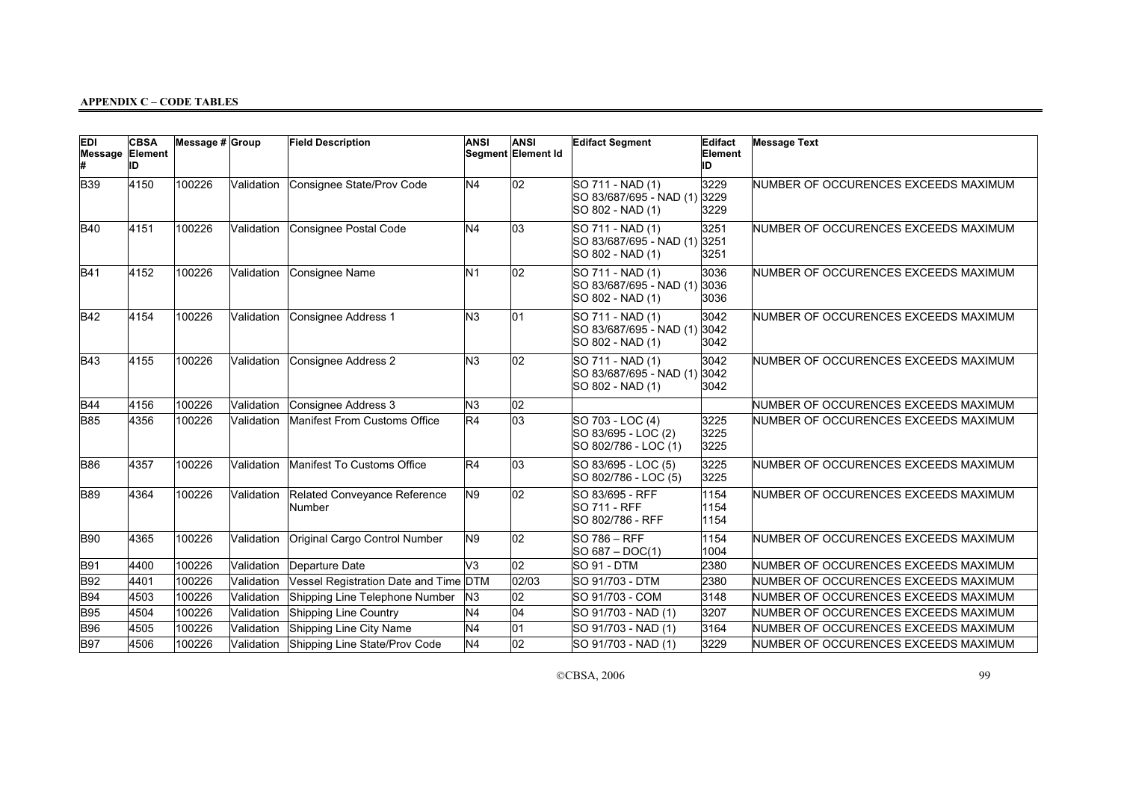| <b>EDI</b><br>Message Element | <b>CBSA</b><br>ID | Message # Group |            | <b>Field Description</b>               | <b>ANSI</b>    | <b>ANSI</b><br>Segment Element Id | <b>Edifact Segment</b>                                               | Edifact<br>Element<br>ID | <b>Message Text</b>                  |
|-------------------------------|-------------------|-----------------|------------|----------------------------------------|----------------|-----------------------------------|----------------------------------------------------------------------|--------------------------|--------------------------------------|
| <b>B</b> 39                   | 4150              | 100226          | Validation | Consignee State/Prov Code              | N <sub>4</sub> | 02                                | SO 711 - NAD (1)<br>SO 83/687/695 - NAD (1)<br>SO 802 - NAD (1)      | 3229<br>3229<br>3229     | NUMBER OF OCCURENCES EXCEEDS MAXIMUM |
| <b>B40</b>                    | 4151              | 100226          | Validation | Consignee Postal Code                  | N <sub>4</sub> | 03                                | SO 711 - NAD (1)<br>SO 83/687/695 - NAD (1) 3251<br>SO 802 - NAD (1) | 3251<br>3251             | NUMBER OF OCCURENCES EXCEEDS MAXIMUM |
| <b>B41</b>                    | 4152              | 100226          | Validation | Consignee Name                         | N <sub>1</sub> | 02                                | SO 711 - NAD (1)<br>SO 83/687/695 - NAD (1)<br>SO 802 - NAD (1)      | 3036<br>3036<br>3036     | NUMBER OF OCCURENCES EXCEEDS MAXIMUM |
| <b>B42</b>                    | 4154              | 100226          | Validation | Consignee Address 1                    | N <sub>3</sub> | 01                                | SO 711 - NAD (1)<br>SO 83/687/695 - NAD (1)<br>SO 802 - NAD (1)      | 3042<br>3042<br>3042     | NUMBER OF OCCURENCES EXCEEDS MAXIMUM |
| <b>B43</b>                    | 4155              | 100226          | Validation | Consignee Address 2                    | N <sub>3</sub> | 02                                | SO 711 - NAD (1)<br>SO 83/687/695 - NAD (1)<br>SO 802 - NAD (1)      | 3042<br>3042<br>3042     | NUMBER OF OCCURENCES EXCEEDS MAXIMUM |
| <b>B44</b>                    | 4156              | 100226          | Validation | Consignee Address 3                    | N <sub>3</sub> | 02                                |                                                                      |                          | NUMBER OF OCCURENCES EXCEEDS MAXIMUM |
| <b>B85</b>                    | 4356              | 100226          | Validation | Manifest From Customs Office           | R4             | 03                                | SO 703 - LOC (4)<br>SO 83/695 - LOC (2)<br>SO 802/786 - LOC (1)      | 3225<br>3225<br>3225     | NUMBER OF OCCURENCES EXCEEDS MAXIMUM |
| <b>B86</b>                    | 4357              | 100226          | Validation | Manifest To Customs Office             | R4             | 03                                | SO 83/695 - LOC (5)<br>SO 802/786 - LOC (5)                          | 3225<br>3225             | NUMBER OF OCCURENCES EXCEEDS MAXIMUM |
| <b>B89</b>                    | 4364              | 100226          | Validation | Related Conveyance Reference<br>Number | N <sub>9</sub> | 02                                | SO 83/695 - RFF<br><b>SO 711 - RFF</b><br>SO 802/786 - RFF           | 1154<br>1154<br>1154     | NUMBER OF OCCURENCES EXCEEDS MAXIMUM |
| <b>B90</b>                    | 4365              | 100226          | Validation | Original Cargo Control Number          | N9             | 02                                | <b>SO 786 – RFF</b><br>SO 687 - DOC(1)                               | 1154<br>1004             | NUMBER OF OCCURENCES EXCEEDS MAXIMUM |
| <b>B91</b>                    | 4400              | 100226          | Validation | Departure Date                         | V <sub>3</sub> | 02                                | <b>SO 91 - DTM</b>                                                   | 2380                     | NUMBER OF OCCURENCES EXCEEDS MAXIMUM |
| <b>B92</b>                    | 4401              | 100226          | Validation | Vessel Registration Date and Time DTM  |                | 02/03                             | ISO 91/703 - DTM                                                     | 2380                     | NUMBER OF OCCURENCES EXCEEDS MAXIMUM |
| <b>B94</b>                    | 4503              | 100226          | Validation | Shipping Line Telephone Number         | N <sub>3</sub> | 02                                | SO 91/703 - COM                                                      | 3148                     | NUMBER OF OCCURENCES EXCEEDS MAXIMUM |
| <b>B</b> 95                   | 4504              | 100226          | Validation | Shipping Line Country                  | N <sub>4</sub> | $\overline{04}$                   | SO 91/703 - NAD (1)                                                  | 3207                     | NUMBER OF OCCURENCES EXCEEDS MAXIMUM |
| <b>B96</b>                    | 4505              | 100226          | Validation | Shipping Line City Name                | N <sub>4</sub> | 01                                | SO 91/703 - NAD (1)                                                  | 3164                     | NUMBER OF OCCURENCES EXCEEDS MAXIMUM |
| <b>B97</b>                    | 4506              | 100226          | Validation | Shipping Line State/Prov Code          | N <sub>4</sub> | 02                                | SO 91/703 - NAD (1)                                                  | 3229                     | NUMBER OF OCCURENCES EXCEEDS MAXIMUM |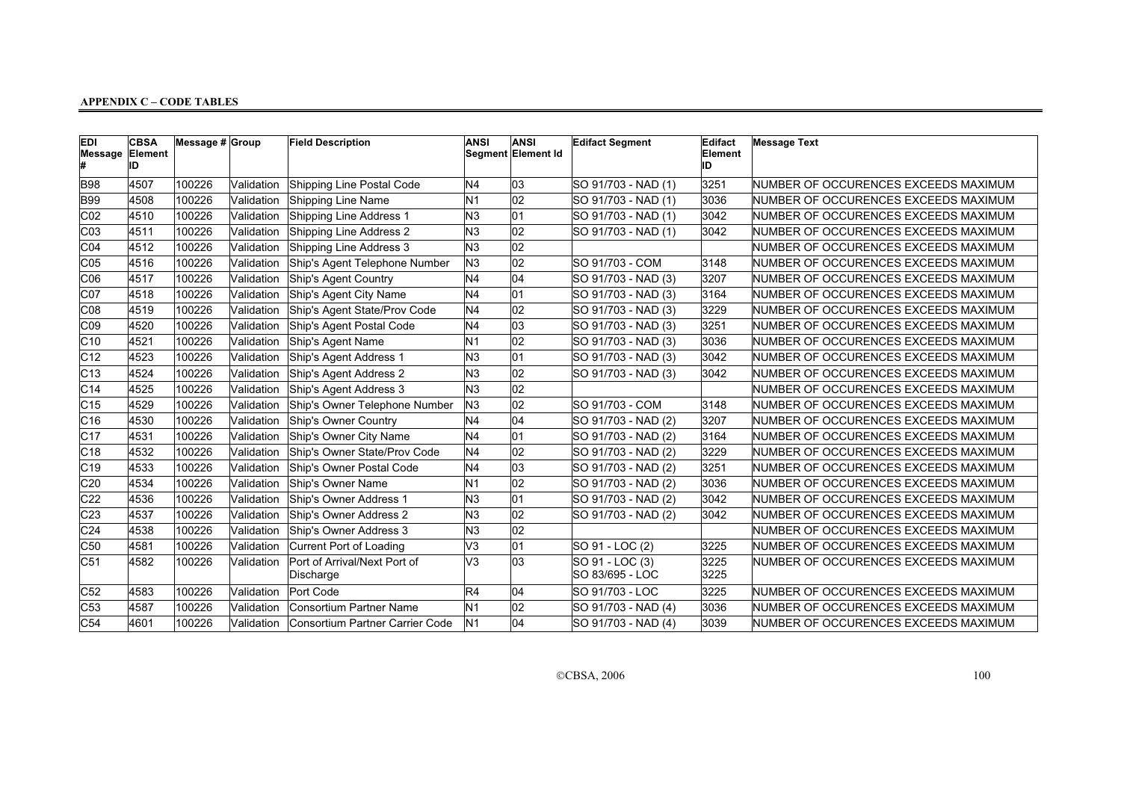| <b>EDI</b><br>Message | <b>CBSA</b><br>Element<br>ID | Message # Group |            | <b>Field Description</b>                  | <b>ANSI</b>    | <b>ANSI</b><br>Segment Element Id | <b>Edifact Segment</b>             | Edifact<br>Element<br>ID | <b>Message Text</b>                   |
|-----------------------|------------------------------|-----------------|------------|-------------------------------------------|----------------|-----------------------------------|------------------------------------|--------------------------|---------------------------------------|
| <b>B98</b>            | 4507                         | 100226          | Validation | Shipping Line Postal Code                 | N <sub>4</sub> | 03                                | SO 91/703 - NAD (1)                | 3251                     | NUMBER OF OCCURENCES EXCEEDS MAXIMUM  |
| <b>B99</b>            | 4508                         | 100226          | Validation | Shipping Line Name                        | N <sub>1</sub> | 02                                | SO 91/703 - NAD (1)                | 3036                     | NUMBER OF OCCURENCES EXCEEDS MAXIMUM  |
| CO2                   | 4510                         | 100226          | Validation | Shipping Line Address 1                   | N3             | 01                                | SO 91/703 - NAD (1)                | 3042                     | NUMBER OF OCCURENCES EXCEEDS MAXIMUM  |
| CO3                   | 4511                         | 100226          | Validation | Shipping Line Address 2                   | N3             | $ 02\rangle$                      | SO 91/703 - NAD (1)                | 3042                     | NUMBER OF OCCURENCES EXCEEDS MAXIMUM  |
| CO4                   | 4512                         | 100226          | Validation | Shipping Line Address 3                   | N3             | $ _{02}$                          |                                    |                          | NUMBER OF OCCURENCES EXCEEDS MAXIMUM  |
| CO5                   | 4516                         | 100226          | Validation | Ship's Agent Telephone Number             | N3             | 02                                | SO 91/703 - COM                    | 3148                     | NUMBER OF OCCURENCES EXCEEDS MAXIMUM  |
| CO6                   | 4517                         | 100226          | Validation | Ship's Agent Country                      | N <sub>4</sub> | 04                                | SO 91/703 - NAD (3)                | 3207                     | NUMBER OF OCCURENCES EXCEEDS MAXIMUM  |
| C <sub>07</sub>       | 4518                         | 100226          | Validation | Ship's Agent City Name                    | N <sub>4</sub> | 01                                | SO 91/703 - NAD (3)                | 3164                     | NUMBER OF OCCURENCES EXCEEDS MAXIMUM  |
| CO8                   | 4519                         | 100226          | Validation | Ship's Agent State/Prov Code              | N <sub>4</sub> | 02                                | SO 91/703 - NAD (3)                | 3229                     | NUMBER OF OCCURENCES EXCEEDS MAXIMUM  |
| CO9                   | 4520                         | 100226          | Validation | Ship's Agent Postal Code                  | N <sub>4</sub> | 03                                | SO 91/703 - NAD (3)                | 3251                     | NUMBER OF OCCURENCES EXCEEDS MAXIMUM  |
| C10                   | 4521                         | 100226          | Validation | Ship's Agent Name                         | N <sub>1</sub> | 02                                | SO 91/703 - NAD (3)                | 3036                     | INUMBER OF OCCURENCES EXCEEDS MAXIMUM |
| C12                   | 4523                         | 100226          | Validation | Ship's Agent Address 1                    | N <sub>3</sub> | 01                                | SO 91/703 - NAD (3)                | 3042                     | NUMBER OF OCCURENCES EXCEEDS MAXIMUM  |
| C13                   | 4524                         | 100226          | Validation | Ship's Agent Address 2                    | N <sub>3</sub> | $ 02\rangle$                      | SO 91/703 - NAD (3)                | 3042                     | NUMBER OF OCCURENCES EXCEEDS MAXIMUM  |
| C14                   | 4525                         | 100226          | Validation | Ship's Agent Address 3                    | N <sub>3</sub> | 02                                |                                    |                          | NUMBER OF OCCURENCES EXCEEDS MAXIMUM  |
| C15                   | 4529                         | 100226          | Validation | Ship's Owner Telephone Number             | N <sub>3</sub> | 02                                | SO 91/703 - COM                    | 3148                     | NUMBER OF OCCURENCES EXCEEDS MAXIMUM  |
| C16                   | 4530                         | 100226          | Validation | Ship's Owner Country                      | N <sub>4</sub> | $\overline{04}$                   | SO 91/703 - NAD (2)                | 3207                     | NUMBER OF OCCURENCES EXCEEDS MAXIMUM  |
| C17                   | 4531                         | 100226          | Validation | Ship's Owner City Name                    | N <sub>4</sub> | 01                                | SO 91/703 - NAD (2)                | 3164                     | INUMBER OF OCCURENCES EXCEEDS MAXIMUM |
| C18                   | 4532                         | 100226          | Validation | Ship's Owner State/Prov Code              | N <sub>4</sub> | 02                                | SO 91/703 - NAD (2)                | 3229                     | NUMBER OF OCCURENCES EXCEEDS MAXIMUM  |
| C19                   | 4533                         | 100226          | Validation | Ship's Owner Postal Code                  | N <sub>4</sub> | 03                                | SO 91/703 - NAD (2)                | 3251                     | NUMBER OF OCCURENCES EXCEEDS MAXIMUM  |
| C20                   | 4534                         | 100226          | Validation | Ship's Owner Name                         | N <sub>1</sub> | 02                                | SO 91/703 - NAD (2)                | 3036                     | NUMBER OF OCCURENCES EXCEEDS MAXIMUM  |
| C22                   | 4536                         | 100226          | Validation | Ship's Owner Address 1                    | N3             | 01                                | SO 91/703 - NAD (2)                | 3042                     | NUMBER OF OCCURENCES EXCEEDS MAXIMUM  |
| C23                   | 4537                         | 100226          | Validation | Ship's Owner Address 2                    | N3             | 02                                | SO 91/703 - NAD (2)                | 3042                     | NUMBER OF OCCURENCES EXCEEDS MAXIMUM  |
| C <sub>24</sub>       | 4538                         | 100226          | Validation | Ship's Owner Address 3                    | N3             | 02                                |                                    |                          | NUMBER OF OCCURENCES EXCEEDS MAXIMUM  |
| C50                   | 4581                         | 100226          | Validation | Current Port of Loading                   | V3             | 01                                | SO 91 - LOC (2)                    | 3225                     | NUMBER OF OCCURENCES EXCEEDS MAXIMUM  |
| C51                   | 4582                         | 100226          | Validation | Port of Arrival/Next Port of<br>Discharge | V3             | 03                                | SO 91 - LOC (3)<br>SO 83/695 - LOC | 3225<br>3225             | NUMBER OF OCCURENCES EXCEEDS MAXIMUM  |
| C52                   | 4583                         | 100226          | Validation | Port Code                                 | R4             | 04                                | SO 91/703 - LOC                    | 3225                     | NUMBER OF OCCURENCES EXCEEDS MAXIMUM  |
| C53                   | 4587                         | 100226          | Validation | Consortium Partner Name                   | N <sub>1</sub> | 02                                | SO 91/703 - NAD (4)                | 3036                     | NUMBER OF OCCURENCES EXCEEDS MAXIMUM  |
| C54                   | 4601                         | 100226          | Validation | Consortium Partner Carrier Code           | N <sub>1</sub> | 04                                | SO 91/703 - NAD (4)                | 3039                     | NUMBER OF OCCURENCES EXCEEDS MAXIMUM  |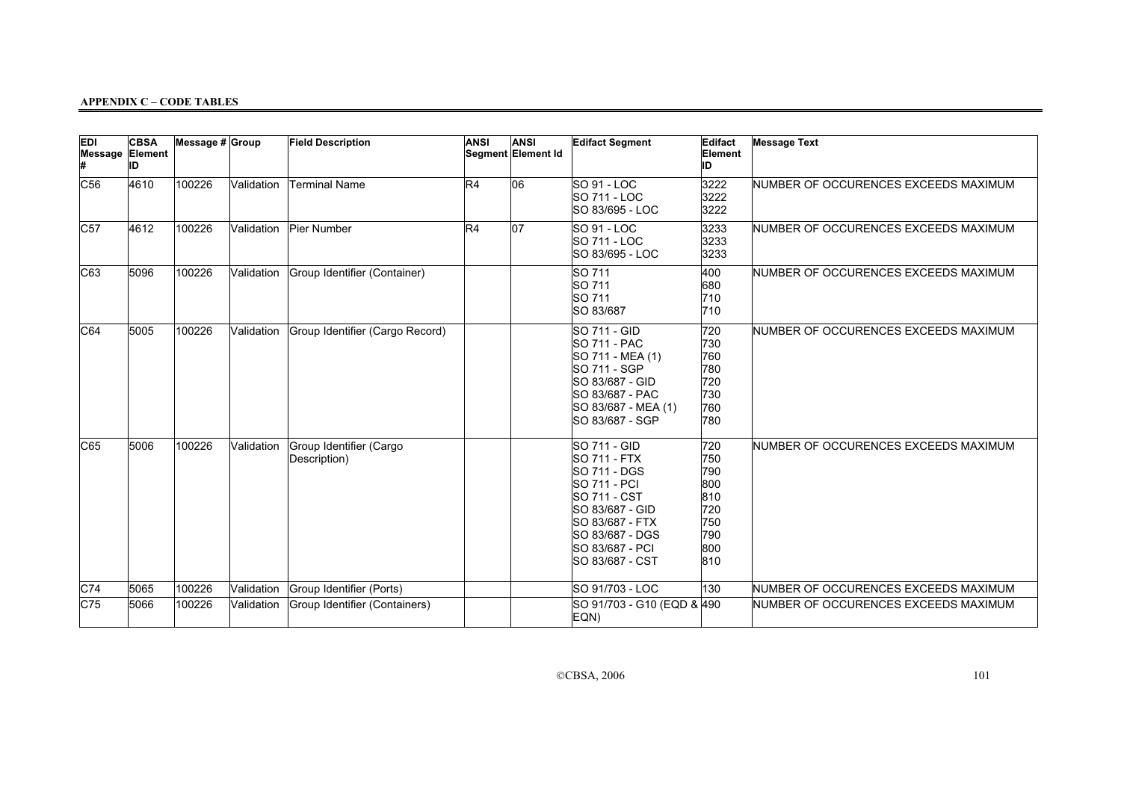| <b>EDI</b><br>Message Element | <b>CBSA</b><br>ID | Message # Group |            | <b>Field Description</b>                | <b>ANSI</b> | ANSI<br>Segment Element Id | <b>Edifact Segment</b>                                                                                                                                                                    | Edifact<br>Element<br>ID                                           | <b>Message Text</b>                  |
|-------------------------------|-------------------|-----------------|------------|-----------------------------------------|-------------|----------------------------|-------------------------------------------------------------------------------------------------------------------------------------------------------------------------------------------|--------------------------------------------------------------------|--------------------------------------|
| C56                           | 4610              | 100226          | Validation | Terminal Name                           | R4          | 06                         | SO 91 - LOC<br>SO 711 - LOC<br>SO 83/695 - LOC                                                                                                                                            | 3222<br>3222<br>3222                                               | NUMBER OF OCCURENCES EXCEEDS MAXIMUM |
| C57                           | 4612              | 100226          | Validation | Pier Number                             | R4          | $ 07\rangle$               | SO 91 - LOC<br>SO 711 - LOC<br>SO 83/695 - LOC                                                                                                                                            | 3233<br>3233<br>3233                                               | NUMBER OF OCCURENCES EXCEEDS MAXIMUM |
| C63                           | 5096              | 100226          | Validation | Group Identifier (Container)            |             |                            | SO 711<br>SO 711<br>SO 711<br>SO 83/687                                                                                                                                                   | 400<br>680<br>710<br>710                                           | NUMBER OF OCCURENCES EXCEEDS MAXIMUM |
| C64                           | 5005              | 100226          | Validation | Group Identifier (Cargo Record)         |             |                            | SO 711 - GID<br><b>SO 711 - PAC</b><br>SO 711 - MEA (1)<br>SO 711 - SGP<br>SO 83/687 - GID<br>SO 83/687 - PAC<br>SO 83/687 - MEA (1)<br>SO 83/687 - SGP                                   | 720<br>730<br>760<br>780<br>720<br>730<br>760<br>780               | NUMBER OF OCCURENCES EXCEEDS MAXIMUM |
| C65                           | 5006              | 100226          | Validation | Group Identifier (Cargo<br>Description) |             |                            | <b>SO 711 - GID</b><br><b>SO 711 - FTX</b><br>SO 711 - DGS<br>SO 711 - PCI<br>SO 711 - CST<br>SO 83/687 - GID<br>SO 83/687 - FTX<br>SO 83/687 - DGS<br>SO 83/687 - PCI<br>SO 83/687 - CST | 720<br>750<br>790<br>800<br>810<br>720<br>750<br>790<br>800<br>810 | NUMBER OF OCCURENCES EXCEEDS MAXIMUM |
| C74                           | 5065              | 100226          | Validation | Group Identifier (Ports)                |             |                            | SO 91/703 - LOC                                                                                                                                                                           | 130                                                                | NUMBER OF OCCURENCES EXCEEDS MAXIMUM |
| C75                           | 5066              | 100226          | Validation | Group Identifier (Containers)           |             |                            | SO 91/703 - G10 (EQD & 490<br>EQN)                                                                                                                                                        |                                                                    | NUMBER OF OCCURENCES EXCEEDS MAXIMUM |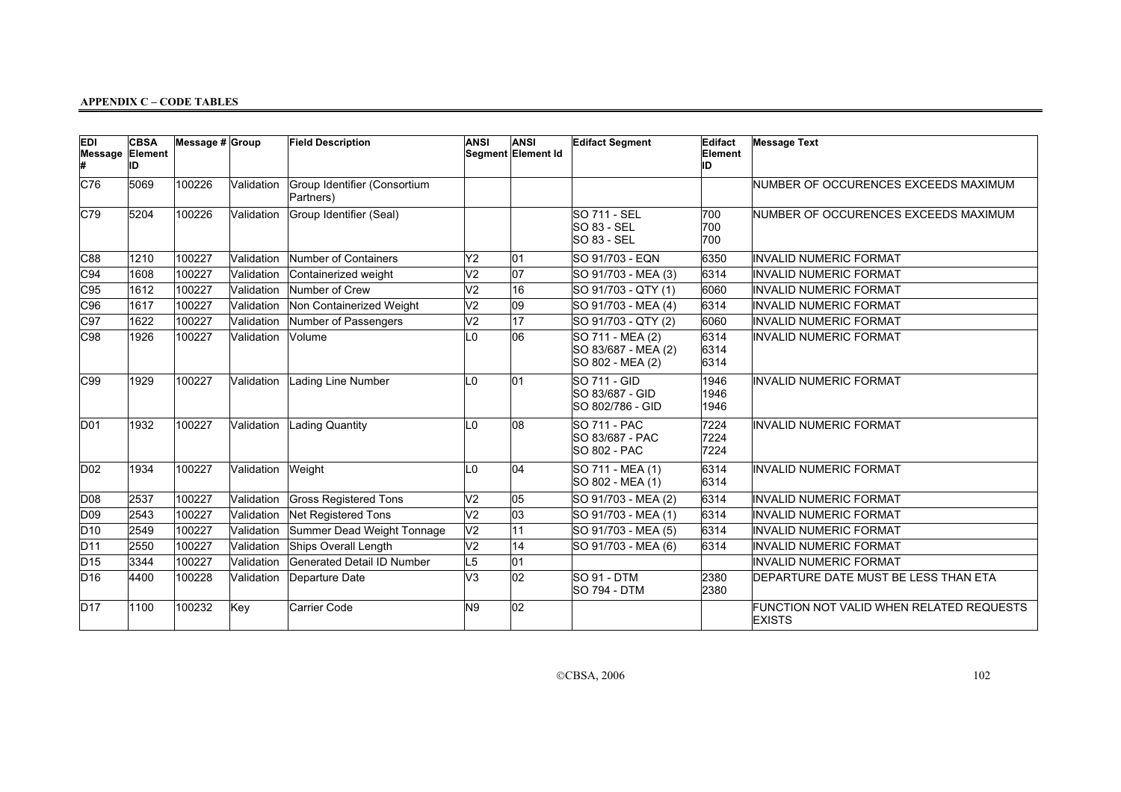| EDI<br>Message Element | <b>CBSA</b><br>ID | Message # Group |            | <b>Field Description</b>                  | <b>ANSI</b>     | <b>ANSI</b><br>Segment Element Id | <b>Edifact Segment</b>                                      | Edifact<br>Element<br>ID | <b>Message Text</b>                                       |
|------------------------|-------------------|-----------------|------------|-------------------------------------------|-----------------|-----------------------------------|-------------------------------------------------------------|--------------------------|-----------------------------------------------------------|
| C76                    | 5069              | 100226          | Validation | Group Identifier (Consortium<br>Partners) |                 |                                   |                                                             |                          | NUMBER OF OCCURENCES EXCEEDS MAXIMUM                      |
| C79                    | 5204              | 100226          | Validation | Group Identifier (Seal)                   |                 |                                   | <b>SO 711 - SEL</b><br><b>SO 83 - SEL</b><br>SO 83 - SEL    | 700<br>700<br>700        | NUMBER OF OCCURENCES EXCEEDS MAXIMUM                      |
| C88                    | 1210              | 100227          | Validation | Number of Containers                      | Y2              | 01                                | ISO 91/703 - EQN                                            | 6350                     | INVALID NUMERIC FORMAT                                    |
| C94                    | 1608              | 100227          | Validation | Containerized weight                      | V <sub>2</sub>  | 07                                | SO 91/703 - MEA (3)                                         | 6314                     | INVALID NUMERIC FORMAT                                    |
| C95                    | 1612              | 100227          | Validation | Number of Crew                            | V <sub>2</sub>  | 16                                | SO 91/703 - QTY (1)                                         | 6060                     | INVALID NUMERIC FORMAT                                    |
| C96                    | 1617              | 100227          | Validation | Non Containerized Weight                  | V <sub>2</sub>  | 09                                | SO 91/703 - MEA (4)                                         | 6314                     | INVALID NUMERIC FORMAT                                    |
| C97                    | 1622              | 100227          | Validation | Number of Passengers                      | V <sub>2</sub>  | 17                                | SO 91/703 - QTY (2)                                         | 6060                     | INVALID NUMERIC FORMAT                                    |
| C98                    | 1926              | 100227          | Validation | Volume                                    | L <sub>0</sub>  | 06                                | SO 711 - MEA (2)<br>SO 83/687 - MEA (2)<br>SO 802 - MEA (2) | 6314<br>6314<br>6314     | <b>INVALID NUMERIC FORMAT</b>                             |
| C99                    | 1929              | 100227          | Validation | Lading Line Number                        | IL <sub>0</sub> | 01                                | <b>SO 711 - GID</b><br>SO 83/687 - GID<br>SO 802/786 - GID  | 1946<br>1946<br>1946     | INVALID NUMERIC FORMAT                                    |
| D <sub>01</sub>        | 1932              | 100227          | Validation | Lading Quantity                           | L <sub>0</sub>  | 08                                | SO 711 - PAC<br>SO 83/687 - PAC<br><b>SO 802 - PAC</b>      | 7224<br>7224<br>7224     | INVALID NUMERIC FORMAT                                    |
| D <sub>02</sub>        | 1934              | 100227          | Validation | Weight                                    | L <sub>0</sub>  | 04                                | SO 711 - MEA (1)<br>SO 802 - MEA (1)                        | 6314<br>6314             | INVALID NUMERIC FORMAT                                    |
| D <sub>08</sub>        | 2537              | 100227          | Validation | <b>Gross Registered Tons</b>              | V <sub>2</sub>  | 05                                | SO 91/703 - MEA (2)                                         | 6314                     | INVALID NUMERIC FORMAT                                    |
| D <sub>09</sub>        | 2543              | 100227          | Validation | Net Registered Tons                       | V <sub>2</sub>  | 03                                | SO 91/703 - MEA (1)                                         | 6314                     | INVALID NUMERIC FORMAT                                    |
| D <sub>10</sub>        | 2549              | 100227          | Validation | Summer Dead Weight Tonnage                | V <sub>2</sub>  | 11                                | SO 91/703 - MEA (5)                                         | 6314                     | INVALID NUMERIC FORMAT                                    |
| D <sub>11</sub>        | 2550              | 100227          | Validation | Ships Overall Length                      | V <sub>2</sub>  | 14                                | SO 91/703 - MEA (6)                                         | 6314                     | INVALID NUMERIC FORMAT                                    |
| D <sub>15</sub>        | 3344              | 100227          | Validation | Generated Detail ID Number                | L5              | 01                                |                                                             |                          | <b>INVALID NUMERIC FORMAT</b>                             |
| D <sub>16</sub>        | 4400              | 100228          | Validation | Departure Date                            | V <sub>3</sub>  | $ 02\rangle$                      | <b>SO 91 - DTM</b><br><b>SO 794 - DTM</b>                   | 2380<br>2380             | DEPARTURE DATE MUST BE LESS THAN ETA                      |
| D <sub>17</sub>        | 1100              | 100232          | Key        | Carrier Code                              | N9              | 02                                |                                                             |                          | FUNCTION NOT VALID WHEN RELATED REQUESTS<br><b>EXISTS</b> |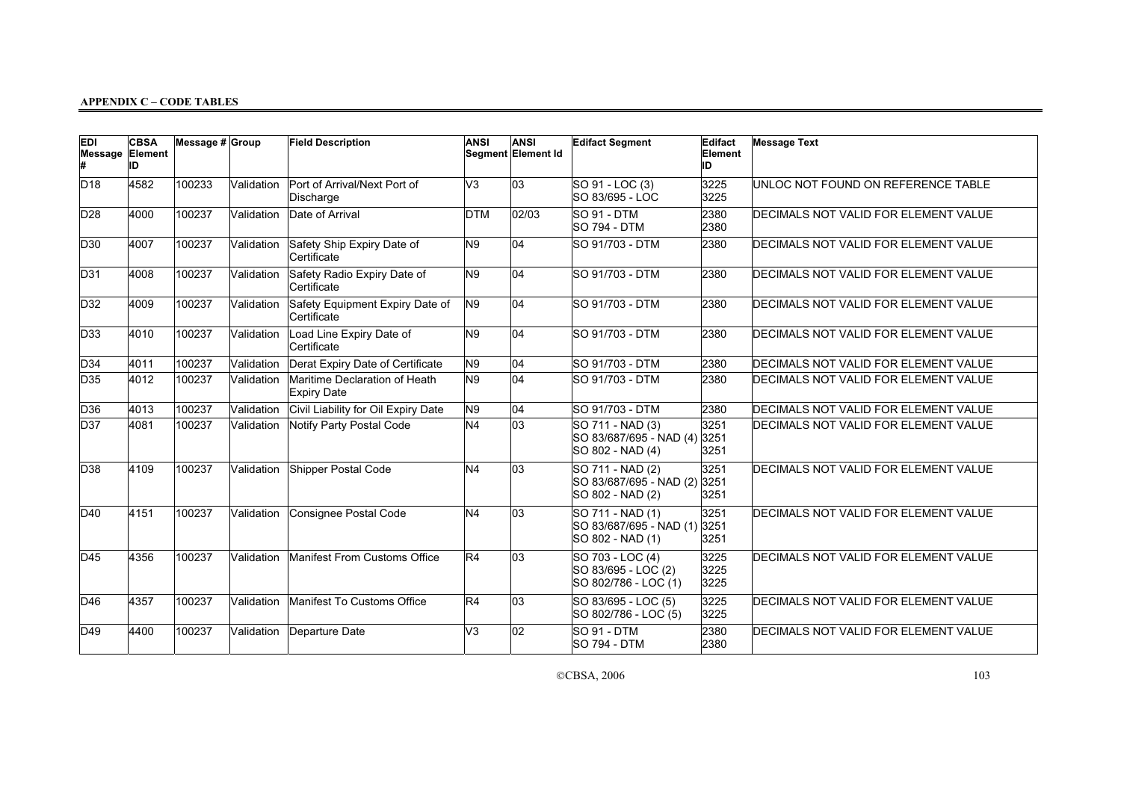| <b>EDI</b><br>Message Element | <b>CBSA</b><br>ID | Message $# $ Group |            | <b>Field Description</b>                            | <b>ANSI</b>    | <b>ANSI</b><br>Segment Element Id | <b>Edifact Segment</b>                                          | Edifact<br>Element<br>ID | <b>Message Text</b>                  |
|-------------------------------|-------------------|--------------------|------------|-----------------------------------------------------|----------------|-----------------------------------|-----------------------------------------------------------------|--------------------------|--------------------------------------|
| D18                           | 4582              | 100233             | Validation | Port of Arrival/Next Port of<br>Discharge           | V3             | 03                                | SO 91 - LOC (3)<br>SO 83/695 - LOC                              | 3225<br>3225             | UNLOC NOT FOUND ON REFERENCE TABLE   |
| D <sub>28</sub>               | 4000              | 100237             | Validation | Date of Arrival                                     | <b>DTM</b>     | 02/03                             | SO 91 - DTM<br><b>SO 794 - DTM</b>                              | 2380<br>2380             | DECIMALS NOT VALID FOR ELEMENT VALUE |
| D30                           | 4007              | 100237             | Validation | Safety Ship Expiry Date of<br>Certificate           | N <sub>9</sub> | 04                                | <b>SO 91/703 - DTM</b>                                          | 2380                     | DECIMALS NOT VALID FOR ELEMENT VALUE |
| D <sub>31</sub>               | 4008              | 100237             | Validation | Safety Radio Expiry Date of<br>Certificate          | N <sub>9</sub> | 04                                | <b>SO 91/703 - DTM</b>                                          | 2380                     | DECIMALS NOT VALID FOR ELEMENT VALUE |
| D <sub>32</sub>               | 4009              | 100237             | Validation | Safety Equipment Expiry Date of<br>Certificate      | N <sub>9</sub> | 04                                | ISO 91/703 - DTM                                                | 2380                     | DECIMALS NOT VALID FOR ELEMENT VALUE |
| D <sub>33</sub>               | 4010              | 100237             | Validation | Load Line Expiry Date of<br>Certificate             | N <sub>9</sub> | 04                                | <b>SO 91/703 - DTM</b>                                          | 2380                     | DECIMALS NOT VALID FOR ELEMENT VALUE |
| D34                           | 4011              | 100237             | Validation | Derat Expiry Date of Certificate                    | N9             | 04                                | <b>SO 91/703 - DTM</b>                                          | 2380                     | DECIMALS NOT VALID FOR ELEMENT VALUE |
| D <sub>35</sub>               | 4012              | 100237             | Validation | Maritime Declaration of Heath<br><b>Expiry Date</b> | N <sub>9</sub> | 04                                | SO 91/703 - DTM                                                 | 2380                     | DECIMALS NOT VALID FOR ELEMENT VALUE |
| D <sub>36</sub>               | 4013              | 100237             | Validation | Civil Liability for Oil Expiry Date                 | N9             | 04                                | <b>SO 91/703 - DTM</b>                                          | 2380                     | DECIMALS NOT VALID FOR ELEMENT VALUE |
| D <sub>37</sub>               | 4081              | 100237             | Validation | Notify Party Postal Code                            | N4             | $\overline{03}$                   | SO 711 - NAD (3)<br>SO 83/687/695 - NAD (4)<br>SO 802 - NAD (4) | 3251<br>3251<br>3251     | DECIMALS NOT VALID FOR ELEMENT VALUE |
| D <sub>38</sub>               | 4109              | 100237             | Validation | Shipper Postal Code                                 | N <sub>4</sub> | 03                                | SO 711 - NAD (2)<br>SO 83/687/695 - NAD (2)<br>SO 802 - NAD (2) | 3251<br>3251<br>3251     | DECIMALS NOT VALID FOR ELEMENT VALUE |
| D40                           | 4151              | 100237             | Validation | Consignee Postal Code                               | N <sub>4</sub> | 03                                | SO 711 - NAD (1)<br>SO 83/687/695 - NAD (1)<br>SO 802 - NAD (1) | 3251<br>3251<br>3251     | DECIMALS NOT VALID FOR ELEMENT VALUE |
| D45                           | 4356              | 100237             | Validation | Manifest From Customs Office                        | R <sub>4</sub> | 03                                | SO 703 - LOC (4)<br>SO 83/695 - LOC (2)<br>SO 802/786 - LOC (1) | 3225<br>3225<br>3225     | DECIMALS NOT VALID FOR ELEMENT VALUE |
| D <sub>46</sub>               | 4357              | 100237             | Validation | Manifest To Customs Office                          | R4             | 03                                | SO 83/695 - LOC (5)<br>SO 802/786 - LOC (5)                     | 3225<br>3225             | DECIMALS NOT VALID FOR ELEMENT VALUE |
| D49                           | 4400              | 100237             | Validation | Departure Date                                      | V3             | $ 02\rangle$                      | SO 91 - DTM<br><b>SO 794 - DTM</b>                              | 2380<br>2380             | DECIMALS NOT VALID FOR ELEMENT VALUE |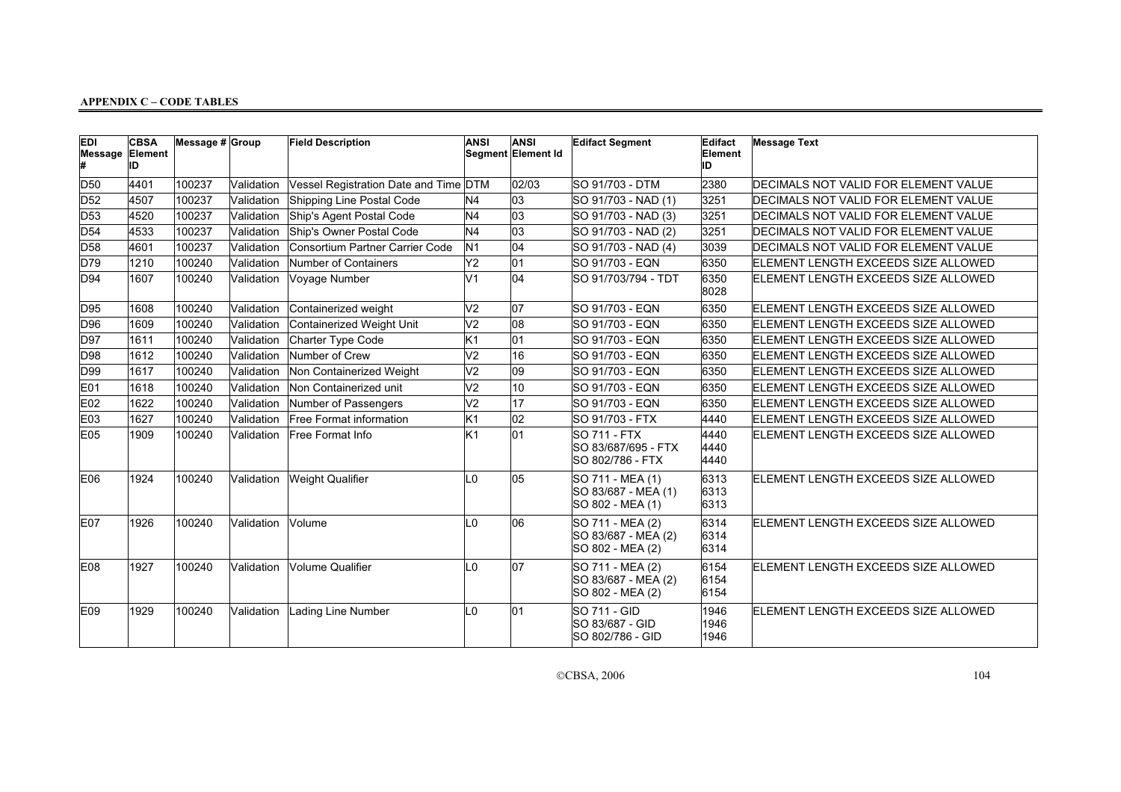| <b>EDI</b><br>Message Element | <b>CBSA</b><br>ID | Message # Group |            | <b>Field Description</b>              | <b>ANSI</b>    | <b>ANSI</b><br>Segment Element Id | <b>Edifact Segment</b>                                      | Edifact<br>Element<br>ID | <b>Message Text</b>                  |
|-------------------------------|-------------------|-----------------|------------|---------------------------------------|----------------|-----------------------------------|-------------------------------------------------------------|--------------------------|--------------------------------------|
| D <sub>50</sub>               | 4401              | 100237          | Validation | Vessel Registration Date and Time DTM |                | 02/03                             | SO 91/703 - DTM                                             | 2380                     | DECIMALS NOT VALID FOR ELEMENT VALUE |
| D <sub>52</sub>               | 4507              | 100237          | Validation | Shipping Line Postal Code             | N4             | 03                                | SO 91/703 - NAD (1)                                         | 3251                     | DECIMALS NOT VALID FOR ELEMENT VALUE |
| D <sub>53</sub>               | 4520              | 100237          | Validation | Ship's Agent Postal Code              | N4             | 03                                | SO 91/703 - NAD (3)                                         | 3251                     | DECIMALS NOT VALID FOR ELEMENT VALUE |
| D <sub>54</sub>               | 4533              | 100237          | Validation | Ship's Owner Postal Code              | N <sub>4</sub> | 03                                | SO 91/703 - NAD (2)                                         | 3251                     | DECIMALS NOT VALID FOR ELEMENT VALUE |
| D <sub>58</sub>               | 4601              | 100237          | Validation | Consortium Partner Carrier Code       | N <sub>1</sub> | 04                                | SO 91/703 - NAD (4)                                         | 3039                     | DECIMALS NOT VALID FOR ELEMENT VALUE |
| D79                           | 1210              | 100240          | Validation | Number of Containers                  | Y2             | 01                                | SO 91/703 - EQN                                             | 6350                     | ELEMENT LENGTH EXCEEDS SIZE ALLOWED  |
| D94                           | 1607              | 100240          | Validation | Voyage Number                         | V <sub>1</sub> | 04                                | SO 91/703/794 - TDT                                         | 6350<br>8028             | ELEMENT LENGTH EXCEEDS SIZE ALLOWED  |
| D95                           | 1608              | 100240          | Validation | Containerized weight                  | V <sub>2</sub> | 07                                | SO 91/703 - EQN                                             | 6350                     | ELEMENT LENGTH EXCEEDS SIZE ALLOWED  |
| D96                           | 1609              | 100240          | Validation | Containerized Weight Unit             | V <sub>2</sub> | 08                                | SO 91/703 - EQN                                             | 6350                     | ELEMENT LENGTH EXCEEDS SIZE ALLOWED  |
| D97                           | 1611              | 100240          | Validation | Charter Type Code                     | K1             | 01                                | SO 91/703 - EQN                                             | 6350                     | ELEMENT LENGTH EXCEEDS SIZE ALLOWED  |
| D98                           | 1612              | 100240          | Validation | Number of Crew                        | $\overline{V}$ | 16                                | SO 91/703 - EQN                                             | 6350                     | ELEMENT LENGTH EXCEEDS SIZE ALLOWED  |
| D99                           | 1617              | 100240          | Validation | Non Containerized Weight              | V <sub>2</sub> | 09                                | SO 91/703 - EQN                                             | 6350                     | ELEMENT LENGTH EXCEEDS SIZE ALLOWED  |
| IE01                          | 1618              | 100240          | Validation | Non Containerized unit                | V <sub>2</sub> | 10                                | SO 91/703 - EQN                                             | 6350                     | ELEMENT LENGTH EXCEEDS SIZE ALLOWED  |
| E <sub>02</sub>               | 1622              | 100240          | Validation | Number of Passengers                  | V <sub>2</sub> | 17                                | SO 91/703 - EQN                                             | 6350                     | ELEMENT LENGTH EXCEEDS SIZE ALLOWED  |
| E <sub>03</sub>               | 1627              | 100240          | Validation | Free Format information               | K <sub>1</sub> | 02                                | SO 91/703 - FTX                                             | 4440                     | ELEMENT LENGTH EXCEEDS SIZE ALLOWED  |
| E <sub>05</sub>               | 1909              | 100240          | Validation | Free Format Info                      | K <sub>1</sub> | 01                                | SO 711 - FTX<br>SO 83/687/695 - FTX<br>SO 802/786 - FTX     | 4440<br>4440<br>4440     | ELEMENT LENGTH EXCEEDS SIZE ALLOWED  |
| E06                           | 1924              | 100240          | Validation | <b>Weight Qualifier</b>               | L <sub>0</sub> | 05                                | SO 711 - MEA (1)<br>SO 83/687 - MEA (1)<br>SO 802 - MEA (1) | 6313<br>6313<br>6313     | ELEMENT LENGTH EXCEEDS SIZE ALLOWED  |
| E <sub>07</sub>               | 1926              | 100240          | Validation | Volume                                | L <sub>0</sub> | 06                                | SO 711 - MEA (2)<br>SO 83/687 - MEA (2)<br>SO 802 - MEA (2) | 6314<br>6314<br>6314     | ELEMENT LENGTH EXCEEDS SIZE ALLOWED  |
| E08                           | 1927              | 100240          | Validation | Volume Qualifier                      | L <sub>0</sub> | 07                                | SO 711 - MEA (2)<br>SO 83/687 - MEA (2)<br>SO 802 - MEA (2) | 6154<br>6154<br>6154     | ELEMENT LENGTH EXCEEDS SIZE ALLOWED  |
| E <sub>09</sub>               | 1929              | 100240          | Validation | Lading Line Number                    | L <sub>0</sub> | 01                                | SO 711 - GID<br>SO 83/687 - GID<br>SO 802/786 - GID         | 1946<br>1946<br>1946     | ELEMENT LENGTH EXCEEDS SIZE ALLOWED  |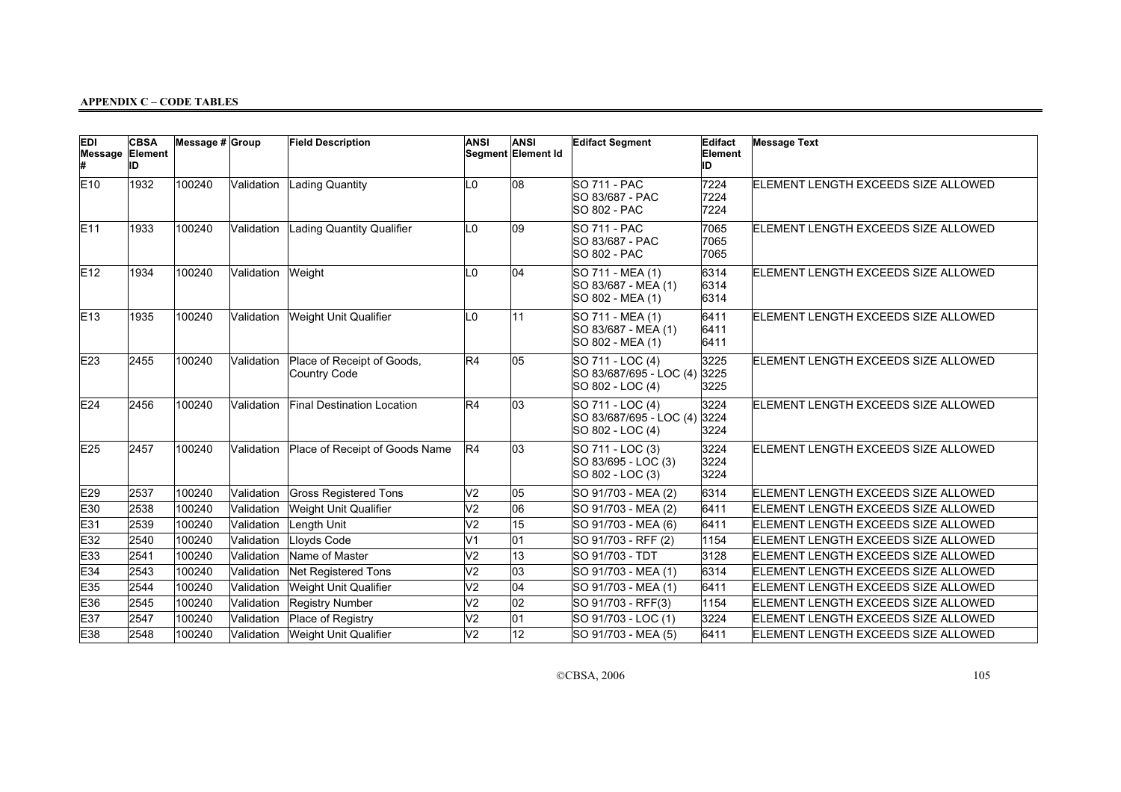| <b>EDI</b><br>Message Element | <b>CBSA</b><br>IID | Message $# Group$ |            | <b>Field Description</b>                   | <b>ANSI</b>    | <b>ANSI</b><br>Segment Element Id | <b>Edifact Segment</b>                                          | Edifact<br>Element<br>ID | <b>Message Text</b>                 |
|-------------------------------|--------------------|-------------------|------------|--------------------------------------------|----------------|-----------------------------------|-----------------------------------------------------------------|--------------------------|-------------------------------------|
| E10                           | 1932               | 100240            | Validation | Lading Quantity                            | L <sub>0</sub> | 08                                | <b>SO 711 - PAC</b><br>SO 83/687 - PAC<br>SO 802 - PAC          | 7224<br>7224<br>7224     | ELEMENT LENGTH EXCEEDS SIZE ALLOWED |
| E11                           | 1933               | 100240            | Validation | Lading Quantity Qualifier                  | L0             | $ 09\rangle$                      | <b>SO 711 - PAC</b><br>SO 83/687 - PAC<br><b>SO 802 - PAC</b>   | 7065<br>7065<br>7065     | ELEMENT LENGTH EXCEEDS SIZE ALLOWED |
| E12                           | 1934               | 100240            | Validation | Weight                                     | l 0            | 04                                | SO 711 - MEA (1)<br>SO 83/687 - MEA (1)<br>SO 802 - MEA (1)     | 6314<br>6314<br>6314     | ELEMENT LENGTH EXCEEDS SIZE ALLOWED |
| E13                           | 1935               | 100240            | Validation | Weight Unit Qualifier                      | L0             | 11                                | SO 711 - MEA (1)<br>SO 83/687 - MEA (1)<br>SO 802 - MEA (1)     | 6411<br>6411<br>6411     | ELEMENT LENGTH EXCEEDS SIZE ALLOWED |
| E23                           | 2455               | 100240            | Validation | Place of Receipt of Goods,<br>Country Code | R4             | 05                                | SO 711 - LOC (4)<br>SO 83/687/695 - LOC (4)<br>SO 802 - LOC (4) | 3225<br>3225<br>3225     | ELEMENT LENGTH EXCEEDS SIZE ALLOWED |
| E24                           | 2456               | 100240            | Validation | Final Destination Location                 | R4             | 03                                | SO 711 - LOC (4)<br>SO 83/687/695 - LOC (4)<br>SO 802 - LOC (4) | 3224<br>3224<br>3224     | ELEMENT LENGTH EXCEEDS SIZE ALLOWED |
| E25                           | 2457               | 100240            | Validation | Place of Receipt of Goods Name             | R4             | 03                                | SO 711 - LOC (3)<br>SO 83/695 - LOC (3)<br>SO 802 - LOC (3)     | 3224<br>3224<br>3224     | ELEMENT LENGTH EXCEEDS SIZE ALLOWED |
| E29                           | 2537               | 100240            | Validation | <b>Gross Registered Tons</b>               | V <sub>2</sub> | 05                                | SO 91/703 - MEA (2)                                             | 6314                     | ELEMENT LENGTH EXCEEDS SIZE ALLOWED |
| E30                           | 2538               | 100240            | Validation | Weight Unit Qualifier                      | V <sub>2</sub> | 06                                | SO 91/703 - MEA (2)                                             | 6411                     | ELEMENT LENGTH EXCEEDS SIZE ALLOWED |
| E31                           | 2539               | 100240            | Validation | Length Unit                                | V <sub>2</sub> | 15                                | SO 91/703 - MEA (6)                                             | 6411                     | ELEMENT LENGTH EXCEEDS SIZE ALLOWED |
| E32                           | 2540               | 100240            | Validation | Lloyds Code                                | V <sub>1</sub> | 01                                | SO 91/703 - RFF (2)                                             | 1154                     | ELEMENT LENGTH EXCEEDS SIZE ALLOWED |
| E33                           | 2541               | 100240            | Validation | Name of Master                             | V <sub>2</sub> | 13                                | SO 91/703 - TDT                                                 | 3128                     | ELEMENT LENGTH EXCEEDS SIZE ALLOWED |
| E34                           | 2543               | 100240            | Validation | <b>Net Registered Tons</b>                 | V <sub>2</sub> | 03                                | SO 91/703 - MEA (1)                                             | 6314                     | ELEMENT LENGTH EXCEEDS SIZE ALLOWED |
| E35                           | 2544               | 100240            | Validation | Weight Unit Qualifier                      | V <sub>2</sub> | 04                                | SO 91/703 - MEA (1)                                             | 6411                     | ELEMENT LENGTH EXCEEDS SIZE ALLOWED |
| E36                           | 2545               | 100240            | Validation | <b>Registry Number</b>                     | V <sub>2</sub> | 02                                | SO 91/703 - RFF(3)                                              | 1154                     | ELEMENT LENGTH EXCEEDS SIZE ALLOWED |
| E37                           | 2547               | 100240            | Validation | Place of Registry                          | V <sub>2</sub> | 01                                | SO 91/703 - LOC (1)                                             | 3224                     | ELEMENT LENGTH EXCEEDS SIZE ALLOWED |
| E38                           | 2548               | 100240            | Validation | <b>Weight Unit Qualifier</b>               | V <sub>2</sub> | 12                                | SO 91/703 - MEA (5)                                             | 6411                     | ELEMENT LENGTH EXCEEDS SIZE ALLOWED |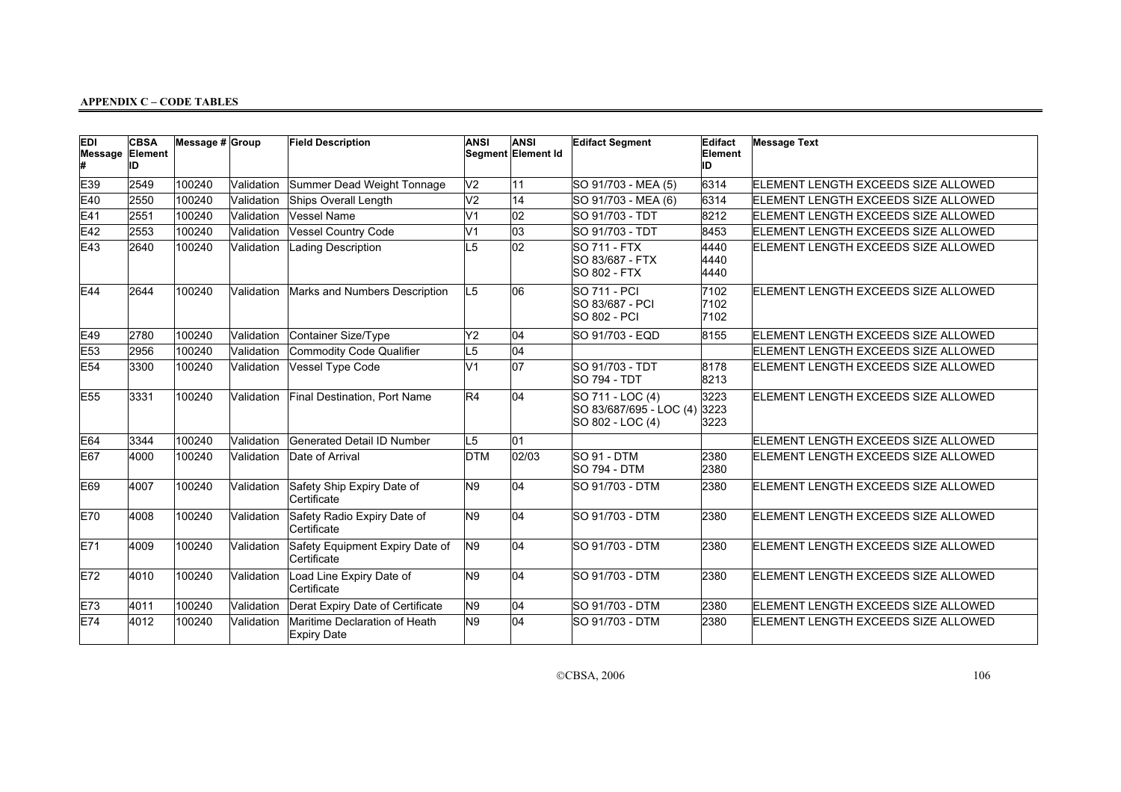| <b>EDI</b><br>Message | <b>CBSA</b><br>Element<br>ID | Message $# $ Group |            | <b>Field Description</b>                            | <b>ANSI</b>    | <b>ANSI</b><br>Segment Element Id | <b>Edifact Segment</b>                                          | Edifact<br>Element<br>ID | <b>Message Text</b>                 |
|-----------------------|------------------------------|--------------------|------------|-----------------------------------------------------|----------------|-----------------------------------|-----------------------------------------------------------------|--------------------------|-------------------------------------|
| E39                   | 2549                         | 100240             | Validation | Summer Dead Weight Tonnage                          | V <sub>2</sub> | 11                                | SO 91/703 - MEA (5)                                             | 6314                     | ELEMENT LENGTH EXCEEDS SIZE ALLOWED |
| E40                   | 2550                         | 100240             | Validation | Ships Overall Length                                | V <sub>2</sub> | 14                                | SO 91/703 - MEA (6)                                             | 6314                     | ELEMENT LENGTH EXCEEDS SIZE ALLOWED |
| E41                   | 2551                         | 100240             | Validation | Vessel Name                                         | V <sub>1</sub> | 02                                | SO 91/703 - TDT                                                 | 8212                     | ELEMENT LENGTH EXCEEDS SIZE ALLOWED |
| E42                   | 2553                         | 100240             | Validation | Vessel Country Code                                 | V <sub>1</sub> | 03                                | SO 91/703 - TDT                                                 | 8453                     | ELEMENT LENGTH EXCEEDS SIZE ALLOWED |
| E43                   | 2640                         | 100240             | Validation | <b>Lading Description</b>                           | L <sub>5</sub> | $\overline{02}$                   | <b>SO 711 - FTX</b><br>SO 83/687 - FTX<br><b>SO 802 - FTX</b>   | 4440<br>4440<br>4440     | ELEMENT LENGTH EXCEEDS SIZE ALLOWED |
| E44                   | 2644                         | 100240             | Validation | Marks and Numbers Description                       | L5             | 06                                | <b>SO 711 - PCI</b><br>SO 83/687 - PCI<br><b>SO 802 - PCI</b>   | 7102<br>7102<br>7102     | ELEMENT LENGTH EXCEEDS SIZE ALLOWED |
| E49                   | 2780                         | 100240             | Validation | Container Size/Type                                 | Y <sub>2</sub> | 04                                | SO 91/703 - EQD                                                 | 8155                     | ELEMENT LENGTH EXCEEDS SIZE ALLOWED |
| E53                   | 2956                         | 100240             | Validation | Commodity Code Qualifier                            | L <sub>5</sub> | 04                                |                                                                 |                          | ELEMENT LENGTH EXCEEDS SIZE ALLOWED |
| E <sub>54</sub>       | 3300                         | 100240             | Validation | Vessel Type Code                                    | V <sub>1</sub> | $\overline{07}$                   | SO 91/703 - TDT<br><b>SO 794 - TDT</b>                          | 8178<br>8213             | ELEMENT LENGTH EXCEEDS SIZE ALLOWED |
| E <sub>55</sub>       | 3331                         | 100240             | Validation | Final Destination, Port Name                        | R4             | 04                                | SO 711 - LOC (4)<br>SO 83/687/695 - LOC (4)<br>SO 802 - LOC (4) | 3223<br>3223<br>3223     | ELEMENT LENGTH EXCEEDS SIZE ALLOWED |
| E64                   | 3344                         | 100240             | Validation | Generated Detail ID Number                          | L5             | 01                                |                                                                 |                          | ELEMENT LENGTH EXCEEDS SIZE ALLOWED |
| E67                   | 4000                         | 100240             | Validation | Date of Arrival                                     | <b>DTM</b>     | 02/03                             | SO 91 - DTM<br><b>SO 794 - DTM</b>                              | 2380<br>2380             | ELEMENT LENGTH EXCEEDS SIZE ALLOWED |
| E69                   | 4007                         | 100240             | Validation | Safety Ship Expiry Date of<br>Certificate           | N <sub>9</sub> | 04                                | SO 91/703 - DTM                                                 | 2380                     | ELEMENT LENGTH EXCEEDS SIZE ALLOWED |
| E70                   | 4008                         | 100240             | Validation | Safety Radio Expiry Date of<br>Certificate          | N <sub>9</sub> | 04                                | <b>SO 91/703 - DTM</b>                                          | 2380                     | ELEMENT LENGTH EXCEEDS SIZE ALLOWED |
| E71                   | 4009                         | 100240             | Validation | Safety Equipment Expiry Date of<br>Certificate      | N <sub>9</sub> | 04                                | <b>SO 91/703 - DTM</b>                                          | 2380                     | ELEMENT LENGTH EXCEEDS SIZE ALLOWED |
| E72                   | 4010                         | 100240             | Validation | Load Line Expiry Date of<br>Certificate             | N <sub>9</sub> | 04                                | <b>SO 91/703 - DTM</b>                                          | 2380                     | ELEMENT LENGTH EXCEEDS SIZE ALLOWED |
| E73                   | 4011                         | 100240             | Validation | Derat Expiry Date of Certificate                    | N <sub>9</sub> | 04                                | <b>SO 91/703 - DTM</b>                                          | 2380                     | ELEMENT LENGTH EXCEEDS SIZE ALLOWED |
| E74                   | 4012                         | 100240             | Validation | Maritime Declaration of Heath<br><b>Expiry Date</b> | N <sub>9</sub> | 04                                | SO 91/703 - DTM                                                 | 2380                     | ELEMENT LENGTH EXCEEDS SIZE ALLOWED |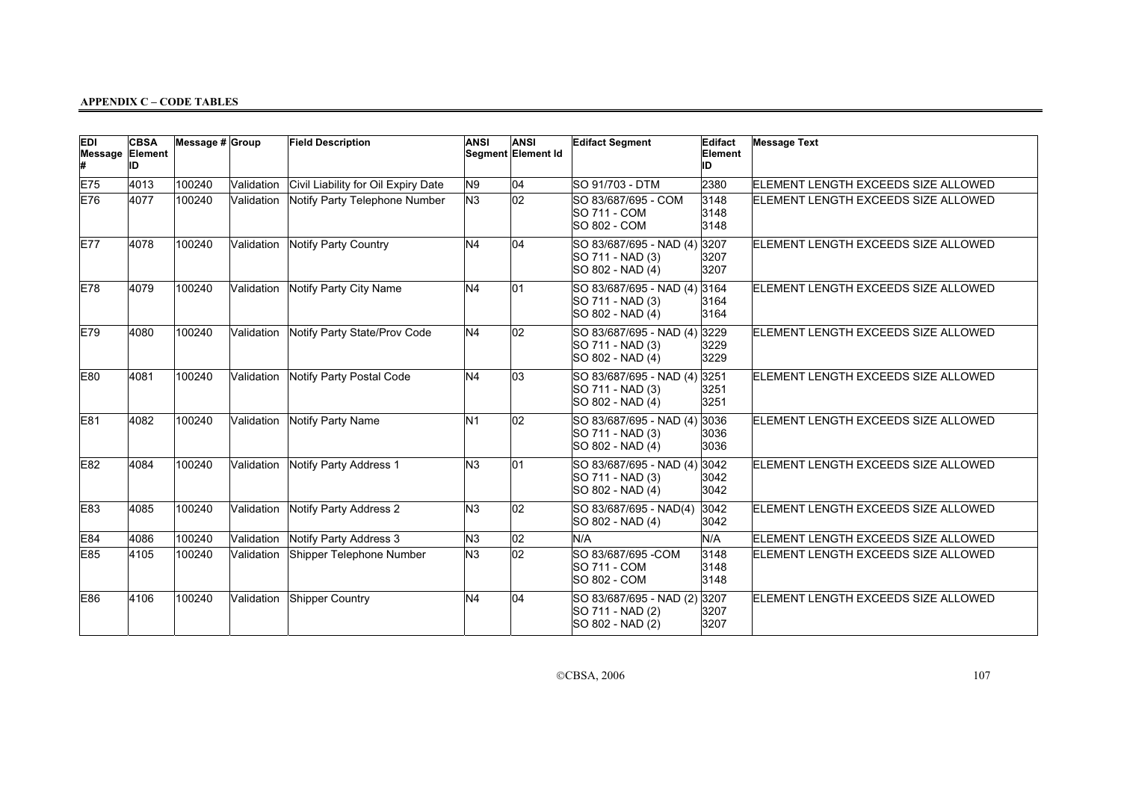| <b>EDI</b><br>Message Element | <b>CBSA</b><br>ID | Message # Group |            | <b>Field Description</b>            | <b>ANSI</b>    | <b>ANSI</b><br>Segment Element Id | <b>Edifact Segment</b>                                               | Edifact<br>Element<br>ID | <b>Message Text</b>                 |
|-------------------------------|-------------------|-----------------|------------|-------------------------------------|----------------|-----------------------------------|----------------------------------------------------------------------|--------------------------|-------------------------------------|
| E75                           | 4013              | 100240          | Validation | Civil Liability for Oil Expiry Date | N9             | 04                                | SO 91/703 - DTM                                                      | 2380                     | ELEMENT LENGTH EXCEEDS SIZE ALLOWED |
| E76                           | 4077              | 100240          | Validation | Notify Party Telephone Number       | N <sub>3</sub> | 02                                | SO 83/687/695 - COM<br><b>SO 711 - COM</b><br><b>SO 802 - COM</b>    | 3148<br>3148<br>3148     | ELEMENT LENGTH EXCEEDS SIZE ALLOWED |
| <b>E77</b>                    | 4078              | 100240          | Validation | Notify Party Country                | N <sub>4</sub> | 04                                | SO 83/687/695 - NAD (4) 3207<br>SO 711 - NAD (3)<br>SO 802 - NAD (4) | 3207<br>3207             | ELEMENT LENGTH EXCEEDS SIZE ALLOWED |
| E78                           | 4079              | 100240          | Validation | Notify Party City Name              | N <sub>4</sub> | 01                                | SO 83/687/695 - NAD (4) 3164<br>SO 711 - NAD (3)<br>SO 802 - NAD (4) | 3164<br>3164             | ELEMENT LENGTH EXCEEDS SIZE ALLOWED |
| E79                           | 4080              | 100240          | Validation | Notify Party State/Prov Code        | N <sub>4</sub> | 02                                | SO 83/687/695 - NAD (4)<br>SO 711 - NAD (3)<br>SO 802 - NAD (4)      | 3229<br>3229<br>3229     | ELEMENT LENGTH EXCEEDS SIZE ALLOWED |
| E80                           | 4081              | 100240          | Validation | Notify Party Postal Code            | N <sub>4</sub> | 03                                | SO 83/687/695 - NAD (4)<br>SO 711 - NAD (3)<br>SO 802 - NAD (4)      | 3251<br>3251<br>3251     | ELEMENT LENGTH EXCEEDS SIZE ALLOWED |
| E81                           | 4082              | 100240          | Validation | Notify Party Name                   | N <sub>1</sub> | 02                                | SO 83/687/695 - NAD (4)<br>SO 711 - NAD (3)<br>SO 802 - NAD (4)      | 3036<br>3036<br>3036     | ELEMENT LENGTH EXCEEDS SIZE ALLOWED |
| E82                           | 4084              | 100240          | Validation | Notify Party Address 1              | N <sub>3</sub> | 01                                | SO 83/687/695 - NAD (4)<br>SO 711 - NAD (3)<br>SO 802 - NAD (4)      | 3042<br>3042<br>3042     | ELEMENT LENGTH EXCEEDS SIZE ALLOWED |
| E83                           | 4085              | 100240          | Validation | Notify Party Address 2              | N <sub>3</sub> | 02                                | SO 83/687/695 - NAD(4)<br>SO 802 - NAD (4)                           | 3042<br>3042             | ELEMENT LENGTH EXCEEDS SIZE ALLOWED |
| E84                           | 4086              | 100240          | Validation | Notify Party Address 3              | N <sub>3</sub> | 02                                | N/A                                                                  | N/A                      | ELEMENT LENGTH EXCEEDS SIZE ALLOWED |
| E85                           | 4105              | 100240          | Validation | Shipper Telephone Number            | N <sub>3</sub> | 02                                | SO 83/687/695 - COM<br><b>SO 711 - COM</b><br><b>SO 802 - COM</b>    | 3148<br>3148<br>3148     | ELEMENT LENGTH EXCEEDS SIZE ALLOWED |
| E86                           | 4106              | 100240          | Validation | Shipper Country                     | N <sub>4</sub> | 04                                | SO 83/687/695 - NAD (2)<br>SO 711 - NAD (2)<br>SO 802 - NAD (2)      | 3207<br>3207<br>3207     | ELEMENT LENGTH EXCEEDS SIZE ALLOWED |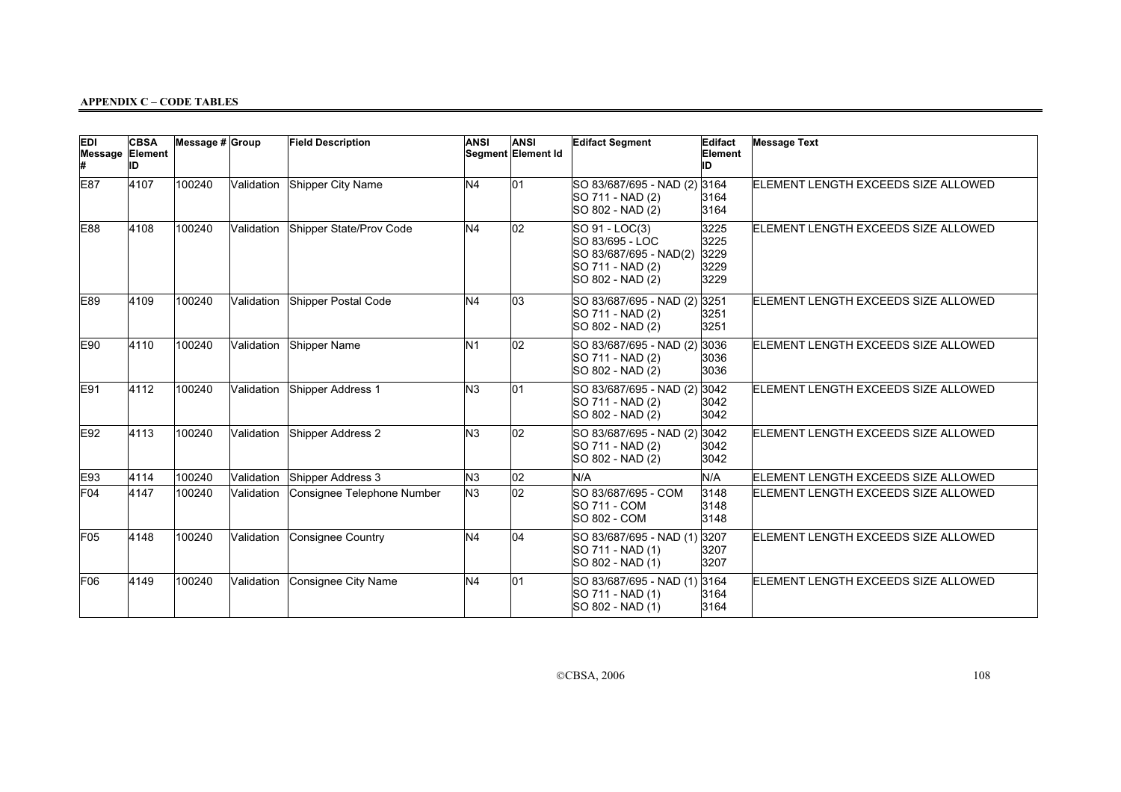| <b>EDI</b><br>Message Element | <b>CBSA</b><br>ID | Message $# $ Group |            | <b>Field Description</b>   | <b>ANSI</b>    | <b>ANSI</b><br>Segment Element Id | <b>Edifact Segment</b>                                                                              | Edifact<br>Element<br>ID             | <b>Message Text</b>                 |
|-------------------------------|-------------------|--------------------|------------|----------------------------|----------------|-----------------------------------|-----------------------------------------------------------------------------------------------------|--------------------------------------|-------------------------------------|
| E87                           | 4107              | 100240             | Validation | Shipper City Name          | N4             | 01                                | SO 83/687/695 - NAD (2) 3164<br>SO 711 - NAD (2)<br>SO 802 - NAD (2)                                | 3164<br>3164                         | ELEMENT LENGTH EXCEEDS SIZE ALLOWED |
| E88                           | 4108              | 100240             | Validation | Shipper State/Prov Code    | N4             | 02                                | SO 91 - LOC(3)<br>SO 83/695 - LOC<br>SO 83/687/695 - NAD(2)<br>SO 711 - NAD (2)<br>SO 802 - NAD (2) | 3225<br>3225<br>3229<br>3229<br>3229 | ELEMENT LENGTH EXCEEDS SIZE ALLOWED |
| E89                           | 4109              | 100240             | Validation | Shipper Postal Code        | N4             | 03                                | SO 83/687/695 - NAD (2)<br>SO 711 - NAD (2)<br>SO 802 - NAD (2)                                     | 3251<br>3251<br>3251                 | ELEMENT LENGTH EXCEEDS SIZE ALLOWED |
| E90                           | 4110              | 100240             | Validation | Shipper Name               | N <sub>1</sub> | 02                                | SO 83/687/695 - NAD (2)<br>SO 711 - NAD (2)<br>SO 802 - NAD (2)                                     | 3036<br>3036<br>3036                 | ELEMENT LENGTH EXCEEDS SIZE ALLOWED |
| E91                           | 4112              | 100240             | Validation | Shipper Address 1          | lм3            | 01                                | SO 83/687/695 - NAD (2)<br>SO 711 - NAD (2)<br>SO 802 - NAD (2)                                     | 3042<br>3042<br>3042                 | ELEMENT LENGTH EXCEEDS SIZE ALLOWED |
| E92                           | 4113              | 100240             | Validation | Shipper Address 2          | N <sub>3</sub> | 02                                | SO 83/687/695 - NAD (2)<br>SO 711 - NAD (2)<br>SO 802 - NAD (2)                                     | 3042<br>3042<br>3042                 | ELEMENT LENGTH EXCEEDS SIZE ALLOWED |
| E93                           | 4114              | 100240             | Validation | Shipper Address 3          | N <sub>3</sub> | 02                                | N/A                                                                                                 | N/A                                  | ELEMENT LENGTH EXCEEDS SIZE ALLOWED |
| F <sub>04</sub>               | 4147              | 100240             | Validation | Consignee Telephone Number | NЗ.            | $ _{02}$                          | SO 83/687/695 - COM<br><b>SO 711 - COM</b><br>SO 802 - COM                                          | 3148<br>3148<br>3148                 | ELEMENT LENGTH EXCEEDS SIZE ALLOWED |
| F <sub>05</sub>               | 4148              | 100240             | Validation | Consignee Country          | N <sub>4</sub> | 04                                | SO 83/687/695 - NAD (1) 3207<br>ISO 711 - NAD (1)<br>SO 802 - NAD (1)                               | 3207<br>3207                         | ELEMENT LENGTH EXCEEDS SIZE ALLOWED |
| F <sub>06</sub>               | 4149              | 100240             | Validation | Consignee City Name        | N4             | 01                                | SO 83/687/695 - NAD (1)<br>SO 711 - NAD (1)<br>SO 802 - NAD (1)                                     | 3164<br>3164<br>3164                 | ELEMENT LENGTH EXCEEDS SIZE ALLOWED |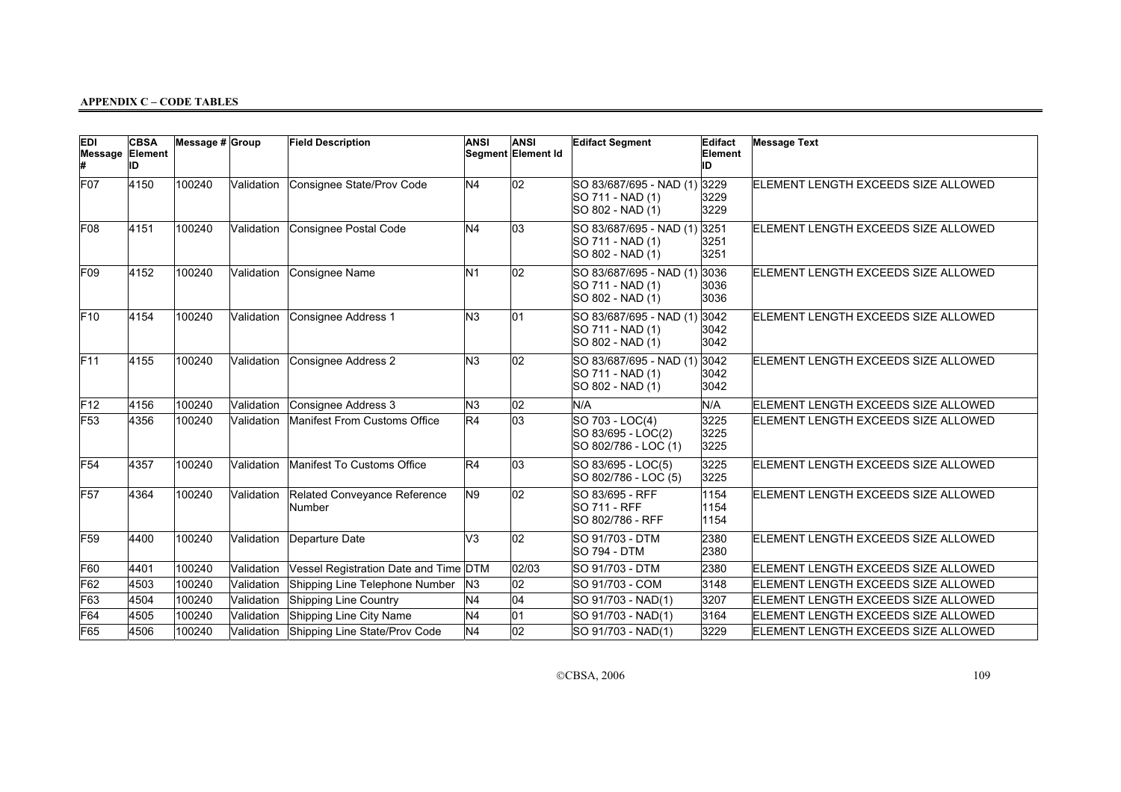| <b>EDI</b><br>Message Element | <b>CBSA</b><br>ID | Message # Group |            | <b>Field Description</b>               | <b>ANSI</b>    | <b>ANSI</b><br>Segment Element Id | <b>Edifact Segment</b>                                               | Edifact<br>Element<br>ID | <b>Message Text</b>                 |
|-------------------------------|-------------------|-----------------|------------|----------------------------------------|----------------|-----------------------------------|----------------------------------------------------------------------|--------------------------|-------------------------------------|
| F07                           | 4150              | 100240          | Validation | Consignee State/Prov Code              | N <sub>4</sub> | $ 02\rangle$                      | SO 83/687/695 - NAD (1)<br>SO 711 - NAD (1)<br>SO 802 - NAD (1)      | 3229<br>3229<br>3229     | ELEMENT LENGTH EXCEEDS SIZE ALLOWED |
| F08                           | 4151              | 100240          | Validation | Consignee Postal Code                  | N4             | 03                                | SO 83/687/695 - NAD (1) 3251<br>SO 711 - NAD (1)<br>SO 802 - NAD (1) | 3251<br>3251             | ELEMENT LENGTH EXCEEDS SIZE ALLOWED |
| F <sub>09</sub>               | 4152              | 100240          | Validation | Consignee Name                         | N <sub>1</sub> | 02                                | SO 83/687/695 - NAD (1)<br>SO 711 - NAD (1)<br>SO 802 - NAD (1)      | 3036<br>3036<br>3036     | ELEMENT LENGTH EXCEEDS SIZE ALLOWED |
| F10                           | 4154              | 100240          | Validation | Consignee Address 1                    | N <sub>3</sub> | 01                                | SO 83/687/695 - NAD (1)<br>SO 711 - NAD (1)<br>SO 802 - NAD (1)      | 3042<br>3042<br>3042     | ELEMENT LENGTH EXCEEDS SIZE ALLOWED |
| F11                           | 4155              | 100240          | Validation | Consignee Address 2                    | N <sub>3</sub> | 02                                | SO 83/687/695 - NAD (1)<br>SO 711 - NAD (1)<br>SO 802 - NAD (1)      | 3042<br>3042<br>3042     | ELEMENT LENGTH EXCEEDS SIZE ALLOWED |
| F12                           | 4156              | 100240          | Validation | Consignee Address 3                    | N <sub>3</sub> | 02                                | N/A                                                                  | N/A                      | ELEMENT LENGTH EXCEEDS SIZE ALLOWED |
| F53                           | 4356              | 100240          | Validation | Manifest From Customs Office           | R4             | 03                                | SO 703 - LOC(4)<br>SO 83/695 - LOC(2)<br>SO 802/786 - LOC (1)        | 3225<br>3225<br>3225     | ELEMENT LENGTH EXCEEDS SIZE ALLOWED |
| F54                           | 4357              | 100240          | Validation | Manifest To Customs Office             | R4             | $ 03\rangle$                      | $\overline{SO}$ 83/695 - LOC(5)<br>SO 802/786 - LOC (5)              | 3225<br>3225             | ELEMENT LENGTH EXCEEDS SIZE ALLOWED |
| F57                           | 4364              | 100240          | Validation | Related Conveyance Reference<br>Number | N9             | 02                                | SO 83/695 - RFF<br>SO 711 - RFF<br>SO 802/786 - RFF                  | 1154<br>1154<br>1154     | ELEMENT LENGTH EXCEEDS SIZE ALLOWED |
| F59                           | 4400              | 100240          | Validation | Departure Date                         | V <sub>3</sub> | 02                                | SO 91/703 - DTM<br><b>SO 794 - DTM</b>                               | 2380<br>2380             | ELEMENT LENGTH EXCEEDS SIZE ALLOWED |
| F60                           | 4401              | 100240          | Validation | Vessel Registration Date and Time DTM  |                | 02/03                             | <b>SO 91/703 - DTM</b>                                               | 2380                     | ELEMENT LENGTH EXCEEDS SIZE ALLOWED |
| F62                           | 4503              | 100240          | Validation | Shipping Line Telephone Number         | N <sub>3</sub> | 02                                | SO 91/703 - COM                                                      | 3148                     | ELEMENT LENGTH EXCEEDS SIZE ALLOWED |
| F63                           | 4504              | 100240          | Validation | Shipping Line Country                  | N <sub>4</sub> | 04                                | SO 91/703 - NAD(1)                                                   | 3207                     | ELEMENT LENGTH EXCEEDS SIZE ALLOWED |
| F64                           | 4505              | 100240          | Validation | Shipping Line City Name                | N <sub>4</sub> | 01                                | SO 91/703 - NAD(1)                                                   | 3164                     | ELEMENT LENGTH EXCEEDS SIZE ALLOWED |
| F65                           | 4506              | 100240          | Validation | Shipping Line State/Prov Code          | N <sub>4</sub> | 02                                | SO 91/703 - NAD(1)                                                   | 3229                     | ELEMENT LENGTH EXCEEDS SIZE ALLOWED |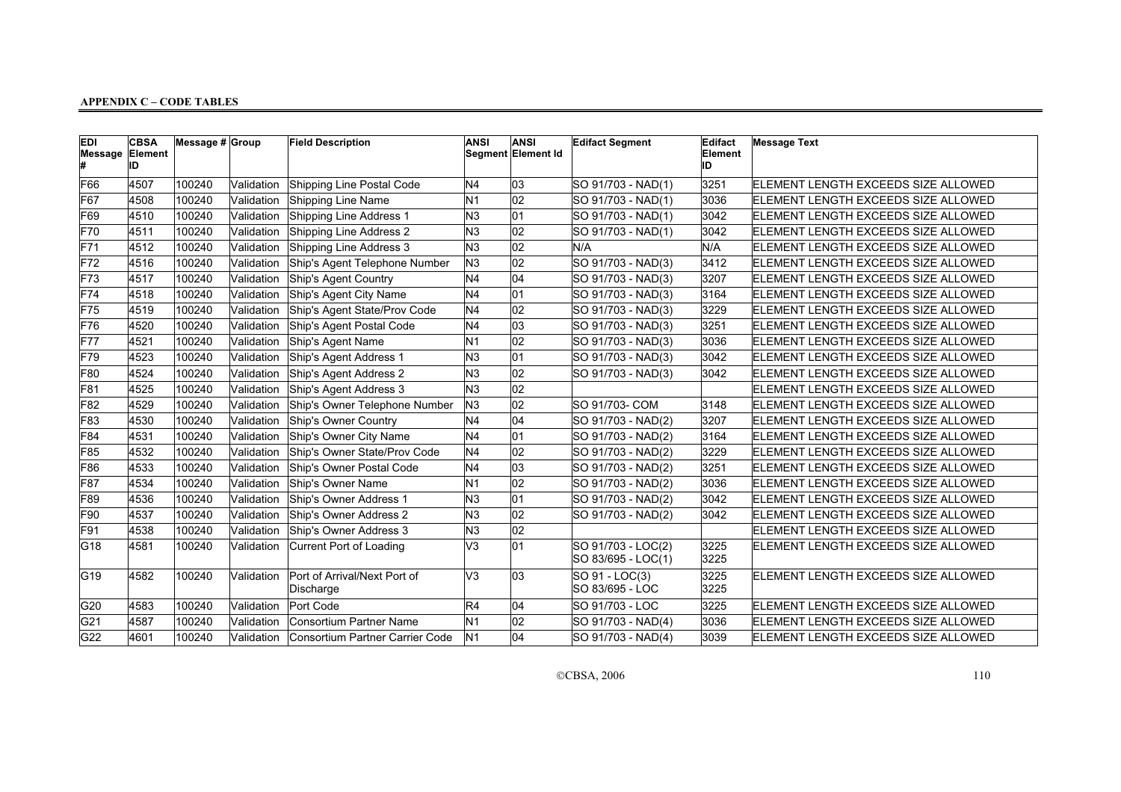| <b>EDI</b><br>Message Element | <b>CBSA</b><br>ID | Message # Group |            | <b>Field Description</b>                  | <b>ANSI</b>     | <b>ANSI</b><br>Segment Element Id | <b>Edifact Segment</b>                   | Edifact<br>Element<br>ID | <b>Message Text</b>                        |
|-------------------------------|-------------------|-----------------|------------|-------------------------------------------|-----------------|-----------------------------------|------------------------------------------|--------------------------|--------------------------------------------|
| F66                           | 4507              | 100240          | Validation | Shipping Line Postal Code                 | N <sub>4</sub>  | 03                                | SO 91/703 - NAD(1)                       | 3251                     | ELEMENT LENGTH EXCEEDS SIZE ALLOWED        |
| F67                           | 4508              | 100240          | Validation | Shipping Line Name                        | N <sub>1</sub>  | 02                                | SO 91/703 - NAD(1)                       | 3036                     | <b>ELEMENT LENGTH EXCEEDS SIZE ALLOWED</b> |
| F69                           | 4510              | 100240          | Validation | Shipping Line Address 1                   | N <sub>3</sub>  | 01                                | SO 91/703 - NAD(1)                       | 3042                     | ELEMENT LENGTH EXCEEDS SIZE ALLOWED        |
| F70                           | 4511              | 100240          | Validation | Shipping Line Address 2                   | N3              | 02                                | SO 91/703 - NAD(1)                       | 3042                     | ELEMENT LENGTH EXCEEDS SIZE ALLOWED        |
| F71                           | 4512              | 100240          | Validation | Shipping Line Address 3                   | N3              | $\overline{02}$                   | N/A                                      | N/A                      | ELEMENT LENGTH EXCEEDS SIZE ALLOWED        |
| F72                           | 4516              | 100240          | Validation | Ship's Agent Telephone Number             | N <sub>3</sub>  | 02                                | SO 91/703 - NAD(3)                       | 3412                     | <b>ELEMENT LENGTH EXCEEDS SIZE ALLOWED</b> |
| F73                           | 4517              | 100240          | Validation | Ship's Agent Country                      | N4              | 04                                | SO 91/703 - NAD(3)                       | 3207                     | ELEMENT LENGTH EXCEEDS SIZE ALLOWED        |
| F74                           | 4518              | 100240          | Validation | Ship's Agent City Name                    | N <sub>4</sub>  | 01                                | SO 91/703 - NAD(3)                       | 3164                     | ELEMENT LENGTH EXCEEDS SIZE ALLOWED        |
| F75                           | 4519              | 100240          | Validation | Ship's Agent State/Prov Code              | N <sub>4</sub>  | 02                                | SO 91/703 - NAD(3)                       | 3229                     | ELEMENT LENGTH EXCEEDS SIZE ALLOWED        |
| F76                           | 4520              | 100240          | Validation | Ship's Agent Postal Code                  | N <sub>4</sub>  | 03                                | SO 91/703 - NAD(3)                       | 3251                     | <b>ELEMENT LENGTH EXCEEDS SIZE ALLOWED</b> |
| F77                           | 4521              | 100240          | Validation | Ship's Agent Name                         | N1              | 02                                | SO 91/703 - NAD(3)                       | 3036                     | ELEMENT LENGTH EXCEEDS SIZE ALLOWED        |
| F79                           | 4523              | 100240          | Validation | Ship's Agent Address 1                    | N <sub>3</sub>  | 01                                | SO 91/703 - NAD(3)                       | 3042                     | <b>ELEMENT LENGTH EXCEEDS SIZE ALLOWED</b> |
| F80                           | 4524              | 100240          | Validation | Ship's Agent Address 2                    | N3              | 02                                | SO 91/703 - NAD(3)                       | 3042                     | <b>ELEMENT LENGTH EXCEEDS SIZE ALLOWED</b> |
| F81                           | 4525              | 100240          | Validation | Ship's Agent Address 3                    | N <sub>3</sub>  | 02                                |                                          |                          | ELEMENT LENGTH EXCEEDS SIZE ALLOWED        |
| F82                           | 4529              | 100240          | Validation | Ship's Owner Telephone Number             | N3              | $ 02\rangle$                      | SO 91/703- COM                           | 3148                     | ELEMENT LENGTH EXCEEDS SIZE ALLOWED        |
| F83                           | 4530              | 100240          | Validation | Ship's Owner Country                      | N <sub>4</sub>  | 04                                | SO 91/703 - NAD(2)                       | 3207                     | ELEMENT LENGTH EXCEEDS SIZE ALLOWED        |
| F84                           | 4531              | 100240          | Validation | Ship's Owner City Name                    | N <sub>4</sub>  | 01                                | SO 91/703 - NAD(2)                       | 3164                     | ELEMENT LENGTH EXCEEDS SIZE ALLOWED        |
| F85                           | 4532              | 100240          | Validation | Ship's Owner State/Prov Code              | N <sub>4</sub>  | 02                                | SO 91/703 - NAD(2)                       | 3229                     | ELEMENT LENGTH EXCEEDS SIZE ALLOWED        |
| F86                           | 4533              | 100240          | Validation | Ship's Owner Postal Code                  | N <sub>4</sub>  | 03                                | SO 91/703 - NAD(2)                       | 3251                     | ELEMENT LENGTH EXCEEDS SIZE ALLOWED        |
| F87                           | 4534              | 100240          | Validation | Ship's Owner Name                         | N <sub>1</sub>  | 02                                | SO 91/703 - NAD(2)                       | 3036                     | ELEMENT LENGTH EXCEEDS SIZE ALLOWED        |
| F89                           | 4536              | 100240          | Validation | Ship's Owner Address 1                    | N3              | 01                                | SO 91/703 - NAD(2)                       | 3042                     | <b>ELEMENT LENGTH EXCEEDS SIZE ALLOWED</b> |
| F90                           | 4537              | 100240          | Validation | Ship's Owner Address 2                    | N <sub>3</sub>  | 02                                | SO 91/703 - NAD(2)                       | 3042                     | ELEMENT LENGTH EXCEEDS SIZE ALLOWED        |
| F91                           | 4538              | 100240          | Validation | Ship's Owner Address 3                    | N3              | 02                                |                                          |                          | ELEMENT LENGTH EXCEEDS SIZE ALLOWED        |
| G18                           | 4581              | 100240          | Validation | Current Port of Loading                   | V3              | 01                                | SO 91/703 - LOC(2)<br>SO 83/695 - LOC(1) | 3225<br>3225             | ELEMENT LENGTH EXCEEDS SIZE ALLOWED        |
| G19                           | 4582              | 100240          | Validation | Port of Arrival/Next Port of<br>Discharge | V3              | 03                                | SO 91 - LOC(3)<br>SO 83/695 - LOC        | 3225<br>3225             | ELEMENT LENGTH EXCEEDS SIZE ALLOWED        |
| G20                           | 4583              | 100240          | Validation | Port Code                                 | $\overline{R4}$ | 04                                | SO 91/703 - LOC                          | 3225                     | ELEMENT LENGTH EXCEEDS SIZE ALLOWED        |
| G21                           | 4587              | 100240          | Validation | Consortium Partner Name                   | N <sub>1</sub>  | 02                                | SO 91/703 - NAD(4)                       | 3036                     | ELEMENT LENGTH EXCEEDS SIZE ALLOWED        |
| G22                           | 4601              | 100240          | Validation | Consortium Partner Carrier Code           | N1              | 04                                | SO 91/703 - NAD(4)                       | 3039                     | ELEMENT LENGTH EXCEEDS SIZE ALLOWED        |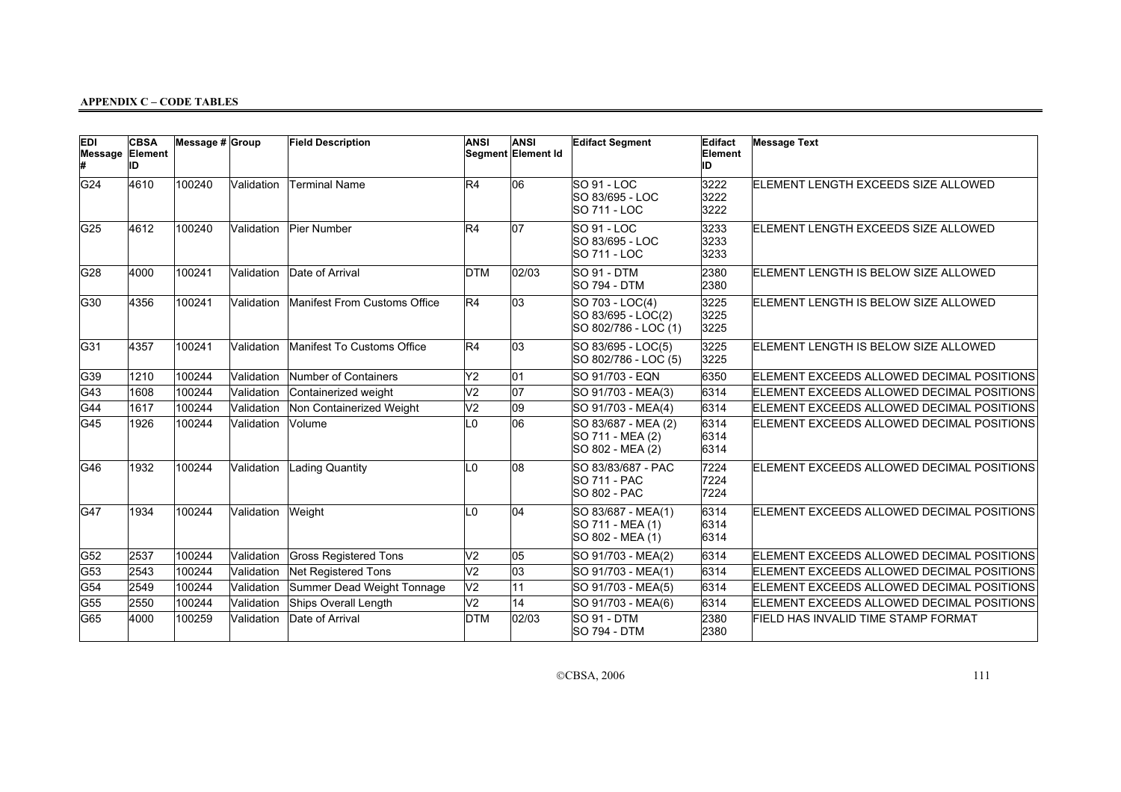| <b>EDI</b><br>Message Element | <b>CBSA</b><br>ID | Message # Group |            | <b>Field Description</b>     | <b>ANSI</b>    | <b>ANSI</b><br>Segment Element Id | <b>Edifact Segment</b>                                        | Edifact<br>Element<br>ID | <b>Message Text</b>                       |
|-------------------------------|-------------------|-----------------|------------|------------------------------|----------------|-----------------------------------|---------------------------------------------------------------|--------------------------|-------------------------------------------|
| G24                           | 4610              | 100240          | Validation | <b>Terminal Name</b>         | R4             | 06                                | <b>SO 91 - LOC</b><br>SO 83/695 - LOC<br>SO 711 - LOC         | 3222<br>3222<br>3222     | ELEMENT LENGTH EXCEEDS SIZE ALLOWED       |
| G <sub>25</sub>               | 4612              | 100240          | Validation | Pier Number                  | R4             | 07                                | SO 91 - LOC<br>SO 83/695 - LOC<br><b>SO 711 - LOC</b>         | 3233<br>3233<br>3233     | ELEMENT LENGTH EXCEEDS SIZE ALLOWED       |
| G <sub>28</sub>               | 4000              | 100241          | Validation | Date of Arrival              | <b>DTM</b>     | 02/03                             | SO 91 - DTM<br><b>SO 794 - DTM</b>                            | 2380<br>2380             | ELEMENT LENGTH IS BELOW SIZE ALLOWED      |
| G30                           | 4356              | 100241          | Validation | Manifest From Customs Office | R4             | 03                                | SO 703 - LOC(4)<br>SO 83/695 - LOC(2)<br>SO 802/786 - LOC (1) | 3225<br>3225<br>3225     | ELEMENT LENGTH IS BELOW SIZE ALLOWED      |
| G31                           | 4357              | 100241          | Validation | Manifest To Customs Office   | R4             | 03                                | SO 83/695 - LOC(5)<br>SO 802/786 - LOC (5)                    | 3225<br>3225             | ELEMENT LENGTH IS BELOW SIZE ALLOWED      |
| G39                           | 1210              | 100244          | Validation | Number of Containers         | Y2             | 01                                | SO 91/703 - EQN                                               | 6350                     | ELEMENT EXCEEDS ALLOWED DECIMAL POSITIONS |
| G43                           | 1608              | 100244          | Validation | Containerized weight         | V <sub>2</sub> | 07                                | SO 91/703 - MEA(3)                                            | 6314                     | ELEMENT EXCEEDS ALLOWED DECIMAL POSITIONS |
| G44                           | 1617              | 100244          | Validation | Non Containerized Weight     | V <sub>2</sub> | 09                                | SO 91/703 - MEA(4)                                            | 6314                     | ELEMENT EXCEEDS ALLOWED DECIMAL POSITIONS |
| G45                           | 1926              | 100244          | Validation | Volume                       | L0             | 06                                | SO 83/687 - MEA (2)<br>SO 711 - MEA (2)<br>SO 802 - MEA (2)   | 6314<br>6314<br>6314     | ELEMENT EXCEEDS ALLOWED DECIMAL POSITIONS |
| G46                           | 1932              | 100244          | Validation | Lading Quantity              | L0             | 08                                | SO 83/83/687 - PAC<br><b>SO 711 - PAC</b><br>SO 802 - PAC     | 7224<br>7224<br>7224     | ELEMENT EXCEEDS ALLOWED DECIMAL POSITIONS |
| G47                           | 1934              | 100244          | Validation | Weight                       | L0             | 04                                | SO 83/687 - MEA(1)<br>SO 711 - MEA (1)<br>SO 802 - MEA (1)    | 6314<br>6314<br>6314     | ELEMENT EXCEEDS ALLOWED DECIMAL POSITIONS |
| G52                           | 2537              | 100244          | Validation | <b>Gross Registered Tons</b> | V <sub>2</sub> | 05                                | SO 91/703 - MEA(2)                                            | 6314                     | ELEMENT EXCEEDS ALLOWED DECIMAL POSITIONS |
| G53                           | 2543              | 100244          | Validation | Net Registered Tons          | V <sub>2</sub> | 03                                | SO 91/703 - MEA(1)                                            | 6314                     | ELEMENT EXCEEDS ALLOWED DECIMAL POSITIONS |
| G54                           | 2549              | 100244          | Validation | Summer Dead Weight Tonnage   | V <sub>2</sub> | 11                                | SO 91/703 - MEA(5)                                            | 6314                     | ELEMENT EXCEEDS ALLOWED DECIMAL POSITIONS |
| G55                           | 2550              | 100244          | Validation | Ships Overall Length         | V <sub>2</sub> | 14                                | SO 91/703 - MEA(6)                                            | 6314                     | ELEMENT EXCEEDS ALLOWED DECIMAL POSITIONS |
| G65                           | 4000              | 100259          | Validation | Date of Arrival              | <b>DTM</b>     | 02/03                             | SO 91 - DTM<br><b>SO 794 - DTM</b>                            | 2380<br>2380             | FIELD HAS INVALID TIME STAMP FORMAT       |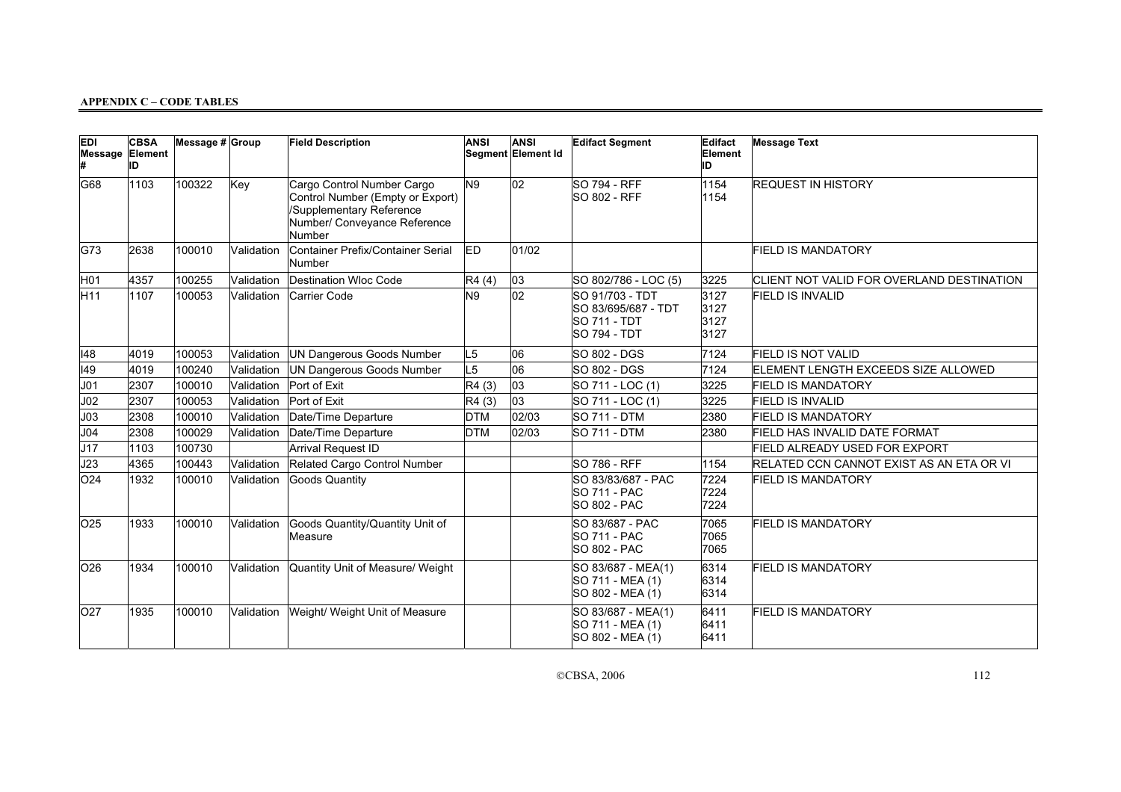| <b>EDI</b><br>Message Element | <b>CBSA</b><br>ID | Message # Group |            | <b>Field Description</b>                                                                                                            | <b>ANSI</b>    | <b>ANSI</b><br>Segment Element Id | <b>Edifact Segment</b>                                                               | Edifact<br>Element<br>ID     | <b>Message Text</b>                       |
|-------------------------------|-------------------|-----------------|------------|-------------------------------------------------------------------------------------------------------------------------------------|----------------|-----------------------------------|--------------------------------------------------------------------------------------|------------------------------|-------------------------------------------|
| G68                           | 1103              | 100322          | Key        | Cargo Control Number Cargo<br>Control Number (Empty or Export)<br>Supplementary Reference<br>Number/ Conveyance Reference<br>Number | N9             | 02                                | <b>SO 794 - RFF</b><br><b>SO 802 - RFF</b>                                           | 1154<br>1154                 | <b>REQUEST IN HISTORY</b>                 |
| G73                           | 2638              | 100010          | Validation | Container Prefix/Container Serial<br>Number                                                                                         | ED             | 01/02                             |                                                                                      |                              | <b>FIELD IS MANDATORY</b>                 |
| H <sub>01</sub>               | 4357              | 100255          | Validation | Destination Wloc Code                                                                                                               | R4(4)          | 03                                | SO 802/786 - LOC (5)                                                                 | 3225                         | CLIENT NOT VALID FOR OVERLAND DESTINATION |
| H11                           | 1107              | 100053          | Validation | Carrier Code                                                                                                                        | N9             | 02                                | SO 91/703 - TDT<br>SO 83/695/687 - TDT<br><b>SO 711 - TDT</b><br><b>SO 794 - TDT</b> | 3127<br>3127<br>3127<br>3127 | <b>FIELD IS INVALID</b>                   |
| 148                           | 4019              | 100053          | Validation | UN Dangerous Goods Number                                                                                                           | L <sub>5</sub> | 06                                | SO 802 - DGS                                                                         | 7124                         | <b>FIELD IS NOT VALID</b>                 |
| 149                           | 4019              | 100240          | Validation | UN Dangerous Goods Number                                                                                                           | L5             | 06                                | SO 802 - DGS                                                                         | 7124                         | ELEMENT LENGTH EXCEEDS SIZE ALLOWED       |
| JO1                           | 2307              | 100010          | Validation | Port of Exit                                                                                                                        | R4(3)          | 03                                | SO 711 - LOC (1)                                                                     | 3225                         | <b>FIELD IS MANDATORY</b>                 |
| J <sub>02</sub>               | 2307              | 100053          | Validation | Port of Exit                                                                                                                        | R4(3)          | 03                                | SO 711 - LOC (1)                                                                     | 3225                         | <b>FIELD IS INVALID</b>                   |
| J <sub>03</sub>               | 2308              | 100010          | Validation | Date/Time Departure                                                                                                                 | <b>DTM</b>     | 02/03                             | <b>SO 711 - DTM</b>                                                                  | 2380                         | <b>FIELD IS MANDATORY</b>                 |
| J <sub>04</sub>               | 2308              | 100029          | Validation | Date/Time Departure                                                                                                                 | <b>DTM</b>     | 02/03                             | <b>SO 711 - DTM</b>                                                                  | 2380                         | FIELD HAS INVALID DATE FORMAT             |
| J17                           | 1103              | 100730          |            | Arrival Request ID                                                                                                                  |                |                                   |                                                                                      |                              | <b>FIELD ALREADY USED FOR EXPORT</b>      |
| J23                           | 4365              | 100443          | Validation | Related Cargo Control Number                                                                                                        |                |                                   | <b>SO 786 - RFF</b>                                                                  | 1154                         | RELATED CCN CANNOT EXIST AS AN ETA OR VI  |
| 024                           | 1932              | 100010          | Validation | <b>Goods Quantity</b>                                                                                                               |                |                                   | SO 83/83/687 - PAC<br><b>SO 711 - PAC</b><br><b>SO 802 - PAC</b>                     | 7224<br>7224<br>7224         | <b>FIELD IS MANDATORY</b>                 |
| 025                           | 1933              | 100010          | Validation | Goods Quantity/Quantity Unit of<br>Measure                                                                                          |                |                                   | SO 83/687 - PAC<br><b>SO 711 - PAC</b><br><b>SO 802 - PAC</b>                        | 7065<br>7065<br>7065         | <b>FIELD IS MANDATORY</b>                 |
| 026                           | 1934              | 100010          | Validation | Quantity Unit of Measure/ Weight                                                                                                    |                |                                   | SO 83/687 - MEA(1)<br>SO 711 - MEA (1)<br>SO 802 - MEA (1)                           | 6314<br>6314<br>6314         | <b>FIELD IS MANDATORY</b>                 |
| 027                           | 1935              | 100010          | Validation | Weight/ Weight Unit of Measure                                                                                                      |                |                                   | SO 83/687 - MEA(1)<br>SO 711 - MEA (1)<br>SO 802 - MEA (1)                           | 6411<br>6411<br>6411         | <b>FIELD IS MANDATORY</b>                 |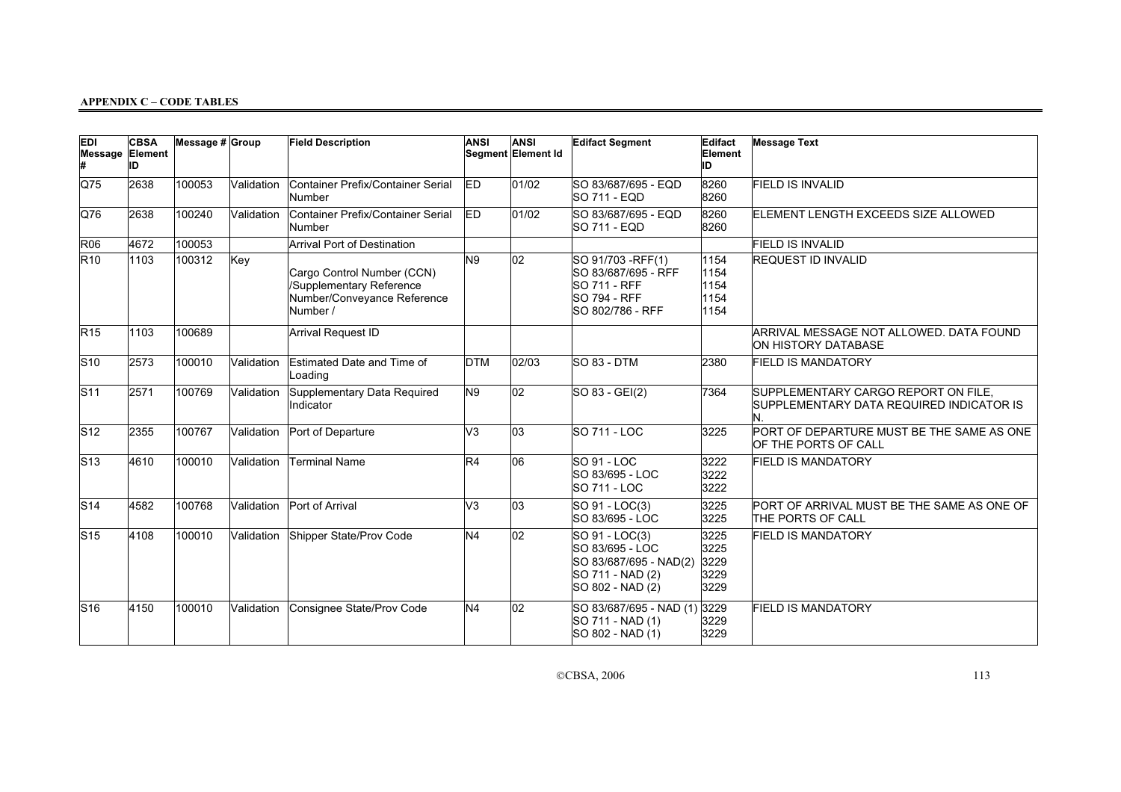| <b>EDI</b><br>Message | <b>CBSA</b><br>Element<br>ID | Message $# $ Group |            | <b>Field Description</b>                                                                          | <b>ANSI</b>    | <b>ANSI</b><br>Segment Element Id | <b>Edifact Segment</b>                                                                                      | Edifact<br>Element<br>ID             | <b>Message Text</b>                                                                    |
|-----------------------|------------------------------|--------------------|------------|---------------------------------------------------------------------------------------------------|----------------|-----------------------------------|-------------------------------------------------------------------------------------------------------------|--------------------------------------|----------------------------------------------------------------------------------------|
| $\overline{Q}$ 75     | 2638                         | 100053             | Validation | Container Prefix/Container Serial<br>Number                                                       | ED.            | 01/02                             | SO 83/687/695 - EQD<br><b>SO 711 - EQD</b>                                                                  | 8260<br>8260                         | <b>FIELD IS INVALID</b>                                                                |
| Q76                   | 2638                         | 100240             | Validation | Container Prefix/Container Serial<br>Number                                                       | ED             | 01/02                             | SO 83/687/695 - EQD<br>SO 711 - EQD                                                                         | 8260<br>8260                         | ELEMENT LENGTH EXCEEDS SIZE ALLOWED                                                    |
| <b>R06</b>            | 4672                         | 100053             |            | Arrival Port of Destination                                                                       |                |                                   |                                                                                                             |                                      | <b>FIELD IS INVALID</b>                                                                |
| R10                   | 1103                         | 100312             | Key        | Cargo Control Number (CCN)<br>/Supplementary Reference<br>Number/Conveyance Reference<br>Number / | N <sub>9</sub> | 02                                | SO 91/703 - RFF(1)<br>SO 83/687/695 - RFF<br><b>SO 711 - RFF</b><br><b>SO 794 - RFF</b><br>SO 802/786 - RFF | 1154<br>1154<br>1154<br>1154<br>1154 | <b>REQUEST ID INVALID</b>                                                              |
| R15                   | 1103                         | 100689             |            | Arrival Request ID                                                                                |                |                                   |                                                                                                             |                                      | ARRIVAL MESSAGE NOT ALLOWED. DATA FOUND<br>ON HISTORY DATABASE                         |
| $ S10\rangle$         | 2573                         | 100010             | Validation | Estimated Date and Time of<br>Loading                                                             | <b>DTM</b>     | 02/03                             | SO 83 - DTM                                                                                                 | 2380                                 | <b>FIELD IS MANDATORY</b>                                                              |
| S11                   | 2571                         | 100769             | Validation | Supplementary Data Required<br>Indicator                                                          | N <sub>9</sub> | 02                                | SO 83 - GEI(2)                                                                                              | 7364                                 | SUPPLEMENTARY CARGO REPORT ON FILE.<br>SUPPLEMENTARY DATA REQUIRED INDICATOR IS<br>IN. |
| $ S12\rangle$         | 2355                         | 100767             | Validation | Port of Departure                                                                                 | V3             | $ 03\rangle$                      | <b>SO 711 - LOC</b>                                                                                         | 3225                                 | PORT OF DEPARTURE MUST BE THE SAME AS ONE<br>OF THE PORTS OF CALL                      |
| S13                   | 4610                         | 100010             | Validation | <b>Terminal Name</b>                                                                              | R4             | 06                                | <b>SO 91 - LOC</b><br>SO 83/695 - LOC<br>SO 711 - LOC                                                       | 3222<br>3222<br>3222                 | <b>FIELD IS MANDATORY</b>                                                              |
| S14                   | 4582                         | 100768             | Validation | Port of Arrival                                                                                   | V3             | $ 03\rangle$                      | SO 91 - LOC(3)<br>SO 83/695 - LOC                                                                           | 3225<br>3225                         | PORT OF ARRIVAL MUST BE THE SAME AS ONE OF<br><b>THE PORTS OF CALL</b>                 |
| $\mathsf{S}$ 15       | 4108                         | 100010             | Validation | Shipper State/Prov Code                                                                           | N <sub>4</sub> | $ _{02}$                          | SO 91 - LOC(3)<br>SO 83/695 - LOC<br>SO 83/687/695 - NAD(2)<br>SO 711 - NAD (2)<br>SO 802 - NAD (2)         | 3225<br>3225<br>3229<br>3229<br>3229 | <b>FIELD IS MANDATORY</b>                                                              |
| S16                   | 4150                         | 100010             | Validation | Consignee State/Prov Code                                                                         | N <sub>4</sub> | 02                                | SO 83/687/695 - NAD (1)<br>SO 711 - NAD (1)<br>SO 802 - NAD (1)                                             | 3229<br>3229<br>3229                 | <b>FIELD IS MANDATORY</b>                                                              |

©CBSA, 2006 113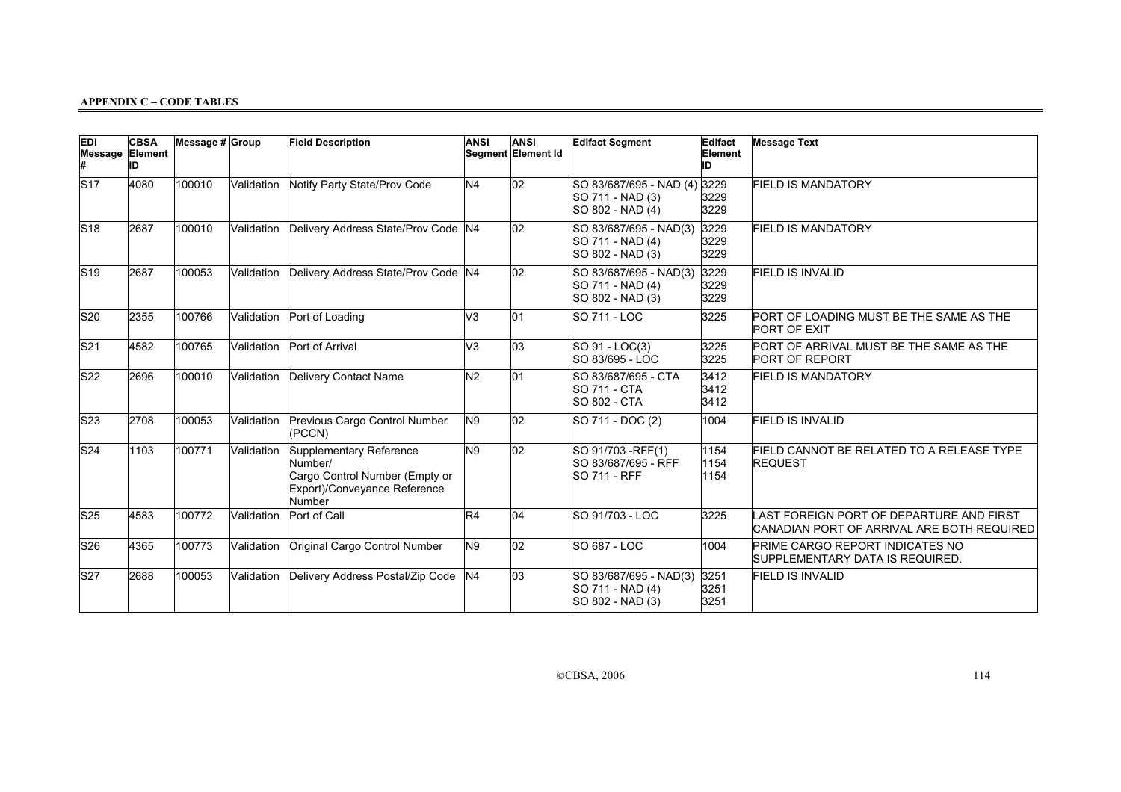| <b>EDI</b><br><b>Message Element</b> | <b>CBSA</b><br>ID | Message $# $ Group |            | <b>Field Description</b>                                                                                       | <b>ANSI</b>    | <b>ANSI</b><br>Segment Element Id | <b>Edifact Segment</b>                                            | Edifact<br>Element<br>ID | <b>Message Text</b>                                                                    |
|--------------------------------------|-------------------|--------------------|------------|----------------------------------------------------------------------------------------------------------------|----------------|-----------------------------------|-------------------------------------------------------------------|--------------------------|----------------------------------------------------------------------------------------|
| S17                                  | 4080              | 100010             | Validation | Notify Party State/Prov Code                                                                                   | N <sub>4</sub> | 02                                | SO 83/687/695 - NAD (4)<br>SO 711 - NAD (3)<br>SO 802 - NAD (4)   | 3229<br>3229<br>3229     | <b>FIELD IS MANDATORY</b>                                                              |
| S18                                  | 2687              | 100010             |            | Validation Delivery Address State/Prov Code N4                                                                 |                | 02                                | SO 83/687/695 - NAD(3)<br>SO 711 - NAD (4)<br>SO 802 - NAD (3)    | 3229<br>3229<br>3229     | <b>FIELD IS MANDATORY</b>                                                              |
| $ S19\rangle$                        | 2687              | 100053             |            | Validation Delivery Address State/Prov Code N4                                                                 |                | 02                                | SO 83/687/695 - NAD(3)<br>SO 711 - NAD (4)<br>SO 802 - NAD (3)    | 3229<br>3229<br>3229     | <b>FIELD IS INVALID</b>                                                                |
| $ S20\rangle$                        | 2355              | 100766             | Validation | Port of Loading                                                                                                | V <sub>3</sub> | 01                                | <b>SO 711 - LOC</b>                                               | 3225                     | PORT OF LOADING MUST BE THE SAME AS THE<br><b>PORT OF EXIT</b>                         |
| S21                                  | 4582              | 100765             | Validation | Port of Arrival                                                                                                | V <sub>3</sub> | 03                                | SO 91 - LOC(3)<br>SO 83/695 - LOC                                 | 3225<br>3225             | PORT OF ARRIVAL MUST BE THE SAME AS THE<br><b>PORT OF REPORT</b>                       |
| S22                                  | 2696              | 100010             | Validation | Delivery Contact Name                                                                                          | N <sub>2</sub> | 01                                | SO 83/687/695 - CTA<br><b>SO 711 - CTA</b><br><b>SO 802 - CTA</b> | 3412<br>3412<br>3412     | <b>FIELD IS MANDATORY</b>                                                              |
| S23                                  | 2708              | 100053             | Validation | Previous Cargo Control Number<br>(PCCN)                                                                        | N <sub>9</sub> | 02                                | SO 711 - DOC (2)                                                  | 1004                     | <b>FIELD IS INVALID</b>                                                                |
| S24                                  | 1103              | 100771             | Validation | Supplementary Reference<br>Number/<br>Cargo Control Number (Empty or<br>Export)/Conveyance Reference<br>Number | N <sub>9</sub> | 02                                | SO 91/703 - RFF(1)<br>SO 83/687/695 - RFF<br><b>SO 711 - RFF</b>  | 1154<br>1154<br>1154     | FIELD CANNOT BE RELATED TO A RELEASE TYPE<br><b>REQUEST</b>                            |
| S25                                  | 4583              | 100772             | Validation | Port of Call                                                                                                   | R4             | 04                                | SO 91/703 - LOC                                                   | 3225                     | LAST FOREIGN PORT OF DEPARTURE AND FIRST<br>CANADIAN PORT OF ARRIVAL ARE BOTH REQUIRED |
| S26                                  | 4365              | 100773             | Validation | Original Cargo Control Number                                                                                  | N9             | 02                                | <b>SO 687 - LOC</b>                                               | 1004                     | PRIME CARGO REPORT INDICATES NO<br>SUPPLEMENTARY DATA IS REQUIRED.                     |
| S27                                  | 2688              | 100053             | Validation | Delivery Address Postal/Zip Code                                                                               | N <sub>4</sub> | 03                                | SO 83/687/695 - NAD(3)<br>SO 711 - NAD (4)<br>SO 802 - NAD (3)    | 3251<br>3251<br>3251     | <b>FIELD IS INVALID</b>                                                                |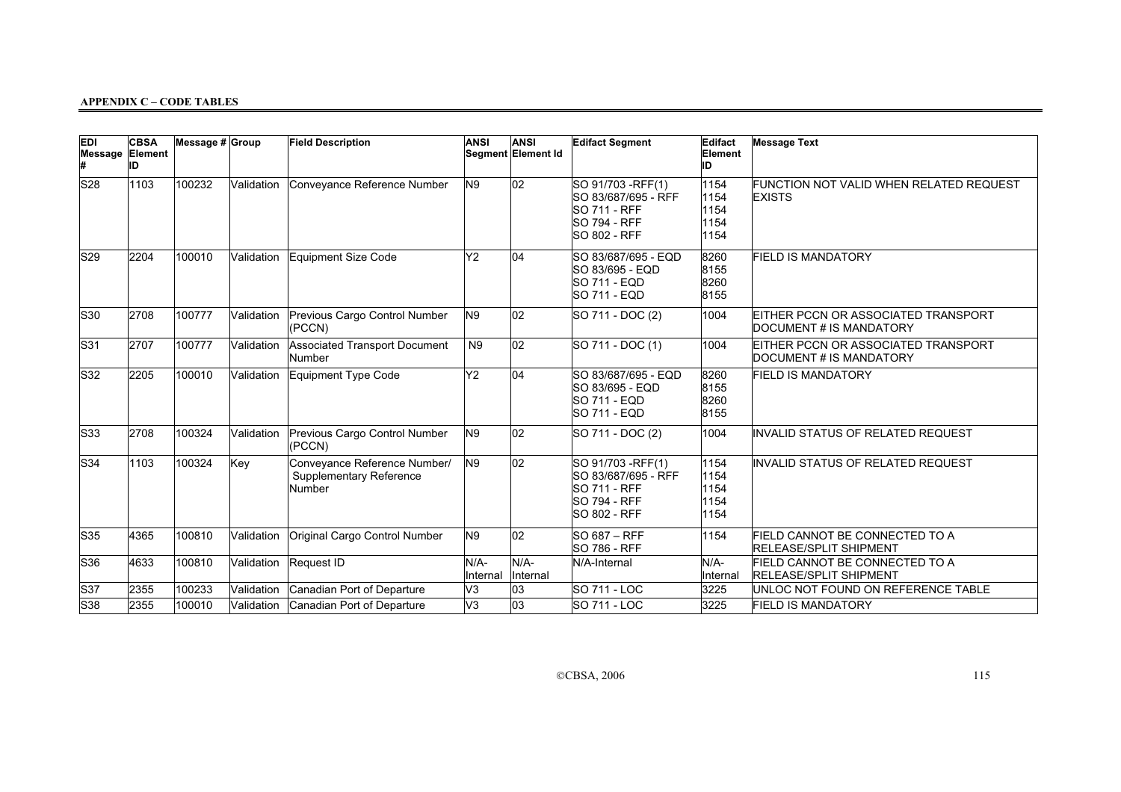| <b>EDI</b><br>Message Element | <b>CBSA</b><br>ID | Message # Group |            | <b>Field Description</b>                                          | <b>ANSI</b>      | <b>ANSI</b><br>Segment Element Id | <b>Edifact Segment</b>                                                                                         | Edifact<br>Element<br>ID             | <b>Message Text</b>                                             |
|-------------------------------|-------------------|-----------------|------------|-------------------------------------------------------------------|------------------|-----------------------------------|----------------------------------------------------------------------------------------------------------------|--------------------------------------|-----------------------------------------------------------------|
| S <sub>28</sub>               | 1103              | 100232          | Validation | Conveyance Reference Number                                       | N9               | 02                                | SO 91/703 - RFF(1)<br>SO 83/687/695 - RFF<br><b>SO 711 - RFF</b><br><b>SO 794 - RFF</b><br><b>SO 802 - RFF</b> | 1154<br>1154<br>1154<br>1154<br>1154 | FUNCTION NOT VALID WHEN RELATED REQUEST<br><b>EXISTS</b>        |
| S29                           | 2204              | 100010          |            | Validation Equipment Size Code                                    | Y2               | 04                                | SO 83/687/695 - EQD<br>SO 83/695 - EQD<br><b>SO 711 - EQD</b><br><b>SO 711 - EQD</b>                           | 8260<br>8155<br>8260<br>8155         | <b>FIELD IS MANDATORY</b>                                       |
| $ S30\rangle$                 | 2708              | 100777          | Validation | Previous Cargo Control Number<br>(PCCN)                           | N <sub>9</sub>   | 02                                | SO 711 - DOC (2)                                                                                               | 1004                                 | EITHER PCCN OR ASSOCIATED TRANSPORT<br>DOCUMENT # IS MANDATORY  |
| $\mathsf{S}31$                | 2707              | 100777          | Validation | <b>Associated Transport Document</b><br>Number                    | N <sub>9</sub>   | $ _{02}$                          | SO 711 - DOC (1)                                                                                               | 1004                                 | EITHER PCCN OR ASSOCIATED TRANSPORT<br>DOCUMENT # IS MANDATORY  |
| S32                           | 2205              | 100010          | Validation | Equipment Type Code                                               | Y <sub>2</sub>   | 04                                | SO 83/687/695 - EQD<br>SO 83/695 - EQD<br><b>SO 711 - EQD</b><br>SO 711 - EQD                                  | 8260<br>8155<br>8260<br>8155         | <b>FIELD IS MANDATORY</b>                                       |
| $ $ S33                       | 2708              | 100324          | Validation | Previous Cargo Control Number<br>(PCCN)                           | N <sub>9</sub>   | 02                                | SO 711 - DOC (2)                                                                                               | 1004                                 | INVALID STATUS OF RELATED REQUEST                               |
| S34                           | 1103              | 100324          | Key        | Conveyance Reference Number/<br>Supplementary Reference<br>Number | N9               | $\overline{02}$                   | SO 91/703 - RFF(1)<br>SO 83/687/695 - RFF<br><b>SO 711 - RFF</b><br><b>SO 794 - RFF</b><br><b>SO 802 - RFF</b> | 1154<br>1154<br>1154<br>1154<br>1154 | INVALID STATUS OF RELATED REQUEST                               |
| $ $ S35                       | 4365              | 100810          | Validation | Original Cargo Control Number                                     | N9               | 02                                | SO 687 - RFF<br><b>SO 786 - RFF</b>                                                                            | 1154                                 | FIELD CANNOT BE CONNECTED TO A<br><b>RELEASE/SPLIT SHIPMENT</b> |
| S36                           | 4633              | 100810          | Validation | Request ID                                                        | N/A-<br>Internal | N/A-<br>Internal                  | N/A-Internal                                                                                                   | N/A-<br>Internal                     | FIELD CANNOT BE CONNECTED TO A<br><b>RELEASE/SPLIT SHIPMENT</b> |
| S37                           | 2355              | 100233          | Validation | Canadian Port of Departure                                        | V <sub>3</sub>   | 03                                | <b>SO 711 - LOC</b>                                                                                            | 3225                                 | UNLOC NOT FOUND ON REFERENCE TABLE                              |
| S38                           | 2355              | 100010          |            | Validation Canadian Port of Departure                             | V <sub>3</sub>   | $\overline{03}$                   | <b>SO 711 - LOC</b>                                                                                            | 3225                                 | <b>FIELD IS MANDATORY</b>                                       |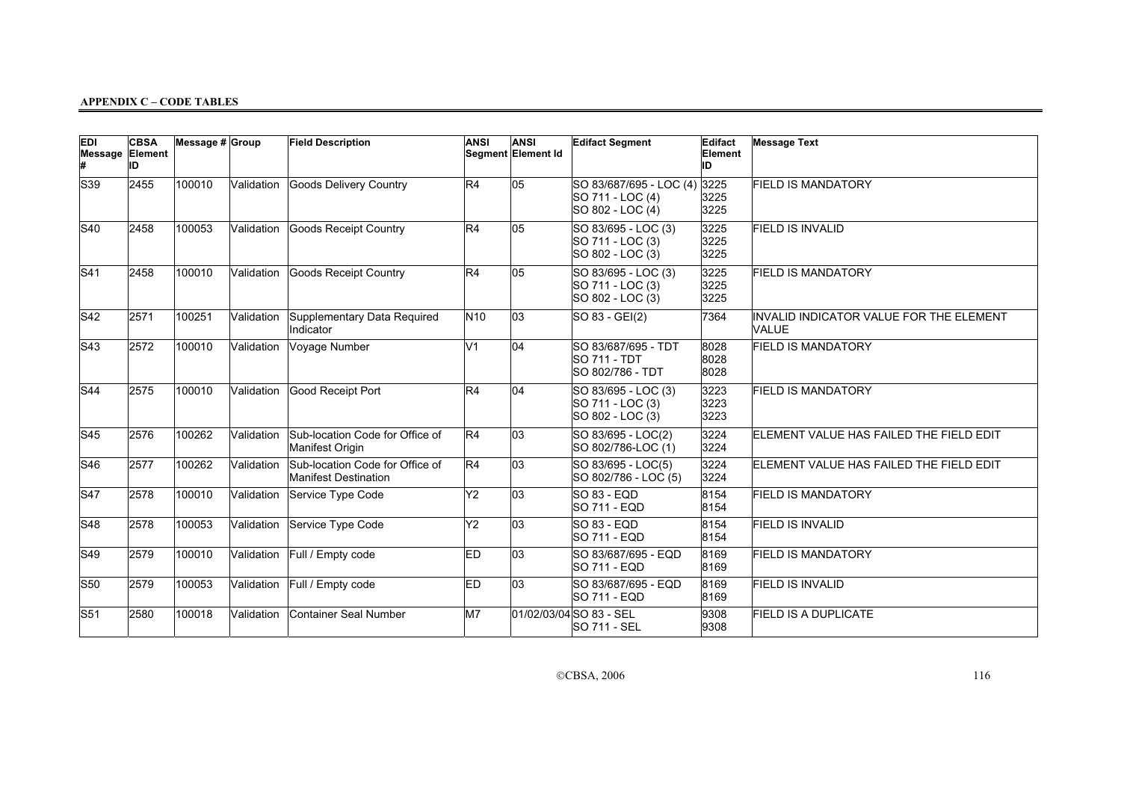| <b>EDI</b><br>Message Element | <b>CBSA</b><br>ID | Message # Group |            | <b>Field Description</b>                                       | <b>ANSI</b>     | <b>ANSI</b><br>Segment Element Id | <b>Edifact Segment</b>                                          | <b>Edifact</b><br>Element<br>ID | <b>Message Text</b>                              |
|-------------------------------|-------------------|-----------------|------------|----------------------------------------------------------------|-----------------|-----------------------------------|-----------------------------------------------------------------|---------------------------------|--------------------------------------------------|
| S39                           | 2455              | 100010          | Validation | <b>Goods Delivery Country</b>                                  | R4              | 05                                | SO 83/687/695 - LOC (4)<br>SO 711 - LOC (4)<br>SO 802 - LOC (4) | 3225<br>3225<br>3225            | <b>FIELD IS MANDATORY</b>                        |
| S40                           | 2458              | 100053          | Validation | <b>Goods Receipt Country</b>                                   | R4              | 05                                | SO 83/695 - LOC (3)<br>SO 711 - LOC (3)<br>SO 802 - LOC (3)     | 3225<br>3225<br>3225            | <b>FIELD IS INVALID</b>                          |
| S41                           | 2458              | 100010          | Validation | <b>Goods Receipt Country</b>                                   | R4              | 05                                | SO 83/695 - LOC (3)<br>SO 711 - LOC (3)<br>SO 802 - LOC (3)     | 3225<br>3225<br>3225            | <b>FIELD IS MANDATORY</b>                        |
| S42                           | 2571              | 100251          | Validation | Supplementary Data Required<br>Indicator                       | N <sub>10</sub> | 03                                | SO 83 - GEI(2)                                                  | 7364                            | INVALID INDICATOR VALUE FOR THE ELEMENT<br>VALUE |
| S43                           | 2572              | 100010          | Validation | Voyage Number                                                  | lV1             | 04                                | SO 83/687/695 - TDT<br><b>SO 711 - TDT</b><br>SO 802/786 - TDT  | 8028<br>8028<br>8028            | <b>FIELD IS MANDATORY</b>                        |
| S44                           | 2575              | 100010          | Validation | Good Receipt Port                                              | R4              | 04                                | SO 83/695 - LOC (3)<br>SO 711 - LOC (3)<br>SO 802 - LOC (3)     | 3223<br>3223<br>3223            | <b>FIELD IS MANDATORY</b>                        |
| S45                           | 2576              | 100262          | Validation | Sub-location Code for Office of<br>Manifest Origin             | R4              | $ 03\rangle$                      | SO 83/695 - LOC(2)<br>SO 802/786-LOC (1)                        | 3224<br>3224                    | ELEMENT VALUE HAS FAILED THE FIELD EDIT          |
| S46                           | 2577              | 100262          | Validation | Sub-location Code for Office of<br><b>Manifest Destination</b> | R4              | $ 03\rangle$                      | SO 83/695 - LOC(5)<br>SO 802/786 - LOC (5)                      | 3224<br>3224                    | ELEMENT VALUE HAS FAILED THE FIELD EDIT          |
| S47                           | 2578              | 100010          | Validation | Service Type Code                                              | Y2              | 03                                | <b>SO 83 - EQD</b><br><b>SO 711 - EQD</b>                       | 8154<br>8154                    | <b>FIELD IS MANDATORY</b>                        |
| S48                           | 2578              | 100053          | Validation | Service Type Code                                              | Y2              | $\overline{03}$                   | SO 83 - EQD<br><b>SO 711 - EQD</b>                              | 8154<br>8154                    | <b>FIELD IS INVALID</b>                          |
| S49                           | 2579              | 100010          | Validation | Full / Empty code                                              | ED.             | 03                                | SO 83/687/695 - EQD<br><b>SO 711 - EQD</b>                      | 8169<br>8169                    | <b>FIELD IS MANDATORY</b>                        |
| $ S50\rangle$                 | 2579              | 100053          | Validation | Full / Empty code                                              | ED.             | 03                                | SO 83/687/695 - EQD<br><b>SO 711 - EQD</b>                      | 8169<br>8169                    | <b>FIELD IS INVALID</b>                          |
| $\mathsf{S}51$                | 2580              | 100018          | Validation | Container Seal Number                                          | M7              |                                   | 01/02/03/04 SO 83 - SEL<br><b>SO 711 - SEL</b>                  | 9308<br>9308                    | <b>FIELD IS A DUPLICATE</b>                      |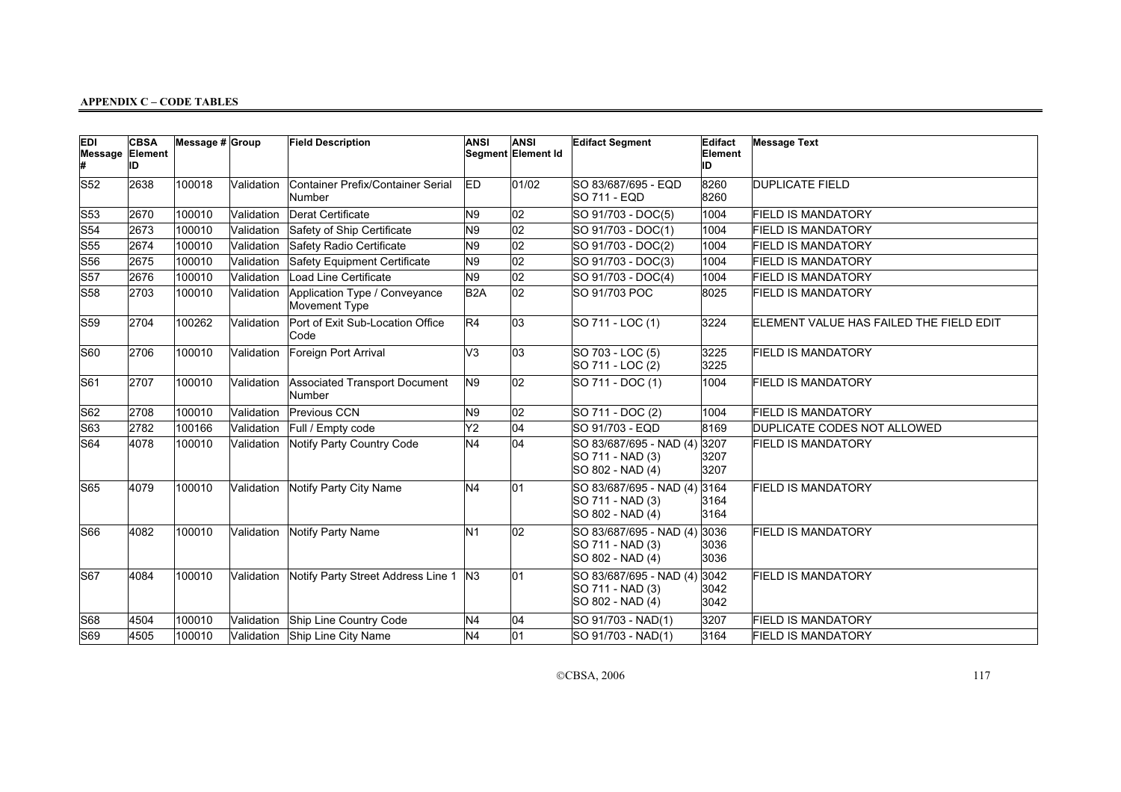| <b>EDI</b><br><b>Message Element</b> | <b>CBSA</b><br>ID | Message # Group |            | <b>Field Description</b>                       | <b>ANSI</b>      | <b>ANSI</b><br>Segment Element Id | <b>Edifact Segment</b>                                               | Edifact<br>Element<br>ID | <b>Message Text</b>                     |
|--------------------------------------|-------------------|-----------------|------------|------------------------------------------------|------------------|-----------------------------------|----------------------------------------------------------------------|--------------------------|-----------------------------------------|
| S52                                  | 2638              | 100018          | Validation | Container Prefix/Container Serial<br>Number    | ED               | 01/02                             | SO 83/687/695 - EQD<br>SO 711 - EQD                                  | 8260<br>8260             | <b>DUPLICATE FIELD</b>                  |
| S53                                  | 2670              | 100010          | Validation | Derat Certificate                              | N9               | $ 02\rangle$                      | SO 91/703 - DOC(5)                                                   | 1004                     | <b>FIELD IS MANDATORY</b>               |
| $\mathsf{S}54$                       | 2673              | 100010          | Validation | Safety of Ship Certificate                     | N <sub>9</sub>   | $\overline{02}$                   | SO 91/703 - DOC(1)                                                   | 1004                     | <b>FIELD IS MANDATORY</b>               |
| $\mathsf{S}55$                       | 2674              | 100010          | Validation | Safety Radio Certificate                       | N9               | 02                                | SO 91/703 - DOC(2)                                                   | 1004                     | <b>FIELD IS MANDATORY</b>               |
| S56                                  | 2675              | 100010          | Validation | Safety Equipment Certificate                   | N <sub>9</sub>   | 02                                | SO 91/703 - DOC(3)                                                   | 1004                     | <b>FIELD IS MANDATORY</b>               |
| S57                                  | 2676              | 100010          | Validation | <b>Load Line Certificate</b>                   | N9               | 02                                | SO 91/703 - DOC(4)                                                   | 1004                     | <b>FIELD IS MANDATORY</b>               |
| S58                                  | 2703              | 100010          | Validation | Application Type / Conveyance<br>Movement Type | B <sub>2</sub> A | 02                                | SO 91/703 POC                                                        | 8025                     | <b>FIELD IS MANDATORY</b>               |
| S59                                  | 2704              | 100262          | Validation | Port of Exit Sub-Location Office<br>Code       | R4               | 03                                | SO 711 - LOC (1)                                                     | 3224                     | ELEMENT VALUE HAS FAILED THE FIELD EDIT |
| S60                                  | 2706              | 100010          | Validation | Foreign Port Arrival                           | V3               | 03                                | SO 703 - LOC (5)<br>SO 711 - LOC (2)                                 | 3225<br>3225             | <b>FIELD IS MANDATORY</b>               |
| <b>S61</b>                           | 2707              | 100010          | Validation | <b>Associated Transport Document</b><br>Number | N9               | $ 02\rangle$                      | SO 711 - DOC (1)                                                     | 1004                     | <b>FIELD IS MANDATORY</b>               |
| S62                                  | 2708              | 100010          | Validation | Previous CCN                                   | N9               | 02                                | SO 711 - DOC (2)                                                     | 1004                     | <b>FIELD IS MANDATORY</b>               |
| S63                                  | 2782              | 100166          | Validation | Full / Empty code                              | Y <sub>2</sub>   | $\overline{04}$                   | SO 91/703 - EQD                                                      | 8169                     | DUPLICATE CODES NOT ALLOWED             |
| S64                                  | 4078              | 100010          | Validation | Notify Party Country Code                      | N <sub>4</sub>   | 04                                | SO 83/687/695 - NAD (4)<br>SO 711 - NAD (3)<br>SO 802 - NAD (4)      | 3207<br>3207<br>3207     | <b>FIELD IS MANDATORY</b>               |
| <b>S65</b>                           | 4079              | 100010          | Validation | Notify Party City Name                         | N4               | 01                                | SO 83/687/695 - NAD (4) 3164<br>SO 711 - NAD (3)<br>SO 802 - NAD (4) | 3164<br>3164             | <b>FIELD IS MANDATORY</b>               |
| S66                                  | 4082              | 100010          | Validation | Notify Party Name                              | N <sub>1</sub>   | $ 02\rangle$                      | SO 83/687/695 - NAD (4)<br>SO 711 - NAD (3)<br>SO 802 - NAD (4)      | 3036<br>3036<br>3036     | <b>FIELD IS MANDATORY</b>               |
| <b>S67</b>                           | 4084              | 100010          | Validation | Notify Party Street Address Line 1   N3        |                  | 01                                | SO 83/687/695 - NAD (4)<br>SO 711 - NAD (3)<br>SO 802 - NAD (4)      | 3042<br>3042<br>3042     | <b>FIELD IS MANDATORY</b>               |
| S68                                  | 4504              | 100010          | Validation | Ship Line Country Code                         | N <sub>4</sub>   | 04                                | SO 91/703 - NAD(1)                                                   | 3207                     | <b>FIELD IS MANDATORY</b>               |
| S69                                  | 4505              | 100010          |            | Validation Ship Line City Name                 | N4               | 01                                | SO 91/703 - NAD(1)                                                   | 3164                     | <b>FIELD IS MANDATORY</b>               |

CCBSA, 2006 117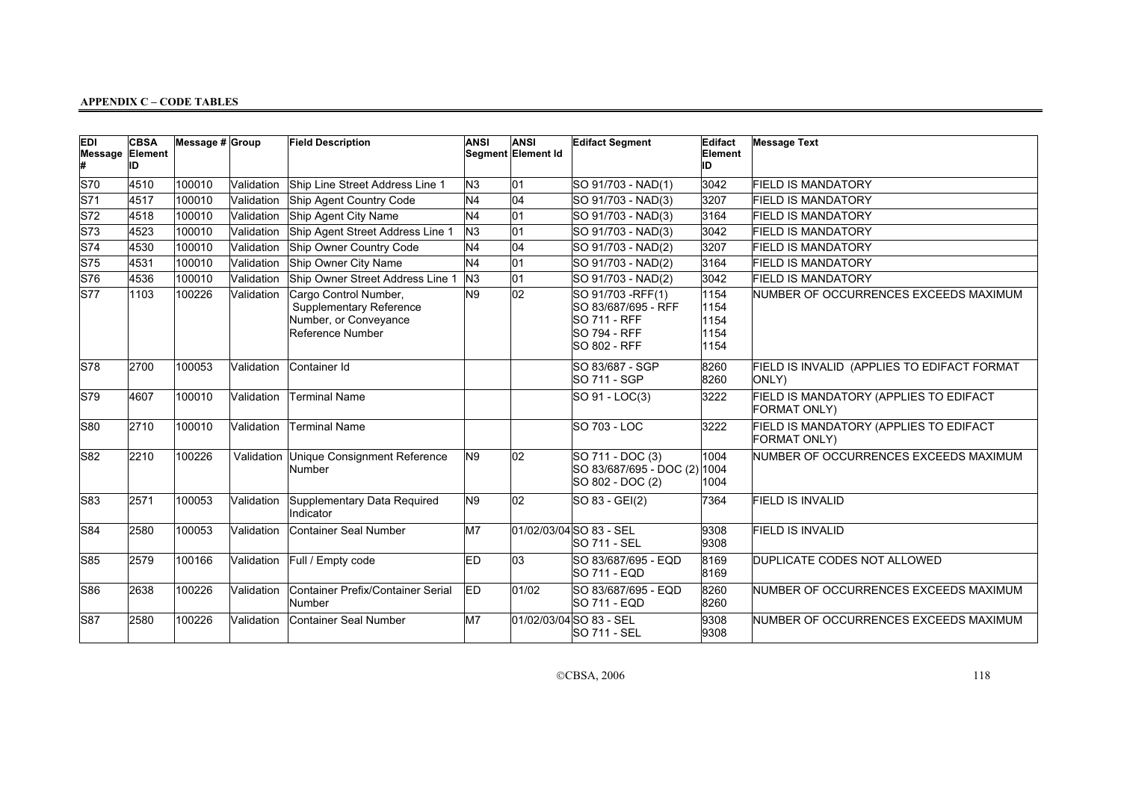| <b>EDI</b><br>Message | <b>CBSA</b><br>Element<br>ID | Message # Group |            | <b>Field Description</b>                                                                             | <b>ANSI</b>    | ANSI<br>Segment Element Id | <b>Edifact Segment</b>                                                                                         | Edifact<br>Element<br>ID             | <b>Message Text</b>                                    |
|-----------------------|------------------------------|-----------------|------------|------------------------------------------------------------------------------------------------------|----------------|----------------------------|----------------------------------------------------------------------------------------------------------------|--------------------------------------|--------------------------------------------------------|
| S70                   | 4510                         | 100010          | Validation | Ship Line Street Address Line 1                                                                      | N <sub>3</sub> | 01                         | SO 91/703 - NAD(1)                                                                                             | 3042                                 | <b>FIELD IS MANDATORY</b>                              |
| S71                   | 4517                         | 100010          | Validation | Ship Agent Country Code                                                                              | N <sub>4</sub> | 04                         | SO 91/703 - NAD(3)                                                                                             | 3207                                 | <b>FIELD IS MANDATORY</b>                              |
| S72                   | 4518                         | 100010          | Validation | Ship Agent City Name                                                                                 | N <sub>4</sub> | 01                         | SO 91/703 - NAD(3)                                                                                             | 3164                                 | <b>FIELD IS MANDATORY</b>                              |
| S73                   | 4523                         | 100010          | Validation | Ship Agent Street Address Line 1                                                                     | N <sub>3</sub> | 01                         | SO 91/703 - NAD(3)                                                                                             | 3042                                 | <b>FIELD IS MANDATORY</b>                              |
| S74                   | 4530                         | 100010          | Validation | Ship Owner Country Code                                                                              | N <sub>4</sub> | 04                         | SO 91/703 - NAD(2)                                                                                             | 3207                                 | <b>FIELD IS MANDATORY</b>                              |
| S75                   | 4531                         | 100010          | Validation | Ship Owner City Name                                                                                 | N <sub>4</sub> | 01                         | SO 91/703 - NAD(2)                                                                                             | 3164                                 | <b>FIELD IS MANDATORY</b>                              |
| S76                   | 4536                         | 100010          | Validation | Ship Owner Street Address Line 1                                                                     | N <sub>3</sub> | 01                         | SO 91/703 - NAD(2)                                                                                             | 3042                                 | <b>FIELD IS MANDATORY</b>                              |
| S77                   | 1103                         | 100226          | Validation | Cargo Control Number,<br><b>Supplementary Reference</b><br>Number, or Conveyance<br>Reference Number | N <sub>9</sub> | 02                         | SO 91/703 - RFF(1)<br>SO 83/687/695 - RFF<br><b>SO 711 - RFF</b><br><b>SO 794 - RFF</b><br><b>SO 802 - RFF</b> | 1154<br>1154<br>1154<br>1154<br>1154 | NUMBER OF OCCURRENCES EXCEEDS MAXIMUM                  |
| S78                   | 2700                         | 100053          | Validation | Container Id                                                                                         |                |                            | SO 83/687 - SGP<br><b>SO 711 - SGP</b>                                                                         | 8260<br>8260                         | FIELD IS INVALID (APPLIES TO EDIFACT FORMAT<br>ONLY)   |
| S79                   | 4607                         | 100010          | Validation | Terminal Name                                                                                        |                |                            | SO 91 - LOC(3)                                                                                                 | 3222                                 | FIELD IS MANDATORY (APPLIES TO EDIFACT<br>FORMAT ONLY) |
| $ S80\rangle$         | 2710                         | 100010          | Validation | Terminal Name                                                                                        |                |                            | SO 703 - LOC                                                                                                   | 3222                                 | FIELD IS MANDATORY (APPLIES TO EDIFACT<br>FORMAT ONLY) |
| S82                   | 2210                         | 100226          | Validation | Unique Consignment Reference<br>Number                                                               | N <sub>9</sub> | 02                         | SO 711 - DOC (3)<br>SO 83/687/695 - DOC (2) 1004<br>SO 802 - DOC (2)                                           | 1004<br>1004                         | NUMBER OF OCCURRENCES EXCEEDS MAXIMUM                  |
| $ $ S83               | 2571                         | 100053          | Validation | Supplementary Data Required<br>Indicator                                                             | N <sub>9</sub> | 02                         | SO 83 - GEI(2)                                                                                                 | 7364                                 | <b>FIELD IS INVALID</b>                                |
| S84                   | 2580                         | 100053          | Validation | Container Seal Number                                                                                | M7             |                            | 01/02/03/04 SO 83 - SEL<br><b>SO 711 - SEL</b>                                                                 | 9308<br>9308                         | FIELD IS INVALID                                       |
| S85                   | 2579                         | 100166          | Validation | Full / Empty code                                                                                    | ED             | 03                         | SO 83/687/695 - EQD<br>SO 711 - EQD                                                                            | 8169<br>8169                         | DUPLICATE CODES NOT ALLOWED                            |
| <b>S86</b>            | 2638                         | 100226          | Validation | Container Prefix/Container Serial<br>Number                                                          | ED             | 01/02                      | SO 83/687/695 - EQD<br><b>SO 711 - EQD</b>                                                                     | 8260<br>8260                         | NUMBER OF OCCURRENCES EXCEEDS MAXIMUM                  |
| <b>S87</b>            | 2580                         | 100226          | Validation | Container Seal Number                                                                                | M7             |                            | 01/02/03/04 SO 83 - SEL<br>ISO 711 - SEL                                                                       | 9308<br>9308                         | NUMBER OF OCCURRENCES EXCEEDS MAXIMUM                  |

CCBSA, 2006 118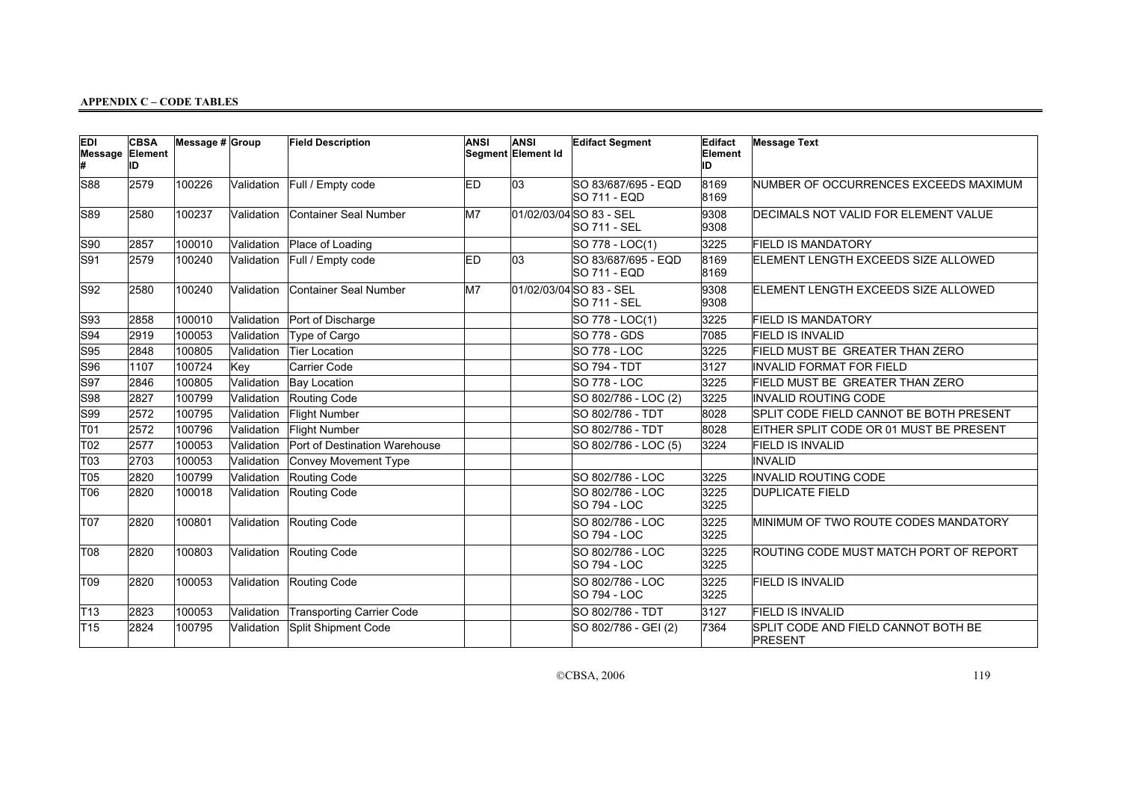| <b>EDI</b><br>Message<br>Ħ | <b>CBSA</b><br>Element<br>ID | Message # Group |            | <b>Field Description</b>      | <b>ANSI</b> | <b>ANSI</b><br>Segment Element Id | <b>Edifact Segment</b>                         | Edifact<br>Element<br>ID | <b>Message Text</b>                            |
|----------------------------|------------------------------|-----------------|------------|-------------------------------|-------------|-----------------------------------|------------------------------------------------|--------------------------|------------------------------------------------|
| S88                        | 2579                         | 100226          | Validation | Full / Empty code             | <b>ED</b>   | 03                                | SO 83/687/695 - EQD<br><b>SO 711 - EQD</b>     | 8169<br>8169             | NUMBER OF OCCURRENCES EXCEEDS MAXIMUM          |
| S89                        | 2580                         | 100237          | Validation | Container Seal Number         | M7          |                                   | 01/02/03/04 SO 83 - SEL<br><b>SO 711 - SEL</b> | 9308<br>9308             | DECIMALS NOT VALID FOR ELEMENT VALUE           |
| S90                        | 2857                         | 100010          | Validation | Place of Loading              |             |                                   | SO 778 - LOC(1)                                | 3225                     | <b>FIELD IS MANDATORY</b>                      |
| S91                        | 2579                         | 100240          | Validation | Full / Empty code             | <b>ED</b>   | 03                                | SO 83/687/695 - EQD<br><b>SO 711 - EQD</b>     | 8169<br>8169             | ELEMENT LENGTH EXCEEDS SIZE ALLOWED            |
| S92                        | 2580                         | 100240          | Validation | Container Seal Number         | M7          |                                   | 01/02/03/04 SO 83 - SEL<br><b>SO 711 - SEL</b> | 9308<br>9308             | ELEMENT LENGTH EXCEEDS SIZE ALLOWED            |
| S93                        | 2858                         | 100010          | Validation | Port of Discharge             |             |                                   | SO 778 - LOC(1)                                | 3225                     | <b>FIELD IS MANDATORY</b>                      |
| S94                        | 2919                         | 100053          | Validation | Type of Cargo                 |             |                                   | <b>SO 778 - GDS</b>                            | 7085                     | <b>FIELD IS INVALID</b>                        |
| S95                        | 2848                         | 100805          | Validation | Tier Location                 |             |                                   | <b>SO 778 - LOC</b>                            | 3225                     | FIELD MUST BE GREATER THAN ZERO                |
| S96                        | 1107                         | 100724          | Key        | Carrier Code                  |             |                                   | <b>SO 794 - TDT</b>                            | 3127                     | <b>INVALID FORMAT FOR FIELD</b>                |
| S97                        | 2846                         | 100805          | Validation | <b>Bay Location</b>           |             |                                   | <b>SO 778 - LOC</b>                            | 3225                     | FIELD MUST BE GREATER THAN ZERO                |
| S98                        | 2827                         | 100799          | Validation | Routing Code                  |             |                                   | SO 802/786 - LOC (2)                           | 3225                     | INVALID ROUTING CODE                           |
| S99                        | 2572                         | 100795          | Validation | Flight Number                 |             |                                   | SO 802/786 - TDT                               | 8028                     | SPLIT CODE FIELD CANNOT BE BOTH PRESENT        |
| T01                        | 2572                         | 100796          | Validation | <b>Flight Number</b>          |             |                                   | SO 802/786 - TDT                               | 8028                     | EITHER SPLIT CODE OR 01 MUST BE PRESENT        |
| T <sub>02</sub>            | 2577                         | 100053          | Validation | Port of Destination Warehouse |             |                                   | SO 802/786 - LOC (5)                           | 3224                     | <b>FIELD IS INVALID</b>                        |
| T <sub>03</sub>            | 2703                         | 100053          | Validation | Convey Movement Type          |             |                                   |                                                |                          | <b>INVALID</b>                                 |
| T05                        | 2820                         | 100799          | Validation | Routing Code                  |             |                                   | SO 802/786 - LOC                               | 3225                     | INVALID ROUTING CODE                           |
| T06                        | 2820                         | 100018          | Validation | Routing Code                  |             |                                   | SO 802/786 - LOC<br><b>SO 794 - LOC</b>        | 3225<br>3225             | <b>DUPLICATE FIELD</b>                         |
| <b>T07</b>                 | 2820                         | 100801          | Validation | Routing Code                  |             |                                   | SO 802/786 - LOC<br><b>SO 794 - LOC</b>        | 3225<br>3225             | MINIMUM OF TWO ROUTE CODES MANDATORY           |
| T08                        | 2820                         | 100803          | Validation | Routing Code                  |             |                                   | SO 802/786 - LOC<br><b>SO 794 - LOC</b>        | 3225<br>3225             | ROUTING CODE MUST MATCH PORT OF REPORT         |
| T09                        | 2820                         | 100053          | Validation | Routing Code                  |             |                                   | SO 802/786 - LOC<br><b>SO 794 - LOC</b>        | 3225<br>3225             | <b>FIELD IS INVALID</b>                        |
| T13                        | 2823                         | 100053          | Validation | Transporting Carrier Code     |             |                                   | SO 802/786 - TDT                               | 3127                     | <b>FIELD IS INVALID</b>                        |
| T <sub>15</sub>            | 2824                         | 100795          | Validation | Split Shipment Code           |             |                                   | SO 802/786 - GEI (2)                           | 7364                     | SPLIT CODE AND FIELD CANNOT BOTH BE<br>PRESENT |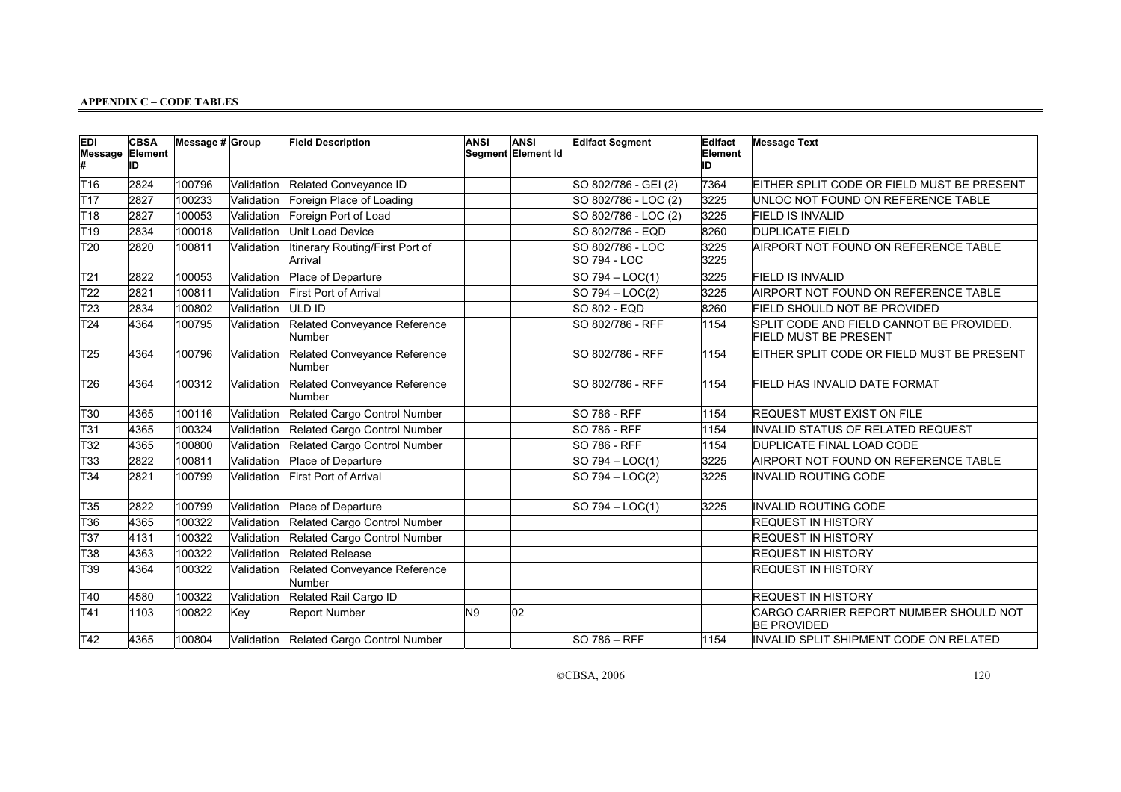| <b>EDI</b><br><b>Message Element</b> | <b>CBSA</b><br>ID | Message # Group |            | <b>Field Description</b>                   | <b>ANSI</b>    | <b>ANSI</b><br>Segment Element Id | <b>Edifact Segment</b>                  | Edifact<br>Element<br>ID | <b>Message Text</b>                                                      |
|--------------------------------------|-------------------|-----------------|------------|--------------------------------------------|----------------|-----------------------------------|-----------------------------------------|--------------------------|--------------------------------------------------------------------------|
| T <sub>16</sub>                      | 2824              | 100796          | Validation | Related Conveyance ID                      |                |                                   | SO 802/786 - GEI (2)                    | 7364                     | EITHER SPLIT CODE OR FIELD MUST BE PRESENT                               |
| T <sub>17</sub>                      | 2827              | 100233          | Validation | Foreign Place of Loading                   |                |                                   | SO 802/786 - LOC (2)                    | 3225                     | UNLOC NOT FOUND ON REFERENCE TABLE                                       |
| T18                                  | 2827              | 100053          | Validation | Foreign Port of Load                       |                |                                   | SO 802/786 - LOC (2)                    | 3225                     | <b>FIELD IS INVALID</b>                                                  |
| T19                                  | 2834              | 100018          | Validation | Unit Load Device                           |                |                                   | SO 802/786 - EQD                        | 8260                     | <b>DUPLICATE FIELD</b>                                                   |
| T <sub>20</sub>                      | 2820              | 100811          | Validation | Itinerary Routing/First Port of<br>Arrival |                |                                   | SO 802/786 - LOC<br><b>SO 794 - LOC</b> | 3225<br>3225             | AIRPORT NOT FOUND ON REFERENCE TABLE                                     |
| T21                                  | 2822              | 100053          | Validation | Place of Departure                         |                |                                   | $SO 794 - LOC(1)$                       | 3225                     | <b>FIELD IS INVALID</b>                                                  |
| T <sub>22</sub>                      | 2821              | 100811          | Validation | First Port of Arrival                      |                |                                   | $SO 794 - LOC(2)$                       | 3225                     | AIRPORT NOT FOUND ON REFERENCE TABLE                                     |
| T <sub>23</sub>                      | 2834              | 100802          | Validation | ULD ID                                     |                |                                   | SO 802 - EQD                            | 8260                     | FIELD SHOULD NOT BE PROVIDED                                             |
| T <sub>24</sub>                      | 4364              | 100795          | Validation | Related Conveyance Reference<br>Number     |                |                                   | SO 802/786 - RFF                        | 1154                     | SPLIT CODE AND FIELD CANNOT BE PROVIDED.<br><b>FIELD MUST BE PRESENT</b> |
| T <sub>25</sub>                      | 4364              | 100796          | Validation | Related Conveyance Reference<br>Number     |                |                                   | SO 802/786 - RFF                        | 1154                     | EITHER SPLIT CODE OR FIELD MUST BE PRESENT                               |
| T <sub>26</sub>                      | 4364              | 100312          | Validation | Related Conveyance Reference<br>Number     |                |                                   | ISO 802/786 - RFF                       | 1154                     | FIELD HAS INVALID DATE FORMAT                                            |
| T30                                  | 4365              | 100116          | Validation | Related Cargo Control Number               |                |                                   | SO 786 - RFF                            | 1154                     | <b>REQUEST MUST EXIST ON FILE</b>                                        |
| T31                                  | 4365              | 100324          | Validation | Related Cargo Control Number               |                |                                   | <b>SO 786 - RFF</b>                     | 1154                     | INVALID STATUS OF RELATED REQUEST                                        |
| T32                                  | 4365              | 100800          | Validation | Related Cargo Control Number               |                |                                   | <b>SO 786 - RFF</b>                     | 1154                     | DUPLICATE FINAL LOAD CODE                                                |
| T33                                  | 2822              | 100811          | Validation | Place of Departure                         |                |                                   | $SO 794 - LOC(1)$                       | 3225                     | AIRPORT NOT FOUND ON REFERENCE TABLE                                     |
| T34                                  | 2821              | 100799          | Validation | <b>First Port of Arrival</b>               |                |                                   | $SO 794 - LOC(2)$                       | 3225                     | INVALID ROUTING CODE                                                     |
| T35                                  | 2822              | 100799          | Validation | Place of Departure                         |                |                                   | $SO 794 - LOC(1)$                       | 3225                     | <b>INVALID ROUTING CODE</b>                                              |
| T36                                  | 4365              | 100322          | Validation | Related Cargo Control Number               |                |                                   |                                         |                          | <b>REQUEST IN HISTORY</b>                                                |
| T37                                  | 4131              | 100322          | Validation | Related Cargo Control Number               |                |                                   |                                         |                          | <b>REQUEST IN HISTORY</b>                                                |
| T38                                  | 4363              | 100322          | Validation | Related Release                            |                |                                   |                                         |                          | <b>REQUEST IN HISTORY</b>                                                |
| T39                                  | 4364              | 100322          | Validation | Related Conveyance Reference<br>Number     |                |                                   |                                         |                          | <b>REQUEST IN HISTORY</b>                                                |
| T40                                  | 4580              | 100322          | Validation | Related Rail Cargo ID                      |                |                                   |                                         |                          | <b>REQUEST IN HISTORY</b>                                                |
| T41                                  | 1103              | 100822          | Key        | Report Number                              | N <sub>9</sub> | 02                                |                                         |                          | CARGO CARRIER REPORT NUMBER SHOULD NOT<br><b>BE PROVIDED</b>             |
| T42                                  | 4365              | 100804          |            | Validation Related Cargo Control Number    |                |                                   | <b>SO 786 - RFF</b>                     | 1154                     | INVALID SPLIT SHIPMENT CODE ON RELATED                                   |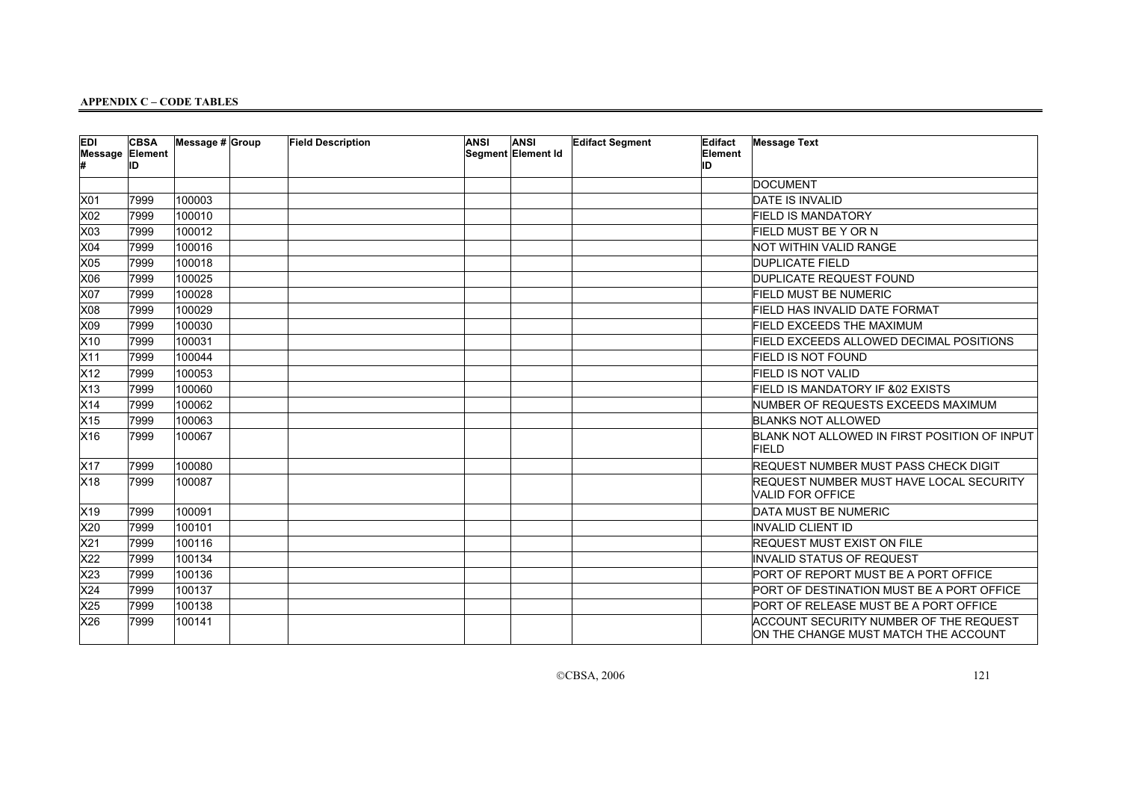| <b>EDI</b><br><b>Message Element</b> | <b>CBSA</b><br>ID | Message $# $ Group | <b>Field Description</b> | <b>ANSI</b> | <b>ANSI</b><br>Segment Element Id | <b>Edifact Segment</b> | Edifact<br>Element<br>ID | <b>Message Text</b>                                                            |
|--------------------------------------|-------------------|--------------------|--------------------------|-------------|-----------------------------------|------------------------|--------------------------|--------------------------------------------------------------------------------|
|                                      |                   |                    |                          |             |                                   |                        |                          | DOCUMENT                                                                       |
| X01                                  | 7999              | 100003             |                          |             |                                   |                        |                          | <b>DATE IS INVALID</b>                                                         |
| X02                                  | 7999              | 100010             |                          |             |                                   |                        |                          | <b>FIELD IS MANDATORY</b>                                                      |
| X03                                  | 7999              | 100012             |                          |             |                                   |                        |                          | <b>FIELD MUST BE Y OR N</b>                                                    |
| X04                                  | 7999              | 100016             |                          |             |                                   |                        |                          | <b>NOT WITHIN VALID RANGE</b>                                                  |
| X05                                  | 7999              | 100018             |                          |             |                                   |                        |                          | <b>DUPLICATE FIELD</b>                                                         |
| X06                                  | 7999              | 100025             |                          |             |                                   |                        |                          | DUPLICATE REQUEST FOUND                                                        |
| X07                                  | 7999              | 100028             |                          |             |                                   |                        |                          | <b>FIELD MUST BE NUMERIC</b>                                                   |
| X08                                  | 7999              | 100029             |                          |             |                                   |                        |                          | FIELD HAS INVALID DATE FORMAT                                                  |
| X09                                  | 7999              | 100030             |                          |             |                                   |                        |                          | <b>FIELD EXCEEDS THE MAXIMUM</b>                                               |
| X10                                  | 7999              | 100031             |                          |             |                                   |                        |                          | <b>FIELD EXCEEDS ALLOWED DECIMAL POSITIONS</b>                                 |
| X11                                  | 7999              | 100044             |                          |             |                                   |                        |                          | <b>FIELD IS NOT FOUND</b>                                                      |
| X12                                  | 7999              | 100053             |                          |             |                                   |                        |                          | <b>FIELD IS NOT VALID</b>                                                      |
| X13                                  | 7999              | 100060             |                          |             |                                   |                        |                          | FIELD IS MANDATORY IF &02 EXISTS                                               |
| X14                                  | 7999              | 100062             |                          |             |                                   |                        |                          | NUMBER OF REQUESTS EXCEEDS MAXIMUM                                             |
| X <sub>15</sub>                      | 7999              | 100063             |                          |             |                                   |                        |                          | <b>BLANKS NOT ALLOWED</b>                                                      |
| X16                                  | 7999              | 100067             |                          |             |                                   |                        |                          | BLANK NOT ALLOWED IN FIRST POSITION OF INPUT<br><b>FIELD</b>                   |
| X17                                  | 7999              | 100080             |                          |             |                                   |                        |                          | <b>REQUEST NUMBER MUST PASS CHECK DIGIT</b>                                    |
| X18                                  | 7999              | 100087             |                          |             |                                   |                        |                          | <b>REQUEST NUMBER MUST HAVE LOCAL SECURITY</b><br>VALID FOR OFFICE             |
| X19                                  | 7999              | 100091             |                          |             |                                   |                        |                          | DATA MUST BE NUMERIC                                                           |
| X20                                  | 7999              | 100101             |                          |             |                                   |                        |                          | <b>INVALID CLIENT ID</b>                                                       |
| X21                                  | 7999              | 100116             |                          |             |                                   |                        |                          | <b>REQUEST MUST EXIST ON FILE</b>                                              |
| X22                                  | 7999              | 100134             |                          |             |                                   |                        |                          | INVALID STATUS OF REQUEST                                                      |
| X23                                  | 7999              | 100136             |                          |             |                                   |                        |                          | PORT OF REPORT MUST BE A PORT OFFICE                                           |
| X24                                  | 7999              | 100137             |                          |             |                                   |                        |                          | PORT OF DESTINATION MUST BE A PORT OFFICE                                      |
| X <sub>25</sub>                      | 7999              | 100138             |                          |             |                                   |                        |                          | PORT OF RELEASE MUST BE A PORT OFFICE                                          |
| X26                                  | 7999              | 100141             |                          |             |                                   |                        |                          | ACCOUNT SECURITY NUMBER OF THE REQUEST<br>ON THE CHANGE MUST MATCH THE ACCOUNT |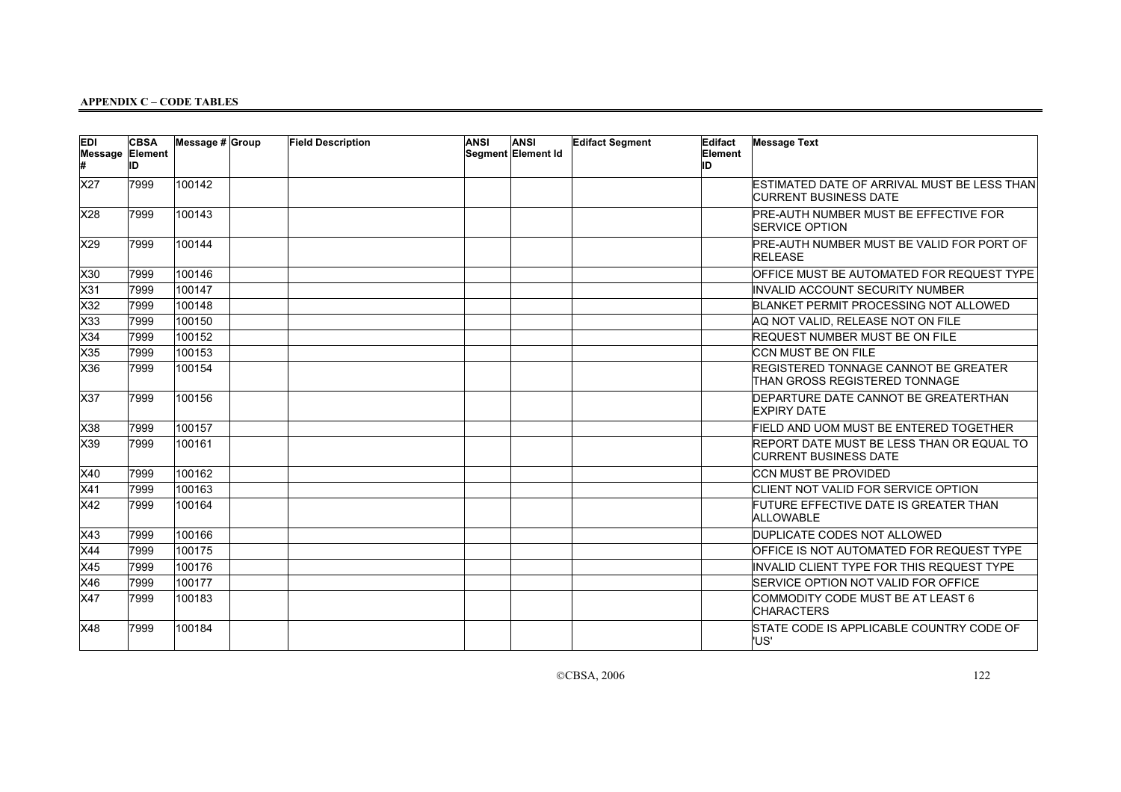| <b>EDI</b><br>Message Element | <b>CBSA</b><br>İID | Message $# $ Group | <b>Field Description</b> | <b>ANSI</b> | <b>ANSI</b><br>Segment Element Id | <b>Edifact Segment</b> | Edifact<br>Element<br>ID | <b>Message Text</b>                                                          |
|-------------------------------|--------------------|--------------------|--------------------------|-------------|-----------------------------------|------------------------|--------------------------|------------------------------------------------------------------------------|
| X27                           | 7999               | 100142             |                          |             |                                   |                        |                          | ESTIMATED DATE OF ARRIVAL MUST BE LESS THAN<br><b>CURRENT BUSINESS DATE</b>  |
| X28                           | 7999               | 100143             |                          |             |                                   |                        |                          | PRE-AUTH NUMBER MUST BE EFFECTIVE FOR<br><b>SERVICE OPTION</b>               |
| X29                           | 7999               | 100144             |                          |             |                                   |                        |                          | PRE-AUTH NUMBER MUST BE VALID FOR PORT OF<br><b>RELEASE</b>                  |
| X30                           | 7999               | 100146             |                          |             |                                   |                        |                          | OFFICE MUST BE AUTOMATED FOR REQUEST TYPE                                    |
| $\overline{\text{X}31}$       | 7999               | 100147             |                          |             |                                   |                        |                          | INVALID ACCOUNT SECURITY NUMBER                                              |
| X32                           | 7999               | 100148             |                          |             |                                   |                        |                          | BLANKET PERMIT PROCESSING NOT ALLOWED                                        |
| X33                           | 7999               | 100150             |                          |             |                                   |                        |                          | AQ NOT VALID, RELEASE NOT ON FILE                                            |
| X34                           | 7999               | 100152             |                          |             |                                   |                        |                          | REQUEST NUMBER MUST BE ON FILE                                               |
| X35                           | 7999               | 100153             |                          |             |                                   |                        |                          | <b>CCN MUST BE ON FILE</b>                                                   |
| X36                           | 7999               | 100154             |                          |             |                                   |                        |                          | REGISTERED TONNAGE CANNOT BE GREATER<br><b>THAN GROSS REGISTERED TONNAGE</b> |
| X37                           | 7999               | 100156             |                          |             |                                   |                        |                          | DEPARTURE DATE CANNOT BE GREATERTHAN<br><b>EXPIRY DATE</b>                   |
| X38                           | 7999               | 100157             |                          |             |                                   |                        |                          | FIELD AND UOM MUST BE ENTERED TOGETHER                                       |
| X39                           | 7999               | 100161             |                          |             |                                   |                        |                          | REPORT DATE MUST BE LESS THAN OR EQUAL TO<br><b>CURRENT BUSINESS DATE</b>    |
| X40                           | 7999               | 100162             |                          |             |                                   |                        |                          | <b>CCN MUST BE PROVIDED</b>                                                  |
| X41                           | 7999               | 100163             |                          |             |                                   |                        |                          | CLIENT NOT VALID FOR SERVICE OPTION                                          |
| X42                           | 7999               | 100164             |                          |             |                                   |                        |                          | FUTURE EFFECTIVE DATE IS GREATER THAN<br><b>ALLOWABLE</b>                    |
| X43                           | 7999               | 100166             |                          |             |                                   |                        |                          | DUPLICATE CODES NOT ALLOWED                                                  |
| X44                           | 7999               | 100175             |                          |             |                                   |                        |                          | OFFICE IS NOT AUTOMATED FOR REQUEST TYPE                                     |
| X45                           | 7999               | 100176             |                          |             |                                   |                        |                          | INVALID CLIENT TYPE FOR THIS REQUEST TYPE                                    |
| X46                           | 7999               | 100177             |                          |             |                                   |                        |                          | SERVICE OPTION NOT VALID FOR OFFICE                                          |
| <b>X47</b>                    | 7999               | 100183             |                          |             |                                   |                        |                          | COMMODITY CODE MUST BE AT LEAST 6<br><b>CHARACTERS</b>                       |
| X48                           | 7999               | 100184             |                          |             |                                   |                        |                          | STATE CODE IS APPLICABLE COUNTRY CODE OF<br>l'US'                            |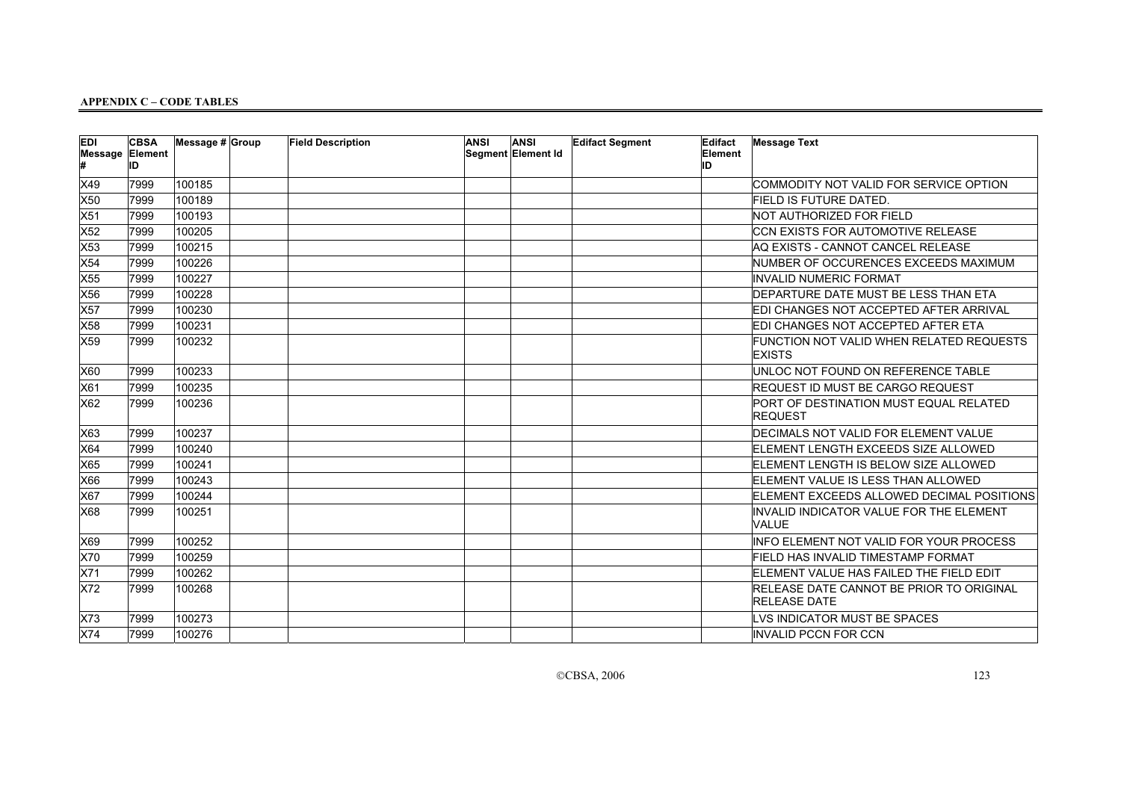| EDI | <b>CBSA</b><br><b>Message Element</b><br>ID | Message $# $ Group | <b>Field Description</b> | <b>ANSI</b> | ANSI<br>Segment Element Id | <b>Edifact Segment</b> | Edifact<br>Element<br>ID | <b>Message Text</b>                                             |
|-----|---------------------------------------------|--------------------|--------------------------|-------------|----------------------------|------------------------|--------------------------|-----------------------------------------------------------------|
| X49 | 7999                                        | 100185             |                          |             |                            |                        |                          | COMMODITY NOT VALID FOR SERVICE OPTION                          |
| X50 | 7999                                        | 100189             |                          |             |                            |                        |                          | <b>FIELD IS FUTURE DATED.</b>                                   |
| X51 | 7999                                        | 100193             |                          |             |                            |                        |                          | NOT AUTHORIZED FOR FIELD                                        |
| X52 | 7999                                        | 100205             |                          |             |                            |                        |                          | CCN EXISTS FOR AUTOMOTIVE RELEASE                               |
| X53 | 7999                                        | 100215             |                          |             |                            |                        |                          | AQ EXISTS - CANNOT CANCEL RELEASE                               |
| X54 | 7999                                        | 100226             |                          |             |                            |                        |                          | NUMBER OF OCCURENCES EXCEEDS MAXIMUM                            |
| X55 | 7999                                        | 100227             |                          |             |                            |                        |                          | INVALID NUMERIC FORMAT                                          |
| X56 | 7999                                        | 100228             |                          |             |                            |                        |                          | DEPARTURE DATE MUST BE LESS THAN ETA                            |
| X57 | 7999                                        | 100230             |                          |             |                            |                        |                          | EDI CHANGES NOT ACCEPTED AFTER ARRIVAL                          |
| X58 | 7999                                        | 100231             |                          |             |                            |                        |                          | EDI CHANGES NOT ACCEPTED AFTER ETA                              |
| X59 | 7999                                        | 100232             |                          |             |                            |                        |                          | FUNCTION NOT VALID WHEN RELATED REQUESTS<br><b>EXISTS</b>       |
| X60 | 7999                                        | 100233             |                          |             |                            |                        |                          | UNLOC NOT FOUND ON REFERENCE TABLE                              |
| X61 | 7999                                        | 100235             |                          |             |                            |                        |                          | REQUEST ID MUST BE CARGO REQUEST                                |
| X62 | 7999                                        | 100236             |                          |             |                            |                        |                          | PORT OF DESTINATION MUST EQUAL RELATED<br><b>REQUEST</b>        |
| X63 | 7999                                        | 100237             |                          |             |                            |                        |                          | DECIMALS NOT VALID FOR ELEMENT VALUE                            |
| X64 | 7999                                        | 100240             |                          |             |                            |                        |                          | ELEMENT LENGTH EXCEEDS SIZE ALLOWED                             |
| X65 | 7999                                        | 100241             |                          |             |                            |                        |                          | ELEMENT LENGTH IS BELOW SIZE ALLOWED                            |
| X66 | 7999                                        | 100243             |                          |             |                            |                        |                          | ELEMENT VALUE IS LESS THAN ALLOWED                              |
| X67 | 7999                                        | 100244             |                          |             |                            |                        |                          | ELEMENT EXCEEDS ALLOWED DECIMAL POSITIONS                       |
| X68 | 7999                                        | 100251             |                          |             |                            |                        |                          | INVALID INDICATOR VALUE FOR THE ELEMENT<br>VALUE                |
| X69 | 7999                                        | 100252             |                          |             |                            |                        |                          | INFO ELEMENT NOT VALID FOR YOUR PROCESS                         |
| X70 | 7999                                        | 100259             |                          |             |                            |                        |                          | FIELD HAS INVALID TIMESTAMP FORMAT                              |
| X71 | 7999                                        | 100262             |                          |             |                            |                        |                          | ELEMENT VALUE HAS FAILED THE FIELD EDIT                         |
| X72 | 7999                                        | 100268             |                          |             |                            |                        |                          | RELEASE DATE CANNOT BE PRIOR TO ORIGINAL<br><b>RELEASE DATE</b> |
| X73 | 7999                                        | 100273             |                          |             |                            |                        |                          | LVS INDICATOR MUST BE SPACES                                    |
| X74 | 7999                                        | 100276             |                          |             |                            |                        |                          | INVALID PCCN FOR CCN                                            |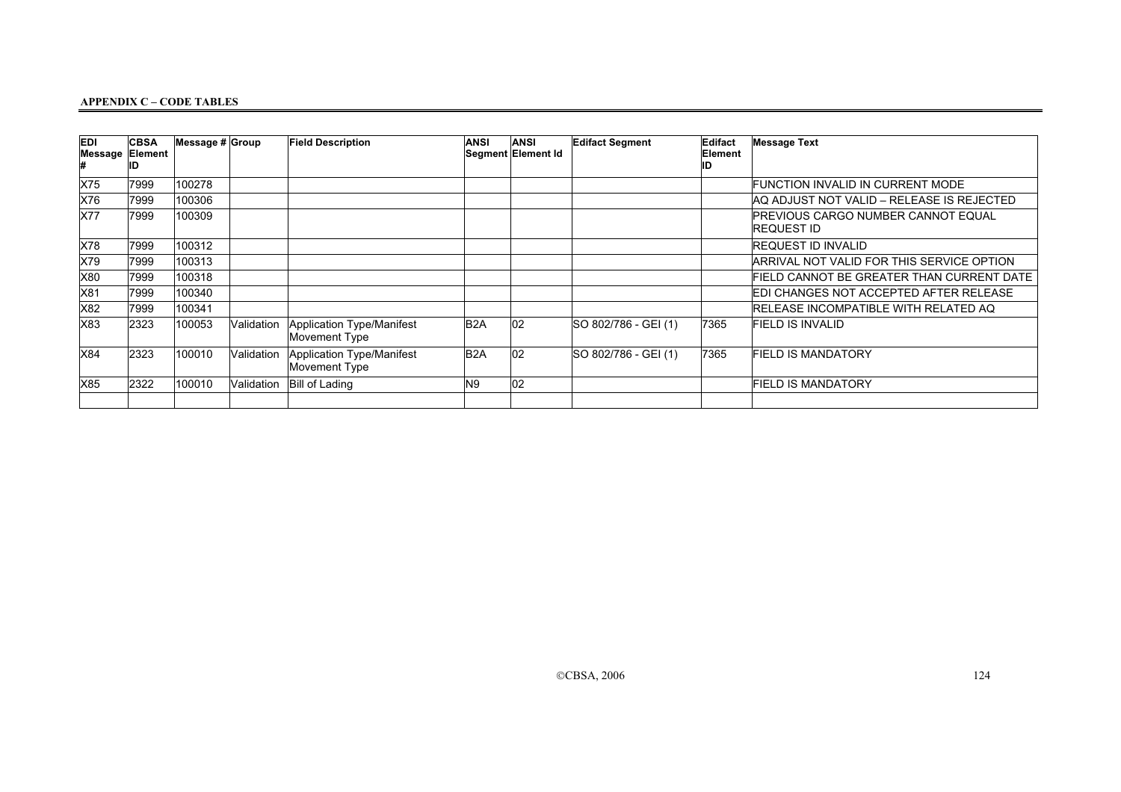| EDI        | <b>CBSA</b><br>Message Element | Message $\#$ Group |             | <b>Field Description</b>                   | <b>ANSI</b>      | <b>ANSI</b><br>Segment Element Id | <b>Edifact Segment</b> | Edifact<br>Element | <b>Message Text</b>                               |
|------------|--------------------------------|--------------------|-------------|--------------------------------------------|------------------|-----------------------------------|------------------------|--------------------|---------------------------------------------------|
| X75        | 7999                           | 100278             |             |                                            |                  |                                   |                        |                    | FUNCTION INVALID IN CURRENT MODE                  |
| X76        | 7999                           | 100306             |             |                                            |                  |                                   |                        |                    | AQ ADJUST NOT VALID – RELEASE IS REJECTED         |
| <b>X77</b> | 7999                           | 100309             |             |                                            |                  |                                   |                        |                    | PREVIOUS CARGO NUMBER CANNOT EQUAL<br>IREQUEST ID |
| X78        | 7999                           | 100312             |             |                                            |                  |                                   |                        |                    | <b>REQUEST ID INVALID</b>                         |
| X79        | 7999                           | 100313             |             |                                            |                  |                                   |                        |                    | ARRIVAL NOT VALID FOR THIS SERVICE OPTION         |
| X80        | 7999                           | 100318             |             |                                            |                  |                                   |                        |                    | FIELD CANNOT BE GREATER THAN CURRENT DATE         |
| X81        | 7999                           | 100340             |             |                                            |                  |                                   |                        |                    | EDI CHANGES NOT ACCEPTED AFTER RELEASE            |
| X82        | 7999                           | 100341             |             |                                            |                  |                                   |                        |                    | RELEASE INCOMPATIBLE WITH RELATED AQ              |
| X83        | 2323                           | 100053             | Validation  | Application Type/Manifest<br>Movement Type | B <sub>2</sub> A | 02                                | SO 802/786 - GEI (1)   | 7365               | FIELD IS INVALID                                  |
| X84        | 2323                           | 100010             | lValidation | Application Type/Manifest<br>Movement Type | B <sub>2</sub> A | $ 02\rangle$                      | SO 802/786 - GEI (1)   | 7365               | <b>FIELD IS MANDATORY</b>                         |
| X85        | 2322                           | 100010             | Validation  | <b>Bill of Lading</b>                      | N9               | 02                                |                        |                    | <b>FIELD IS MANDATORY</b>                         |
|            |                                |                    |             |                                            |                  |                                   |                        |                    |                                                   |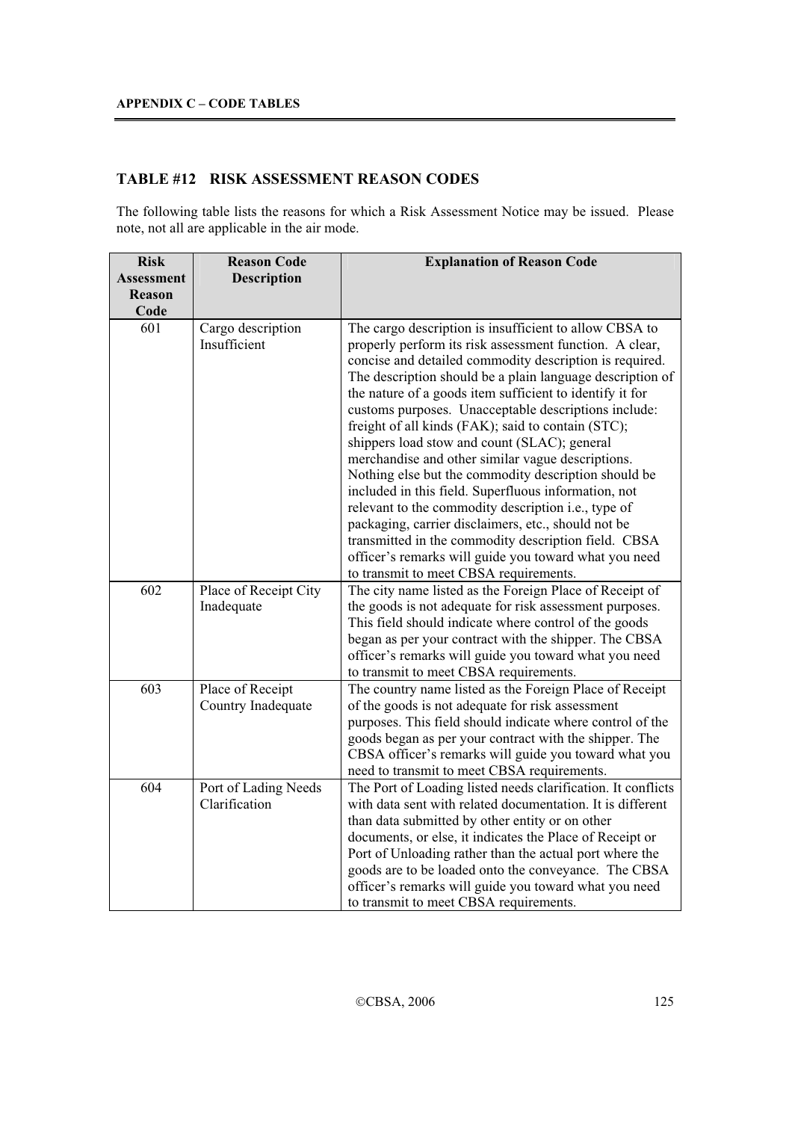# **TABLE #12 RISK ASSESSMENT REASON CODES**

The following table lists the reasons for which a Risk Assessment Notice may be issued. Please note, not all are applicable in the air mode.

| <b>Risk</b><br>Assessment<br>Reason<br>Code | <b>Reason Code</b><br><b>Description</b> | <b>Explanation of Reason Code</b>                                                                                                                                                                                                                                                                                                                                                                                                                                                                                                                                                                                                                                                                                                                                                                                                                                                                                 |
|---------------------------------------------|------------------------------------------|-------------------------------------------------------------------------------------------------------------------------------------------------------------------------------------------------------------------------------------------------------------------------------------------------------------------------------------------------------------------------------------------------------------------------------------------------------------------------------------------------------------------------------------------------------------------------------------------------------------------------------------------------------------------------------------------------------------------------------------------------------------------------------------------------------------------------------------------------------------------------------------------------------------------|
| 601                                         | Cargo description<br>Insufficient        | The cargo description is insufficient to allow CBSA to<br>properly perform its risk assessment function. A clear,<br>concise and detailed commodity description is required.<br>The description should be a plain language description of<br>the nature of a goods item sufficient to identify it for<br>customs purposes. Unacceptable descriptions include:<br>freight of all kinds (FAK); said to contain (STC);<br>shippers load stow and count (SLAC); general<br>merchandise and other similar vague descriptions.<br>Nothing else but the commodity description should be<br>included in this field. Superfluous information, not<br>relevant to the commodity description i.e., type of<br>packaging, carrier disclaimers, etc., should not be<br>transmitted in the commodity description field. CBSA<br>officer's remarks will guide you toward what you need<br>to transmit to meet CBSA requirements. |
| 602                                         | Place of Receipt City<br>Inadequate      | The city name listed as the Foreign Place of Receipt of<br>the goods is not adequate for risk assessment purposes.<br>This field should indicate where control of the goods<br>began as per your contract with the shipper. The CBSA<br>officer's remarks will guide you toward what you need<br>to transmit to meet CBSA requirements.                                                                                                                                                                                                                                                                                                                                                                                                                                                                                                                                                                           |
| 603                                         | Place of Receipt<br>Country Inadequate   | The country name listed as the Foreign Place of Receipt<br>of the goods is not adequate for risk assessment<br>purposes. This field should indicate where control of the<br>goods began as per your contract with the shipper. The<br>CBSA officer's remarks will guide you toward what you<br>need to transmit to meet CBSA requirements.                                                                                                                                                                                                                                                                                                                                                                                                                                                                                                                                                                        |
| 604                                         | Port of Lading Needs<br>Clarification    | The Port of Loading listed needs clarification. It conflicts<br>with data sent with related documentation. It is different<br>than data submitted by other entity or on other<br>documents, or else, it indicates the Place of Receipt or<br>Port of Unloading rather than the actual port where the<br>goods are to be loaded onto the conveyance. The CBSA<br>officer's remarks will guide you toward what you need<br>to transmit to meet CBSA requirements.                                                                                                                                                                                                                                                                                                                                                                                                                                                   |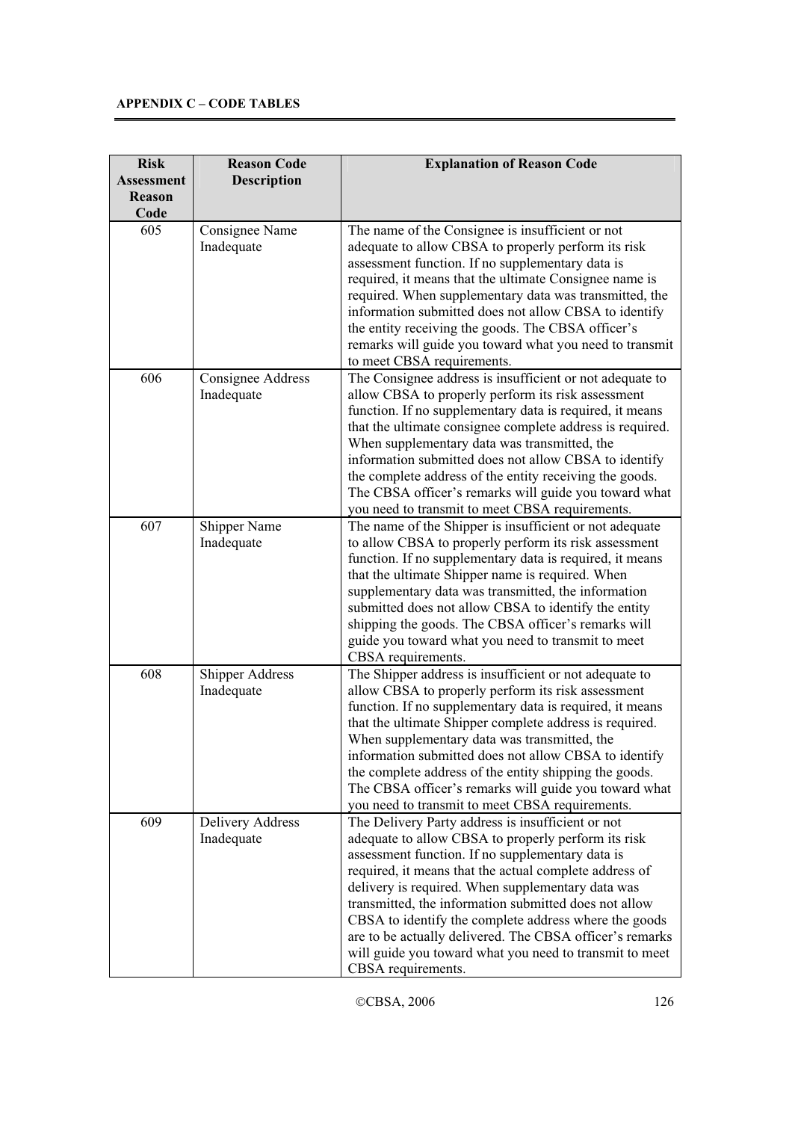| <b>Risk</b>                                | <b>Reason Code</b>                   | <b>Explanation of Reason Code</b>                                                                                                                                                                                                                                                                                                                                                                                                                                                                                                          |
|--------------------------------------------|--------------------------------------|--------------------------------------------------------------------------------------------------------------------------------------------------------------------------------------------------------------------------------------------------------------------------------------------------------------------------------------------------------------------------------------------------------------------------------------------------------------------------------------------------------------------------------------------|
| <b>Assessment</b><br><b>Reason</b><br>Code | <b>Description</b>                   |                                                                                                                                                                                                                                                                                                                                                                                                                                                                                                                                            |
| 605                                        | Consignee Name<br>Inadequate         | The name of the Consignee is insufficient or not<br>adequate to allow CBSA to properly perform its risk<br>assessment function. If no supplementary data is<br>required, it means that the ultimate Consignee name is<br>required. When supplementary data was transmitted, the<br>information submitted does not allow CBSA to identify<br>the entity receiving the goods. The CBSA officer's<br>remarks will guide you toward what you need to transmit<br>to meet CBSA requirements.                                                    |
| 606                                        | Consignee Address<br>Inadequate      | The Consignee address is insufficient or not adequate to<br>allow CBSA to properly perform its risk assessment<br>function. If no supplementary data is required, it means<br>that the ultimate consignee complete address is required.<br>When supplementary data was transmitted, the<br>information submitted does not allow CBSA to identify<br>the complete address of the entity receiving the goods.<br>The CBSA officer's remarks will guide you toward what<br>you need to transmit to meet CBSA requirements.                    |
| 607                                        | Shipper Name<br>Inadequate           | The name of the Shipper is insufficient or not adequate<br>to allow CBSA to properly perform its risk assessment<br>function. If no supplementary data is required, it means<br>that the ultimate Shipper name is required. When<br>supplementary data was transmitted, the information<br>submitted does not allow CBSA to identify the entity<br>shipping the goods. The CBSA officer's remarks will<br>guide you toward what you need to transmit to meet<br>CBSA requirements.                                                         |
| 608                                        | <b>Shipper Address</b><br>Inadequate | The Shipper address is insufficient or not adequate to<br>allow CBSA to properly perform its risk assessment<br>function. If no supplementary data is required, it means<br>that the ultimate Shipper complete address is required.<br>When supplementary data was transmitted, the<br>information submitted does not allow CBSA to identify<br>the complete address of the entity shipping the goods.<br>The CBSA officer's remarks will guide you toward what<br>you need to transmit to meet CBSA requirements.                         |
| 609                                        | Delivery Address<br>Inadequate       | The Delivery Party address is insufficient or not<br>adequate to allow CBSA to properly perform its risk<br>assessment function. If no supplementary data is<br>required, it means that the actual complete address of<br>delivery is required. When supplementary data was<br>transmitted, the information submitted does not allow<br>CBSA to identify the complete address where the goods<br>are to be actually delivered. The CBSA officer's remarks<br>will guide you toward what you need to transmit to meet<br>CBSA requirements. |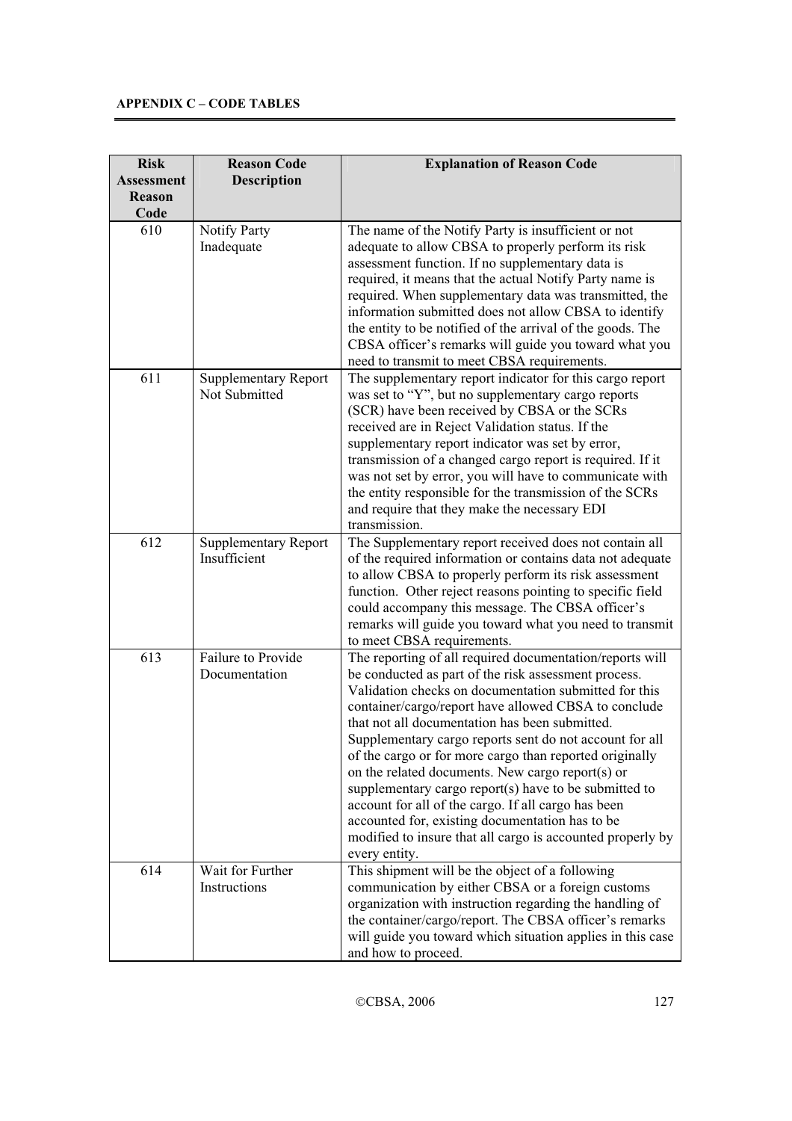| <b>Risk</b>                 | <b>Reason Code</b>                           | <b>Explanation of Reason Code</b>                                                                                                                                                                                                                                                                                                                                                                                                                                                                                                                                                                                                                                                                               |
|-----------------------------|----------------------------------------------|-----------------------------------------------------------------------------------------------------------------------------------------------------------------------------------------------------------------------------------------------------------------------------------------------------------------------------------------------------------------------------------------------------------------------------------------------------------------------------------------------------------------------------------------------------------------------------------------------------------------------------------------------------------------------------------------------------------------|
| Assessment<br><b>Reason</b> | <b>Description</b>                           |                                                                                                                                                                                                                                                                                                                                                                                                                                                                                                                                                                                                                                                                                                                 |
| Code                        |                                              |                                                                                                                                                                                                                                                                                                                                                                                                                                                                                                                                                                                                                                                                                                                 |
| 610                         | Notify Party<br>Inadequate                   | The name of the Notify Party is insufficient or not<br>adequate to allow CBSA to properly perform its risk<br>assessment function. If no supplementary data is<br>required, it means that the actual Notify Party name is<br>required. When supplementary data was transmitted, the<br>information submitted does not allow CBSA to identify<br>the entity to be notified of the arrival of the goods. The<br>CBSA officer's remarks will guide you toward what you<br>need to transmit to meet CBSA requirements.                                                                                                                                                                                              |
| 611                         | <b>Supplementary Report</b><br>Not Submitted | The supplementary report indicator for this cargo report<br>was set to "Y", but no supplementary cargo reports<br>(SCR) have been received by CBSA or the SCRs<br>received are in Reject Validation status. If the<br>supplementary report indicator was set by error,<br>transmission of a changed cargo report is required. If it<br>was not set by error, you will have to communicate with<br>the entity responsible for the transmission of the SCRs<br>and require that they make the necessary EDI<br>transmission.                                                                                                                                                                                      |
| 612                         | <b>Supplementary Report</b><br>Insufficient  | The Supplementary report received does not contain all<br>of the required information or contains data not adequate<br>to allow CBSA to properly perform its risk assessment<br>function. Other reject reasons pointing to specific field<br>could accompany this message. The CBSA officer's<br>remarks will guide you toward what you need to transmit<br>to meet CBSA requirements.                                                                                                                                                                                                                                                                                                                          |
| 613                         | Failure to Provide<br>Documentation          | The reporting of all required documentation/reports will<br>be conducted as part of the risk assessment process.<br>Validation checks on documentation submitted for this<br>container/cargo/report have allowed CBSA to conclude<br>that not all documentation has been submitted.<br>Supplementary cargo reports sent do not account for all<br>of the cargo or for more cargo than reported originally<br>on the related documents. New cargo report(s) or<br>supplementary cargo report(s) have to be submitted to<br>account for all of the cargo. If all cargo has been<br>accounted for, existing documentation has to be<br>modified to insure that all cargo is accounted properly by<br>every entity. |
| 614                         | Wait for Further<br>Instructions             | This shipment will be the object of a following<br>communication by either CBSA or a foreign customs<br>organization with instruction regarding the handling of<br>the container/cargo/report. The CBSA officer's remarks<br>will guide you toward which situation applies in this case<br>and how to proceed.                                                                                                                                                                                                                                                                                                                                                                                                  |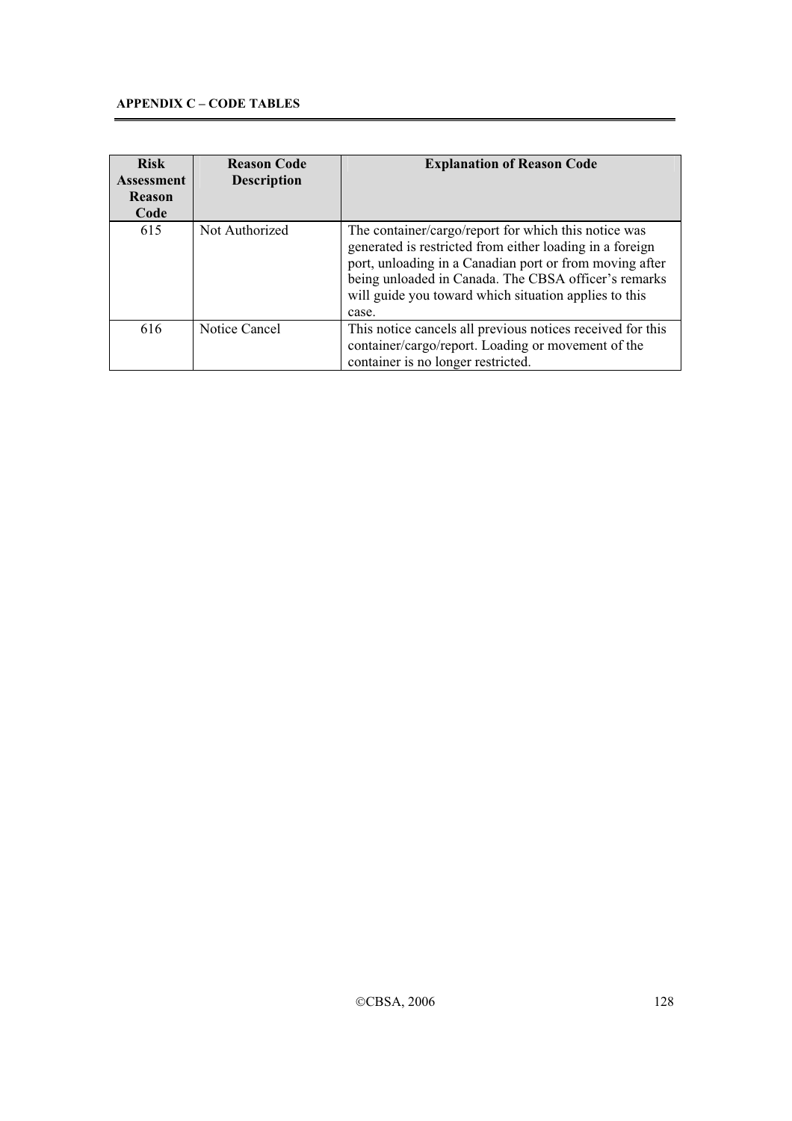| <b>Risk</b><br>Assessment<br><b>Reason</b><br>Code | <b>Reason Code</b><br><b>Description</b> | <b>Explanation of Reason Code</b>                                                                                                                                                                                                                                                                     |
|----------------------------------------------------|------------------------------------------|-------------------------------------------------------------------------------------------------------------------------------------------------------------------------------------------------------------------------------------------------------------------------------------------------------|
| 615                                                | Not Authorized                           | The container/cargo/report for which this notice was<br>generated is restricted from either loading in a foreign<br>port, unloading in a Canadian port or from moving after<br>being unloaded in Canada. The CBSA officer's remarks<br>will guide you toward which situation applies to this<br>case. |
| 616                                                | Notice Cancel                            | This notice cancels all previous notices received for this<br>container/cargo/report. Loading or movement of the<br>container is no longer restricted.                                                                                                                                                |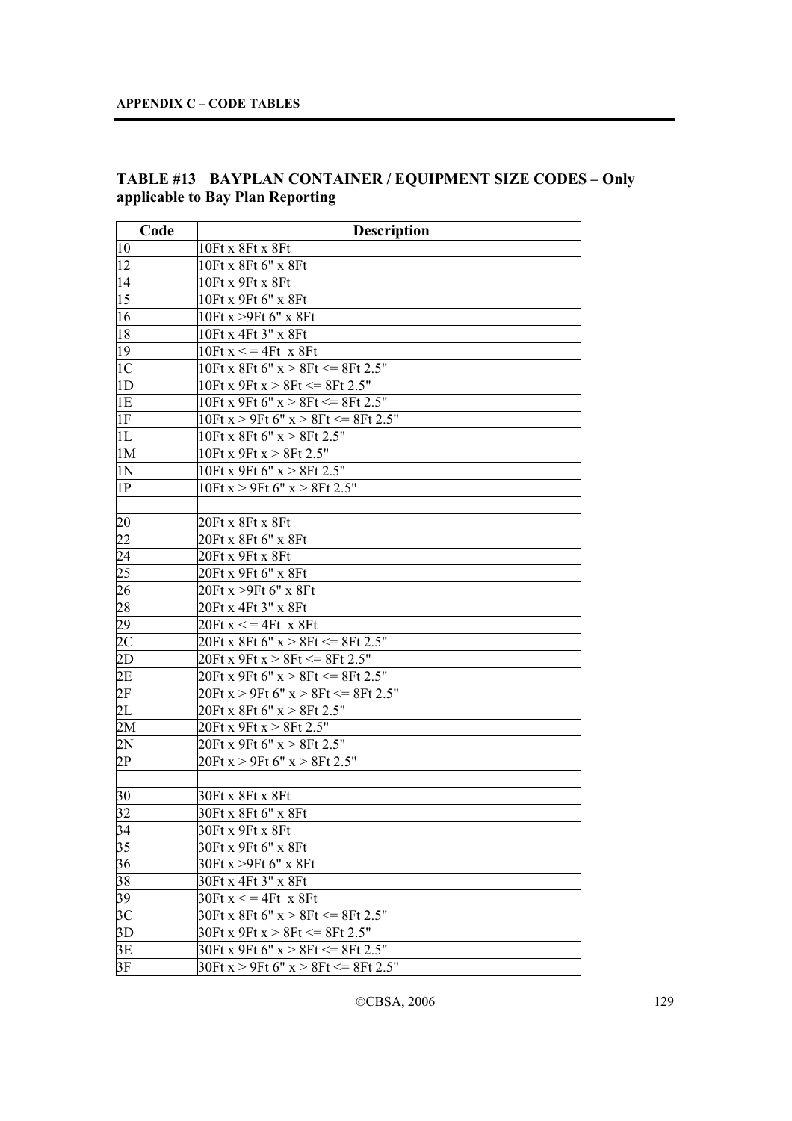| Code              | <b>Description</b>                              |
|-------------------|-------------------------------------------------|
| $ 10\rangle$      | 10Ft x 8Ft x 8Ft                                |
| $ 12\rangle$      | 10Ft x 8Ft 6" x 8Ft                             |
| 14                | 10Ft x 9Ft x 8Ft                                |
| $ 1\overline{5} $ | 10Ft x 9Ft 6" x 8Ft                             |
| 16                | 10Ft x >9Ft 6" x 8Ft                            |
| 18                | 10Ft x 4Ft 3" x 8Ft                             |
| $ 19\rangle$      | 10 $Ft x \leq 4Ft x 8Ft$                        |
| 1C                | 10Ft x 8Ft 6" x > 8Ft <= 8Ft 2.5"               |
| 1D                | 10Ft x 9Ft x > 8Ft <= 8Ft 2.5"                  |
| 1E                | 10Ft x 9Ft 6" $x > 8$ Ft $\leq$ = 8Ft 2.5"      |
| 1F                | 10Ft x > 9Ft 6" x > 8Ft <= 8Ft 2.5"             |
| 1L                | 10Ft x 8Ft 6" $x > 8$ Ft 2.5"                   |
| 1M                | 10Ft x 9Ft x $> 8$ Ft 2.5"                      |
| 1N                | 10Ft x 9Ft 6" $x > 8$ Ft 2.5"                   |
| 1P                | 10Ft $x > 9$ Ft 6" $x > 8$ Ft 2.5"              |
|                   |                                                 |
| 20                | 20Ft x 8Ft x 8Ft                                |
| 22                | 20Ft x 8Ft 6" x 8Ft                             |
| $\sqrt{24}$       | 20Ft x 9Ft x 8Ft                                |
| $\overline{25}$   | 20Ft x 9Ft 6" x 8Ft                             |
| $2\overline{6}$   | 20Ft x >9Ft 6" x 8Ft                            |
| 28                | 20Ft x 4Ft 3" x 8Ft                             |
| 29                | $20$ Ft x $\leq$ = 4Ft x 8Ft                    |
| 2C                | 20Ft x 8Ft 6" $x > 8$ Ft $\leq$ 8Ft 2.5"        |
| 2D                | $20$ Ft x 9Ft x > 8Ft <= 8Ft 2.5"               |
| 2E                | 20Ft x 9Ft 6" $x > 8$ Ft $\leq$ = 8Ft 2.5"      |
| 2F                | $20$ Ft x > 9Ft 6" x > 8Ft <= 8Ft 2.5"          |
| 2L                | 20Ft x 8Ft 6" x > 8Ft 2.5"                      |
| 2M                | 20Ft x 9Ft x > 8Ft 2.5"                         |
| 2N                | $20$ Ft x 9Ft 6" x > 8Ft 2.5"                   |
| 2P                | $20$ Ft x > 9Ft 6" x > 8Ft 2.5"                 |
|                   |                                                 |
| 30                | 30Ft x 8Ft x 8Ft                                |
| 32                | 30Ft x 8Ft 6" x 8Ft                             |
| 34                | 30Ft x 9Ft x 8Ft                                |
| 35                | 30Ft x 9Ft 6" x 8Ft                             |
| 36                | 30Ft x >9Ft 6" x 8Ft                            |
| 38                | 30Ft x 4Ft 3" x 8Ft                             |
| 39                | $30$ Ft x $\lt$ = 4Ft x 8Ft                     |
| $ 3\overline{C} $ | 30Ft x 8Ft 6" $x > 8$ Ft $\leq$ 8Ft 2.5"        |
| 3D                | 30Ft x 9Ft x $> 8$ Ft $\leq$ 8Ft 2.5"           |
| 3E                | 30Ft x 9Ft 6" $x > 8$ Ft $\leq$ = 8Ft 2.5"      |
| 3F                | 30Ft $x > 9$ Ft 6" $x > 8$ Ft $\leq$ = 8Ft 2.5" |
|                   |                                                 |

# **TABLE #13 BAYPLAN CONTAINER / EQUIPMENT SIZE CODES – Only applicable to Bay Plan Reporting**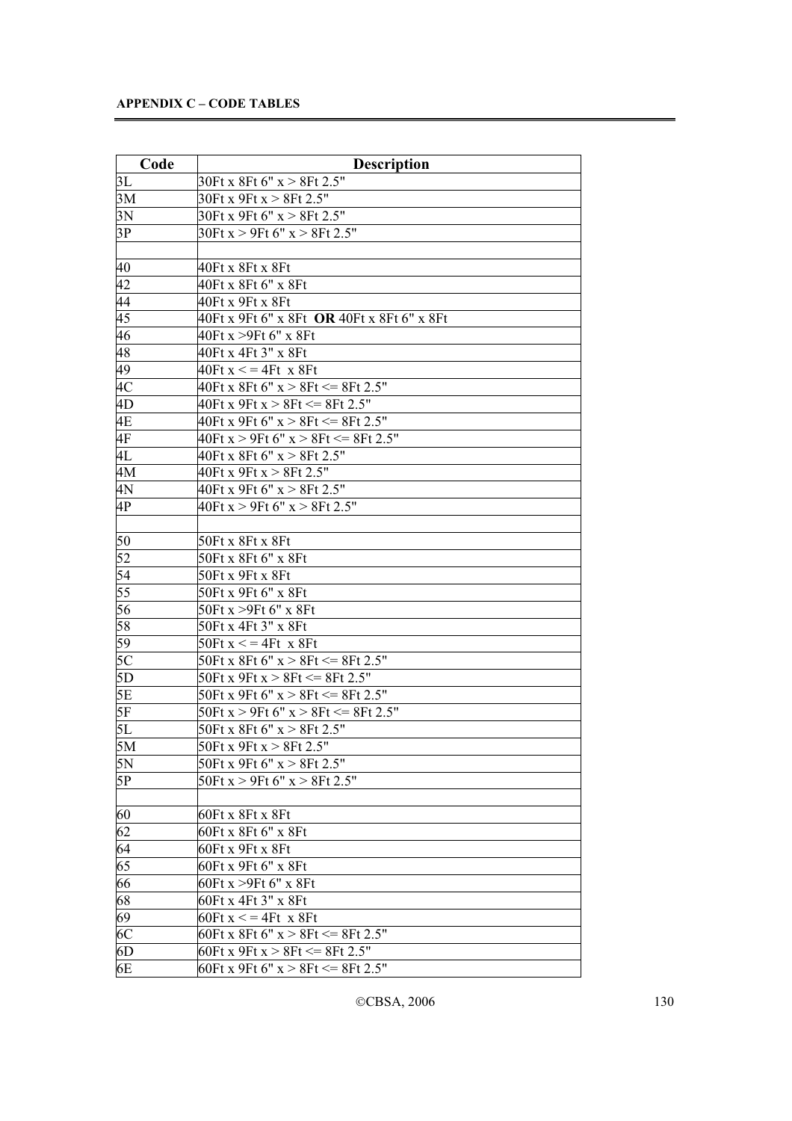| Code                     | <b>Description</b>                                |
|--------------------------|---------------------------------------------------|
| 3L                       | 30Ft x 8Ft 6" x > 8Ft 2.5"                        |
| 3M                       | 30Ft x 9Ft x $> 8$ Ft 2.5"                        |
| 3N                       | 30Ft x 9Ft 6" $x > 8$ Ft 2.5"                     |
| 3P                       | 30Ft $x > 9$ Ft 6" $x > 8$ Ft 2.5"                |
|                          |                                                   |
| 40                       | 40Ft x 8Ft x 8Ft                                  |
| $ 42\rangle$             | 40Ft x 8Ft 6" x 8Ft                               |
| $\frac{44}{45}$          | 40Ft x 9Ft x 8Ft                                  |
|                          | 40Ft x 9Ft 6" x 8Ft <b>OR</b> 40Ft x 8Ft 6" x 8Ft |
| 46                       | 40Ft x >9Ft 6" x 8Ft                              |
| $\overline{48}$          | 40Ft x 4Ft 3" x 8Ft                               |
| 49                       | $40$ Ft x $\lt$ = 4Ft x 8Ft                       |
| $\overline{4C}$          | 40Ft x 8Ft 6" x > 8Ft <= 8Ft 2.5"                 |
| $\overline{4D}$          | $40$ Ft x 9Ft x > 8Ft <= 8Ft 2.5"                 |
| 4E                       | $40$ Ft x 9Ft 6" x > 8Ft <= $\overline{8$ Ft 2.5" |
| $\overline{4F}$          | $40$ Ft x > 9Ft 6" x > 8Ft <= 8Ft 2.5"            |
| 4L                       | $40$ Ft x 8Ft 6" x > 8Ft 2.5"                     |
| 4M                       | $40$ Ft x 9Ft x > 8Ft 2.5"                        |
| 4N                       | 40Ft x 9Ft 6" x > 8Ft 2.5"                        |
| 4P                       | $40$ Ft x > 9Ft 6" x > 8Ft 2.5"                   |
|                          |                                                   |
| $\overline{50}$          | 50Ft x 8Ft x 8Ft                                  |
|                          | 50Ft x 8Ft 6" x 8Ft                               |
| $\frac{52}{54}$          | 50Ft x 9Ft x 8Ft                                  |
| $\overline{55}$          | 50Ft x 9Ft 6" x 8Ft                               |
| 56                       | 50Ft x >9Ft 6" x 8Ft                              |
| 58                       | 50Ft x 4Ft 3" x 8Ft                               |
| $\overline{59}$          | 50Ft $x \leq 4$ Ft $x$ 8Ft                        |
| $\overline{\mathbf{5C}}$ | 50Ft x 8Ft 6" x > 8Ft <= 8Ft 2.5"                 |
| 5D                       | 50Ft x 9Ft x > 8Ft <= 8Ft 2.5"                    |
| 5E                       | $50$ Ft x 9Ft 6" x > 8Ft <= 8Ft 2.5"              |
| 5F                       | 50Ft x > 9Ft 6" x > 8Ft <= 8Ft 2.5"               |
| 5L                       | 50Ft x 8Ft 6" $x > 8$ Ft 2.5"                     |
| 5M                       | 50Ft x 9Ft x > 8Ft 2.5"                           |
| 5N                       | 50Ft x 9Ft 6" $x > 8$ Ft 2.5"                     |
| 5P                       | 50Ft x > 9Ft 6" x > 8Ft 2.5"                      |
|                          |                                                   |
| 60                       | 60Ft x 8Ft x 8Ft                                  |
|                          | 60Ft x 8Ft 6" x 8Ft                               |
| $\frac{62}{64}$          | 60Ft x 9Ft x 8Ft                                  |
|                          | 60Ft x 9Ft 6" x 8Ft                               |
| 66                       | 60Ft x >9Ft 6" x 8Ft                              |
| $\frac{68}{69}$          | 60Ft x 4Ft 3" x 8Ft                               |
|                          | 60Ft $x \leq 4Ft$ x 8Ft                           |
| $\overline{6C}$          | 60Ft x 8Ft 6" x > 8Ft <= 8Ft 2.5"                 |
| 6D                       | 60Ft x 9Ft x $> 8$ Ft $\leq$ 8Ft 2.5"             |
| 6E                       | 60Ft x 9Ft 6" x > 8Ft <= 8Ft 2.5"                 |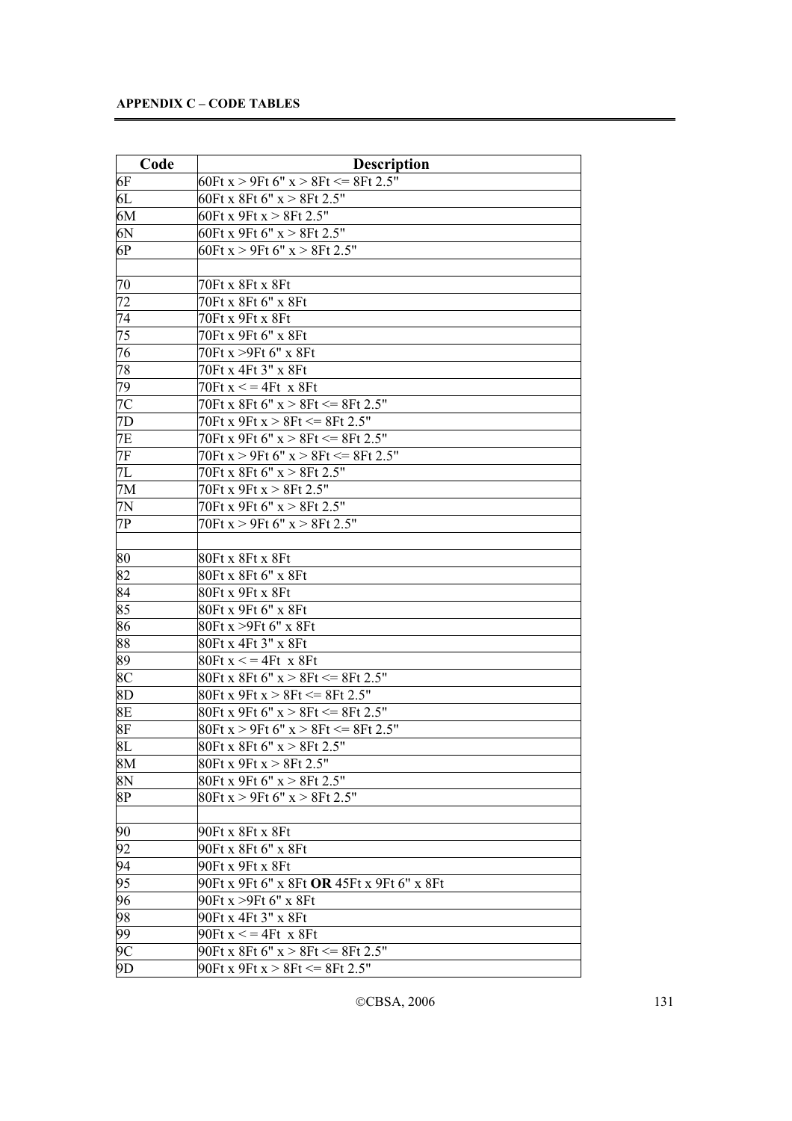| Code            | <b>Description</b>                                                    |
|-----------------|-----------------------------------------------------------------------|
| 6F              | 60Ft x > 9Ft 6" x > 8Ft <= 8Ft 2.5"                                   |
| 6L              | 60Ft x 8Ft 6" x > 8Ft 2.5"                                            |
| 6M              | 60Ft x 9Ft x $> 8$ Ft 2.5"                                            |
| $ 6N\rangle$    | 60Ft x 9Ft 6" x > 8Ft $2.\overline{5"}$                               |
| 6P              | 60Ft x > 9Ft 6" x > 8Ft 2.5"                                          |
|                 |                                                                       |
| 70              | 70Ft x 8Ft x 8Ft                                                      |
| 72              | 70Ft x 8Ft 6" x 8Ft                                                   |
| 74              | 70Ft x 9Ft x 8Ft                                                      |
| 75              | 70Ft x 9Ft 6" x 8Ft                                                   |
| 76              | 70Ft x >9Ft 6" x 8Ft                                                  |
| 78              | 70Ft x 4Ft 3" x 8Ft                                                   |
| $\overline{79}$ | $70$ Ft x $\lt$ = 4Ft x 8Ft                                           |
| 7C              | 70Ft x 8Ft 6" $x > 8$ Ft $\leq$ = 8Ft 2.5"                            |
| 7D              | 70Ft x 9Ft x $> 8$ Ft $\leq$ 8Ft 2.5"                                 |
| 7E              | 70Ft x 9Ft 6" $x > 8$ Ft $\leq$ 8Ft 2.5"                              |
| 7F              | 70Ft x > 9Ft 6" x > 8Ft $\leq$ 8Ft 2.5"                               |
| 7L              | 70Ft x 8Ft 6" x > 8Ft 2.5"                                            |
| 7M              | 70Ft x 9Ft x > 8Ft 2.5"                                               |
| 7N              | 70Ft x 9Ft 6" x > 8Ft 2.5"                                            |
| 7P              | 70Ft $x > 9$ Ft 6" $x > 8$ Ft 2.5"                                    |
|                 |                                                                       |
| 80              | 80Ft x 8Ft x 8Ft                                                      |
| 82              | 80Ft x 8Ft 6" x 8Ft                                                   |
| 84              | 80Ft x 9Ft x 8Ft                                                      |
| 85              | 80Ft x 9Ft 6" x 8Ft                                                   |
| 86              | 80Ft x >9Ft 6" x 8Ft                                                  |
| 88              | 80Ft x 4Ft 3" x 8Ft                                                   |
| 89              | $80$ Ft x $\lt$ = 4Ft x 8Ft                                           |
| 8C              | 80Ft x 8Ft 6" x > 8Ft <= 8Ft 2.5"                                     |
| 8D              | 80Ft x 9Ft x > 8Ft <= 8Ft 2.5"                                        |
| 8E              | 80Ft x 9Ft 6" x > 8Ft <= 8Ft 2.5"                                     |
| 8F              | $80$ Ft x > 9Ft 6" x > 8Ft <= 8Ft 2.5"                                |
| 8L              | 80Ft x 8Ft 6" x > 8Ft 2.5"                                            |
| 8M              | 80Ft x 9Ft x > 8Ft 2.5"                                               |
| 8N              | 80Ft x 9Ft 6" x > 8Ft 2.5"                                            |
| 8P              | 80Ft x > 9Ft 6" x > 8Ft 2.5"                                          |
| 90              | 90Ft x 8Ft x 8Ft                                                      |
|                 |                                                                       |
| 92              | 90Ft x 8Ft 6" x 8Ft                                                   |
| 94<br>95        | 90Ft x 9Ft x 8Ft<br>90Ft x 9Ft 6" x 8Ft <b>OR</b> 45Ft x 9Ft 6" x 8Ft |
|                 |                                                                       |
| 96<br>98        | 90Ft x >9Ft 6" x 8Ft                                                  |
|                 | 90Ft x 4Ft 3" x 8Ft                                                   |
| 99<br>9C        | 90Ft $x \leq 4$ Ft $x$ 8Ft<br>90Ft x 8Ft 6" x > 8Ft <= 8Ft 2.5"       |
|                 |                                                                       |
| 9D              | 90Ft x 9Ft x > 8Ft <= 8Ft 2.5"                                        |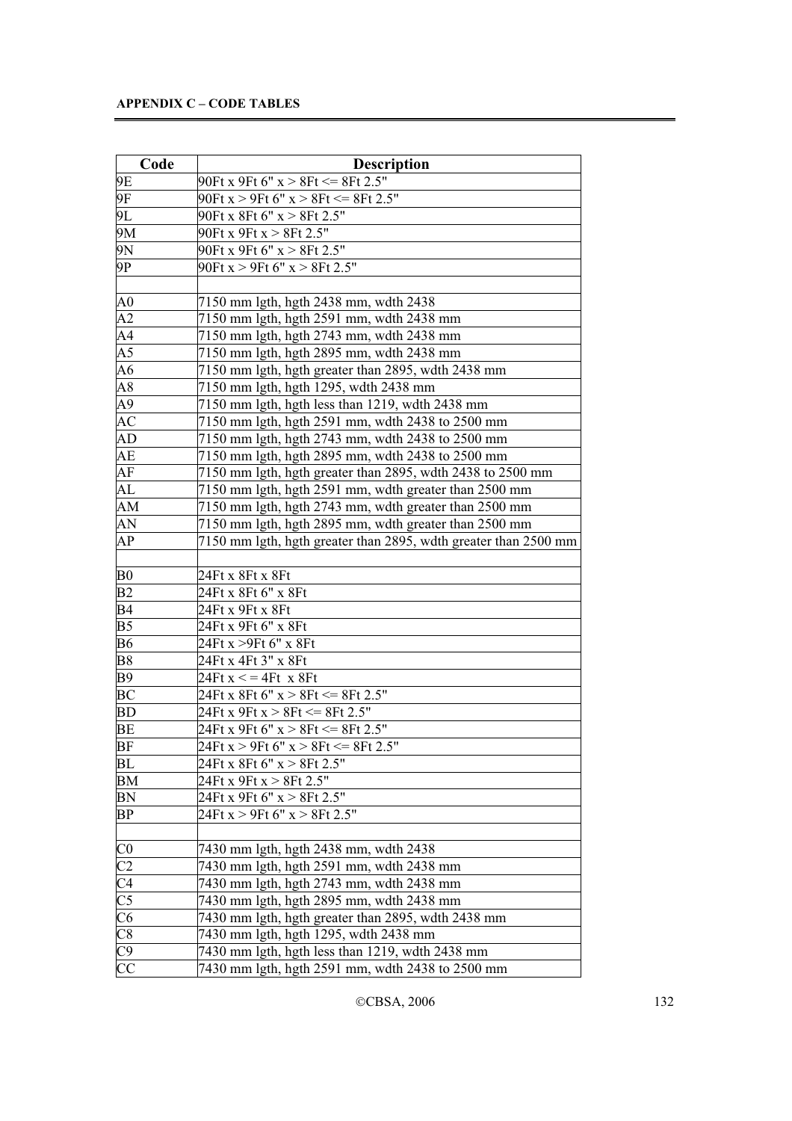| Code                                                                                                                                                                        | <b>Description</b>                                              |
|-----------------------------------------------------------------------------------------------------------------------------------------------------------------------------|-----------------------------------------------------------------|
| 9E                                                                                                                                                                          | $90$ Ft x 9Ft 6" x > 8Ft <= 8Ft 2.5"                            |
| 9F                                                                                                                                                                          | 90Ft x > 9Ft 6" x > 8Ft <= 8Ft 2.5"                             |
| 9L                                                                                                                                                                          | 90Ft x 8Ft 6" $x > 8$ Ft 2.5"                                   |
| 9M                                                                                                                                                                          | 90Ft x 9Ft x > 8Ft 2.5"                                         |
| 9N                                                                                                                                                                          | 90Ft x 9Ft 6" x > 8Ft 2.5"                                      |
| 9P                                                                                                                                                                          | 90Ft x > 9Ft 6" x > 8Ft 2.5"                                    |
|                                                                                                                                                                             |                                                                 |
| A0                                                                                                                                                                          | 7150 mm lgth, hgth 2438 mm, wdth 2438                           |
| A2                                                                                                                                                                          | 7150 mm lgth, hgth 2591 mm, wdth 2438 mm                        |
| A4                                                                                                                                                                          | 7150 mm lgth, hgth 2743 mm, wdth 2438 mm                        |
| $A\overline{5}$                                                                                                                                                             | 7150 mm lgth, hgth 2895 mm, wdth 2438 mm                        |
| A6                                                                                                                                                                          | 7150 mm lgth, hgth greater than 2895, wdth 2438 mm              |
| A8                                                                                                                                                                          | 7150 mm lgth, hgth 1295, wdth 2438 mm                           |
| $\overline{A9}$                                                                                                                                                             | 7150 mm lgth, hgth less than 1219, wdth 2438 mm                 |
| ÅС                                                                                                                                                                          | 7150 mm lgth, hgth 2591 mm, wdth 2438 to 2500 mm                |
| AD                                                                                                                                                                          | 7150 mm lgth, hgth 2743 mm, wdth 2438 to 2500 mm                |
| AE                                                                                                                                                                          | 7150 mm lgth, hgth 2895 mm, wdth 2438 to 2500 mm                |
| AF                                                                                                                                                                          | 7150 mm lgth, hgth greater than 2895, wdth 2438 to 2500 mm      |
| AL                                                                                                                                                                          | 7150 mm lgth, hgth 2591 mm, wdth greater than 2500 mm           |
| AM                                                                                                                                                                          | 7150 mm lgth, hgth 2743 mm, wdth greater than 2500 mm           |
| AN                                                                                                                                                                          | 7150 mm lgth, hgth 2895 mm, wdth greater than 2500 mm           |
| AP                                                                                                                                                                          | 7150 mm lgth, hgth greater than 2895, wdth greater than 2500 mm |
|                                                                                                                                                                             |                                                                 |
| B <sub>0</sub>                                                                                                                                                              | 24Ft x 8Ft x 8Ft                                                |
| B2                                                                                                                                                                          | 24Ft x 8Ft 6" x 8Ft                                             |
| B <sub>4</sub>                                                                                                                                                              | 24Ft x 9Ft x 8Ft                                                |
| B <sub>5</sub>                                                                                                                                                              | 24Ft x 9Ft 6" x 8Ft                                             |
| <b>B6</b>                                                                                                                                                                   | 24Ft x >9Ft 6" x 8Ft                                            |
| B <sub>8</sub>                                                                                                                                                              | 24Ft x 4Ft 3" x 8Ft                                             |
| <b>B</b> 9                                                                                                                                                                  | 24 $Ft x \leq 4Ft x 8Ft$                                        |
| BC                                                                                                                                                                          | 24Ft x 8Ft 6" x > 8Ft <= 8Ft 2.5"                               |
| BD                                                                                                                                                                          | 24Ft x 9Ft x $> 8$ Ft $\leq$ 8Ft 2.5"                           |
| BE                                                                                                                                                                          | 24Ft x 9Ft 6" x > 8Ft <= 8Ft 2.5"                               |
| BF                                                                                                                                                                          | 24Ft x > 9Ft 6" x > 8Ft <= 8Ft 2.5"                             |
| BL                                                                                                                                                                          | 24Ft x 8Ft 6" x > 8Ft 2.5"                                      |
| BM                                                                                                                                                                          | 24Ft x 9Ft x > 8Ft 2.5"                                         |
| <b>BN</b>                                                                                                                                                                   | 24Ft x 9Ft 6" x > 8Ft 2.5"                                      |
| BP                                                                                                                                                                          | 24Ft $x > 9$ Ft 6" $x > 8$ Ft 2.5"                              |
|                                                                                                                                                                             | 7430 mm lgth, hgth 2438 mm, wdth 2438                           |
|                                                                                                                                                                             | 7430 mm lgth, hgth 2591 mm, wdth 2438 mm                        |
|                                                                                                                                                                             | 7430 mm 1gth, hgth 2743 mm, wdth 2438 mm                        |
|                                                                                                                                                                             | 7430 mm lgth, hgth 2895 mm, wdth 2438 mm                        |
|                                                                                                                                                                             | 7430 mm lgth, hgth greater than 2895, wdth 2438 mm              |
|                                                                                                                                                                             | 7430 mm lgth, hgth 1295, wdth 2438 mm                           |
| $\frac{\frac{\text{CO}}{\text{C2}}}{\frac{\text{C4}}{\text{C5}}}$ $\frac{\frac{\text{CO}}{\text{C5}}}{\text{C6}}}{\frac{\text{CO}}{\text{C}}}{\frac{\text{CO}}{\text{C}}}}$ | 7430 mm lgth, hgth less than 1219, wdth 2438 mm                 |
|                                                                                                                                                                             | 7430 mm lgth, hgth 2591 mm, wdth 2438 to 2500 mm                |
|                                                                                                                                                                             |                                                                 |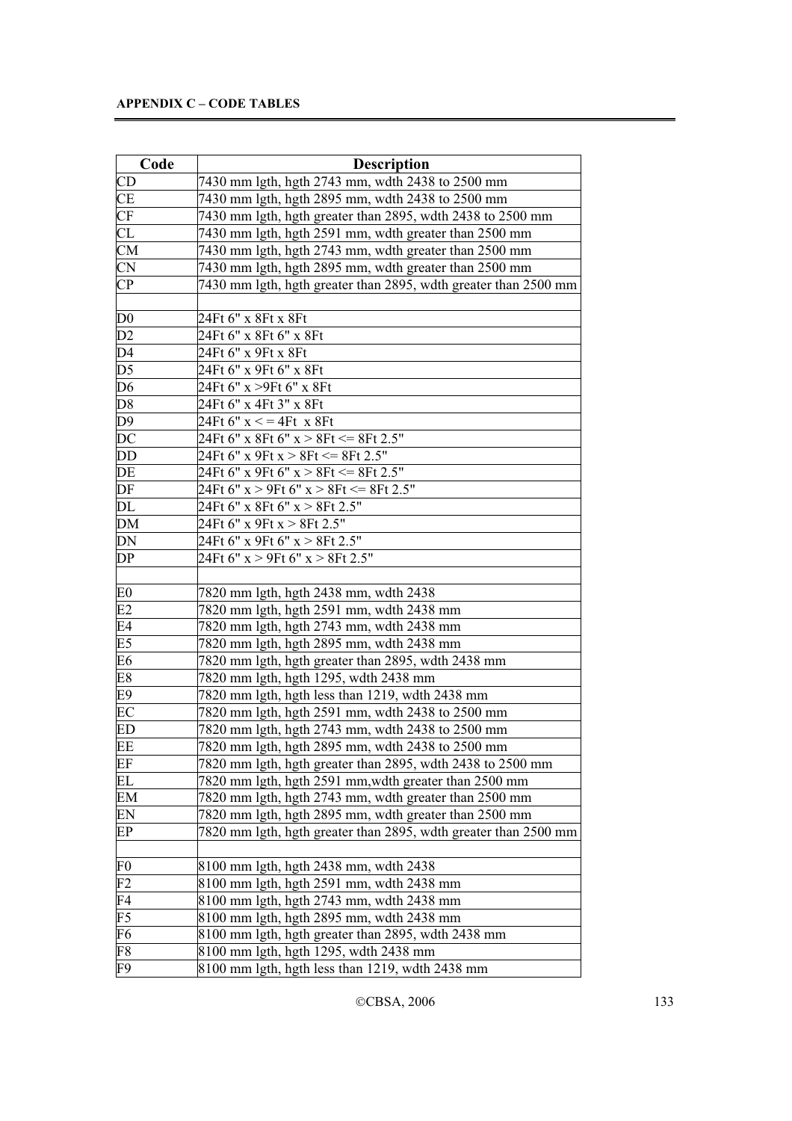| Code            | <b>Description</b>                                              |
|-----------------|-----------------------------------------------------------------|
| CD              | 7430 mm lgth, hgth 2743 mm, wdth 2438 to 2500 mm                |
| <b>CE</b>       | 7430 mm lgth, hgth 2895 mm, wdth 2438 to 2500 mm                |
| CF              | 7430 mm lgth, hgth greater than 2895, wdth 2438 to 2500 mm      |
| CL              | 7430 mm lgth, hgth 2591 mm, wdth greater than 2500 mm           |
| CM              | 7430 mm lgth, hgth 2743 mm, wdth greater than 2500 mm           |
| <b>CN</b>       | 7430 mm lgth, hgth 2895 mm, wdth greater than 2500 mm           |
| $\overline{CP}$ | 7430 mm lgth, hgth greater than 2895, wdth greater than 2500 mm |
|                 |                                                                 |
| D <sub>0</sub>  | 24Ft 6" x 8Ft x 8Ft                                             |
| D2              | 24Ft 6" x 8Ft 6" x 8Ft                                          |
| D <sub>4</sub>  | 24Ft 6" x 9Ft x 8Ft                                             |
| D <sub>5</sub>  | 24Ft 6" x 9Ft 6" x 8Ft                                          |
| D <sub>6</sub>  | 24Ft 6" x >9Ft 6" x 8Ft                                         |
| D <sub>8</sub>  | 24Ft 6" x 4Ft 3" x 8Ft                                          |
| $D\overline{9}$ | 24Ft 6" $x \leq 4Ft$ x 8Ft                                      |
| DC              | 24Ft 6" x 8Ft 6" x > 8Ft <= 8Ft 2.5"                            |
| DD              | 24Ft 6" x 9Ft x > 8Ft <= 8Ft 2.5"                               |
| DE              | 24Ft 6" x 9Ft 6" x > 8Ft <= 8Ft 2.5"                            |
| DF              | 24Ft 6" $x > 9$ Ft 6" $x > 8$ Ft $\leq$ = 8Ft 2.5"              |
| DL              | 24Ft 6" x 8Ft 6" x > 8Ft 2.5"                                   |
| <b>DM</b>       | 24Ft 6" x 9Ft x > 8Ft 2.5"                                      |
| DN              | 24Ft 6" x 9Ft 6" x > 8Ft 2.5"                                   |
| DP              | 24Ft 6" x > 9Ft 6" x > 8Ft 2.5"                                 |
|                 |                                                                 |
| E <sub>0</sub>  | 7820 mm lgth, hgth 2438 mm, wdth 2438                           |
| E2              | 7820 mm lgth, hgth 2591 mm, wdth 2438 mm                        |
| E4              | 7820 mm lgth, hgth 2743 mm, wdth 2438 mm                        |
| E5              | 7820 mm lgth, hgth 2895 mm, wdth 2438 mm                        |
| E <sub>6</sub>  | 7820 mm lgth, hgth greater than 2895, wdth 2438 mm              |
| E8              | 7820 mm lgth, hgth 1295, wdth 2438 mm                           |
| E9              | 7820 mm lgth, hgth less than 1219, wdth 2438 mm                 |
| EC              | 7820 mm lgth, hgth 2591 mm, wdth 2438 to 2500 mm                |
| ED              | 7820 mm lgth, hgth 2743 mm, wdth 2438 to 2500 mm                |
| EE              | 7820 mm lgth, hgth 2895 mm, wdth 2438 to 2500 mm                |
| EF              | 7820 mm 1gth, hgth greater than 2895, wdth 2438 to 2500 mm      |
| EL              | 7820 mm lgth, hgth 2591 mm, wdth greater than 2500 mm           |
| EM              | 7820 mm lgth, hgth 2743 mm, wdth greater than 2500 mm           |
| EN              | 7820 mm lgth, hgth 2895 mm, wdth greater than 2500 mm           |
| EP              | 7820 mm lgth, hgth greater than 2895, wdth greater than 2500 mm |
|                 |                                                                 |
| F <sub>0</sub>  | 8100 mm lgth, hgth 2438 mm, wdth 2438                           |
| F <sub>2</sub>  | 8100 mm lgth, hgth 2591 mm, wdth 2438 mm                        |
| F4              | 8100 mm lgth, hgth 2743 mm, wdth 2438 mm                        |
| F5              | 8100 mm lgth, hgth 2895 mm, wdth 2438 mm                        |
| F6              | 8100 mm lgth, hgth greater than 2895, wdth 2438 mm              |
| F8              | 8100 mm lgth, hgth 1295, wdth 2438 mm                           |
| F9              | 8100 mm lgth, hgth less than 1219, wdth 2438 mm                 |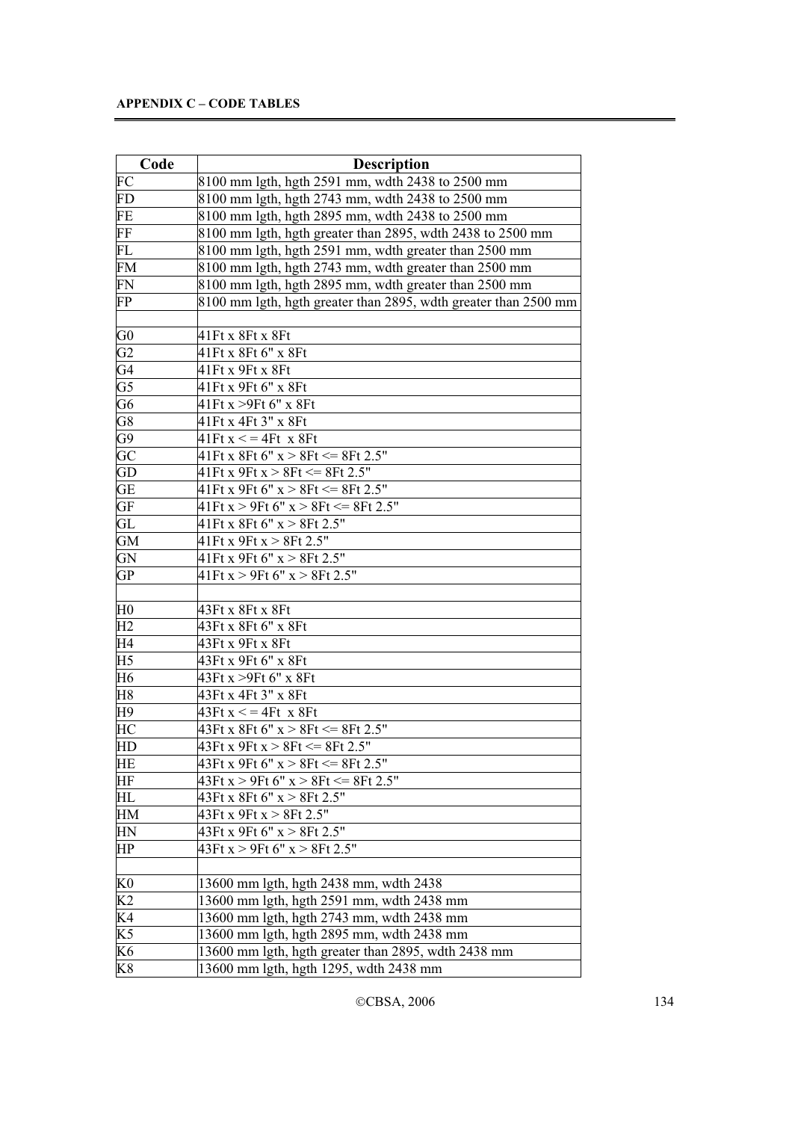| Code                   | <b>Description</b>                                              |
|------------------------|-----------------------------------------------------------------|
| FC                     | 8100 mm lgth, hgth 2591 mm, wdth 2438 to 2500 mm                |
| FD                     | 8100 mm lgth, hgth 2743 mm, wdth 2438 to 2500 mm                |
| FE                     | 8100 mm lgth, hgth 2895 mm, wdth 2438 to 2500 mm                |
| FF                     | 8100 mm lgth, hgth greater than 2895, wdth 2438 to 2500 mm      |
| FL                     | 8100 mm lgth, hgth 2591 mm, wdth greater than 2500 mm           |
| FM                     | 8100 mm lgth, hgth 2743 mm, wdth greater than 2500 mm           |
| FN                     | 8100 mm lgth, hgth 2895 mm, wdth greater than 2500 mm           |
| FP                     | 8100 mm lgth, hgth greater than 2895, wdth greater than 2500 mm |
|                        |                                                                 |
| G <sub>0</sub>         | 41Ft x 8Ft x 8Ft                                                |
| G <sub>2</sub>         | 41Ft x 8Ft 6" x 8Ft                                             |
| G4                     | 41Ft x 9Ft x 8Ft                                                |
| $\overline{\text{G5}}$ | 41Ft x 9Ft 6" x 8Ft                                             |
| $\overline{G6}$        | 41Ft x > 9Ft 6" x 8Ft                                           |
| $\overline{\text{G8}}$ | 41Ft x 4Ft 3" x 8Ft                                             |
| $\overline{G9}$        | $41$ Ft x $\lt$ = 4Ft x 8Ft                                     |
| GC                     | $41$ Ft x 8Ft 6" x > 8Ft <= 8Ft 2.5"                            |
| GD                     | $41$ Ft x 9Ft x > 8Ft <= 8Ft 2.5"                               |
| GE <sup>-</sup>        | $41$ Ft x 9Ft 6" x > 8Ft <= 8Ft 2.5"                            |
| GF                     | $41$ Ft x > 9Ft 6" x > 8Ft <= 8Ft 2.5"                          |
| GL                     | $41$ Ft x 8Ft 6" x > 8Ft 2.5"                                   |
| <b>GM</b>              | $41$ Ft x 9Ft x > 8Ft 2.5"                                      |
| GN                     | $41$ Ft x 9Ft 6" x > 8Ft 2.5"                                   |
| <b>GP</b>              | $41$ Ft x > 9Ft 6" x > 8Ft 2.5"                                 |
|                        |                                                                 |
| H <sub>0</sub>         | 43Ft x 8Ft x 8Ft                                                |
| H2                     | 43Ft x 8Ft 6" x 8Ft                                             |
| H <sub>4</sub>         | 43Ft x 9Ft x 8Ft                                                |
| H <sub>5</sub>         | 43Ft x 9Ft 6" x 8Ft                                             |
| H <sub>6</sub>         | 43Ft x >9Ft 6" x 8Ft                                            |
| H8                     | 43Ft x 4Ft 3" x 8Ft                                             |
| H9                     | $43Ft x \leq 4Ft x 8Ft$                                         |
| HС                     | $43Ft x 8Ft 6" x > 8Ft \le 8Ft 2.5"$                            |
| HD                     | 43Ft x 9Ft x > 8Ft <= 8Ft 2.5"                                  |
| HE                     | 43Ft x 9Ft 6" x > 8Ft <= 8Ft 2.5"                               |
| HF                     | $43Ft x > 9Ft 6" x > 8Ft \le 8Ft \overline{2.5"}$               |
| HL                     | 43Ft x 8Ft 6" x > 8Ft 2.5"                                      |
| HM                     | 43Ft x 9Ft x > 8Ft 2.5"                                         |
| HN                     | 43Ft x 9Ft 6" x > 8Ft 2.5"                                      |
| HP                     | 43Ft x > 9Ft 6" x > 8Ft 2.5"                                    |
|                        |                                                                 |
| K <sub>0</sub>         | 13600 mm lgth, hgth 2438 mm, wdth 2438                          |
| K <sub>2</sub>         | 13600 mm lgth, hgth 2591 mm, wdth 2438 mm                       |
| K4                     | 13600 mm lgth, hgth 2743 mm, wdth 2438 mm                       |
| K <sub>5</sub>         | 13600 mm lgth, hgth 2895 mm, wdth 2438 mm                       |
| K6                     | 13600 mm lgth, hgth greater than 2895, wdth 2438 mm             |
| K8                     | 13600 mm lgth, hgth 1295, wdth 2438 mm                          |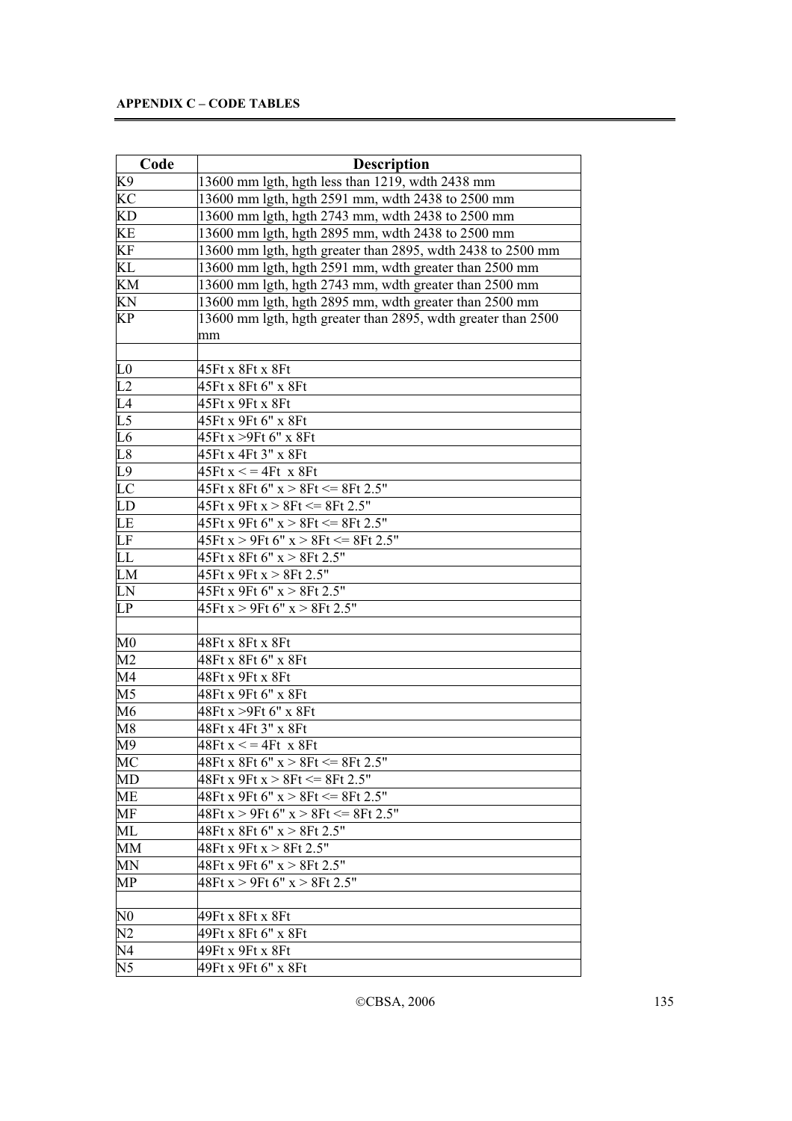| Code            | <b>Description</b>                                            |
|-----------------|---------------------------------------------------------------|
| K9              | 13600 mm lgth, hgth less than 1219, wdth 2438 mm              |
| KC              | 13600 mm lgth, hgth 2591 mm, wdth 2438 to 2500 mm             |
| KD              | 13600 mm lgth, hgth 2743 mm, wdth 2438 to 2500 mm             |
| KE              | 13600 mm lgth, hgth 2895 mm, wdth 2438 to 2500 mm             |
| KF              | 13600 mm lgth, hgth greater than 2895, wdth 2438 to 2500 mm   |
| KL              | 13600 mm lgth, hgth 2591 mm, wdth greater than 2500 mm        |
| KM              | 13600 mm lgth, hgth 2743 mm, wdth greater than 2500 mm        |
| KN              | 13600 mm lgth, hgth 2895 mm, wdth greater than 2500 mm        |
| KP              | 13600 mm lgth, hgth greater than 2895, wdth greater than 2500 |
|                 | mm                                                            |
|                 |                                                               |
| L <sub>0</sub>  | 45Ft x 8Ft x 8Ft                                              |
| L2              | 45Ft x 8Ft 6" x 8Ft                                           |
| L4              | 45Ft x 9Ft x 8Ft                                              |
| $\overline{L5}$ | 45Ft x 9Ft 6" x 8Ft                                           |
| $\overline{L6}$ | 45Ft x > 9Ft 6" x 8Ft                                         |
| L8              | 45Ft x 4Ft 3" x 8Ft                                           |
| L9              | $45$ Ft x $\lt$ = 4Ft x 8Ft                                   |
| LC              | $45$ Ft x 8Ft 6" x > 8Ft <= 8Ft 2.5"                          |
| LD              | $45$ Ft x 9Ft x > 8Ft <= 8Ft 2.5"                             |
| LE              | $45$ Ft x 9Ft 6" x > 8Ft $\leq$ 8Ft 2.5"                      |
| LF              | $45$ Ft x > 9Ft 6" x > 8Ft <= 8Ft 2.5"                        |
| LL              | $45$ Ft x 8Ft 6" x > 8Ft 2.5"                                 |
| LM              | $45$ Ft x 9Ft x > 8Ft 2.5"                                    |
| LN              | 45Ft x 9Ft 6" x > 8Ft 2.5"                                    |
| LP              | $45$ Ft x > 9Ft 6" x > 8Ft 2.5"                               |
|                 |                                                               |
| $\mathbf{M0}$   | 48Ft x 8Ft x 8Ft                                              |
| M <sub>2</sub>  | 48Ft x 8Ft 6" x 8Ft                                           |
| M4              | 48Ft x 9Ft x 8Ft                                              |
| M <sub>5</sub>  | 48Ft x 9Ft 6" x 8Ft                                           |
| M6              | 48Ft x >9Ft 6" x 8Ft                                          |
| M8              | 48Ft x 4Ft 3" x 8Ft                                           |
| M <sup>9</sup>  | $48Ft x \leq 4Ft x 8Ft$                                       |
| МC              | $48Ft x 8Ft 6" x > 8Ft \le 8Ft 2.5"$                          |
| MD              | $48Ft x 9Ft x > 8Ft \le 8Ft 2.5"$                             |
| ME              | 48Ft x 9Ft 6" x > 8Ft <= 8Ft 2.5"                             |
| MF              | $48Ft x > 9Ft 6" x > 8Ft \le 8Ft \overline{2.5"}$             |
| ML              | 48Ft x 8Ft 6" x > 8Ft 2.5"                                    |
| MM              | 48Ft x 9Ft x > 8Ft 2.5"                                       |
| MN              | 48Ft x 9Ft 6" x > 8Ft 2.5"                                    |
| MP              | 48Ft x > 9Ft 6" x > 8Ft 2.5"                                  |
|                 |                                                               |
| $_{\rm N0}$     | 49Ft x 8Ft x 8Ft                                              |
| N <sub>2</sub>  | 49Ft x 8Ft 6" x 8Ft                                           |
| N <sub>4</sub>  | 49Ft x 9Ft x 8Ft                                              |
| N <sub>5</sub>  | 49Ft x 9Ft 6" x 8Ft                                           |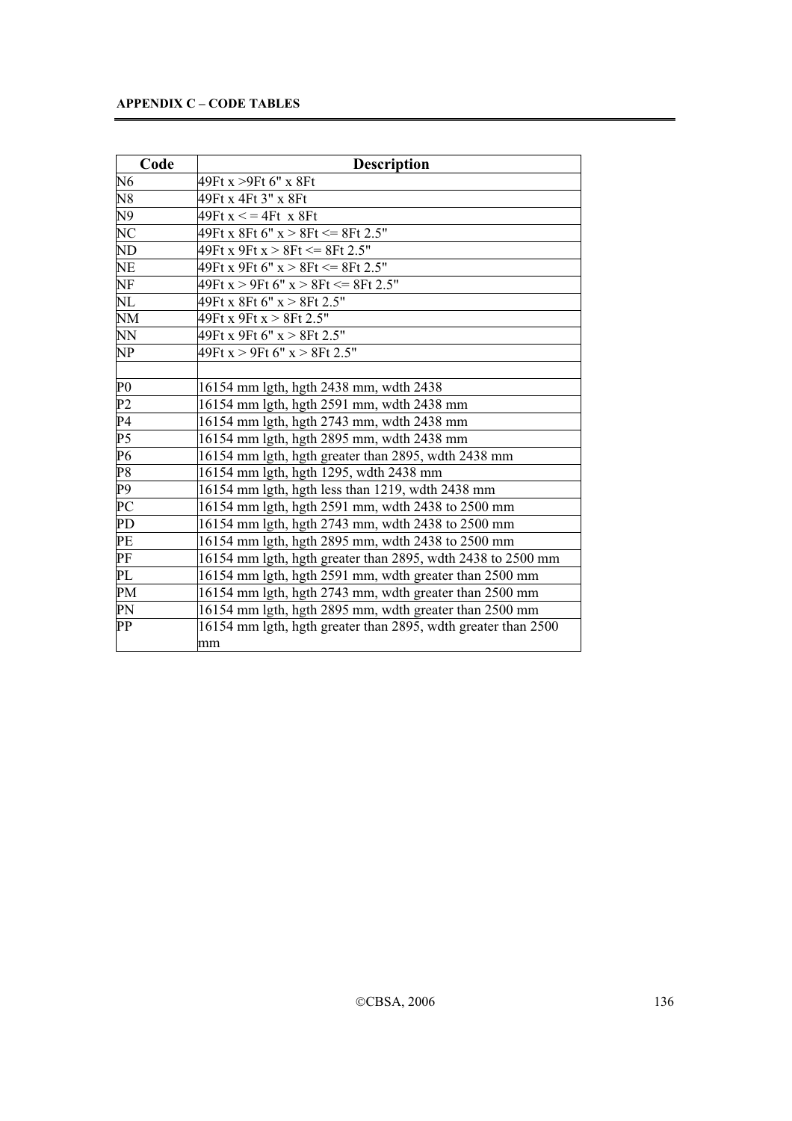| Code           | <b>Description</b>                                            |
|----------------|---------------------------------------------------------------|
| N <sub>6</sub> | 49Ft x >9Ft 6" x 8Ft                                          |
| N8             | 49Ft x 4Ft 3" x 8Ft                                           |
| N9             | $49Ft x \leq 4Ft x 8Ft$                                       |
| NC             | 49Ft x 8Ft 6" x > 8Ft <= 8Ft 2.5"                             |
| ND             | 49Ft x 9Ft x > 8Ft <= 8Ft 2.5"                                |
| NE             | 49Ft x 9Ft 6" x > 8Ft <= 8Ft 2.5"                             |
| NF             | $49Ft x > 9Ft 6" x > 8Ft \le 8Ft 2.5"$                        |
| NL             | 49Ft x 8Ft 6" x > 8Ft 2.5"                                    |
| NM             | 49Ft x 9Ft x > 8Ft 2.5"                                       |
| NN             | 49Ft x 9Ft 6" x > 8Ft 2.5"                                    |
| NP             | 49Ft x > 9Ft 6" x > 8Ft 2.5"                                  |
|                |                                                               |
| $\rm P0$       | 16154 mm lgth, hgth 2438 mm, wdth 2438                        |
| P <sub>2</sub> | 16154 mm lgth, hgth 2591 mm, wdth 2438 mm                     |
| P4             | 16154 mm lgth, hgth 2743 mm, wdth 2438 mm                     |
| P5             | 16154 mm lgth, hgth 2895 mm, wdth 2438 mm                     |
| P <sub>6</sub> | 16154 mm lgth, hgth greater than 2895, wdth 2438 mm           |
| P <sub>8</sub> | 16154 mm lgth, hgth 1295, wdth 2438 mm                        |
| P9             | 16154 mm lgth, hgth less than 1219, wdth 2438 mm              |
| PC             | 16154 mm lgth, hgth 2591 mm, wdth 2438 to 2500 mm             |
| PD             | 16154 mm lgth, hgth 2743 mm, wdth 2438 to 2500 mm             |
| PE             | 16154 mm lgth, hgth 2895 mm, wdth 2438 to 2500 mm             |
| PF             | 16154 mm lgth, hgth greater than 2895, wdth 2438 to 2500 mm   |
| PL             | 16154 mm lgth, hgth 2591 mm, wdth greater than 2500 mm        |
| PM             | 16154 mm lgth, hgth 2743 mm, wdth greater than 2500 mm        |
| PN             | 16154 mm lgth, hgth 2895 mm, wdth greater than 2500 mm        |
| PP             | 16154 mm lgth, hgth greater than 2895, wdth greater than 2500 |
|                | mm                                                            |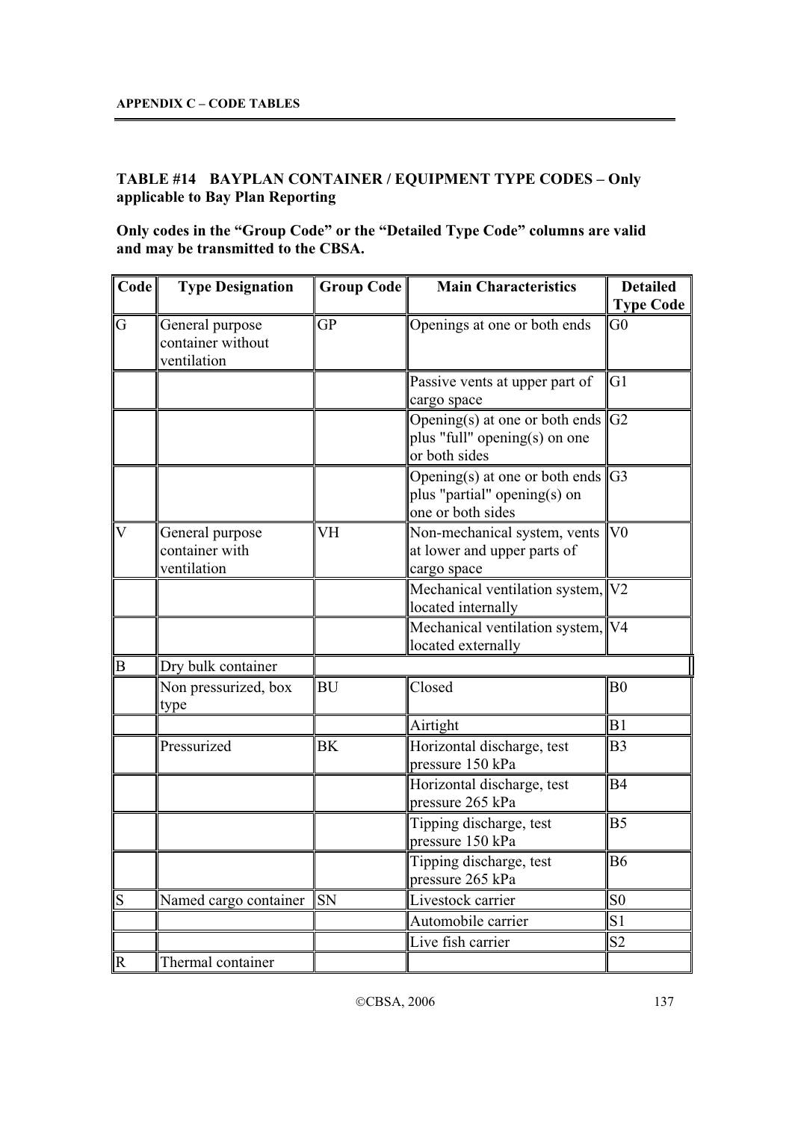# **TABLE #14 BAYPLAN CONTAINER / EQUIPMENT TYPE CODES – Only applicable to Bay Plan Reporting**

**Only codes in the "Group Code" or the "Detailed Type Code" columns are valid and may be transmitted to the CBSA.** 

| Code                    | <b>Type Designation</b>                             | Group Code | <b>Main Characteristics</b>                                                                  | <b>Detailed</b><br><b>Type Code</b> |
|-------------------------|-----------------------------------------------------|------------|----------------------------------------------------------------------------------------------|-------------------------------------|
| G                       | General purpose<br>container without<br>ventilation | <b>GP</b>  | Openings at one or both ends                                                                 | G <sub>0</sub>                      |
|                         |                                                     |            | Passive vents at upper part of<br>cargo space                                                | G1                                  |
|                         |                                                     |            | Opening(s) at one or both ends $\ G_2\ $<br>plus "full" opening(s) on one<br>or both sides   |                                     |
|                         |                                                     |            | Opening(s) at one or both ends $\ G3\ $<br>plus "partial" opening(s) on<br>one or both sides |                                     |
| $\overline{\mathsf{V}}$ | General purpose<br>container with<br>ventilation    | VH         | Non-mechanical system, vents<br>at lower and upper parts of<br>cargo space                   | V <sub>0</sub>                      |
|                         |                                                     |            | Mechanical ventilation system, V2<br>located internally                                      |                                     |
|                         |                                                     |            | Mechanical ventilation system, V4<br>located externally                                      |                                     |
| B                       | Dry bulk container                                  |            |                                                                                              |                                     |
|                         | Non pressurized, box<br>type                        | <b>BU</b>  | Closed                                                                                       | B <sub>0</sub>                      |
|                         |                                                     |            | Airtight                                                                                     | B1                                  |
|                         | Pressurized                                         | <b>BK</b>  | Horizontal discharge, test<br>pressure 150 kPa                                               | B <sub>3</sub>                      |
|                         |                                                     |            | Horizontal discharge, test<br>pressure 265 kPa                                               | B <sub>4</sub>                      |
|                         |                                                     |            | Tipping discharge, test<br>pressure 150 kPa                                                  | B <sub>5</sub>                      |
|                         |                                                     |            | Tipping discharge, test<br>pressure 265 kPa                                                  | <b>B6</b>                           |
| S                       | Named cargo container                               | <b>SN</b>  | Livestock carrier                                                                            | S <sub>0</sub>                      |
|                         |                                                     |            | Automobile carrier                                                                           | S <sub>1</sub>                      |
|                         |                                                     |            | Live fish carrier                                                                            | S <sub>2</sub>                      |
| lR.                     | Thermal container                                   |            |                                                                                              |                                     |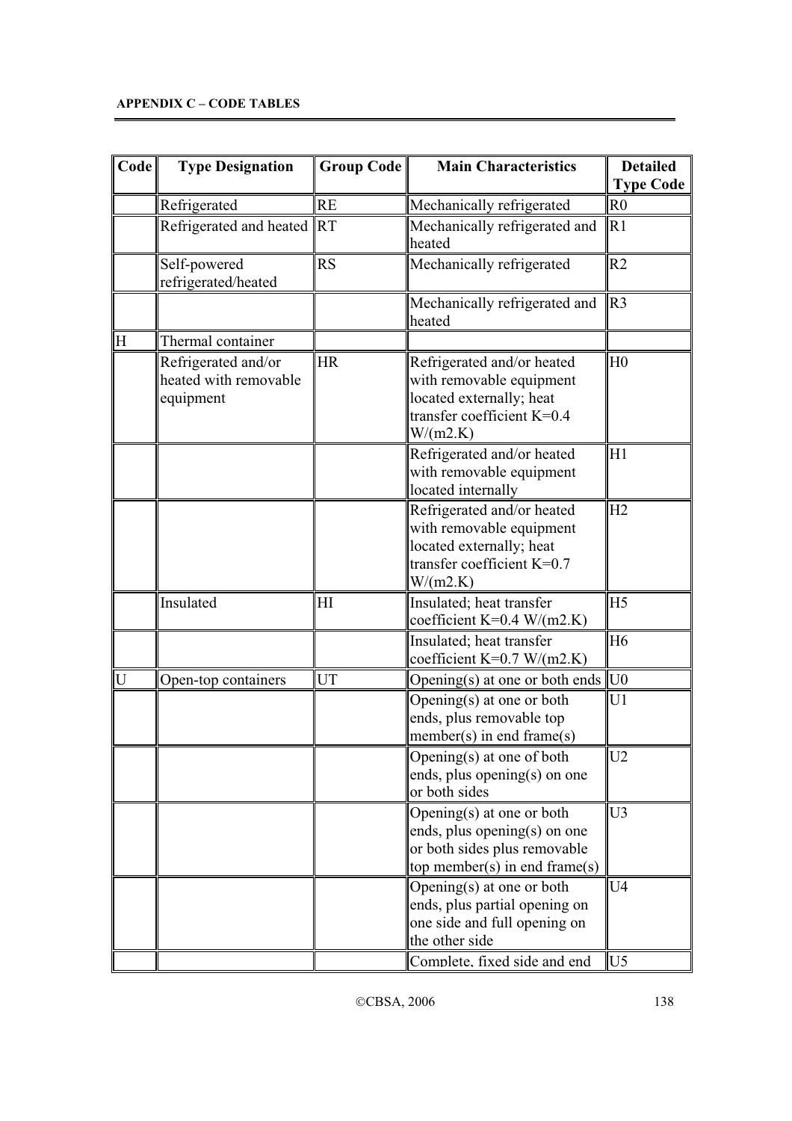| Code | <b>Type Designation</b>                                   | Group Code | <b>Main Characteristics</b>                                                                                                    | <b>Detailed</b>                    |
|------|-----------------------------------------------------------|------------|--------------------------------------------------------------------------------------------------------------------------------|------------------------------------|
|      | Refrigerated                                              | <b>RE</b>  | Mechanically refrigerated                                                                                                      | <b>Type Code</b><br>R <sub>0</sub> |
|      | Refrigerated and heated                                   | RT         | Mechanically refrigerated and<br>heated                                                                                        | R1                                 |
|      | Self-powered<br>refrigerated/heated                       | RS         | Mechanically refrigerated                                                                                                      | R <sub>2</sub>                     |
|      |                                                           |            | Mechanically refrigerated and<br>heated                                                                                        | R <sub>3</sub>                     |
| ΙH   | Thermal container                                         |            |                                                                                                                                |                                    |
|      | Refrigerated and/or<br>heated with removable<br>equipment | HR         | Refrigerated and/or heated<br>with removable equipment<br>located externally; heat<br>transfer coefficient $K=0.4$<br>W/(m2.K) | H <sub>0</sub>                     |
|      |                                                           |            | Refrigerated and/or heated<br>with removable equipment<br>located internally                                                   | H1                                 |
|      |                                                           |            | Refrigerated and/or heated<br>with removable equipment<br>located externally; heat<br>transfer coefficient $K=0.7$<br>W/(m2.K) | H2                                 |
|      | Insulated                                                 | H          | Insulated; heat transfer<br>coefficient K=0.4 W/(m2.K)                                                                         | H <sub>5</sub>                     |
|      |                                                           |            | Insulated; heat transfer<br>coefficient K=0.7 W/(m2.K)                                                                         | H <sub>6</sub>                     |
| U    | Open-top containers                                       | UT         | Opening $(s)$ at one or both ends                                                                                              | U <sub>0</sub>                     |
|      |                                                           |            | Opening $(s)$ at one or both<br>ends, plus removable top<br>$member(s)$ in end frame $(s)$                                     | U <sub>1</sub>                     |
|      |                                                           |            | Opening(s) at one of both<br>ends, plus opening(s) on one<br>or both sides                                                     | U <sub>2</sub>                     |
|      |                                                           |            | Opening(s) at one or both<br>ends, plus opening(s) on one<br>or both sides plus removable<br>top member(s) in end frame(s)     | U <sub>3</sub>                     |
|      |                                                           |            | Opening(s) at one or both<br>ends, plus partial opening on<br>one side and full opening on<br>the other side                   | U <sub>4</sub>                     |
|      |                                                           |            | Complete, fixed side and end                                                                                                   | U <sub>5</sub>                     |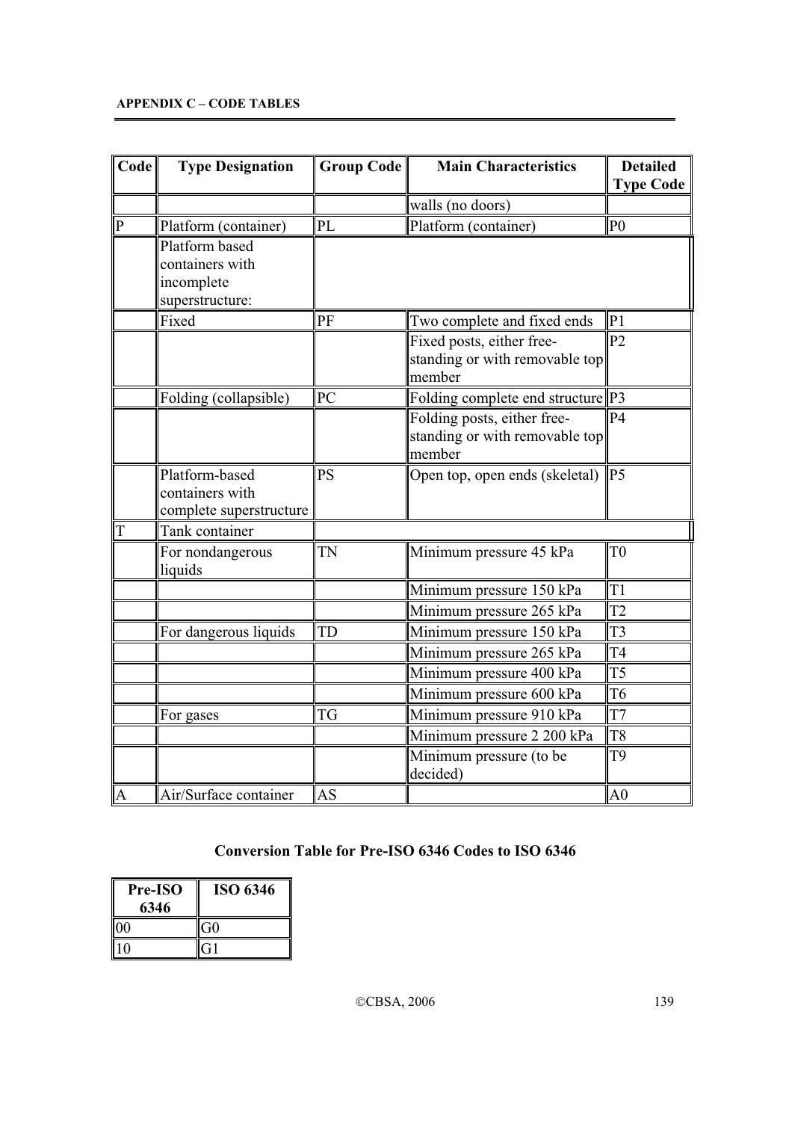| Code        | <b>Type Designation</b>                                            | Group Code | <b>Main Characteristics</b>                                             | <b>Detailed</b><br><b>Type Code</b> |
|-------------|--------------------------------------------------------------------|------------|-------------------------------------------------------------------------|-------------------------------------|
|             |                                                                    |            | walls (no doors)                                                        |                                     |
| $\mathbf P$ | Platform (container)                                               | PL         | Platform (container)                                                    | P <sub>0</sub>                      |
|             | Platform based<br>containers with<br>incomplete<br>superstructure: |            |                                                                         |                                     |
|             | Fixed                                                              | PF         | Two complete and fixed ends                                             | P <sub>1</sub>                      |
|             |                                                                    |            | Fixed posts, either free-<br>standing or with removable top<br>member   | P <sub>2</sub>                      |
|             | Folding (collapsible)                                              | PC         | Folding complete end structure P3                                       |                                     |
|             |                                                                    |            | Folding posts, either free-<br>standing or with removable top<br>member | P <sub>4</sub>                      |
|             | Platform-based<br>containers with<br>complete superstructure       | <b>PS</b>  | Open top, open ends (skeletal)                                          | P <sub>5</sub>                      |
| T           | Tank container                                                     |            |                                                                         |                                     |
|             | For nondangerous<br>liquids                                        | TN         | Minimum pressure 45 kPa                                                 | T <sub>0</sub>                      |
|             |                                                                    |            | Minimum pressure 150 kPa                                                | T <sub>1</sub>                      |
|             |                                                                    |            | Minimum pressure 265 kPa                                                | T <sub>2</sub>                      |
|             | For dangerous liquids                                              | TD         | Minimum pressure 150 kPa                                                | T <sub>3</sub>                      |
|             |                                                                    |            | Minimum pressure 265 kPa                                                | T <sub>4</sub>                      |
|             |                                                                    |            | Minimum pressure 400 kPa                                                | T <sub>5</sub>                      |
|             |                                                                    |            | Minimum pressure 600 kPa                                                | T <sub>6</sub>                      |
|             | For gases                                                          | <b>TG</b>  | Minimum pressure 910 kPa                                                | T7                                  |
|             |                                                                    |            | Minimum pressure 2 200 kPa                                              | T <sub>8</sub>                      |
|             |                                                                    |            | Minimum pressure (to be<br>decided)                                     | T9                                  |
| lA          | Air/Surface container                                              | AS         |                                                                         | A <sub>0</sub>                      |

# **Conversion Table for Pre-ISO 6346 Codes to ISO 6346**

| <b>Pre-ISO</b><br>6346 | ISO 6346       |
|------------------------|----------------|
| $\overline{00}$        | G <sub>0</sub> |
| ۱۵                     | G1             |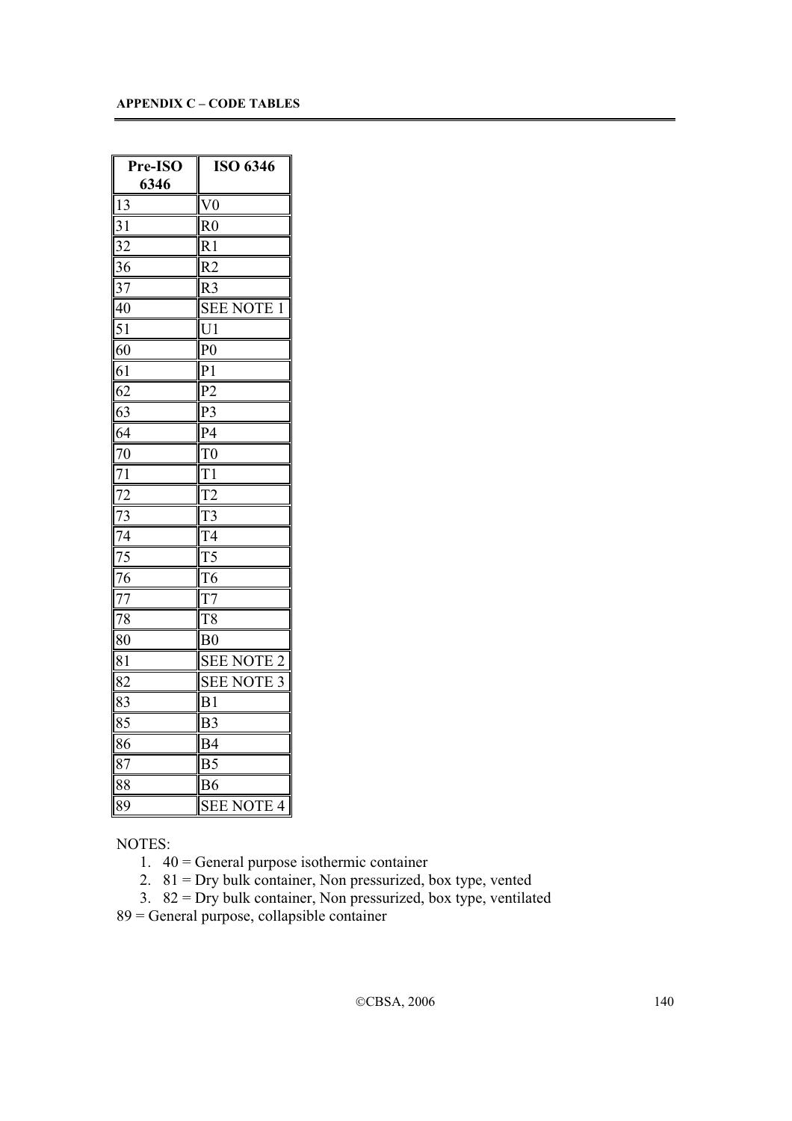| Pre-ISO        | <b>ISO 6346</b>      |
|----------------|----------------------|
| 6346           |                      |
| 13             | ∥V0                  |
| 31             | R0                   |
| $\frac{32}{5}$ | $ R_1$               |
| 36             | R <sub>2</sub>       |
| 37             | R <sub>3</sub>       |
| 40             | <b>SEE NOTE</b><br>1 |
| 51             | U1                   |
| 60             | P0                   |
| 61             | $\Vert$ P $\Vert$    |
| 62             | P <sub>2</sub>       |
| 63             | P3                   |
| 64             | P4                   |
| 70             | T0                   |
| 71             | T1                   |
| 72             | T <sub>2</sub>       |
| $\frac{73}{2}$ | T <sub>3</sub>       |
| $\frac{74}{1}$ | T4                   |
| $\frac{75}{2}$ | ∥T5                  |
| 76             | T <sub>6</sub>       |
| 77             | $  \text{T}7$        |
| 78             | T <sub>8</sub>       |
| 80             | B <sub>0</sub>       |
| 81             | <b>SEE NOTE 2</b>    |
| 82             | <b>SEE NOTE</b><br>3 |
| 83             | B1                   |
| 85             | B <sub>3</sub>       |
| 86             | B <sub>4</sub>       |
| 87             | B <sub>5</sub>       |
| 88             | B6                   |
| 89             | <b>SEE NOTE 4</b>    |

NOTES:

1. 40 = General purpose isothermic container

2.  $81 = \text{Dry bulk container}, \text{ Non pressurized, box type, vented}$ 

3.  $82 = \text{Dry bulk container}, \text{ Non pressurized, box type}, \text{ ventilated}$ 

89 = General purpose, collapsible container